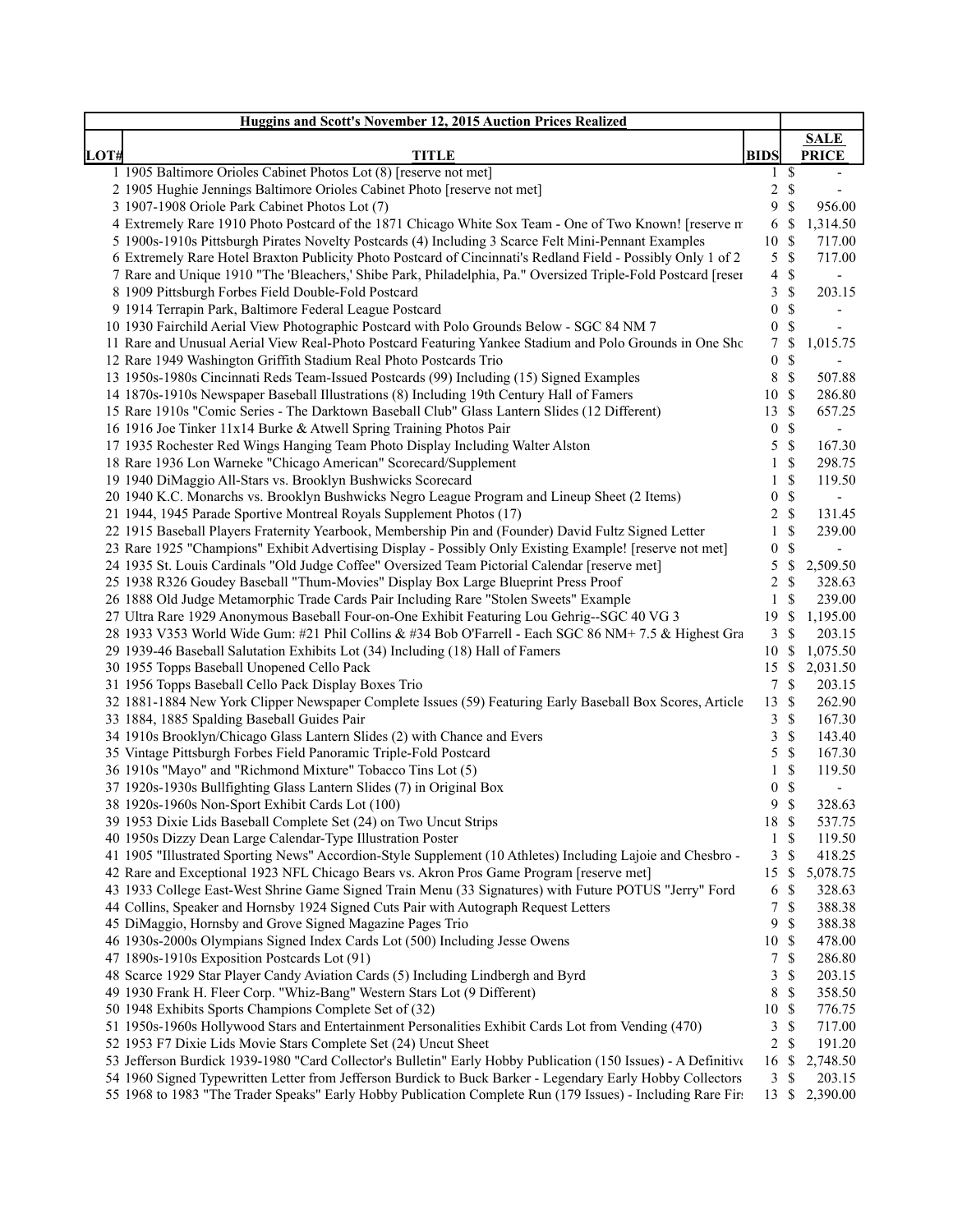|      | <b>Huggins and Scott's November 12, 2015 Auction Prices Realized</b>                                           |                  |                 |                          |
|------|----------------------------------------------------------------------------------------------------------------|------------------|-----------------|--------------------------|
|      |                                                                                                                |                  |                 | <b>SALE</b>              |
| LOT# | <b>TITLE</b>                                                                                                   | <b>BIDS</b>      |                 | <b>PRICE</b>             |
|      | 1 1905 Baltimore Orioles Cabinet Photos Lot (8) [reserve not met]                                              |                  | $1 \text{ }$ \$ | $\overline{\phantom{a}}$ |
|      | 2 1905 Hughie Jennings Baltimore Orioles Cabinet Photo [reserve not met]                                       | $\overline{c}$   | $\mathbb{S}$    |                          |
|      | 3 1907-1908 Oriole Park Cabinet Photos Lot (7)                                                                 | 9                | \$              | 956.00                   |
|      | 4 Extremely Rare 1910 Photo Postcard of the 1871 Chicago White Sox Team - One of Two Known! [reserve m         |                  | $6 \text{ }$ \$ | 1,314.50                 |
|      | 5 1900s-1910s Pittsburgh Pirates Novelty Postcards (4) Including 3 Scarce Felt Mini-Pennant Examples           | 10 \$            |                 | 717.00                   |
|      | 6 Extremely Rare Hotel Braxton Publicity Photo Postcard of Cincinnati's Redland Field - Possibly Only 1 of 2   |                  | $5 \text{ }$ \$ | 717.00                   |
|      | 7 Rare and Unique 1910 "The 'Bleachers,' Shibe Park, Philadelphia, Pa." Oversized Triple-Fold Postcard [reser  | $\overline{4}$   | \$              | $\overline{\phantom{a}}$ |
|      | 8 1909 Pittsburgh Forbes Field Double-Fold Postcard                                                            | 3                | $\mathbb{S}$    | 203.15                   |
|      | 9 1914 Terrapin Park, Baltimore Federal League Postcard                                                        | $\boldsymbol{0}$ | \$              | $\overline{\phantom{a}}$ |
|      | 10 1930 Fairchild Aerial View Photographic Postcard with Polo Grounds Below - SGC 84 NM 7                      | $\boldsymbol{0}$ | $\mathbb{S}$    |                          |
|      | 11 Rare and Unusual Aerial View Real-Photo Postcard Featuring Yankee Stadium and Polo Grounds in One Sho       | 7                | \$              | 1,015.75                 |
|      | 12 Rare 1949 Washington Griffith Stadium Real Photo Postcards Trio                                             | $\boldsymbol{0}$ | \$              | $\overline{a}$           |
|      | 13 1950s-1980s Cincinnati Reds Team-Issued Postcards (99) Including (15) Signed Examples                       | 8                | $\mathcal{S}$   | 507.88                   |
|      | 14 1870s-1910s Newspaper Baseball Illustrations (8) Including 19th Century Hall of Famers                      | 10               | -\$             | 286.80                   |
|      | 15 Rare 1910s "Comic Series - The Darktown Baseball Club" Glass Lantern Slides (12 Different)                  | 13               | \$              | 657.25                   |
|      | 16 1916 Joe Tinker 11x14 Burke & Atwell Spring Training Photos Pair                                            | 0                | \$              | $\blacksquare$           |
|      | 17 1935 Rochester Red Wings Hanging Team Photo Display Including Walter Alston                                 | 5                | $\mathcal{S}$   | 167.30                   |
|      | 18 Rare 1936 Lon Warneke "Chicago American" Scorecard/Supplement                                               | $\mathbf{1}$     | \$              | 298.75                   |
|      | 19 1940 DiMaggio All-Stars vs. Brooklyn Bushwicks Scorecard                                                    | 1                | \$              | 119.50                   |
|      | 20 1940 K.C. Monarchs vs. Brooklyn Bushwicks Negro League Program and Lineup Sheet (2 Items)                   | 0                | \$              | $\overline{\phantom{a}}$ |
|      | 21 1944, 1945 Parade Sportive Montreal Royals Supplement Photos (17)                                           | 2                | \$              | 131.45                   |
|      | 22 1915 Baseball Players Fraternity Yearbook, Membership Pin and (Founder) David Fultz Signed Letter           | $\mathbf{1}$     | $\mathbb{S}$    | 239.00                   |
|      | 23 Rare 1925 "Champions" Exhibit Advertising Display - Possibly Only Existing Example! [reserve not met]       | 0                | \$              | $\overline{\phantom{a}}$ |
|      | 24 1935 St. Louis Cardinals "Old Judge Coffee" Oversized Team Pictorial Calendar [reserve met]                 | 5                | \$              | 2,509.50                 |
|      | 25 1938 R326 Goudey Baseball "Thum-Movies" Display Box Large Blueprint Press Proof                             | 2                | \$              | 328.63                   |
|      | 26 1888 Old Judge Metamorphic Trade Cards Pair Including Rare "Stolen Sweets" Example                          | 1                | \$              | 239.00                   |
|      | 27 Ultra Rare 1929 Anonymous Baseball Four-on-One Exhibit Featuring Lou Gehrig--SGC 40 VG 3                    | 19               | <sup>\$</sup>   | 1,195.00                 |
|      | 28 1933 V353 World Wide Gum: #21 Phil Collins & #34 Bob O'Farrell - Each SGC 86 NM+ 7.5 & Highest Gra          | $\mathfrak{Z}$   | $\mathcal{S}$   | 203.15                   |
|      | 29 1939-46 Baseball Salutation Exhibits Lot (34) Including (18) Hall of Famers                                 | 10S              |                 | 1,075.50                 |
|      | 30 1955 Topps Baseball Unopened Cello Pack                                                                     |                  |                 | 15 \$ 2,031.50           |
|      | 31 1956 Topps Baseball Cello Pack Display Boxes Trio                                                           |                  | 7S              | 203.15                   |
|      | 32 1881-1884 New York Clipper Newspaper Complete Issues (59) Featuring Early Baseball Box Scores, Article      | 13S              |                 | 262.90                   |
|      | 33 1884, 1885 Spalding Baseball Guides Pair                                                                    | 3                | <sup>\$</sup>   | 167.30                   |
|      | 34 1910s Brooklyn/Chicago Glass Lantern Slides (2) with Chance and Evers                                       | 3                | $\mathbb{S}$    | 143.40                   |
|      | 35 Vintage Pittsburgh Forbes Field Panoramic Triple-Fold Postcard                                              | 5                | $\mathbb{S}$    | 167.30                   |
|      | 36 1910s "Mayo" and "Richmond Mixture" Tobacco Tins Lot (5)                                                    | 1                | \$              | 119.50                   |
|      | 37 1920s-1930s Bullfighting Glass Lantern Slides (7) in Original Box                                           | 0                | \$              | $\overline{\phantom{0}}$ |
|      | 38 1920s-1960s Non-Sport Exhibit Cards Lot (100)                                                               | 9                | $\mathcal{S}$   | 328.63                   |
|      | 39 1953 Dixie Lids Baseball Complete Set (24) on Two Uncut Strips                                              | 18 \$            |                 | 537.75                   |
|      | 40 1950s Dizzy Dean Large Calendar-Type Illustration Poster                                                    |                  | $1 \text{ }$    | 119.50                   |
|      | 41 1905 "Illustrated Sporting News" Accordion-Style Supplement (10 Athletes) Including Lajoie and Chesbro -    | 3                | \$              | 418.25                   |
|      | 42 Rare and Exceptional 1923 NFL Chicago Bears vs. Akron Pros Game Program [reserve met]                       | 15 \$            |                 | 5,078.75                 |
|      | 43 1933 College East-West Shrine Game Signed Train Menu (33 Signatures) with Future POTUS "Jerry" Ford         | 6                | <sup>\$</sup>   | 328.63                   |
|      | 44 Collins, Speaker and Hornsby 1924 Signed Cuts Pair with Autograph Request Letters                           | 7                | \$              | 388.38                   |
|      | 45 DiMaggio, Hornsby and Grove Signed Magazine Pages Trio                                                      | 9                | \$              | 388.38                   |
|      | 46 1930s-2000s Olympians Signed Index Cards Lot (500) Including Jesse Owens                                    | 10S              |                 | 478.00                   |
|      | 47 1890s-1910s Exposition Postcards Lot (91)                                                                   | 7                | \$              | 286.80                   |
|      | 48 Scarce 1929 Star Player Candy Aviation Cards (5) Including Lindbergh and Byrd                               | 3                | \$              | 203.15                   |
|      | 49 1930 Frank H. Fleer Corp. "Whiz-Bang" Western Stars Lot (9 Different)                                       | 8                | \$              | 358.50                   |
|      | 50 1948 Exhibits Sports Champions Complete Set of (32)                                                         | 10               | $\mathcal{S}$   | 776.75                   |
|      | 51 1950s-1960s Hollywood Stars and Entertainment Personalities Exhibit Cards Lot from Vending (470)            | 3                | $\mathbb{S}$    | 717.00                   |
|      | 52 1953 F7 Dixie Lids Movie Stars Complete Set (24) Uncut Sheet                                                | $\overline{2}$   | $\mathcal{S}$   | 191.20                   |
|      | 53 Jefferson Burdick 1939-1980 "Card Collector's Bulletin" Early Hobby Publication (150 Issues) - A Definitive | 16               | \$              | 2,748.50                 |
|      | 54 1960 Signed Typewritten Letter from Jefferson Burdick to Buck Barker - Legendary Early Hobby Collectors     |                  | 3S              | 203.15                   |
|      | 55 1968 to 1983 "The Trader Speaks" Early Hobby Publication Complete Run (179 Issues) - Including Rare Fire    |                  |                 | 13 \$ 2,390.00           |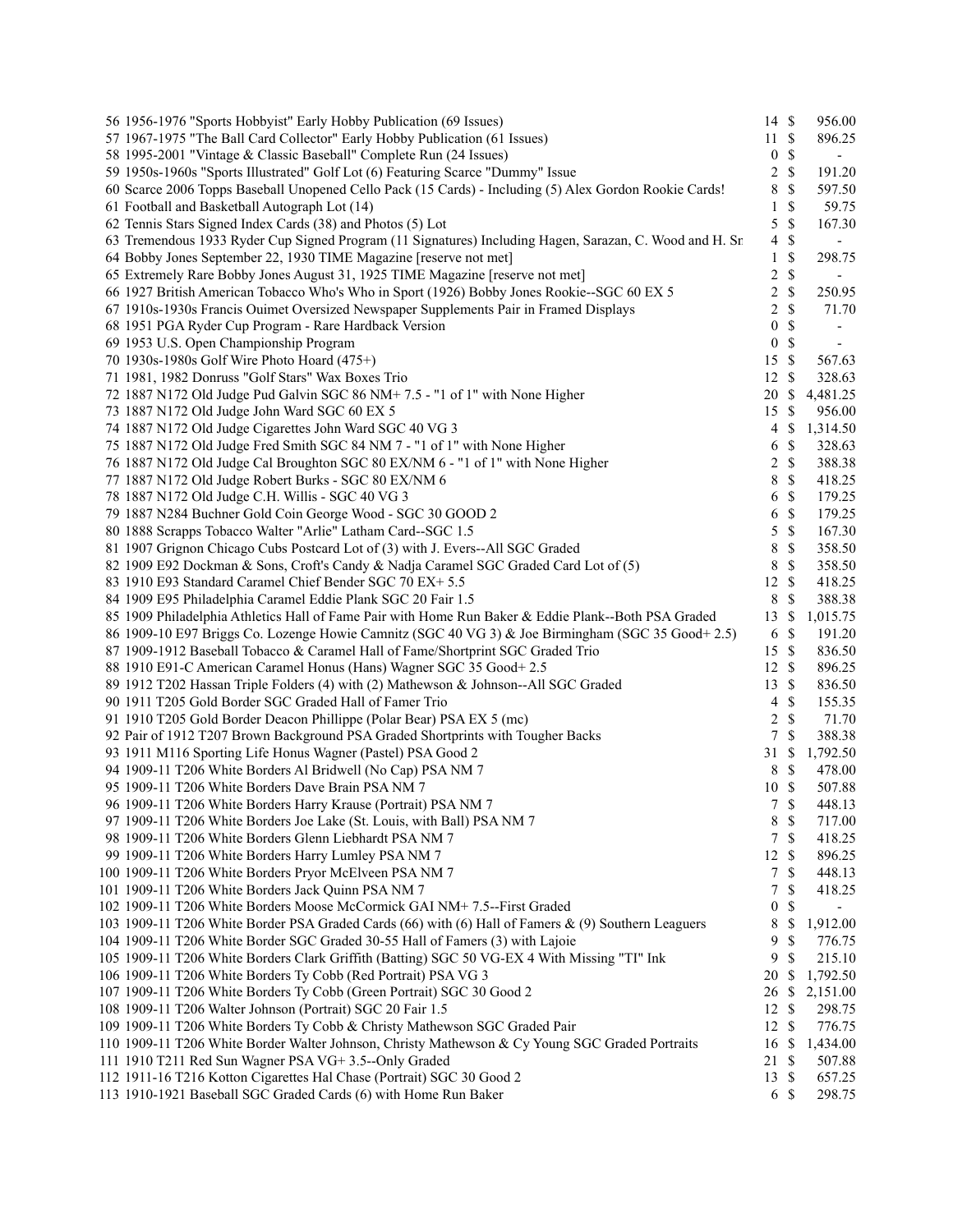| 56 1956-1976 "Sports Hobbyist" Early Hobby Publication (69 Issues)                                      | $14 \text{ }$ \$ |               | 956.00                               |
|---------------------------------------------------------------------------------------------------------|------------------|---------------|--------------------------------------|
| 57 1967-1975 "The Ball Card Collector" Early Hobby Publication (61 Issues)                              | $11 \text{ }$ \$ |               | 896.25                               |
| 58 1995-2001 "Vintage & Classic Baseball" Complete Run (24 Issues)                                      | $\boldsymbol{0}$ | $\$$          | $\overline{\phantom{a}}$             |
| 59 1950s-1960s "Sports Illustrated" Golf Lot (6) Featuring Scarce "Dummy" Issue                         | $\overline{c}$   | $\mathbb{S}$  | 191.20                               |
| 60 Scarce 2006 Topps Baseball Unopened Cello Pack (15 Cards) - Including (5) Alex Gordon Rookie Cards!  | 8                | \$            | 597.50                               |
| 61 Football and Basketball Autograph Lot (14)                                                           | $\mathbf{1}$     | $\mathbb{S}$  | 59.75                                |
| 62 Tennis Stars Signed Index Cards (38) and Photos (5) Lot                                              | 5                | $\mathbb{S}$  | 167.30                               |
| 63 Tremendous 1933 Ryder Cup Signed Program (11 Signatures) Including Hagen, Sarazan, C. Wood and H. Sn | 4                | \$            | $\frac{1}{2}$                        |
| 64 Bobby Jones September 22, 1930 TIME Magazine [reserve not met]                                       | $\mathbf{1}$     | \$            | 298.75                               |
| 65 Extremely Rare Bobby Jones August 31, 1925 TIME Magazine [reserve not met]                           | $\overline{c}$   | $\mathbb{S}$  |                                      |
| 66 1927 British American Tobacco Who's Who in Sport (1926) Bobby Jones Rookie--SGC 60 EX 5              | $\overline{c}$   | $\mathbb{S}$  | 250.95                               |
| 67 1910s-1930s Francis Ouimet Oversized Newspaper Supplements Pair in Framed Displays                   | $\overline{c}$   | $\mathbb{S}$  | 71.70                                |
| 68 1951 PGA Ryder Cup Program - Rare Hardback Version                                                   | $\boldsymbol{0}$ | \$            | $\overline{a}$                       |
| 69 1953 U.S. Open Championship Program                                                                  | $\boldsymbol{0}$ | $\mathbb{S}$  | $\qquad \qquad \blacksquare$         |
| 70 1930s-1980s Golf Wire Photo Hoard (475+)                                                             | 15               | $\mathbb{S}$  | 567.63                               |
| 71 1981, 1982 Donruss "Golf Stars" Wax Boxes Trio                                                       | 12               | \$            | 328.63                               |
| 72 1887 N172 Old Judge Pud Galvin SGC 86 NM+7.5 - "1 of 1" with None Higher                             | 20               | $\mathbb{S}$  | 4,481.25                             |
| 73 1887 N172 Old Judge John Ward SGC 60 EX 5                                                            | 15               | \$            | 956.00                               |
| 74 1887 N172 Old Judge Cigarettes John Ward SGC 40 VG 3                                                 | 4                | $\mathbb{S}$  | 1,314.50                             |
| 75 1887 N172 Old Judge Fred Smith SGC 84 NM 7 - "1 of 1" with None Higher                               | 6                | \$            | 328.63                               |
| 76 1887 N172 Old Judge Cal Broughton SGC 80 EX/NM 6 - "1 of 1" with None Higher                         | 2                | $\mathbb S$   | 388.38                               |
| 77 1887 N172 Old Judge Robert Burks - SGC 80 EX/NM 6                                                    | 8                | $\mathbb{S}$  | 418.25                               |
| 78 1887 N172 Old Judge C.H. Willis - SGC 40 VG 3                                                        | 6                | $\mathbb{S}$  | 179.25                               |
| 79 1887 N284 Buchner Gold Coin George Wood - SGC 30 GOOD 2                                              | 6                | $\mathbb{S}$  | 179.25                               |
| 80 1888 Scrapps Tobacco Walter "Arlie" Latham Card--SGC 1.5                                             | 5                | $\mathbb S$   | 167.30                               |
| 81 1907 Grignon Chicago Cubs Postcard Lot of (3) with J. Evers--All SGC Graded                          | 8                | $\mathbb{S}$  | 358.50                               |
| 82 1909 E92 Dockman & Sons, Croft's Candy & Nadja Caramel SGC Graded Card Lot of (5)                    | 8                | $\mathbb{S}$  | 358.50                               |
| 83 1910 E93 Standard Caramel Chief Bender SGC 70 EX+ 5.5                                                | 12               | $\mathbb{S}$  | 418.25                               |
| 84 1909 E95 Philadelphia Caramel Eddie Plank SGC 20 Fair 1.5                                            | 8                | $\mathbb{S}$  | 388.38                               |
| 85 1909 Philadelphia Athletics Hall of Fame Pair with Home Run Baker & Eddie Plank--Both PSA Graded     | 13               | \$            | 1,015.75                             |
| 86 1909-10 E97 Briggs Co. Lozenge Howie Camnitz (SGC 40 VG 3) & Joe Birmingham (SGC 35 Good+ 2.5)       | 6                | $\mathbb{S}$  | 191.20                               |
| 87 1909-1912 Baseball Tobacco & Caramel Hall of Fame/Shortprint SGC Graded Trio                         | 15               | $\mathbb{S}$  | 836.50                               |
| 88 1910 E91-C American Caramel Honus (Hans) Wagner SGC 35 Good+2.5                                      | 12S              |               | 896.25                               |
| 89 1912 T202 Hassan Triple Folders (4) with (2) Mathewson & Johnson--All SGC Graded                     | 13               | \$            | 836.50                               |
| 90 1911 T205 Gold Border SGC Graded Hall of Famer Trio                                                  | 4                | $\mathbb{S}$  | 155.35                               |
| 91 1910 T205 Gold Border Deacon Phillippe (Polar Bear) PSA EX 5 (mc)                                    | $\overline{c}$   | $\mathbb{S}$  | 71.70                                |
| 92 Pair of 1912 T207 Brown Background PSA Graded Shortprints with Tougher Backs                         | $\tau$           | $\mathbb{S}$  | 388.38                               |
| 93 1911 M116 Sporting Life Honus Wagner (Pastel) PSA Good 2                                             | 31               | \$            | 1,792.50                             |
| 94 1909-11 T206 White Borders Al Bridwell (No Cap) PSA NM 7                                             | 8                | $\mathbb{S}$  | 478.00                               |
| 95 1909-11 T206 White Borders Dave Brain PSA NM 7                                                       | 10               | $\mathbb{S}$  | 507.88                               |
| 96 1909-11 T206 White Borders Harry Krause (Portrait) PSA NM 7                                          | $\tau$           | $\mathcal{S}$ | 448.13                               |
| 97 1909-11 T206 White Borders Joe Lake (St. Louis, with Ball) PSA NM 7                                  | $8\,$            | $\mathcal{S}$ | 717.00                               |
| 98 1909-11 T206 White Borders Glenn Liebhardt PSA NM 7                                                  | 7                | $\mathbb{S}$  | 418.25                               |
| 99 1909-11 T206 White Borders Harry Lumley PSA NM 7                                                     | 12               | -S            | 896.25                               |
| 100 1909-11 T206 White Borders Pryor McElveen PSA NM 7                                                  | 7                | \$            | 448.13                               |
| 101 1909-11 T206 White Borders Jack Quinn PSA NM 7                                                      |                  |               |                                      |
|                                                                                                         | 7                | \$            | 418.25                               |
| 102 1909-11 T206 White Borders Moose McCormick GAI NM+ 7.5--First Graded                                | $\boldsymbol{0}$ | \$            | $\overline{\phantom{0}}$<br>1,912.00 |
| 103 1909-11 T206 White Border PSA Graded Cards (66) with (6) Hall of Famers & (9) Southern Leaguers     | 8<br>9           | \$            |                                      |
| 104 1909-11 T206 White Border SGC Graded 30-55 Hall of Famers (3) with Lajoie                           |                  | \$            | 776.75                               |
| 105 1909-11 T206 White Borders Clark Griffith (Batting) SGC 50 VG-EX 4 With Missing "TI" Ink            | 9                | \$            | 215.10                               |
| 106 1909-11 T206 White Borders Ty Cobb (Red Portrait) PSA VG 3                                          | 20               | -S            | 1,792.50                             |
| 107 1909-11 T206 White Borders Ty Cobb (Green Portrait) SGC 30 Good 2                                   | 26<br>12         | \$            | 2,151.00                             |
| 108 1909-11 T206 Walter Johnson (Portrait) SGC 20 Fair 1.5                                              |                  | -S            | 298.75                               |
| 109 1909-11 T206 White Borders Ty Cobb & Christy Mathewson SGC Graded Pair                              | $12 \text{ }$ \$ |               | 776.75                               |
| 110 1909-11 T206 White Border Walter Johnson, Christy Mathewson & Cy Young SGC Graded Portraits         | 16               | \$            | 1,434.00                             |
| 111 1910 T211 Red Sun Wagner PSA VG+3.5--Only Graded                                                    | 21               | -S            | 507.88                               |
| 112 1911-16 T216 Kotton Cigarettes Hal Chase (Portrait) SGC 30 Good 2                                   | 13               | -\$           | 657.25                               |
| 113 1910-1921 Baseball SGC Graded Cards (6) with Home Run Baker                                         | 6                | $\mathbb{S}$  | 298.75                               |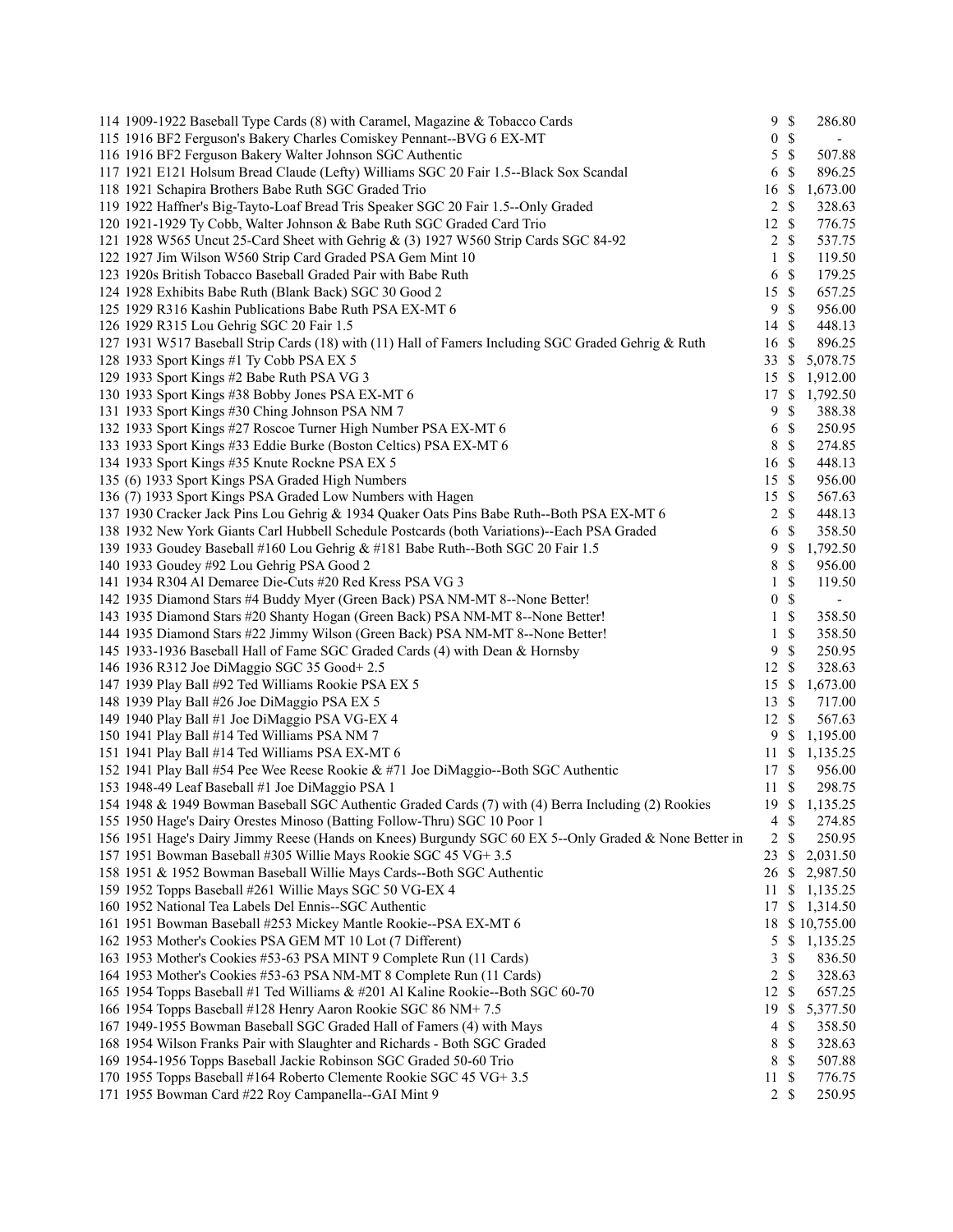| 114 1909-1922 Baseball Type Cards (8) with Caramel, Magazine & Tobacco Cards                          |                  | 9S            | 286.80      |
|-------------------------------------------------------------------------------------------------------|------------------|---------------|-------------|
| 115 1916 BF2 Ferguson's Bakery Charles Comiskey Pennant--BVG 6 EX-MT                                  | $\boldsymbol{0}$ | $\mathbb{S}$  | $\sim$      |
| 116 1916 BF2 Ferguson Bakery Walter Johnson SGC Authentic                                             | 5                | \$            | 507.88      |
| 117 1921 E121 Holsum Bread Claude (Lefty) Williams SGC 20 Fair 1.5--Black Sox Scandal                 | 6                | \$            | 896.25      |
| 118 1921 Schapira Brothers Babe Ruth SGC Graded Trio                                                  | 16               | \$            | 1,673.00    |
| 119 1922 Haffner's Big-Tayto-Loaf Bread Tris Speaker SGC 20 Fair 1.5--Only Graded                     | 2                | \$            | 328.63      |
| 120 1921-1929 Ty Cobb, Walter Johnson & Babe Ruth SGC Graded Card Trio                                | 12               | \$            | 776.75      |
| 121 1928 W565 Uncut 25-Card Sheet with Gehrig & (3) 1927 W560 Strip Cards SGC 84-92                   | $\overline{2}$   | $\mathcal{S}$ | 537.75      |
| 122 1927 Jim Wilson W560 Strip Card Graded PSA Gem Mint 10                                            | $\mathbf{1}$     | \$            | 119.50      |
| 123 1920s British Tobacco Baseball Graded Pair with Babe Ruth                                         | 6                | \$            | 179.25      |
| 124 1928 Exhibits Babe Ruth (Blank Back) SGC 30 Good 2                                                | 15               | $\mathbb{S}$  | 657.25      |
| 125 1929 R316 Kashin Publications Babe Ruth PSA EX-MT 6                                               | 9                | $\mathcal{S}$ | 956.00      |
| 126 1929 R315 Lou Gehrig SGC 20 Fair 1.5                                                              | 14               | \$            | 448.13      |
| 127 1931 W517 Baseball Strip Cards (18) with (11) Hall of Famers Including SGC Graded Gehrig & Ruth   | 16               | \$            | 896.25      |
| 128 1933 Sport Kings #1 Ty Cobb PSA EX 5                                                              | 33               | \$            | 5,078.75    |
| 129 1933 Sport Kings #2 Babe Ruth PSA VG 3                                                            | 15               | S             | 1,912.00    |
| 130 1933 Sport Kings #38 Bobby Jones PSA EX-MT 6                                                      | 17               | \$            | 1,792.50    |
| 131 1933 Sport Kings #30 Ching Johnson PSA NM 7                                                       | 9                | \$            | 388.38      |
|                                                                                                       |                  | $\mathcal{S}$ |             |
| 132 1933 Sport Kings #27 Roscoe Turner High Number PSA EX-MT 6                                        | 6                |               | 250.95      |
| 133 1933 Sport Kings #33 Eddie Burke (Boston Celtics) PSA EX-MT 6                                     | 8                | $\mathbb{S}$  | 274.85      |
| 134 1933 Sport Kings #35 Knute Rockne PSA EX 5                                                        | 16               | $\mathcal{S}$ | 448.13      |
| 135 (6) 1933 Sport Kings PSA Graded High Numbers                                                      | 15               | $\mathcal{S}$ | 956.00      |
| 136 (7) 1933 Sport Kings PSA Graded Low Numbers with Hagen                                            | 15               | $\mathbb{S}$  | 567.63      |
| 137 1930 Cracker Jack Pins Lou Gehrig & 1934 Quaker Oats Pins Babe Ruth--Both PSA EX-MT 6             | $\overline{c}$   | $\mathbb{S}$  | 448.13      |
| 138 1932 New York Giants Carl Hubbell Schedule Postcards (both Variations)--Each PSA Graded           | 6                | \$            | 358.50      |
| 139 1933 Goudey Baseball #160 Lou Gehrig & #181 Babe Ruth--Both SGC 20 Fair 1.5                       | 9                | \$            | 1,792.50    |
| 140 1933 Goudey #92 Lou Gehrig PSA Good 2                                                             | 8                | \$            | 956.00      |
| 141 1934 R304 Al Demaree Die-Cuts #20 Red Kress PSA VG 3                                              | 1                | \$            | 119.50      |
| 142 1935 Diamond Stars #4 Buddy Myer (Green Back) PSA NM-MT 8--None Better!                           | $\boldsymbol{0}$ | \$            | $\sim$      |
| 143 1935 Diamond Stars #20 Shanty Hogan (Green Back) PSA NM-MT 8--None Better!                        | 1                | $\mathbb{S}$  | 358.50      |
| 144 1935 Diamond Stars #22 Jimmy Wilson (Green Back) PSA NM-MT 8--None Better!                        | 1                | \$            | 358.50      |
| 145 1933-1936 Baseball Hall of Fame SGC Graded Cards (4) with Dean & Hornsby                          | 9                | \$            | 250.95      |
| 146 1936 R312 Joe DiMaggio SGC 35 Good+ 2.5                                                           | 12               | \$            | 328.63      |
| 147 1939 Play Ball #92 Ted Williams Rookie PSA EX 5                                                   | 15               | \$            | 1,673.00    |
| 148 1939 Play Ball #26 Joe DiMaggio PSA EX 5                                                          | 13               | <sup>\$</sup> | 717.00      |
| 149 1940 Play Ball #1 Joe DiMaggio PSA VG-EX 4                                                        | 12S              |               | 567.63      |
| 150 1941 Play Ball #14 Ted Williams PSA NM 7                                                          | 9                | <sup>\$</sup> | 1,195.00    |
| 151 1941 Play Ball #14 Ted Williams PSA EX-MT 6                                                       | 11               | \$            | 1,135.25    |
| 152 1941 Play Ball #54 Pee Wee Reese Rookie & #71 Joe DiMaggio--Both SGC Authentic                    | 17 \$            |               | 956.00      |
| 153 1948-49 Leaf Baseball #1 Joe DiMaggio PSA 1                                                       | 11               | \$            | 298.75      |
| 154 1948 & 1949 Bowman Baseball SGC Authentic Graded Cards (7) with (4) Berra Including (2) Rookies   | 19               |               | \$1,135.25  |
| 155 1950 Hage's Dairy Orestes Minoso (Batting Follow-Thru) SGC 10 Poor 1                              | 4                | \$            | 274.85      |
| 156 1951 Hage's Dairy Jimmy Reese (Hands on Knees) Burgundy SGC 60 EX 5--Only Graded & None Better in | $\overline{c}$   | \$            | 250.95      |
| 157 1951 Bowman Baseball #305 Willie Mays Rookie SGC 45 VG+ 3.5                                       | 23               | \$            | 2,031.50    |
| 158 1951 & 1952 Bowman Baseball Willie Mays Cards--Both SGC Authentic                                 | 26               | \$            | 2,987.50    |
| 159 1952 Topps Baseball #261 Willie Mays SGC 50 VG-EX 4                                               | 11               | \$            | 1,135.25    |
| 160 1952 National Tea Labels Del Ennis--SGC Authentic                                                 | 17               |               | \$1,314.50  |
| 161 1951 Bowman Baseball #253 Mickey Mantle Rookie--PSA EX-MT 6                                       | 18               |               | \$10,755.00 |
| 162 1953 Mother's Cookies PSA GEM MT 10 Lot (7 Different)                                             | 5                | \$            | 1,135.25    |
| 163 1953 Mother's Cookies #53-63 PSA MINT 9 Complete Run (11 Cards)                                   |                  | \$            |             |
|                                                                                                       | 3                |               | 836.50      |
| 164 1953 Mother's Cookies #53-63 PSA NM-MT 8 Complete Run (11 Cards)                                  | 2                | \$            | 328.63      |
| 165 1954 Topps Baseball #1 Ted Williams & #201 Al Kaline Rookie--Both SGC 60-70                       | 12               | \$            | 657.25      |
| 166 1954 Topps Baseball #128 Henry Aaron Rookie SGC 86 NM+7.5                                         | 19               | \$            | 5,377.50    |
| 167 1949-1955 Bowman Baseball SGC Graded Hall of Famers (4) with Mays                                 | 4                | \$            | 358.50      |
| 168 1954 Wilson Franks Pair with Slaughter and Richards - Both SGC Graded                             | 8                | \$            | 328.63      |
| 169 1954-1956 Topps Baseball Jackie Robinson SGC Graded 50-60 Trio                                    | 8                | \$            | 507.88      |
| 170 1955 Topps Baseball #164 Roberto Clemente Rookie SGC 45 VG+ 3.5                                   | 11               | \$            | 776.75      |
| 171 1955 Bowman Card #22 Roy Campanella--GAI Mint 9                                                   | 2                | \$            | 250.95      |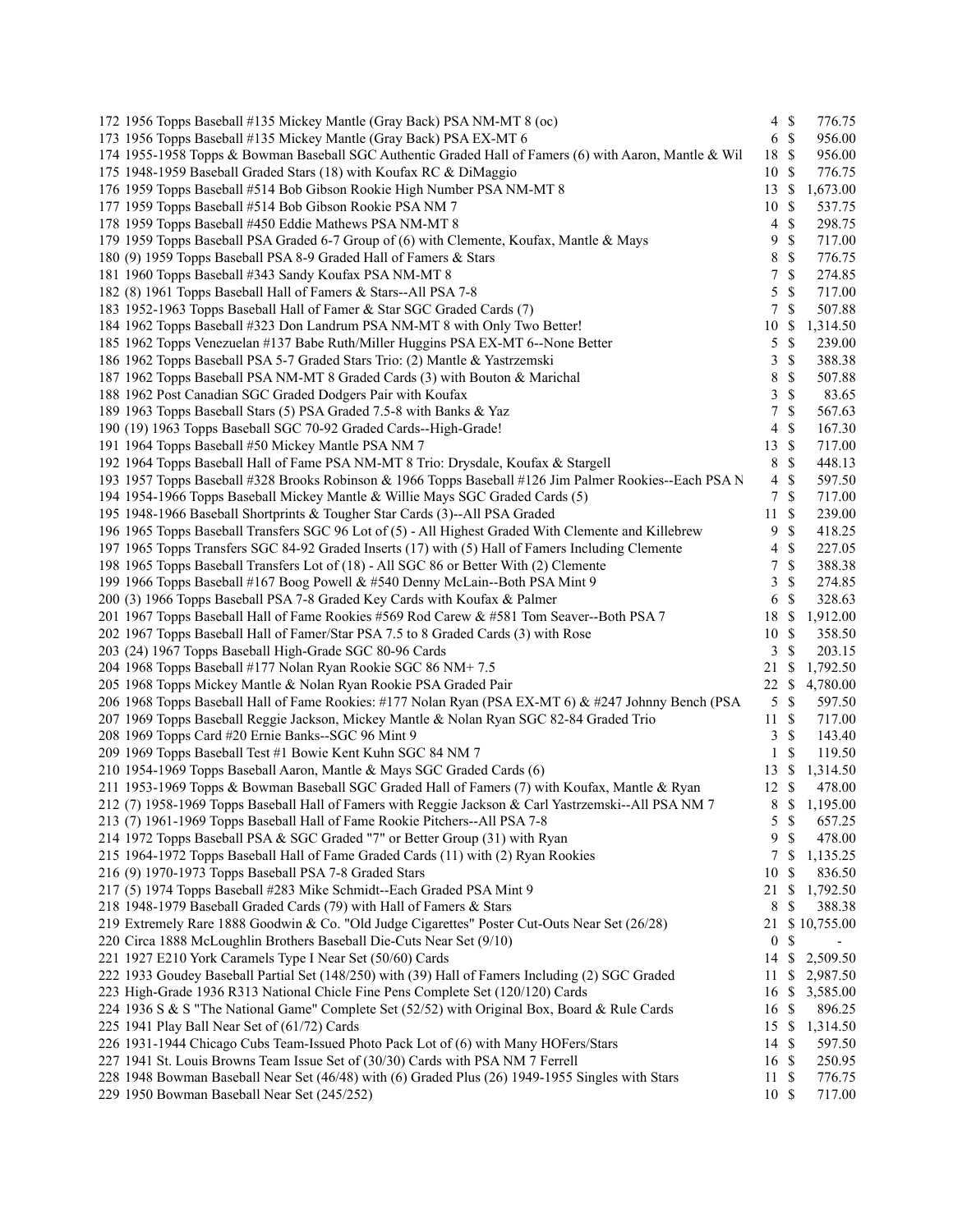| 172 1956 Topps Baseball #135 Mickey Mantle (Gray Back) PSA NM-MT 8 (oc)                                                                                                                                   |                  | $4 \text{ }$ \$ | 776.75           |
|-----------------------------------------------------------------------------------------------------------------------------------------------------------------------------------------------------------|------------------|-----------------|------------------|
| 173 1956 Topps Baseball #135 Mickey Mantle (Gray Back) PSA EX-MT 6                                                                                                                                        |                  | 6S              | 956.00           |
| 174 1955-1958 Topps & Bowman Baseball SGC Authentic Graded Hall of Famers (6) with Aaron, Mantle & Wil                                                                                                    | 18               | $\mathcal{S}$   | 956.00           |
| 175 1948-1959 Baseball Graded Stars (18) with Koufax RC & DiMaggio                                                                                                                                        | 10               | $\mathbb{S}$    | 776.75           |
| 176 1959 Topps Baseball #514 Bob Gibson Rookie High Number PSA NM-MT 8                                                                                                                                    | 13               | <sup>\$</sup>   | 1,673.00         |
| 177 1959 Topps Baseball #514 Bob Gibson Rookie PSA NM 7                                                                                                                                                   | 10               | $\mathcal{S}$   | 537.75           |
| 178 1959 Topps Baseball #450 Eddie Mathews PSA NM-MT 8                                                                                                                                                    | 4                | \$              | 298.75           |
| 179 1959 Topps Baseball PSA Graded 6-7 Group of (6) with Clemente, Koufax, Mantle & Mays                                                                                                                  | 9                | \$              | 717.00           |
| 180 (9) 1959 Topps Baseball PSA 8-9 Graded Hall of Famers & Stars                                                                                                                                         | 8                | \$              | 776.75           |
| 181 1960 Topps Baseball #343 Sandy Koufax PSA NM-MT 8                                                                                                                                                     | 7                | \$              | 274.85           |
| 182 (8) 1961 Topps Baseball Hall of Famers & Stars--All PSA 7-8                                                                                                                                           | 5                | \$              | 717.00           |
| 183 1952-1963 Topps Baseball Hall of Famer & Star SGC Graded Cards (7)                                                                                                                                    | $\tau$           | \$              | 507.88           |
| 184 1962 Topps Baseball #323 Don Landrum PSA NM-MT 8 with Only Two Better!                                                                                                                                | 10               | S               | 1,314.50         |
| 185 1962 Topps Venezuelan #137 Babe Ruth/Miller Huggins PSA EX-MT 6--None Better                                                                                                                          | 5                | \$              | 239.00           |
| 186 1962 Topps Baseball PSA 5-7 Graded Stars Trio: (2) Mantle & Yastrzemski                                                                                                                               | 3                | \$              | 388.38           |
| 187 1962 Topps Baseball PSA NM-MT 8 Graded Cards (3) with Bouton & Marichal                                                                                                                               | 8                | \$              | 507.88           |
| 188 1962 Post Canadian SGC Graded Dodgers Pair with Koufax                                                                                                                                                | 3                | \$              | 83.65            |
| 189 1963 Topps Baseball Stars (5) PSA Graded 7.5-8 with Banks & Yaz                                                                                                                                       | 7                | $\mathbb{S}$    | 567.63           |
| 190 (19) 1963 Topps Baseball SGC 70-92 Graded Cards--High-Grade!                                                                                                                                          | $\overline{4}$   | \$              | 167.30           |
| 191 1964 Topps Baseball #50 Mickey Mantle PSA NM 7                                                                                                                                                        | 13               | -\$             | 717.00           |
| 192 1964 Topps Baseball Hall of Fame PSA NM-MT 8 Trio: Drysdale, Koufax & Stargell                                                                                                                        | 8                | \$              | 448.13           |
| 193 1957 Topps Baseball #328 Brooks Robinson & 1966 Topps Baseball #126 Jim Palmer Rookies--Each PSA N                                                                                                    | $\overline{4}$   | \$              | 597.50           |
| 194 1954-1966 Topps Baseball Mickey Mantle & Willie Mays SGC Graded Cards (5)                                                                                                                             | $\tau$           | $\mathcal{S}$   | 717.00           |
| 195 1948-1966 Baseball Shortprints & Tougher Star Cards (3)--All PSA Graded                                                                                                                               | 11               | $\mathbb{S}$    | 239.00           |
|                                                                                                                                                                                                           |                  | \$              |                  |
| 196 1965 Topps Baseball Transfers SGC 96 Lot of (5) - All Highest Graded With Clemente and Killebrew<br>197 1965 Topps Transfers SGC 84-92 Graded Inserts (17) with (5) Hall of Famers Including Clemente | 9<br>4           | \$              | 418.25<br>227.05 |
|                                                                                                                                                                                                           |                  |                 |                  |
| 198 1965 Topps Baseball Transfers Lot of (18) - All SGC 86 or Better With (2) Clemente                                                                                                                    | 7<br>3           | \$<br>\$        | 388.38<br>274.85 |
| 199 1966 Topps Baseball #167 Boog Powell & #540 Denny McLain--Both PSA Mint 9                                                                                                                             |                  |                 |                  |
| 200 (3) 1966 Topps Baseball PSA 7-8 Graded Key Cards with Koufax & Palmer                                                                                                                                 | 6                | \$              | 328.63           |
| 201 1967 Topps Baseball Hall of Fame Rookies #569 Rod Carew & #581 Tom Seaver--Both PSA 7                                                                                                                 | 18               | $\mathbb{S}$    | 1,912.00         |
| 202 1967 Topps Baseball Hall of Famer/Star PSA 7.5 to 8 Graded Cards (3) with Rose                                                                                                                        | 10               | $\mathbb{S}$    | 358.50           |
| 203 (24) 1967 Topps Baseball High-Grade SGC 80-96 Cards                                                                                                                                                   | 3                | \$              | 203.15           |
| 204 1968 Topps Baseball #177 Nolan Ryan Rookie SGC 86 NM+7.5                                                                                                                                              | 21               | \$              | 1,792.50         |
| 205 1968 Topps Mickey Mantle & Nolan Ryan Rookie PSA Graded Pair                                                                                                                                          | 22               | S               | 4,780.00         |
| 206 1968 Topps Baseball Hall of Fame Rookies: #177 Nolan Ryan (PSA EX-MT 6) & #247 Johnny Bench (PSA                                                                                                      | 5                | $\mathcal{S}$   | 597.50           |
| 207 1969 Topps Baseball Reggie Jackson, Mickey Mantle & Nolan Ryan SGC 82-84 Graded Trio                                                                                                                  | 11               | - \$            | 717.00           |
| 208 1969 Topps Card #20 Ernie Banks--SGC 96 Mint 9                                                                                                                                                        | 3                | $\mathcal{S}$   | 143.40           |
| 209 1969 Topps Baseball Test #1 Bowie Kent Kuhn SGC 84 NM 7                                                                                                                                               | 1                | \$              | 119.50           |
| 210 1954-1969 Topps Baseball Aaron, Mantle & Mays SGC Graded Cards (6)                                                                                                                                    | 13               | -S              | 1,314.50         |
| 211 1953-1969 Topps & Bowman Baseball SGC Graded Hall of Famers (7) with Koufax, Mantle & Ryan                                                                                                            | 12               | -\$             | 478.00           |
| 212 (7) 1958-1969 Topps Baseball Hall of Famers with Reggie Jackson & Carl Yastrzemski--All PSA NM 7                                                                                                      | 8                | <sup>\$</sup>   | 1,195.00         |
| 213 (7) 1961-1969 Topps Baseball Hall of Fame Rookie Pitchers--All PSA 7-8                                                                                                                                | 5                | $\mathbb{S}$    | 657.25           |
| 214 1972 Topps Baseball PSA & SGC Graded "7" or Better Group (31) with Ryan                                                                                                                               | 9                | $\mathcal{S}$   | 478.00           |
| 215 1964-1972 Topps Baseball Hall of Fame Graded Cards (11) with (2) Ryan Rookies                                                                                                                         | 7                | \$              | 1,135.25         |
| 216 (9) 1970-1973 Topps Baseball PSA 7-8 Graded Stars                                                                                                                                                     | 10               | \$              | 836.50           |
| 217 (5) 1974 Topps Baseball #283 Mike Schmidt--Each Graded PSA Mint 9                                                                                                                                     | 21               | \$              | 1,792.50         |
| 218 1948-1979 Baseball Graded Cards (79) with Hall of Famers & Stars                                                                                                                                      | 8                | \$              | 388.38           |
| 219 Extremely Rare 1888 Goodwin & Co. "Old Judge Cigarettes" Poster Cut-Outs Near Set (26/28)                                                                                                             | 21               |                 | \$10,755.00      |
| 220 Circa 1888 McLoughlin Brothers Baseball Die-Cuts Near Set (9/10)                                                                                                                                      | $\boldsymbol{0}$ | \$              |                  |
| 221 1927 E210 York Caramels Type I Near Set (50/60) Cards                                                                                                                                                 | 14               | \$              | 2,509.50         |
| 222 1933 Goudey Baseball Partial Set (148/250) with (39) Hall of Famers Including (2) SGC Graded                                                                                                          | 11               | \$              | 2,987.50         |
| 223 High-Grade 1936 R313 National Chicle Fine Pens Complete Set (120/120) Cards                                                                                                                           | 16               | \$              | 3,585.00         |
| 224 1936 S & S "The National Game" Complete Set (52/52) with Original Box, Board & Rule Cards                                                                                                             | 16               | $\mathbb{S}$    | 896.25           |
| 225 1941 Play Ball Near Set of (61/72) Cards                                                                                                                                                              | 15               | -\$             | 1,314.50         |
| 226 1931-1944 Chicago Cubs Team-Issued Photo Pack Lot of (6) with Many HOFers/Stars                                                                                                                       | 14 \$            |                 | 597.50           |
| 227 1941 St. Louis Browns Team Issue Set of (30/30) Cards with PSA NM 7 Ferrell                                                                                                                           | 16 \$            |                 | 250.95           |
| 228 1948 Bowman Baseball Near Set (46/48) with (6) Graded Plus (26) 1949-1955 Singles with Stars                                                                                                          | 11               | - S             | 776.75           |
| 229 1950 Bowman Baseball Near Set (245/252)                                                                                                                                                               | 10S              |                 | 717.00           |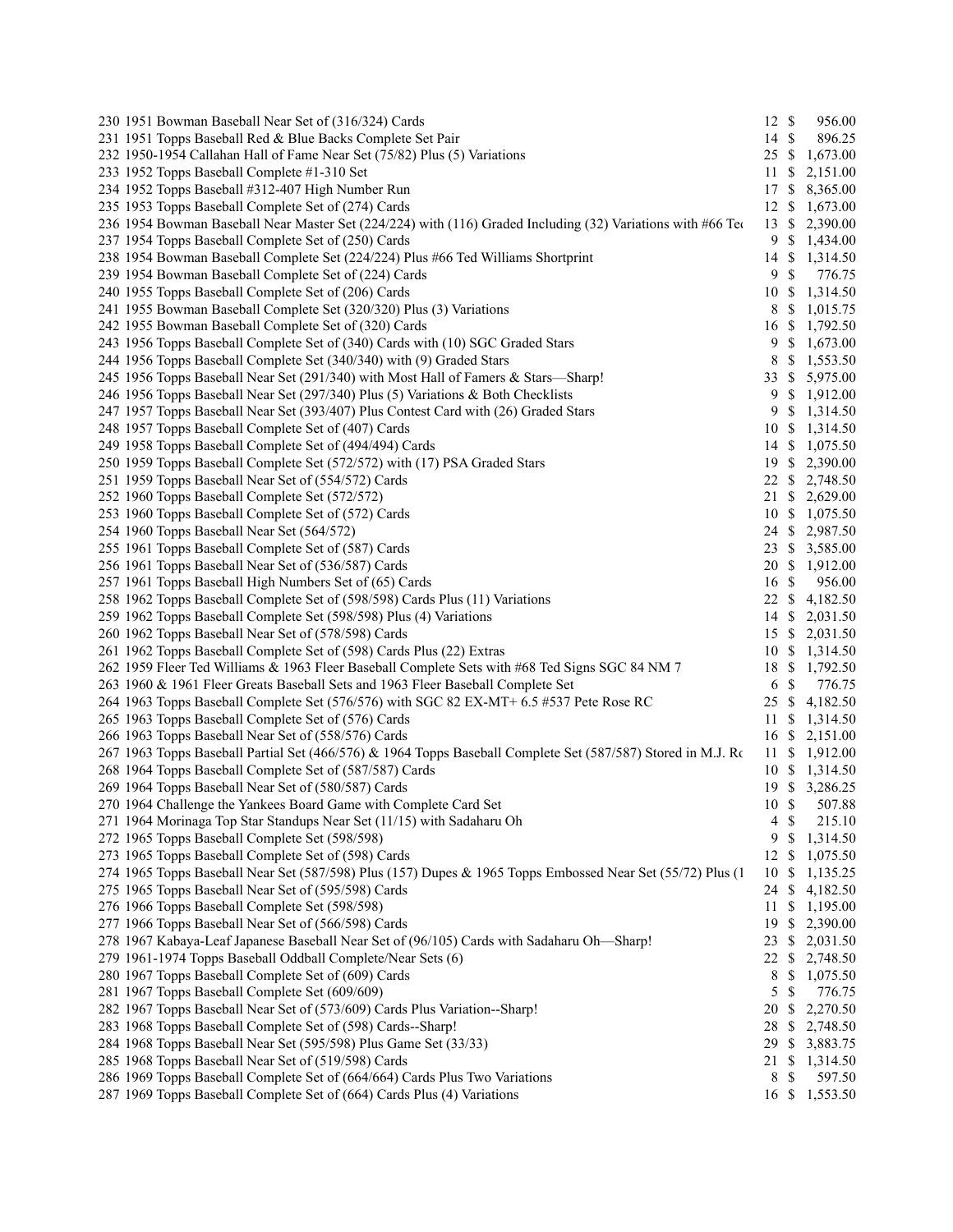| 230 1951 Bowman Baseball Near Set of (316/324) Cards                                                         | $12 \text{ }$ \$    | 956.00         |
|--------------------------------------------------------------------------------------------------------------|---------------------|----------------|
| 231 1951 Topps Baseball Red & Blue Backs Complete Set Pair                                                   | 14 \$               | 896.25         |
| 232 1950-1954 Callahan Hall of Fame Near Set (75/82) Plus (5) Variations                                     |                     | 25 \$ 1,673.00 |
| 233 1952 Topps Baseball Complete #1-310 Set                                                                  | 11                  | \$2,151.00     |
| 234 1952 Topps Baseball #312-407 High Number Run                                                             | 17                  | \$8,365.00     |
| 235 1953 Topps Baseball Complete Set of (274) Cards                                                          |                     | 12 \$ 1,673.00 |
| 236 1954 Bowman Baseball Near Master Set (224/224) with (116) Graded Including (32) Variations with #66 Teo  | 13                  | \$2,390.00     |
| 237 1954 Topps Baseball Complete Set of (250) Cards                                                          | 9                   | \$1,434.00     |
| 238 1954 Bowman Baseball Complete Set (224/224) Plus #66 Ted Williams Shortprint                             | 14                  | \$1,314.50     |
| 239 1954 Bowman Baseball Complete Set of (224) Cards                                                         | $\mathbb{S}$<br>9   | 776.75         |
| 240 1955 Topps Baseball Complete Set of (206) Cards                                                          |                     | 10 \$ 1,314.50 |
| 241 1955 Bowman Baseball Complete Set (320/320) Plus (3) Variations                                          | 8                   | \$1,015.75     |
| 242 1955 Bowman Baseball Complete Set of (320) Cards                                                         |                     | 16 \$ 1,792.50 |
| 243 1956 Topps Baseball Complete Set of (340) Cards with (10) SGC Graded Stars                               |                     | 9 \$ 1,673.00  |
| 244 1956 Topps Baseball Complete Set (340/340) with (9) Graded Stars                                         | 8                   | \$1,553.50     |
| 245 1956 Topps Baseball Near Set (291/340) with Most Hall of Famers & Stars—Sharp!                           |                     | 33 \$ 5,975.00 |
| 246 1956 Topps Baseball Near Set (297/340) Plus (5) Variations & Both Checklists                             | 9                   | \$1,912.00     |
| 247 1957 Topps Baseball Near Set (393/407) Plus Contest Card with (26) Graded Stars                          | 9                   | \$1,314.50     |
| 248 1957 Topps Baseball Complete Set of (407) Cards                                                          |                     | 10 \$ 1,314.50 |
| 249 1958 Topps Baseball Complete Set of (494/494) Cards                                                      |                     | 14 \$ 1,075.50 |
| 250 1959 Topps Baseball Complete Set (572/572) with (17) PSA Graded Stars                                    |                     | 19 \$ 2,390.00 |
| 251 1959 Topps Baseball Near Set of (554/572) Cards                                                          |                     | 22 \$ 2,748.50 |
| 252 1960 Topps Baseball Complete Set (572/572)                                                               |                     | 21 \$ 2,629.00 |
| 253 1960 Topps Baseball Complete Set of (572) Cards                                                          |                     | 10 \$ 1,075.50 |
| 254 1960 Topps Baseball Near Set (564/572)                                                                   |                     | 24 \$ 2,987.50 |
| 255 1961 Topps Baseball Complete Set of (587) Cards                                                          |                     | 23 \$ 3,585.00 |
| 256 1961 Topps Baseball Near Set of (536/587) Cards                                                          |                     | 20 \$ 1,912.00 |
| 257 1961 Topps Baseball High Numbers Set of (65) Cards                                                       | $\mathcal{S}$<br>16 | 956.00         |
| 258 1962 Topps Baseball Complete Set of (598/598) Cards Plus (11) Variations                                 |                     | 22 \$ 4,182.50 |
|                                                                                                              |                     |                |
| 259 1962 Topps Baseball Complete Set (598/598) Plus (4) Variations                                           |                     | 14 \$ 2,031.50 |
| 260 1962 Topps Baseball Near Set of (578/598) Cards                                                          |                     | 15 \$ 2,031.50 |
| 261 1962 Topps Baseball Complete Set of (598) Cards Plus (22) Extras                                         |                     | 10 \$ 1,314.50 |
| 262 1959 Fleer Ted Williams & 1963 Fleer Baseball Complete Sets with #68 Ted Signs SGC 84 NM 7               | $\mathcal{S}$       | 18 \$ 1,792.50 |
| 263 1960 & 1961 Fleer Greats Baseball Sets and 1963 Fleer Baseball Complete Set                              | 6                   | 776.75         |
| 264 1963 Topps Baseball Complete Set (576/576) with SGC 82 EX-MT+ 6.5 #537 Pete Rose RC                      |                     | 25 \$ 4,182.50 |
| 265 1963 Topps Baseball Complete Set of (576) Cards                                                          |                     | 11 \$ 1,314.50 |
| 266 1963 Topps Baseball Near Set of (558/576) Cards                                                          |                     | 16 \$ 2,151.00 |
| 267 1963 Topps Baseball Partial Set (466/576) & 1964 Topps Baseball Complete Set (587/587) Stored in M.J. Ro |                     | 11 \$ 1,912.00 |
| 268 1964 Topps Baseball Complete Set of (587/587) Cards                                                      |                     | 10 \$ 1,314.50 |
| 269 1964 Topps Baseball Near Set of (580/587) Cards                                                          |                     | 19 \$ 3,286.25 |
| 270 1964 Challenge the Yankees Board Game with Complete Card Set                                             | 10S                 | 507.88         |
| 271 1964 Morinaga Top Star Standups Near Set (11/15) with Sadaharu Oh                                        | 4S                  | 215.10         |
| 272 1965 Topps Baseball Complete Set (598/598)                                                               | 9<br>\$             | 1,314.50       |
| 273 1965 Topps Baseball Complete Set of (598) Cards                                                          | \$<br>12            | 1,075.50       |
| 274 1965 Topps Baseball Near Set (587/598) Plus (157) Dupes & 1965 Topps Embossed Near Set (55/72) Plus (1   | 10<br>\$            | 1,135.25       |
| 275 1965 Topps Baseball Near Set of (595/598) Cards                                                          | 24 \$               | 4,182.50       |
| 276 1966 Topps Baseball Complete Set (598/598)                                                               | 11                  | \$1,195.00     |
| 277 1966 Topps Baseball Near Set of (566/598) Cards                                                          |                     | 19 \$ 2,390.00 |
| 278 1967 Kabaya-Leaf Japanese Baseball Near Set of (96/105) Cards with Sadaharu Oh-Sharp!                    |                     | 23 \$ 2,031.50 |
| 279 1961-1974 Topps Baseball Oddball Complete/Near Sets (6)                                                  |                     | 22 \$ 2,748.50 |
| 280 1967 Topps Baseball Complete Set of (609) Cards                                                          | 8                   | \$1,075.50     |
| 281 1967 Topps Baseball Complete Set (609/609)                                                               | 5<br>$\mathbb{S}$   | 776.75         |
| 282 1967 Topps Baseball Near Set of (573/609) Cards Plus Variation--Sharp!                                   | 20                  | \$2,270.50     |
| 283 1968 Topps Baseball Complete Set of (598) Cards--Sharp!                                                  |                     | 28 \$ 2,748.50 |
| 284 1968 Topps Baseball Near Set (595/598) Plus Game Set (33/33)                                             |                     | 29 \$ 3,883.75 |
| 285 1968 Topps Baseball Near Set of (519/598) Cards                                                          |                     | 21 \$ 1,314.50 |
| 286 1969 Topps Baseball Complete Set of (664/664) Cards Plus Two Variations                                  | 8<br>\$             | 597.50         |
| 287 1969 Topps Baseball Complete Set of (664) Cards Plus (4) Variations                                      |                     | 16 \$ 1,553.50 |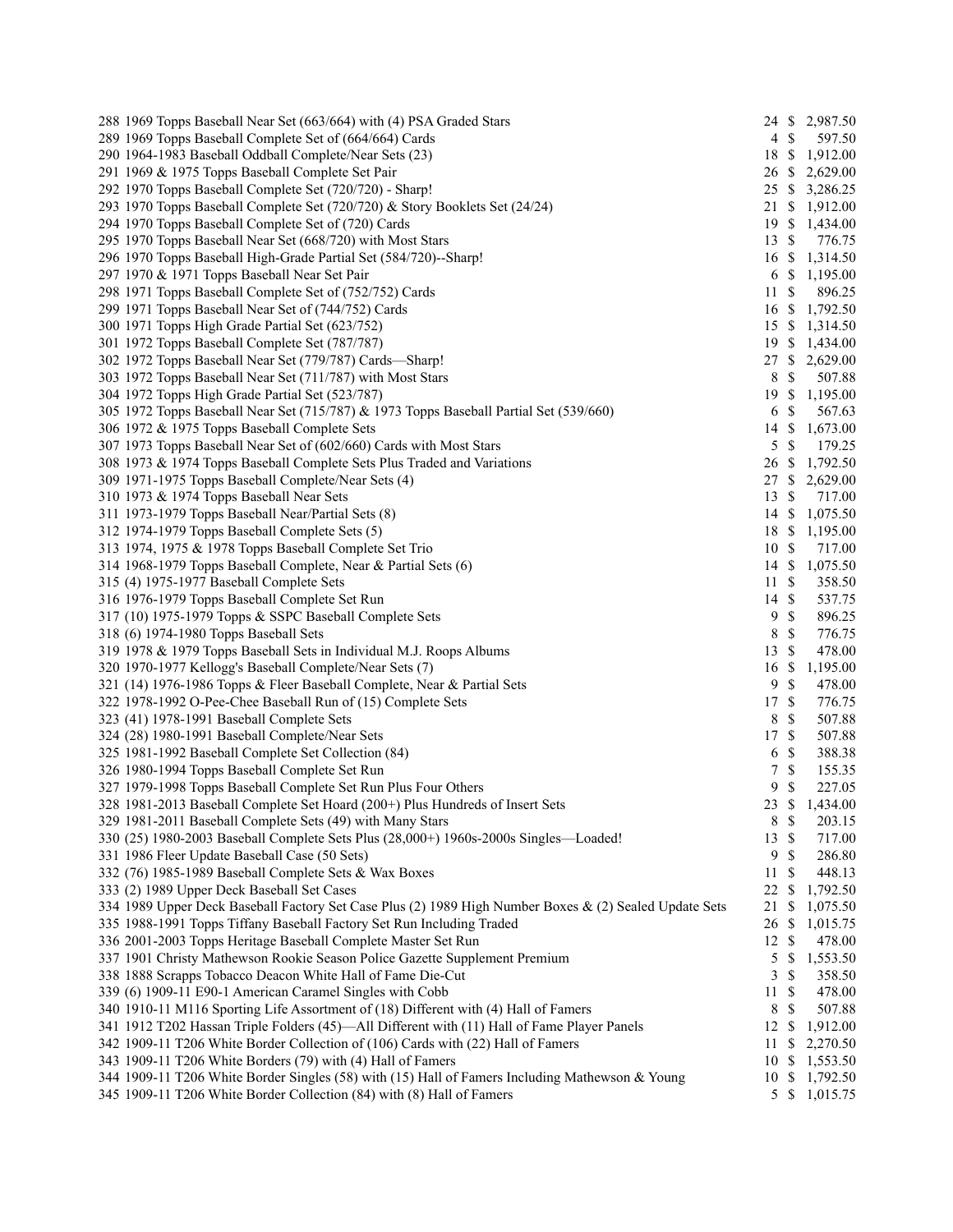| 288 1969 Topps Baseball Near Set (663/664) with (4) PSA Graded Stars                                   |                  |                           | 24 \$ 2,987.50 |
|--------------------------------------------------------------------------------------------------------|------------------|---------------------------|----------------|
| 289 1969 Topps Baseball Complete Set of (664/664) Cards                                                | $4 \text{ }$ \$  |                           | 597.50         |
| 290 1964-1983 Baseball Oddball Complete/Near Sets (23)                                                 | 18 \$            |                           | 1,912.00       |
| 291 1969 & 1975 Topps Baseball Complete Set Pair                                                       | 26 \$            |                           | 2,629.00       |
| 292 1970 Topps Baseball Complete Set (720/720) - Sharp!                                                |                  |                           | 25 \$ 3,286.25 |
| 293 1970 Topps Baseball Complete Set (720/720) & Story Booklets Set (24/24)                            |                  |                           | 21 \$ 1,912.00 |
| 294 1970 Topps Baseball Complete Set of (720) Cards                                                    |                  |                           | 19 \$ 1,434.00 |
| 295 1970 Topps Baseball Near Set (668/720) with Most Stars                                             | $13 \text{ }$ \$ |                           | 776.75         |
| 296 1970 Topps Baseball High-Grade Partial Set (584/720)--Sharp!                                       | $16 \text{ }$ \$ |                           | 1,314.50       |
| 297 1970 & 1971 Topps Baseball Near Set Pair                                                           | 6 \$             |                           | 1,195.00       |
| 298 1971 Topps Baseball Complete Set of (752/752) Cards                                                | 11               | \$                        | 896.25         |
| 299 1971 Topps Baseball Near Set of (744/752) Cards                                                    | $16 \text{ }$ \$ |                           | 1,792.50       |
| 300 1971 Topps High Grade Partial Set (623/752)                                                        |                  |                           | 15 \$ 1,314.50 |
| 301 1972 Topps Baseball Complete Set (787/787)                                                         |                  |                           | 19 \$ 1,434.00 |
| 302 1972 Topps Baseball Near Set (779/787) Cards-Sharp!                                                |                  |                           | 27 \$ 2,629.00 |
| 303 1972 Topps Baseball Near Set (711/787) with Most Stars                                             | 8                | \$                        | 507.88         |
| 304 1972 Topps High Grade Partial Set (523/787)                                                        | 19               | \$                        | 1,195.00       |
| 305 1972 Topps Baseball Near Set (715/787) & 1973 Topps Baseball Partial Set (539/660)                 | 6                | $\mathcal{S}$             | 567.63         |
| 306 1972 & 1975 Topps Baseball Complete Sets                                                           | 14               | $\mathbb{S}$              | 1,673.00       |
| 307 1973 Topps Baseball Near Set of (602/660) Cards with Most Stars                                    | 5                | -\$                       | 179.25         |
| 308 1973 & 1974 Topps Baseball Complete Sets Plus Traded and Variations                                | 26 \$            |                           | 1,792.50       |
| 309 1971-1975 Topps Baseball Complete/Near Sets (4)                                                    | 27S              |                           | 2,629.00       |
| 310 1973 & 1974 Topps Baseball Near Sets                                                               | 13               | $\boldsymbol{\mathsf{S}}$ | 717.00         |
| 311 1973-1979 Topps Baseball Near/Partial Sets (8)                                                     | $14 \text{ }$ \$ |                           | 1,075.50       |
| 312 1974-1979 Topps Baseball Complete Sets (5)                                                         | 18 \$            |                           | 1,195.00       |
| 313 1974, 1975 & 1978 Topps Baseball Complete Set Trio                                                 | 10S              |                           | 717.00         |
| 314 1968-1979 Topps Baseball Complete, Near & Partial Sets (6)                                         | $14 \text{ }$ \$ |                           | 1,075.50       |
| 315 (4) 1975-1977 Baseball Complete Sets                                                               | 11               | <sup>\$</sup>             | 358.50         |
| 316 1976-1979 Topps Baseball Complete Set Run                                                          | 14               | $\mathcal{S}$             | 537.75         |
| 317 (10) 1975-1979 Topps & SSPC Baseball Complete Sets                                                 | 9                | $\mathbb{S}$              | 896.25         |
|                                                                                                        | 8                | $\mathbb{S}$              | 776.75         |
| 318 (6) 1974-1980 Topps Baseball Sets                                                                  |                  |                           |                |
| 319 1978 & 1979 Topps Baseball Sets in Individual M.J. Roops Albums                                    | 13               | \$                        | 478.00         |
| 320 1970-1977 Kellogg's Baseball Complete/Near Sets (7)                                                | 16               | \$                        | 1,195.00       |
| 321 (14) 1976-1986 Topps & Fleer Baseball Complete, Near & Partial Sets                                | 9                | \$                        | 478.00         |
| 322 1978-1992 O-Pee-Chee Baseball Run of (15) Complete Sets                                            | 17               | $\mathbb{S}$              | 776.75         |
| 323 (41) 1978-1991 Baseball Complete Sets                                                              | 8                | $\mathcal{S}$             | 507.88         |
| 324 (28) 1980-1991 Baseball Complete/Near Sets                                                         | 17               | $\mathcal{S}$             | 507.88         |
| 325 1981-1992 Baseball Complete Set Collection (84)                                                    | 6                | $\mathbb{S}$              | 388.38         |
| 326 1980-1994 Topps Baseball Complete Set Run                                                          | 7                | $\mathbb{S}$              | 155.35         |
| 327 1979-1998 Topps Baseball Complete Set Run Plus Four Others                                         | 9                | \$                        | 227.05         |
| 328 1981-2013 Baseball Complete Set Hoard (200+) Plus Hundreds of Insert Sets                          | 23S              |                           | 1,434.00       |
| 329 1981-2011 Baseball Complete Sets (49) with Many Stars                                              | 8 \$             |                           | 203.15         |
| 330 (25) 1980-2003 Baseball Complete Sets Plus (28,000+) 1960s-2000s Singles—Loaded!                   | 13               | \$                        | 717.00         |
| 331 1986 Fleer Update Baseball Case (50 Sets)                                                          | 9                | $\mathbb{S}$              | 286.80         |
| 332 (76) 1985-1989 Baseball Complete Sets & Wax Boxes                                                  | 11               | \$                        | 448.13         |
| 333 (2) 1989 Upper Deck Baseball Set Cases                                                             | 22               | <sup>\$</sup>             | 1,792.50       |
| 334 1989 Upper Deck Baseball Factory Set Case Plus (2) 1989 High Number Boxes & (2) Sealed Update Sets | 21               | \$                        | 1,075.50       |
| 335 1988-1991 Topps Tiffany Baseball Factory Set Run Including Traded                                  | 26               | $\mathbb{S}$              | 1,015.75       |
| 336 2001-2003 Topps Heritage Baseball Complete Master Set Run                                          | $12 \text{ }$ \$ |                           | 478.00         |
| 337 1901 Christy Mathewson Rookie Season Police Gazette Supplement Premium                             | 5                | \$                        | 1,553.50       |
| 338 1888 Scrapps Tobacco Deacon White Hall of Fame Die-Cut                                             | 3                | \$                        | 358.50         |
| 339 (6) 1909-11 E90-1 American Caramel Singles with Cobb                                               | 11               | \$                        | 478.00         |
| 340 1910-11 M116 Sporting Life Assortment of (18) Different with (4) Hall of Famers                    | 8                | $\mathbb{S}$              | 507.88         |
| 341 1912 T202 Hassan Triple Folders (45)—All Different with (11) Hall of Fame Player Panels            | $12 \text{ }$ \$ |                           | 1,912.00       |
| 342 1909-11 T206 White Border Collection of (106) Cards with (22) Hall of Famers                       | 11               | \$                        | 2,270.50       |
| 343 1909-11 T206 White Borders (79) with (4) Hall of Famers                                            | 10S              |                           | 1,553.50       |
| 344 1909-11 T206 White Border Singles (58) with (15) Hall of Famers Including Mathewson & Young        | 10S              |                           | 1,792.50       |
| 345 1909-11 T206 White Border Collection (84) with (8) Hall of Famers                                  |                  | 5S                        | 1,015.75       |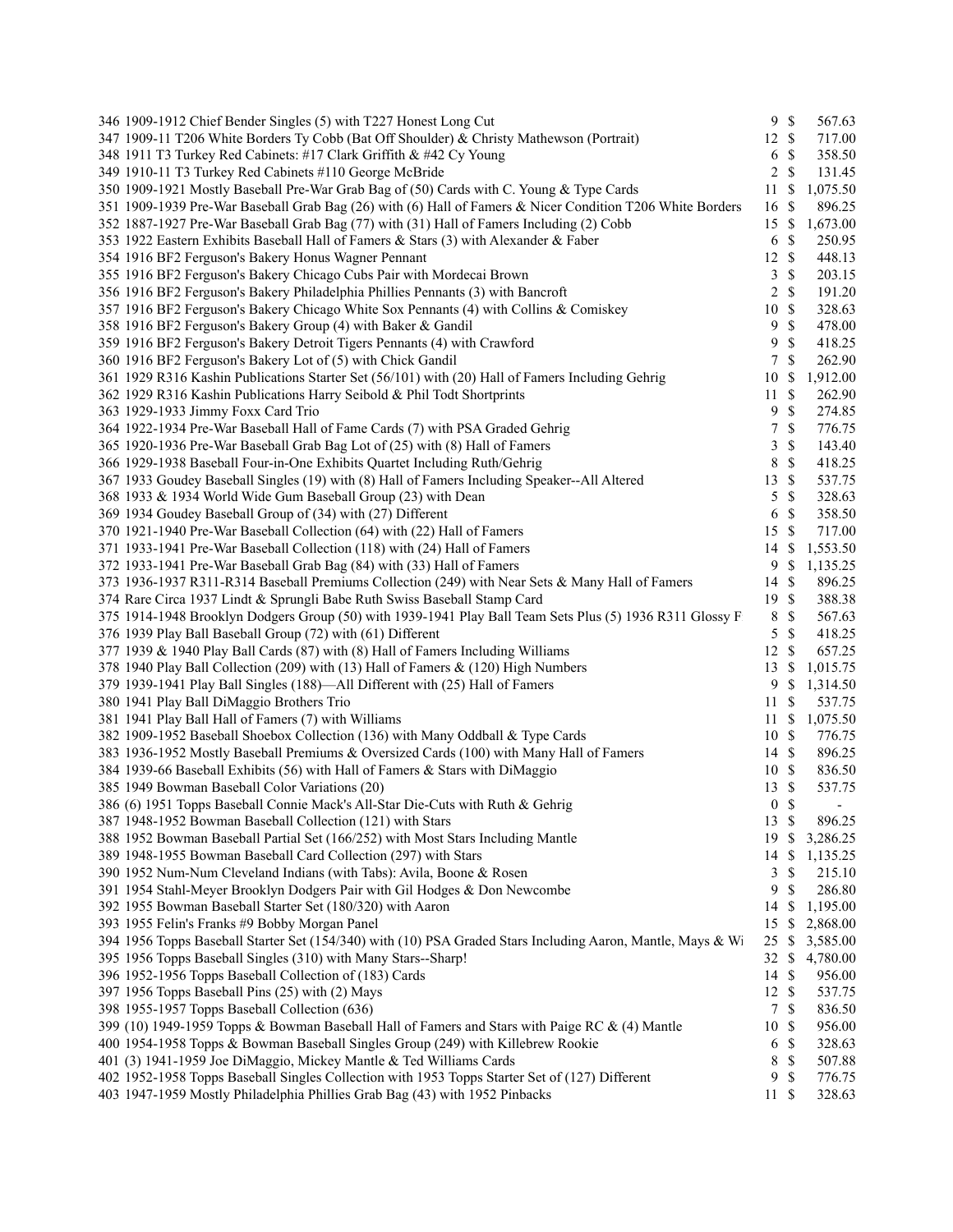| 346 1909-1912 Chief Bender Singles (5) with T227 Honest Long Cut                                            |                  | 9S            | 567.63                   |
|-------------------------------------------------------------------------------------------------------------|------------------|---------------|--------------------------|
| 347 1909-11 T206 White Borders Ty Cobb (Bat Off Shoulder) & Christy Mathewson (Portrait)                    | 12S              |               | 717.00                   |
| 348 1911 T3 Turkey Red Cabinets: #17 Clark Griffith & #42 Cy Young                                          | 6                | \$            | 358.50                   |
| 349 1910-11 T3 Turkey Red Cabinets #110 George McBride                                                      | 2                | \$            | 131.45                   |
| 350 1909-1921 Mostly Baseball Pre-War Grab Bag of (50) Cards with C. Young & Type Cards                     | 11               | \$            | 1,075.50                 |
| 351 1909-1939 Pre-War Baseball Grab Bag (26) with (6) Hall of Famers & Nicer Condition T206 White Borders   | 16               | \$            | 896.25                   |
| 352 1887-1927 Pre-War Baseball Grab Bag (77) with (31) Hall of Famers Including (2) Cobb                    | 15               | \$            | 1,673.00                 |
| 353 1922 Eastern Exhibits Baseball Hall of Famers & Stars (3) with Alexander & Faber                        | 6                | \$            | 250.95                   |
| 354 1916 BF2 Ferguson's Bakery Honus Wagner Pennant                                                         | 12               | \$            | 448.13                   |
| 355 1916 BF2 Ferguson's Bakery Chicago Cubs Pair with Mordecai Brown                                        | 3                | \$            | 203.15                   |
| 356 1916 BF2 Ferguson's Bakery Philadelphia Phillies Pennants (3) with Bancroft                             | $\overline{2}$   | \$            | 191.20                   |
| 357 1916 BF2 Ferguson's Bakery Chicago White Sox Pennants (4) with Collins & Comiskey                       | 10               | \$            | 328.63                   |
| 358 1916 BF2 Ferguson's Bakery Group (4) with Baker & Gandil                                                | 9                | \$            | 478.00                   |
| 359 1916 BF2 Ferguson's Bakery Detroit Tigers Pennants (4) with Crawford                                    | 9                | \$            | 418.25                   |
| 360 1916 BF2 Ferguson's Bakery Lot of (5) with Chick Gandil                                                 | 7                | \$            | 262.90                   |
| 361 1929 R316 Kashin Publications Starter Set (56/101) with (20) Hall of Famers Including Gehrig            | 10               | S             | 1,912.00                 |
| 362 1929 R316 Kashin Publications Harry Seibold & Phil Todt Shortprints                                     | 11               | \$            | 262.90                   |
| 363 1929-1933 Jimmy Foxx Card Trio                                                                          | 9                | \$            | 274.85                   |
| 364 1922-1934 Pre-War Baseball Hall of Fame Cards (7) with PSA Graded Gehrig                                | 7                | \$            | 776.75                   |
| 365 1920-1936 Pre-War Baseball Grab Bag Lot of (25) with (8) Hall of Famers                                 | 3                | \$            | 143.40                   |
|                                                                                                             |                  | $\mathbb{S}$  |                          |
| 366 1929-1938 Baseball Four-in-One Exhibits Quartet Including Ruth/Gehrig                                   | 8                |               | 418.25                   |
| 367 1933 Goudey Baseball Singles (19) with (8) Hall of Famers Including Speaker--All Altered                | 13               | \$            | 537.75                   |
| 368 1933 & 1934 World Wide Gum Baseball Group (23) with Dean                                                | 5                | \$            | 328.63                   |
| 369 1934 Goudey Baseball Group of (34) with (27) Different                                                  | 6                | $\mathbb{S}$  | 358.50                   |
| 370 1921-1940 Pre-War Baseball Collection (64) with (22) Hall of Famers                                     | 15               | $\mathcal{S}$ | 717.00                   |
| 371 1933-1941 Pre-War Baseball Collection (118) with (24) Hall of Famers                                    | 14               | <sup>\$</sup> | 1,553.50                 |
| 372 1933-1941 Pre-War Baseball Grab Bag (84) with (33) Hall of Famers                                       | 9                | \$            | 1,135.25                 |
| 373 1936-1937 R311-R314 Baseball Premiums Collection (249) with Near Sets & Many Hall of Famers             | 14S              |               | 896.25                   |
| 374 Rare Circa 1937 Lindt & Sprungli Babe Ruth Swiss Baseball Stamp Card                                    | 19               | $\mathbb{S}$  | 388.38                   |
| 375 1914-1948 Brooklyn Dodgers Group (50) with 1939-1941 Play Ball Team Sets Plus (5) 1936 R311 Glossy F    | 8                | \$            | 567.63                   |
| 376 1939 Play Ball Baseball Group (72) with (61) Different                                                  | 5                | $\mathbb{S}$  | 418.25                   |
| 377 1939 & 1940 Play Ball Cards (87) with (8) Hall of Famers Including Williams                             | 12               | \$            | 657.25                   |
| 378 1940 Play Ball Collection (209) with (13) Hall of Famers & (120) High Numbers                           | 13               | \$            | 1,015.75                 |
| 379 1939-1941 Play Ball Singles (188)—All Different with (25) Hall of Famers                                | 9                | \$            | 1,314.50                 |
| 380 1941 Play Ball DiMaggio Brothers Trio                                                                   | 11               | <sup>\$</sup> | 537.75                   |
| 381 1941 Play Ball Hall of Famers (7) with Williams                                                         | $11 \text{ }$ \$ |               | 1,075.50                 |
| 382 1909-1952 Baseball Shoebox Collection (136) with Many Oddball & Type Cards                              | 10               | $\mathbb{S}$  | 776.75                   |
| 383 1936-1952 Mostly Baseball Premiums & Oversized Cards (100) with Many Hall of Famers                     | 14 \$            |               | 896.25                   |
| 384 1939-66 Baseball Exhibits (56) with Hall of Famers & Stars with DiMaggio                                | 10S              |               | 836.50                   |
| 385 1949 Bowman Baseball Color Variations (20)                                                              | 13               | $\mathbb{S}$  | 537.75                   |
| 386 (6) 1951 Topps Baseball Connie Mack's All-Star Die-Cuts with Ruth & Gehrig                              | $\boldsymbol{0}$ | \$            | $\overline{\phantom{a}}$ |
| 387 1948-1952 Bowman Baseball Collection (121) with Stars                                                   | 13 \$            |               | 896.25                   |
| 388 1952 Bowman Baseball Partial Set (166/252) with Most Stars Including Mantle                             | 19               | S             | 3,286.25                 |
| 389 1948-1955 Bowman Baseball Card Collection (297) with Stars                                              | 14               | \$            | 1,135.25                 |
| 390 1952 Num-Num Cleveland Indians (with Tabs): Avila, Boone & Rosen                                        | 3                | S             | 215.10                   |
| 391 1954 Stahl-Meyer Brooklyn Dodgers Pair with Gil Hodges & Don Newcombe                                   | 9                | \$            | 286.80                   |
| 392 1955 Bowman Baseball Starter Set (180/320) with Aaron                                                   | 14               | \$            | 1,195.00                 |
| 393 1955 Felin's Franks #9 Bobby Morgan Panel                                                               | 15               | \$            | 2,868.00                 |
| 394 1956 Topps Baseball Starter Set (154/340) with (10) PSA Graded Stars Including Aaron, Mantle, Mays & Wi | 25               | \$            | 3,585.00                 |
| 395 1956 Topps Baseball Singles (310) with Many Stars--Sharp!                                               | 32               | \$            | 4,780.00                 |
| 396 1952-1956 Topps Baseball Collection of (183) Cards                                                      | 14               | \$            | 956.00                   |
| 397 1956 Topps Baseball Pins (25) with (2) Mays                                                             | 12               | <sup>\$</sup> | 537.75                   |
| 398 1955-1957 Topps Baseball Collection (636)                                                               | 7                | \$            | 836.50                   |
| 399 (10) 1949-1959 Topps & Bowman Baseball Hall of Famers and Stars with Paige RC & (4) Mantle              | 10               | \$            | 956.00                   |
| 400 1954-1958 Topps & Bowman Baseball Singles Group (249) with Killebrew Rookie                             | 6                | \$            | 328.63                   |
| 401 (3) 1941-1959 Joe DiMaggio, Mickey Mantle & Ted Williams Cards                                          | 8                | \$            | 507.88                   |
| 402 1952-1958 Topps Baseball Singles Collection with 1953 Topps Starter Set of (127) Different              | 9                | \$            | 776.75                   |
| 403 1947-1959 Mostly Philadelphia Phillies Grab Bag (43) with 1952 Pinbacks                                 | 11               | \$            | 328.63                   |
|                                                                                                             |                  |               |                          |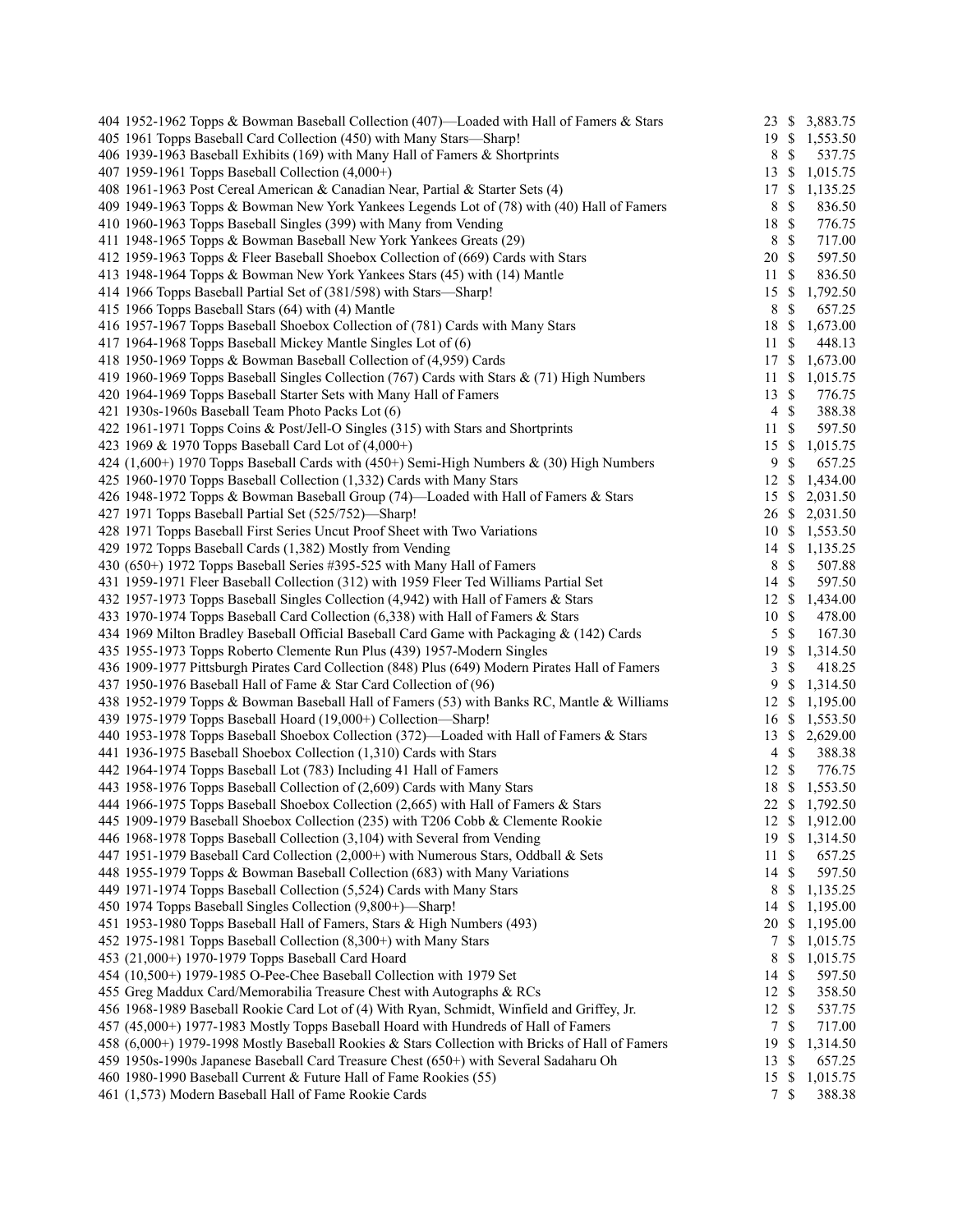| 404 1952-1962 Topps & Bowman Baseball Collection (407)—Loaded with Hall of Famers & Stars       |                  |                    | 23 \$ 3,883.75 |
|-------------------------------------------------------------------------------------------------|------------------|--------------------|----------------|
| 405 1961 Topps Baseball Card Collection (450) with Many Stars-Sharp!                            |                  |                    | 19 \$ 1,553.50 |
| 406 1939-1963 Baseball Exhibits (169) with Many Hall of Famers & Shortprints                    | 8                | $\mathbb{S}$       | 537.75         |
| 407 1959-1961 Topps Baseball Collection (4,000+)                                                | 13               | -S                 | 1,015.75       |
| 408 1961-1963 Post Cereal American & Canadian Near, Partial & Starter Sets (4)                  | 17               | -S                 | 1,135.25       |
| 409 1949-1963 Topps & Bowman New York Yankees Legends Lot of (78) with (40) Hall of Famers      | 8                | $\mathbb{S}$       | 836.50         |
| 410 1960-1963 Topps Baseball Singles (399) with Many from Vending                               | 18               | $\mathcal{S}$      | 776.75         |
| 411 1948-1965 Topps & Bowman Baseball New York Yankees Greats (29)                              | 8                | $\mathcal{S}$      | 717.00         |
| 412 1959-1963 Topps & Fleer Baseball Shoebox Collection of (669) Cards with Stars               | 20               | $\mathbb{S}$       | 597.50         |
| 413 1948-1964 Topps & Bowman New York Yankees Stars (45) with (14) Mantle                       | 11               | $\mathcal{S}$      | 836.50         |
| 414 1966 Topps Baseball Partial Set of (381/598) with Stars-Sharp!                              | 15               | \$                 | 1,792.50       |
| 415 1966 Topps Baseball Stars (64) with (4) Mantle                                              | 8                | $\mathbb{S}$       | 657.25         |
| 416 1957-1967 Topps Baseball Shoebox Collection of (781) Cards with Many Stars                  | 18               | -S                 | 1,673.00       |
| 417 1964-1968 Topps Baseball Mickey Mantle Singles Lot of (6)                                   | 11               | $\mathbb{S}$       | 448.13         |
| 418 1950-1969 Topps & Bowman Baseball Collection of (4,959) Cards                               | 17               | \$                 | 1,673.00       |
| 419 1960-1969 Topps Baseball Singles Collection (767) Cards with Stars & (71) High Numbers      | 11               | \$                 | 1,015.75       |
| 420 1964-1969 Topps Baseball Starter Sets with Many Hall of Famers                              | 13               | $\mathbb{S}$       | 776.75         |
| 421 1930s-1960s Baseball Team Photo Packs Lot (6)                                               | $\overline{4}$   | $\mathbf{\hat{s}}$ | 388.38         |
| 422 1961-1971 Topps Coins & Post/Jell-O Singles (315) with Stars and Shortprints                | 11               | $\mathcal{S}$      | 597.50         |
| 423 1969 & 1970 Topps Baseball Card Lot of (4,000+)                                             | 15               | -S                 | 1,015.75       |
| 424 (1,600+) 1970 Topps Baseball Cards with (450+) Semi-High Numbers $\&$ (30) High Numbers     | 9                | $\mathcal{S}$      | 657.25         |
| 425 1960-1970 Topps Baseball Collection (1,332) Cards with Many Stars                           | 12               | \$                 | 1,434.00       |
| 426 1948-1972 Topps & Bowman Baseball Group (74)—Loaded with Hall of Famers & Stars             | 15               | <sup>\$</sup>      | 2,031.50       |
| 427 1971 Topps Baseball Partial Set (525/752)-Sharp!                                            |                  |                    | 26 \$ 2,031.50 |
| 428 1971 Topps Baseball First Series Uncut Proof Sheet with Two Variations                      |                  |                    | 10 \$ 1,553.50 |
| 429 1972 Topps Baseball Cards (1,382) Mostly from Vending                                       |                  |                    | 14 \$ 1,135.25 |
| 430 (650+) 1972 Topps Baseball Series #395-525 with Many Hall of Famers                         | 8                | $\mathbb{S}$       | 507.88         |
| 431 1959-1971 Fleer Baseball Collection (312) with 1959 Fleer Ted Williams Partial Set          | 14               | $\mathbb{S}$       | 597.50         |
| 432 1957-1973 Topps Baseball Singles Collection (4,942) with Hall of Famers & Stars             | 12S              |                    | 1,434.00       |
| 433 1970-1974 Topps Baseball Card Collection (6,338) with Hall of Famers & Stars                | 10 \$            |                    | 478.00         |
| 434 1969 Milton Bradley Baseball Official Baseball Card Game with Packaging & (142) Cards       |                  | $5 \text{ }$ \$    | 167.30         |
| 435 1955-1973 Topps Roberto Clemente Run Plus (439) 1957-Modern Singles                         | 19               | -\$                | 1,314.50       |
| 436 1909-1977 Pittsburgh Pirates Card Collection (848) Plus (649) Modern Pirates Hall of Famers | 3                | \$                 | 418.25         |
| 437 1950-1976 Baseball Hall of Fame & Star Card Collection of (96)                              | 9                | <sup>\$</sup>      | 1,314.50       |
| 438 1952-1979 Topps & Bowman Baseball Hall of Famers (53) with Banks RC, Mantle & Williams      | 12S              |                    | 1,195.00       |
| 439 1975-1979 Topps Baseball Hoard (19,000+) Collection-Sharp!                                  | $16 \text{ }$ \$ |                    | 1,553.50       |
| 440 1953-1978 Topps Baseball Shoebox Collection (372)—Loaded with Hall of Famers & Stars        | 13               | <sup>\$</sup>      | 2,629.00       |
| 441 1936-1975 Baseball Shoebox Collection (1,310) Cards with Stars                              | $\overline{4}$   | $\mathbb{S}$       | 388.38         |
| 442 1964-1974 Topps Baseball Lot (783) Including 41 Hall of Famers                              | 12               | $\mathbb{S}$       | 776.75         |
| 443 1958-1976 Topps Baseball Collection of (2,609) Cards with Many Stars                        | 18               | \$                 | 1,553.50       |
| 444 1966-1975 Topps Baseball Shoebox Collection (2,665) with Hall of Famers & Stars             |                  |                    | 22 \$ 1,792.50 |
| 445 1909-1979 Baseball Shoebox Collection (235) with T206 Cobb & Clemente Rookie                |                  |                    | 12 \$ 1,912.00 |
| 446 1968-1978 Topps Baseball Collection (3,104) with Several from Vending                       | 19S              |                    | 1,314.50       |
| 447 1951-1979 Baseball Card Collection (2,000+) with Numerous Stars, Oddball & Sets             | 11               | \$                 | 657.25         |
| 448 1955-1979 Topps & Bowman Baseball Collection (683) with Many Variations                     | 14               | \$                 | 597.50         |
| 449 1971-1974 Topps Baseball Collection (5,524) Cards with Many Stars                           | 8                | \$                 | 1,135.25       |
| 450 1974 Topps Baseball Singles Collection (9,800+)—Sharp!                                      | 14               | -S                 | 1,195.00       |
| 451 1953-1980 Topps Baseball Hall of Famers, Stars & High Numbers (493)                         | 20               | - \$               | 1,195.00       |
| 452 1975-1981 Topps Baseball Collection (8,300+) with Many Stars                                | 7                | -S                 | 1,015.75       |
| 453 (21,000+) 1970-1979 Topps Baseball Card Hoard                                               | 8                | \$                 | 1,015.75       |
| 454 (10,500+) 1979-1985 O-Pee-Chee Baseball Collection with 1979 Set                            | 14               | \$                 | 597.50         |
| 455 Greg Maddux Card/Memorabilia Treasure Chest with Autographs & RCs                           | 12               | \$                 | 358.50         |
| 456 1968-1989 Baseball Rookie Card Lot of (4) With Ryan, Schmidt, Winfield and Griffey, Jr.     | 12               | -\$                | 537.75         |
| 457 (45,000+) 1977-1983 Mostly Topps Baseball Hoard with Hundreds of Hall of Famers             | $\tau$           | $\mathcal{S}$      | 717.00         |
| 458 (6,000+) 1979-1998 Mostly Baseball Rookies & Stars Collection with Bricks of Hall of Famers | 19               | \$                 | 1,314.50       |
| 459 1950s-1990s Japanese Baseball Card Treasure Chest (650+) with Several Sadaharu Oh           | 13               | \$                 | 657.25         |
| 460 1980-1990 Baseball Current & Future Hall of Fame Rookies (55)                               | 15               | \$                 | 1,015.75       |
| 461 (1,573) Modern Baseball Hall of Fame Rookie Cards                                           | 7                | -\$                | 388.38         |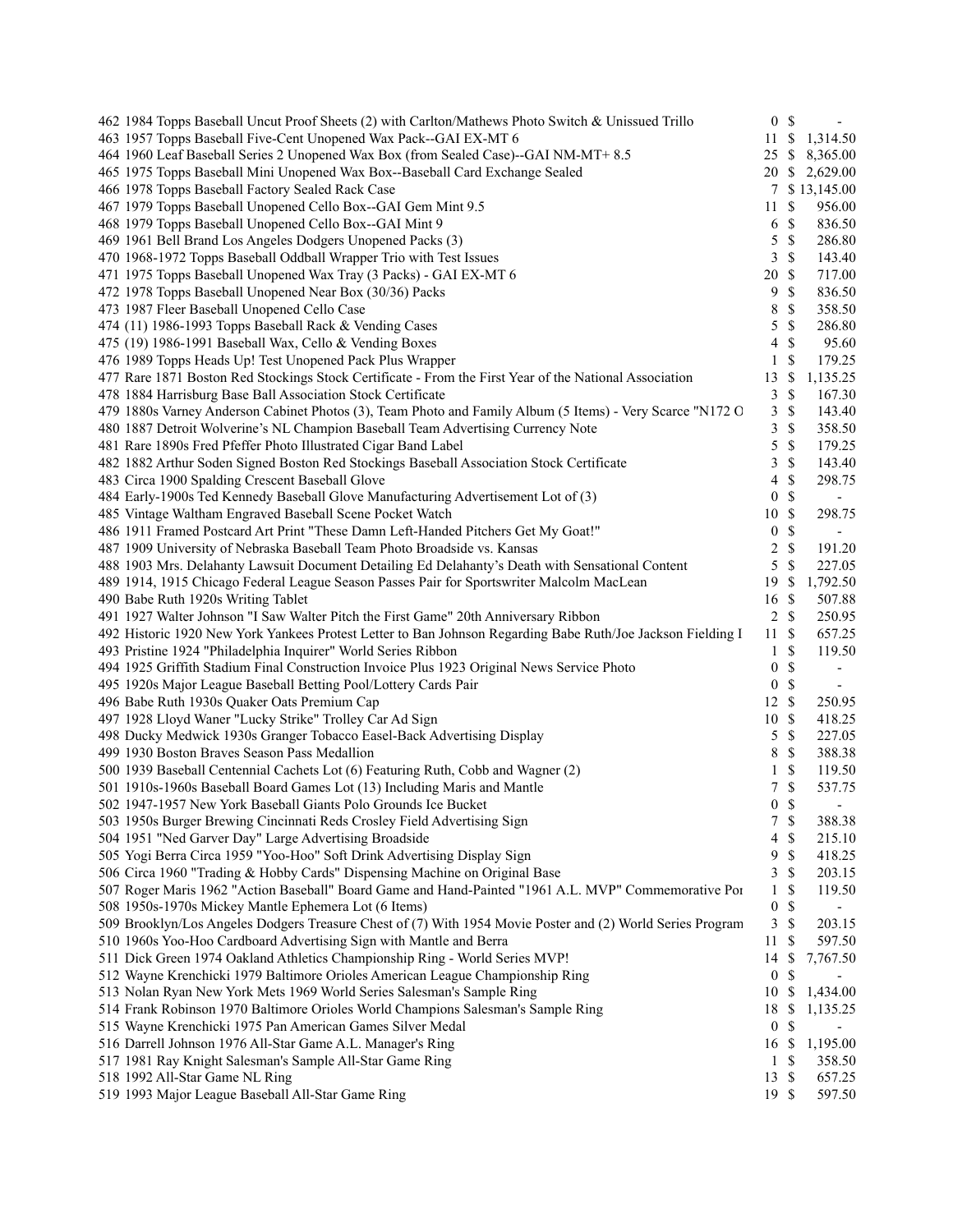| 462 1984 Topps Baseball Uncut Proof Sheets (2) with Carlton/Mathews Photo Switch & Unissued Trillo          | 0 S                      |               | $\overline{\phantom{a}}$               |  |
|-------------------------------------------------------------------------------------------------------------|--------------------------|---------------|----------------------------------------|--|
| 463 1957 Topps Baseball Five-Cent Unopened Wax Pack--GAI EX-MT 6                                            |                          |               | 11 \$ 1,314.50                         |  |
| 464 1960 Leaf Baseball Series 2 Unopened Wax Box (from Sealed Case)--GAI NM-MT+ 8.5                         |                          |               | 25 \$ 8,365.00                         |  |
| 465 1975 Topps Baseball Mini Unopened Wax Box--Baseball Card Exchange Sealed                                |                          |               | 20 \$ 2,629.00                         |  |
| 466 1978 Topps Baseball Factory Sealed Rack Case                                                            |                          |               | 7 \$13,145.00                          |  |
| 467 1979 Topps Baseball Unopened Cello Box--GAI Gem Mint 9.5                                                | 11                       | $\mathbb S$   | 956.00                                 |  |
| 468 1979 Topps Baseball Unopened Cello Box--GAI Mint 9                                                      | 6                        | \$            | 836.50                                 |  |
| 469 1961 Bell Brand Los Angeles Dodgers Unopened Packs (3)                                                  | 5                        | \$            | 286.80                                 |  |
| 470 1968-1972 Topps Baseball Oddball Wrapper Trio with Test Issues                                          | 3                        | $\mathbb{S}$  | 143.40                                 |  |
| 471 1975 Topps Baseball Unopened Wax Tray (3 Packs) - GAI EX-MT 6                                           | 20                       | $\mathbb{S}$  | 717.00                                 |  |
| 472 1978 Topps Baseball Unopened Near Box (30/36) Packs                                                     | 9                        | $\mathbb{S}$  | 836.50                                 |  |
| 473 1987 Fleer Baseball Unopened Cello Case                                                                 | 8                        | $\mathbb{S}$  | 358.50                                 |  |
| 474 (11) 1986-1993 Topps Baseball Rack & Vending Cases                                                      | 5                        | \$            | 286.80                                 |  |
| 475 (19) 1986-1991 Baseball Wax, Cello & Vending Boxes                                                      | $\overline{\mathcal{A}}$ | \$            | 95.60                                  |  |
| 476 1989 Topps Heads Up! Test Unopened Pack Plus Wrapper                                                    | $\mathbf{1}$             | \$            | 179.25                                 |  |
| 477 Rare 1871 Boston Red Stockings Stock Certificate - From the First Year of the National Association      | 13                       | \$            | 1,135.25                               |  |
| 478 1884 Harrisburg Base Ball Association Stock Certificate                                                 | 3                        | \$            | 167.30                                 |  |
| 479 1880s Varney Anderson Cabinet Photos (3), Team Photo and Family Album (5 Items) - Very Scarce "N172 O   | 3                        | \$            | 143.40                                 |  |
| 480 1887 Detroit Wolverine's NL Champion Baseball Team Advertising Currency Note                            | 3                        | \$            | 358.50                                 |  |
| 481 Rare 1890s Fred Pfeffer Photo Illustrated Cigar Band Label                                              | 5                        | \$            | 179.25                                 |  |
| 482 1882 Arthur Soden Signed Boston Red Stockings Baseball Association Stock Certificate                    | 3                        | \$            | 143.40                                 |  |
| 483 Circa 1900 Spalding Crescent Baseball Glove                                                             | 4                        | \$            | 298.75                                 |  |
| 484 Early-1900s Ted Kennedy Baseball Glove Manufacturing Advertisement Lot of (3)                           | $\overline{0}$           | $\mathbb S$   | $\qquad \qquad \blacksquare$           |  |
| 485 Vintage Waltham Engraved Baseball Scene Pocket Watch                                                    | 10                       | $\mathbb{S}$  | 298.75                                 |  |
| 486 1911 Framed Postcard Art Print "These Damn Left-Handed Pitchers Get My Goat!"                           | $\boldsymbol{0}$         | \$            | $\overline{\phantom{a}}$               |  |
| 487 1909 University of Nebraska Baseball Team Photo Broadside vs. Kansas                                    | $\overline{c}$           | $\mathbb S$   | 191.20                                 |  |
| 488 1903 Mrs. Delahanty Lawsuit Document Detailing Ed Delahanty's Death with Sensational Content            | 5                        | $\mathcal{S}$ | 227.05                                 |  |
| 489 1914, 1915 Chicago Federal League Season Passes Pair for Sportswriter Malcolm MacLean                   | 19S                      |               | 1,792.50                               |  |
| 490 Babe Ruth 1920s Writing Tablet                                                                          | 16 \$                    |               | 507.88                                 |  |
| 491 1927 Walter Johnson "I Saw Walter Pitch the First Game" 20th Anniversary Ribbon                         | 2 S                      |               | 250.95                                 |  |
| 492 Historic 1920 New York Yankees Protest Letter to Ban Johnson Regarding Babe Ruth/Joe Jackson Fielding I | 11                       | \$            | 657.25                                 |  |
| 493 Pristine 1924 "Philadelphia Inquirer" World Series Ribbon                                               | $\mathbf{1}$             | \$            | 119.50                                 |  |
| 494 1925 Griffith Stadium Final Construction Invoice Plus 1923 Original News Service Photo                  | $\boldsymbol{0}$         | \$            | $\qquad \qquad \blacksquare$           |  |
| 495 1920s Major League Baseball Betting Pool/Lottery Cards Pair                                             | 0 S                      |               |                                        |  |
| 496 Babe Ruth 1930s Quaker Oats Premium Cap                                                                 | $12 \text{ }$ \$         |               | 250.95                                 |  |
| 497 1928 Lloyd Waner "Lucky Strike" Trolley Car Ad Sign                                                     | 10S                      |               | 418.25                                 |  |
| 498 Ducky Medwick 1930s Granger Tobacco Easel-Back Advertising Display                                      | 5                        | $\mathbb{S}$  | 227.05                                 |  |
| 499 1930 Boston Braves Season Pass Medallion                                                                | 8                        | \$            | 388.38                                 |  |
| 500 1939 Baseball Centennial Cachets Lot (6) Featuring Ruth, Cobb and Wagner (2)                            | $\mathbf{1}$             | \$            | 119.50                                 |  |
| 501 1910s-1960s Baseball Board Games Lot (13) Including Maris and Mantle                                    | $\tau$                   | $\mathbb S$   | 537.75                                 |  |
| 502 1947-1957 New York Baseball Giants Polo Grounds Ice Bucket                                              | $\overline{0}$           | <sup>\$</sup> | $\overline{\phantom{a}}$               |  |
| 503 1950s Burger Brewing Cincinnati Reds Crosley Field Advertising Sign                                     |                          | 7S            | 388.38                                 |  |
| 504 1951 "Ned Garver Day" Large Advertising Broadside                                                       | 4                        | \$            | 215.10                                 |  |
| 505 Yogi Berra Circa 1959 "Yoo-Hoo" Soft Drink Advertising Display Sign                                     | 9                        | \$            | 418.25                                 |  |
| 506 Circa 1960 "Trading & Hobby Cards" Dispensing Machine on Original Base                                  | 3                        | \$            | 203.15                                 |  |
| 507 Roger Maris 1962 "Action Baseball" Board Game and Hand-Painted "1961 A.L. MVP" Commemorative Por        | 1                        | \$            | 119.50                                 |  |
| 508 1950s-1970s Mickey Mantle Ephemera Lot (6 Items)                                                        | $\boldsymbol{0}$         | \$            |                                        |  |
| 509 Brooklyn/Los Angeles Dodgers Treasure Chest of (7) With 1954 Movie Poster and (2) World Series Program  | 3                        | \$            | 203.15                                 |  |
| 510 1960s Yoo-Hoo Cardboard Advertising Sign with Mantle and Berra                                          | 11                       | \$            | 597.50                                 |  |
| 511 Dick Green 1974 Oakland Athletics Championship Ring - World Series MVP!                                 |                          |               |                                        |  |
| 512 Wayne Krenchicki 1979 Baltimore Orioles American League Championship Ring                               | 14<br>$\bf{0}$           | \$<br>\$      | 7,767.50                               |  |
| 513 Nolan Ryan New York Mets 1969 World Series Salesman's Sample Ring                                       | 10                       | $\mathbb{S}$  |                                        |  |
| 514 Frank Robinson 1970 Baltimore Orioles World Champions Salesman's Sample Ring                            | 18                       |               | 1,434.00                               |  |
|                                                                                                             | $\boldsymbol{0}$         | \$            | \$1,135.25<br>$\overline{\phantom{a}}$ |  |
| 515 Wayne Krenchicki 1975 Pan American Games Silver Medal                                                   |                          |               |                                        |  |
| 516 Darrell Johnson 1976 All-Star Game A.L. Manager's Ring                                                  |                          |               | 16 \$ 1,195.00                         |  |
| 517 1981 Ray Knight Salesman's Sample All-Star Game Ring                                                    | 1                        | \$            | 358.50                                 |  |
| 518 1992 All-Star Game NL Ring                                                                              | 13 \$                    |               | 657.25                                 |  |
| 519 1993 Major League Baseball All-Star Game Ring                                                           | 19 \$                    |               | 597.50                                 |  |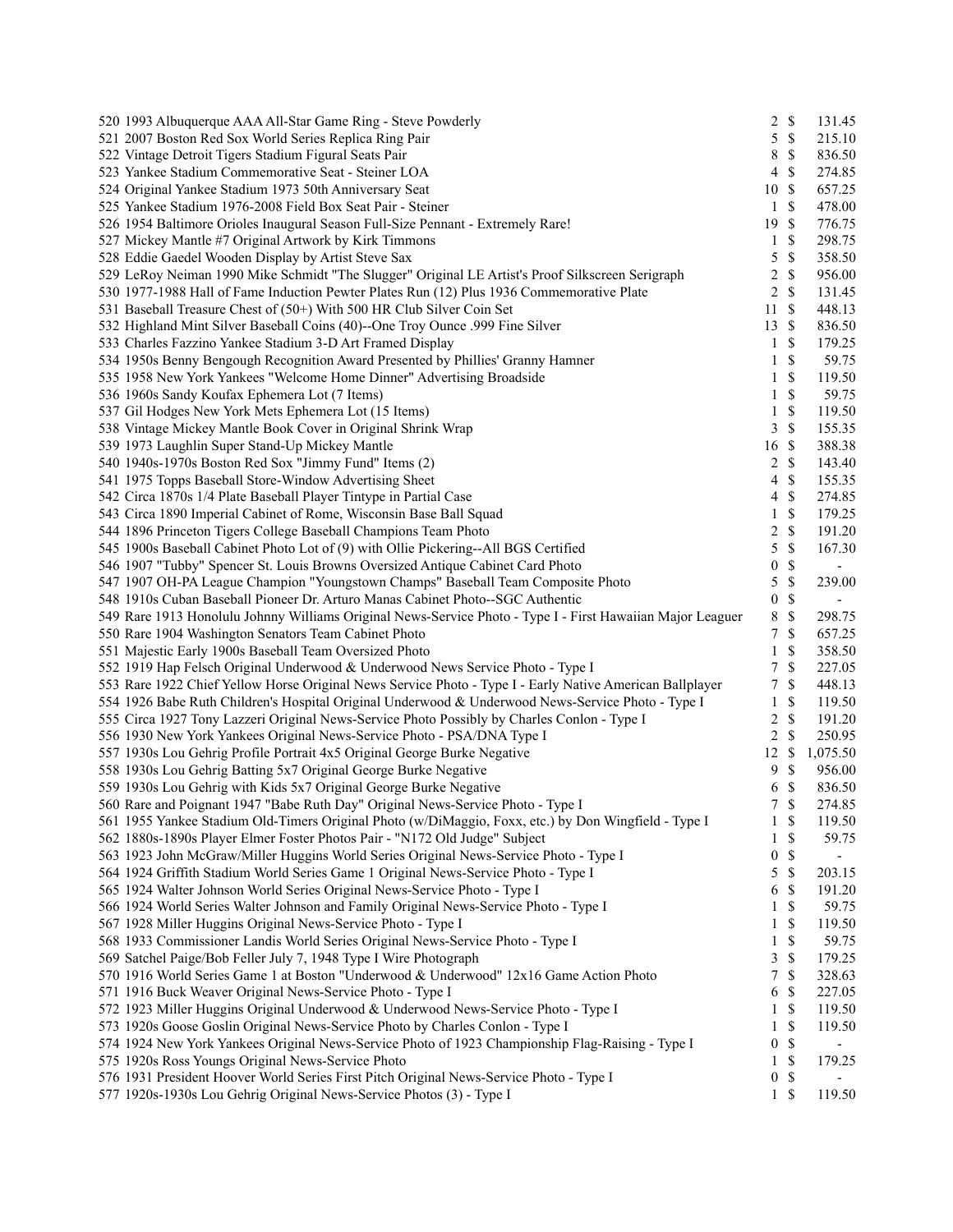| 520 1993 Albuquerque AAA All-Star Game Ring - Steve Powderly                                               | 2                       | $\mathbb{S}$  | 131.45                   |
|------------------------------------------------------------------------------------------------------------|-------------------------|---------------|--------------------------|
| 521 2007 Boston Red Sox World Series Replica Ring Pair                                                     | 5                       | $\mathcal{S}$ | 215.10                   |
| 522 Vintage Detroit Tigers Stadium Figural Seats Pair                                                      | 8                       | $\mathbb{S}$  | 836.50                   |
| 523 Yankee Stadium Commemorative Seat - Steiner LOA                                                        | 4                       | $\mathbb{S}$  | 274.85                   |
| 524 Original Yankee Stadium 1973 50th Anniversary Seat                                                     | 10                      | $\mathcal{S}$ | 657.25                   |
| 525 Yankee Stadium 1976-2008 Field Box Seat Pair - Steiner                                                 | 1                       | $\mathcal{S}$ | 478.00                   |
| 526 1954 Baltimore Orioles Inaugural Season Full-Size Pennant - Extremely Rare!                            | 19                      | $\mathcal{S}$ | 776.75                   |
| 527 Mickey Mantle #7 Original Artwork by Kirk Timmons                                                      | 1                       | \$            | 298.75                   |
| 528 Eddie Gaedel Wooden Display by Artist Steve Sax                                                        | 5                       | $\mathbb{S}$  | 358.50                   |
| 529 LeRoy Neiman 1990 Mike Schmidt "The Slugger" Original LE Artist's Proof Silkscreen Serigraph           | 2                       | \$            | 956.00                   |
| 530 1977-1988 Hall of Fame Induction Pewter Plates Run (12) Plus 1936 Commemorative Plate                  | 2                       | $\mathcal{S}$ | 131.45                   |
| 531 Baseball Treasure Chest of (50+) With 500 HR Club Silver Coin Set                                      | 11                      | $\mathbb{S}$  | 448.13                   |
| 532 Highland Mint Silver Baseball Coins (40)--One Troy Ounce .999 Fine Silver                              | 13                      | $\mathcal{S}$ | 836.50                   |
| 533 Charles Fazzino Yankee Stadium 3-D Art Framed Display                                                  | 1                       | $\mathcal{S}$ | 179.25                   |
| 534 1950s Benny Bengough Recognition Award Presented by Phillies' Granny Hamner                            | 1                       | \$            | 59.75                    |
| 535 1958 New York Yankees "Welcome Home Dinner" Advertising Broadside                                      | 1                       | \$            | 119.50                   |
| 536 1960s Sandy Koufax Ephemera Lot (7 Items)                                                              | 1                       | $\mathcal{S}$ | 59.75                    |
| 537 Gil Hodges New York Mets Ephemera Lot (15 Items)                                                       | $\mathbf{1}$            | $\mathbb{S}$  | 119.50                   |
| 538 Vintage Mickey Mantle Book Cover in Original Shrink Wrap                                               | 3                       | $\mathbb{S}$  | 155.35                   |
| 539 1973 Laughlin Super Stand-Up Mickey Mantle                                                             | 16                      | $\mathbb{S}$  | 388.38                   |
| 540 1940s-1970s Boston Red Sox "Jimmy Fund" Items (2)                                                      | $\overline{c}$          | $\mathbb{S}$  | 143.40                   |
| 541 1975 Topps Baseball Store-Window Advertising Sheet                                                     | 4                       | \$            | 155.35                   |
| 542 Circa 1870s 1/4 Plate Baseball Player Tintype in Partial Case                                          | $\overline{4}$          | $\mathcal{S}$ | 274.85                   |
| 543 Circa 1890 Imperial Cabinet of Rome, Wisconsin Base Ball Squad                                         | $\mathbf{1}$            | $\mathbb{S}$  | 179.25                   |
| 544 1896 Princeton Tigers College Baseball Champions Team Photo                                            | $\overline{\mathbf{c}}$ | $\mathbb{S}$  | 191.20                   |
| 545 1900s Baseball Cabinet Photo Lot of (9) with Ollie Pickering--All BGS Certified                        | 5                       | $\mathbb{S}$  | 167.30                   |
| 546 1907 "Tubby" Spencer St. Louis Browns Oversized Antique Cabinet Card Photo                             | 0                       | \$            | $\overline{\phantom{a}}$ |
| 547 1907 OH-PA League Champion "Youngstown Champs" Baseball Team Composite Photo                           | 5                       | $\mathbb S$   | 239.00                   |
| 548 1910s Cuban Baseball Pioneer Dr. Arturo Manas Cabinet Photo--SGC Authentic                             | $\boldsymbol{0}$        | $\mathbb{S}$  |                          |
| 549 Rare 1913 Honolulu Johnny Williams Original News-Service Photo - Type I - First Hawaiian Major Leaguer | $8\,$                   | $\mathbb{S}$  | 298.75                   |
| 550 Rare 1904 Washington Senators Team Cabinet Photo                                                       | 7                       | $\mathcal{S}$ | 657.25                   |
| 551 Majestic Early 1900s Baseball Team Oversized Photo                                                     | $\mathbf{1}$            | \$            | 358.50                   |
| 552 1919 Hap Felsch Original Underwood & Underwood News Service Photo - Type I                             | 7                       | \$            | 227.05                   |
| 553 Rare 1922 Chief Yellow Horse Original News Service Photo - Type I - Early Native American Ballplayer   | 7                       | $\mathcal{S}$ | 448.13                   |
| 554 1926 Babe Ruth Children's Hospital Original Underwood & Underwood News-Service Photo - Type I          | 1                       | \$            | 119.50                   |
| 555 Circa 1927 Tony Lazzeri Original News-Service Photo Possibly by Charles Conlon - Type I                | $\overline{\mathbf{c}}$ | $\mathbb{S}$  | 191.20                   |
| 556 1930 New York Yankees Original News-Service Photo - PSA/DNA Type I                                     | 2                       | $\mathcal{S}$ | 250.95                   |
| 557 1930s Lou Gehrig Profile Portrait 4x5 Original George Burke Negative                                   | 12                      | \$            | 1,075.50                 |
| 558 1930s Lou Gehrig Batting 5x7 Original George Burke Negative                                            | 9                       | $\mathcal{S}$ | 956.00                   |
| 559 1930s Lou Gehrig with Kids 5x7 Original George Burke Negative                                          | 6                       | $\mathbb{S}$  | 836.50                   |
| 560 Rare and Poignant 1947 "Babe Ruth Day" Original News-Service Photo - Type I                            | $\tau$                  | $\mathcal{S}$ | 274.85                   |
| 561 1955 Yankee Stadium Old-Timers Original Photo (w/DiMaggio, Foxx, etc.) by Don Wingfield - Type I       | 1                       | $\mathbb{S}$  | 119.50                   |
| 562 1880s-1890s Player Elmer Foster Photos Pair - "N172 Old Judge" Subject                                 | 1                       | \$            | 59.75                    |
| 563 1923 John McGraw/Miller Huggins World Series Original News-Service Photo - Type I                      | 0                       | $\mathbb{S}$  | $\overline{\phantom{a}}$ |
| 564 1924 Griffith Stadium World Series Game 1 Original News-Service Photo - Type I                         | 5                       | $\mathbb S$   | 203.15                   |
| 565 1924 Walter Johnson World Series Original News-Service Photo - Type I                                  | 6                       | \$            | 191.20                   |
| 566 1924 World Series Walter Johnson and Family Original News-Service Photo - Type I                       | 1                       | \$            | 59.75                    |
| 567 1928 Miller Huggins Original News-Service Photo - Type I                                               | 1                       | \$            | 119.50                   |
| 568 1933 Commissioner Landis World Series Original News-Service Photo - Type I                             | 1                       | \$            | 59.75                    |
| 569 Satchel Paige/Bob Feller July 7, 1948 Type I Wire Photograph                                           | 3                       | \$            | 179.25                   |
| 570 1916 World Series Game 1 at Boston "Underwood & Underwood" 12x16 Game Action Photo                     | 7                       | \$            | 328.63                   |
| 571 1916 Buck Weaver Original News-Service Photo - Type I                                                  | 6                       | \$            | 227.05                   |
| 572 1923 Miller Huggins Original Underwood & Underwood News-Service Photo - Type I                         | 1                       | $\mathbb{S}$  | 119.50                   |
| 573 1920s Goose Goslin Original News-Service Photo by Charles Conlon - Type I                              | 1                       | \$            | 119.50                   |
| 574 1924 New York Yankees Original News-Service Photo of 1923 Championship Flag-Raising - Type I           | 0                       | $\mathbb{S}$  | $\blacksquare$           |
| 575 1920s Ross Youngs Original News-Service Photo                                                          | 1                       | $\mathbb{S}$  | 179.25                   |
| 576 1931 President Hoover World Series First Pitch Original News-Service Photo - Type I                    | $\boldsymbol{0}$        | $\mathbb{S}$  |                          |
| 577 1920s-1930s Lou Gehrig Original News-Service Photos (3) - Type I                                       | $\mathbf{1}$            | $\mathbb{S}$  | 119.50                   |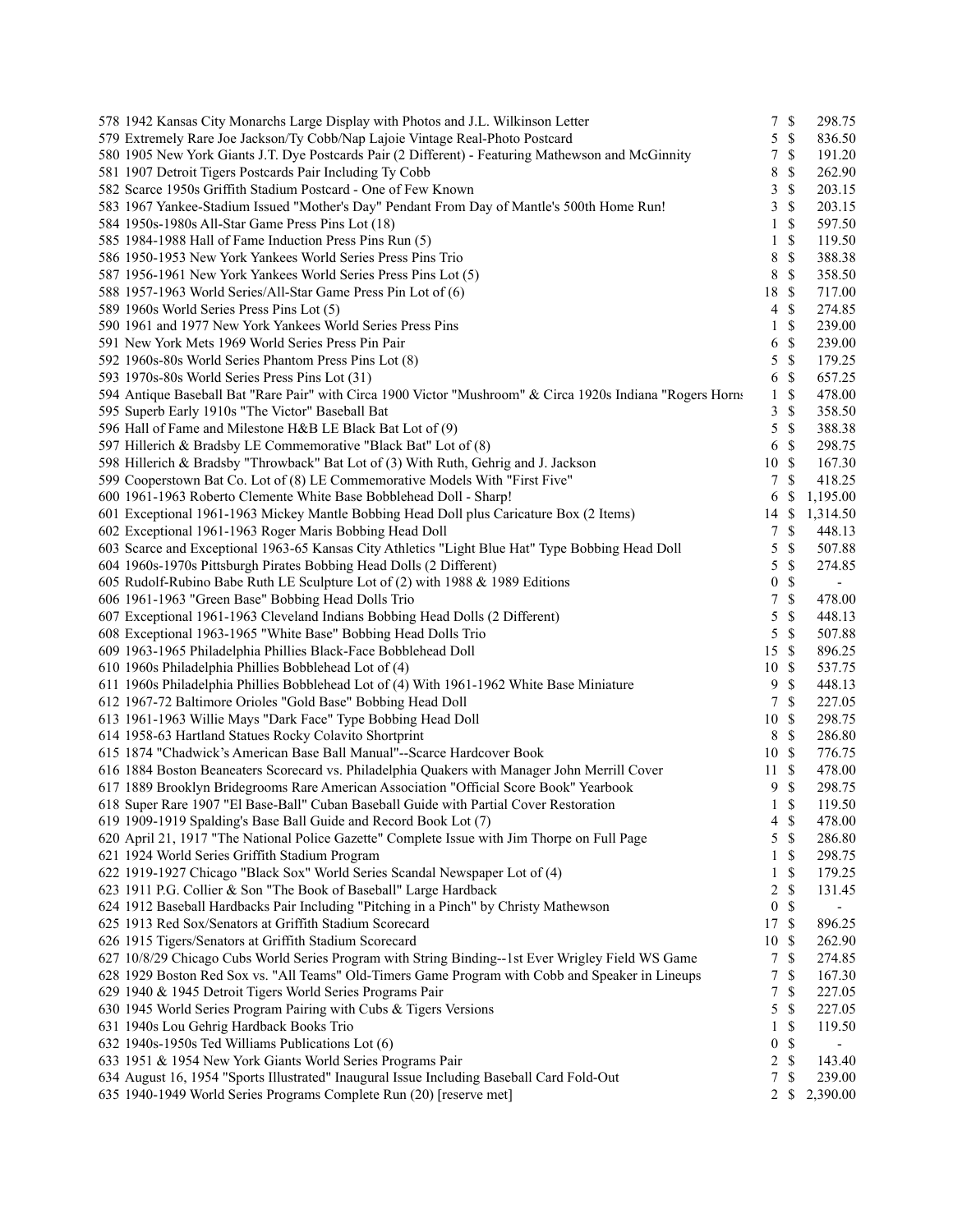| 578 1942 Kansas City Monarchs Large Display with Photos and J.L. Wilkinson Letter                                                                                   | 7                | $\mathbb{S}$  | 298.75                   |
|---------------------------------------------------------------------------------------------------------------------------------------------------------------------|------------------|---------------|--------------------------|
| 579 Extremely Rare Joe Jackson/Ty Cobb/Nap Lajoie Vintage Real-Photo Postcard                                                                                       | 5                | $\mathbb{S}$  | 836.50                   |
| 580 1905 New York Giants J.T. Dye Postcards Pair (2 Different) - Featuring Mathewson and McGinnity                                                                  | 7                | \$            | 191.20                   |
| 581 1907 Detroit Tigers Postcards Pair Including Ty Cobb                                                                                                            | 8                | \$            | 262.90                   |
| 582 Scarce 1950s Griffith Stadium Postcard - One of Few Known                                                                                                       | 3                | $\mathbb{S}$  | 203.15                   |
| 583 1967 Yankee-Stadium Issued "Mother's Day" Pendant From Day of Mantle's 500th Home Run!                                                                          | 3                | \$            | 203.15                   |
| 584 1950s-1980s All-Star Game Press Pins Lot (18)                                                                                                                   | 1                | \$            | 597.50                   |
| 585 1984-1988 Hall of Fame Induction Press Pins Run (5)                                                                                                             | 1                | \$            | 119.50                   |
| 586 1950-1953 New York Yankees World Series Press Pins Trio                                                                                                         | 8                | $\mathbb{S}$  | 388.38                   |
| 587 1956-1961 New York Yankees World Series Press Pins Lot (5)                                                                                                      | 8                | \$            | 358.50                   |
| 588 1957-1963 World Series/All-Star Game Press Pin Lot of (6)                                                                                                       | 18               | \$            | 717.00                   |
| 589 1960s World Series Press Pins Lot (5)                                                                                                                           | $\overline{4}$   | \$            | 274.85                   |
| 590 1961 and 1977 New York Yankees World Series Press Pins                                                                                                          | 1                | \$            | 239.00                   |
| 591 New York Mets 1969 World Series Press Pin Pair                                                                                                                  | 6                | \$            | 239.00                   |
| 592 1960s-80s World Series Phantom Press Pins Lot (8)                                                                                                               | 5                | \$            | 179.25                   |
| 593 1970s-80s World Series Press Pins Lot (31)                                                                                                                      | 6                | \$            | 657.25                   |
| 594 Antique Baseball Bat "Rare Pair" with Circa 1900 Victor "Mushroom" & Circa 1920s Indiana "Rogers Horns                                                          | 1                | \$            | 478.00                   |
| 595 Superb Early 1910s "The Victor" Baseball Bat                                                                                                                    | 3                | $\mathbb{S}$  | 358.50                   |
| 596 Hall of Fame and Milestone H&B LE Black Bat Lot of (9)                                                                                                          | 5                | $\mathcal{S}$ | 388.38                   |
| 597 Hillerich & Bradsby LE Commemorative "Black Bat" Lot of (8)                                                                                                     | 6                | \$            | 298.75                   |
|                                                                                                                                                                     |                  |               | 167.30                   |
| 598 Hillerich & Bradsby "Throwback" Bat Lot of (3) With Ruth, Gehrig and J. Jackson<br>599 Cooperstown Bat Co. Lot of (8) LE Commemorative Models With "First Five" | 10               | \$<br>\$      |                          |
|                                                                                                                                                                     | 7                |               | 418.25                   |
| 600 1961-1963 Roberto Clemente White Base Bobblehead Doll - Sharp!                                                                                                  | 6                | S             | 1,195.00                 |
| 601 Exceptional 1961-1963 Mickey Mantle Bobbing Head Doll plus Caricature Box (2 Items)                                                                             | 14               | \$            | 1,314.50                 |
| 602 Exceptional 1961-1963 Roger Maris Bobbing Head Doll                                                                                                             | 7                | \$            | 448.13                   |
| 603 Scarce and Exceptional 1963-65 Kansas City Athletics "Light Blue Hat" Type Bobbing Head Doll                                                                    | 5                | \$            | 507.88                   |
| 604 1960s-1970s Pittsburgh Pirates Bobbing Head Dolls (2 Different)                                                                                                 | 5                | \$            | 274.85                   |
| 605 Rudolf-Rubino Babe Ruth LE Sculpture Lot of (2) with 1988 & 1989 Editions                                                                                       | $\boldsymbol{0}$ | $\mathbb{S}$  | $\overline{\phantom{a}}$ |
| 606 1961-1963 "Green Base" Bobbing Head Dolls Trio                                                                                                                  | 7                | $\mathbb{S}$  | 478.00                   |
| 607 Exceptional 1961-1963 Cleveland Indians Bobbing Head Dolls (2 Different)                                                                                        | 5                | \$            | 448.13                   |
| 608 Exceptional 1963-1965 "White Base" Bobbing Head Dolls Trio                                                                                                      | 5                | $\mathbb{S}$  | 507.88                   |
| 609 1963-1965 Philadelphia Phillies Black-Face Bobblehead Doll                                                                                                      | 15               | \$            | 896.25                   |
| 610 1960s Philadelphia Phillies Bobblehead Lot of (4)                                                                                                               | 10               | \$            | 537.75                   |
| 611 1960s Philadelphia Phillies Bobblehead Lot of (4) With 1961-1962 White Base Miniature                                                                           | 9                | \$            | 448.13                   |
| 612 1967-72 Baltimore Orioles "Gold Base" Bobbing Head Doll                                                                                                         | $\tau$           | \$            | 227.05                   |
| 613 1961-1963 Willie Mays "Dark Face" Type Bobbing Head Doll                                                                                                        | 10               | $\mathcal{S}$ | 298.75                   |
| 614 1958-63 Hartland Statues Rocky Colavito Shortprint                                                                                                              | 8                | \$            | 286.80                   |
| 615 1874 "Chadwick's American Base Ball Manual"--Scarce Hardcover Book                                                                                              | 10               | $\mathcal{S}$ | 776.75                   |
| 616 1884 Boston Beaneaters Scorecard vs. Philadelphia Quakers with Manager John Merrill Cover                                                                       | 11               | \$            | 478.00                   |
| 617 1889 Brooklyn Bridegrooms Rare American Association "Official Score Book" Yearbook                                                                              | 9                | \$            | 298.75                   |
| 618 Super Rare 1907 "El Base-Ball" Cuban Baseball Guide with Partial Cover Restoration                                                                              | $\mathbf{1}$     | \$            | 119.50                   |
| 619 1909-1919 Spalding's Base Ball Guide and Record Book Lot (7)                                                                                                    | 4                | $\mathbb{S}$  | 478.00                   |
| 620 April 21, 1917 "The National Police Gazette" Complete Issue with Jim Thorpe on Full Page                                                                        | 5                | \$            | 286.80                   |
| 621 1924 World Series Griffith Stadium Program                                                                                                                      | 1                | \$            | 298.75                   |
| 622 1919-1927 Chicago "Black Sox" World Series Scandal Newspaper Lot of (4)                                                                                         | 1                | \$            | 179.25                   |
| 623 1911 P.G. Collier & Son "The Book of Baseball" Large Hardback                                                                                                   | 2                | \$            | 131.45                   |
| 624 1912 Baseball Hardbacks Pair Including "Pitching in a Pinch" by Christy Mathewson                                                                               | $\boldsymbol{0}$ | \$            |                          |
| 625 1913 Red Sox/Senators at Griffith Stadium Scorecard                                                                                                             | 17               | \$            | 896.25                   |
| 626 1915 Tigers/Senators at Griffith Stadium Scorecard                                                                                                              | 10               | \$            | 262.90                   |
| 627 10/8/29 Chicago Cubs World Series Program with String Binding--1st Ever Wrigley Field WS Game                                                                   | $\tau$           | \$            | 274.85                   |
| 628 1929 Boston Red Sox vs. "All Teams" Old-Timers Game Program with Cobb and Speaker in Lineups                                                                    | 7                | \$            | 167.30                   |
| 629 1940 & 1945 Detroit Tigers World Series Programs Pair                                                                                                           | 7                | \$            | 227.05                   |
| 630 1945 World Series Program Pairing with Cubs & Tigers Versions                                                                                                   | 5                | \$            | 227.05                   |
| 631 1940s Lou Gehrig Hardback Books Trio                                                                                                                            | 1                | \$            | 119.50                   |
| 632 1940s-1950s Ted Williams Publications Lot (6)                                                                                                                   | $\boldsymbol{0}$ | \$            | $\overline{\phantom{a}}$ |
| 633 1951 & 1954 New York Giants World Series Programs Pair                                                                                                          | 2                | \$            | 143.40                   |
| 634 August 16, 1954 "Sports Illustrated" Inaugural Issue Including Baseball Card Fold-Out                                                                           |                  | \$            | 239.00                   |
|                                                                                                                                                                     | 7                |               |                          |
| 635 1940-1949 World Series Programs Complete Run (20) [reserve met]                                                                                                 | $\overline{2}$   | <sup>\$</sup> | 2,390.00                 |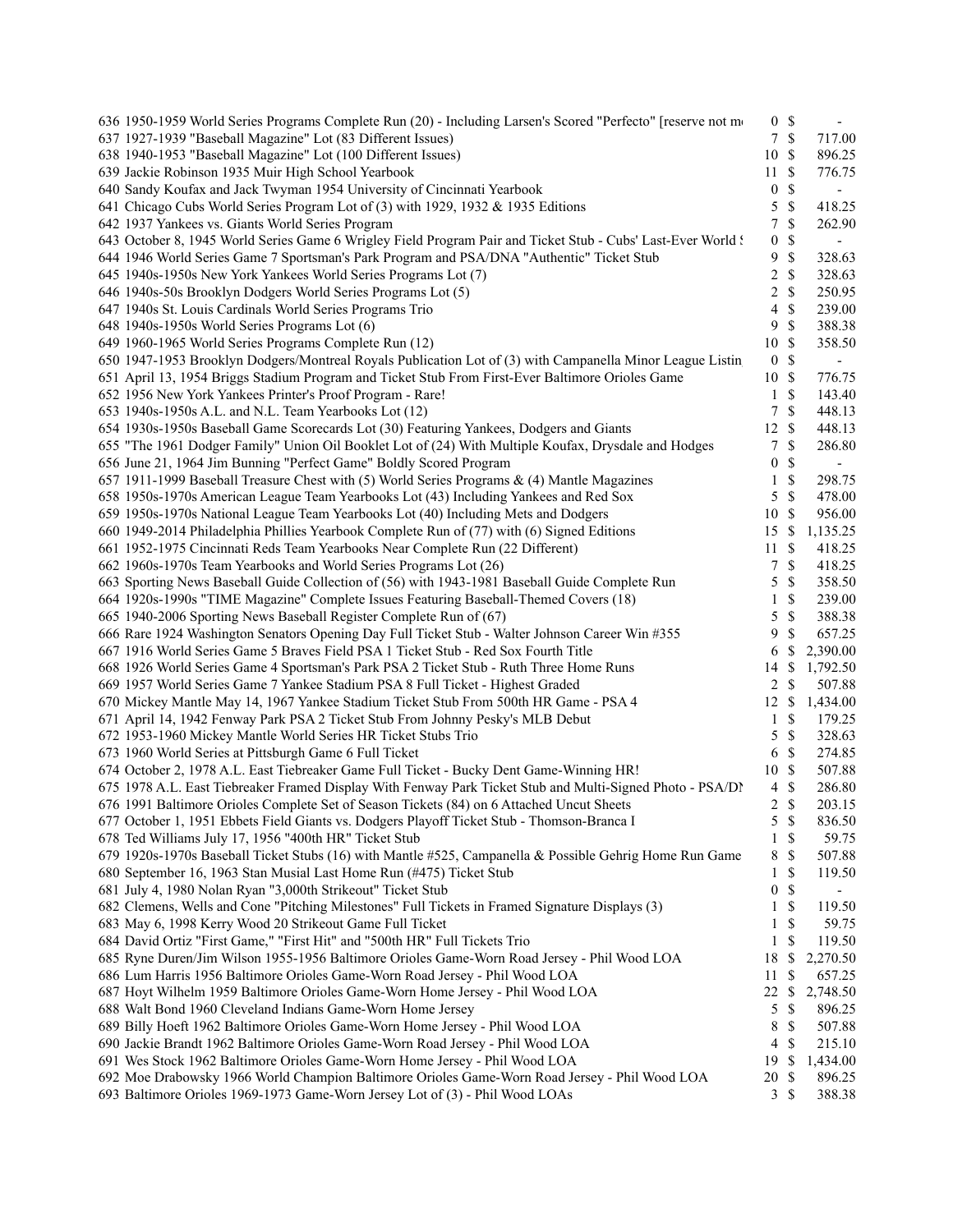| 636 1950-1959 World Series Programs Complete Run (20) - Including Larsen's Scored "Perfecto" [reserve not mo | 0 <sup>5</sup>   |               |                          |
|--------------------------------------------------------------------------------------------------------------|------------------|---------------|--------------------------|
| 637 1927-1939 "Baseball Magazine" Lot (83 Different Issues)                                                  | 7 <sup>7</sup>   | $\mathcal{S}$ | 717.00                   |
| 638 1940-1953 "Baseball Magazine" Lot (100 Different Issues)                                                 | 10               | \$            | 896.25                   |
| 639 Jackie Robinson 1935 Muir High School Yearbook                                                           | 11               | \$            | 776.75                   |
| 640 Sandy Koufax and Jack Twyman 1954 University of Cincinnati Yearbook                                      | $\boldsymbol{0}$ | \$            |                          |
| 641 Chicago Cubs World Series Program Lot of (3) with 1929, 1932 & 1935 Editions                             | 5                | \$            | 418.25                   |
| 642 1937 Yankees vs. Giants World Series Program                                                             | 7                | \$            | 262.90                   |
| 643 October 8, 1945 World Series Game 6 Wrigley Field Program Pair and Ticket Stub - Cubs' Last-Ever World ! | $\boldsymbol{0}$ | \$            | $\overline{\phantom{a}}$ |
| 644 1946 World Series Game 7 Sportsman's Park Program and PSA/DNA "Authentic" Ticket Stub                    | 9                | \$            | 328.63                   |
| 645 1940s-1950s New York Yankees World Series Programs Lot (7)                                               | 2                | \$            | 328.63                   |
| 646 1940s-50s Brooklyn Dodgers World Series Programs Lot (5)                                                 | 2                | $\mathbb{S}$  | 250.95                   |
| 647 1940s St. Louis Cardinals World Series Programs Trio                                                     | 4                | $\mathbb{S}$  | 239.00                   |
| 648 1940s-1950s World Series Programs Lot (6)                                                                | 9                | \$            | 388.38                   |
| 649 1960-1965 World Series Programs Complete Run (12)                                                        | 10               | \$            | 358.50                   |
| 650 1947-1953 Brooklyn Dodgers/Montreal Royals Publication Lot of (3) with Campanella Minor League Listin    | $\boldsymbol{0}$ | \$            | $\overline{\phantom{a}}$ |
| 651 April 13, 1954 Briggs Stadium Program and Ticket Stub From First-Ever Baltimore Orioles Game             | 10               | \$            | 776.75                   |
| 652 1956 New York Yankees Printer's Proof Program - Rare!                                                    | 1                | \$            | 143.40                   |
| 653 1940s-1950s A.L. and N.L. Team Yearbooks Lot (12)                                                        | 7                | \$            | 448.13                   |
| 654 1930s-1950s Baseball Game Scorecards Lot (30) Featuring Yankees, Dodgers and Giants                      | 12               | \$            | 448.13                   |
| 655 "The 1961 Dodger Family" Union Oil Booklet Lot of (24) With Multiple Koufax, Drysdale and Hodges         | 7                | \$            | 286.80                   |
| 656 June 21, 1964 Jim Bunning "Perfect Game" Boldly Scored Program                                           | $\boldsymbol{0}$ | \$            |                          |
| 657 1911-1999 Baseball Treasure Chest with (5) World Series Programs $\&$ (4) Mantle Magazines               | 1                | \$            | 298.75                   |
| 658 1950s-1970s American League Team Yearbooks Lot (43) Including Yankees and Red Sox                        | 5                | $\mathbb{S}$  | 478.00                   |
| 659 1950s-1970s National League Team Yearbooks Lot (40) Including Mets and Dodgers                           | 10               | S             | 956.00                   |
| 660 1949-2014 Philadelphia Phillies Yearbook Complete Run of (77) with (6) Signed Editions                   | 15               | \$            | 1,135.25                 |
| 661 1952-1975 Cincinnati Reds Team Yearbooks Near Complete Run (22 Different)                                | 11               | S             | 418.25                   |
| 662 1960s-1970s Team Yearbooks and World Series Programs Lot (26)                                            | 7                | \$            | 418.25                   |
|                                                                                                              | 5                | \$            | 358.50                   |
| 663 Sporting News Baseball Guide Collection of (56) with 1943-1981 Baseball Guide Complete Run               |                  |               |                          |
| 664 1920s-1990s "TIME Magazine" Complete Issues Featuring Baseball-Themed Covers (18)                        | 1                | \$            | 239.00                   |
| 665 1940-2006 Sporting News Baseball Register Complete Run of (67)                                           | 5                | \$            | 388.38                   |
| 666 Rare 1924 Washington Senators Opening Day Full Ticket Stub - Walter Johnson Career Win #355              | 9                | \$            | 657.25                   |
| 667 1916 World Series Game 5 Braves Field PSA 1 Ticket Stub - Red Sox Fourth Title                           | 6                | \$            | 2,390.00                 |
| 668 1926 World Series Game 4 Sportsman's Park PSA 2 Ticket Stub - Ruth Three Home Runs                       | 14               | \$            | 1,792.50                 |
| 669 1957 World Series Game 7 Yankee Stadium PSA 8 Full Ticket - Highest Graded                               | 2                | \$            | 507.88                   |
| 670 Mickey Mantle May 14, 1967 Yankee Stadium Ticket Stub From 500th HR Game - PSA 4                         | 12               | \$            | 1,434.00                 |
| 671 April 14, 1942 Fenway Park PSA 2 Ticket Stub From Johnny Pesky's MLB Debut                               | 1                | \$            | 179.25                   |
| 672 1953-1960 Mickey Mantle World Series HR Ticket Stubs Trio                                                | 5                | \$            | 328.63                   |
| 673 1960 World Series at Pittsburgh Game 6 Full Ticket                                                       | 6                | \$            | 274.85                   |
| 674 October 2, 1978 A.L. East Tiebreaker Game Full Ticket - Bucky Dent Game-Winning HR!                      | 10               | \$            | 507.88                   |
| 675 1978 A.L. East Tiebreaker Framed Display With Fenway Park Ticket Stub and Multi-Signed Photo - PSA/DN    | $\overline{4}$   | $\mathbb{S}$  | 286.80                   |
| 676 1991 Baltimore Orioles Complete Set of Season Tickets (84) on 6 Attached Uncut Sheets                    | 2                | \$            | 203.15                   |
| 677 October 1, 1951 Ebbets Field Giants vs. Dodgers Playoff Ticket Stub - Thomson-Branca I                   | 5                | $\$$          | 836.50                   |
| 678 Ted Williams July 17, 1956 "400th HR" Ticket Stub                                                        | 1                | \$            | 59.75                    |
| 679 1920s-1970s Baseball Ticket Stubs (16) with Mantle #525, Campanella & Possible Gehrig Home Run Game      | 8                | \$            | 507.88                   |
| 680 September 16, 1963 Stan Musial Last Home Run (#475) Ticket Stub                                          | 1                | \$            | 119.50                   |
| 681 July 4, 1980 Nolan Ryan "3,000th Strikeout" Ticket Stub                                                  | $\boldsymbol{0}$ | \$            |                          |
| 682 Clemens, Wells and Cone "Pitching Milestones" Full Tickets in Framed Signature Displays (3)              | 1                | \$            | 119.50                   |
| 683 May 6, 1998 Kerry Wood 20 Strikeout Game Full Ticket                                                     | 1                | \$            | 59.75                    |
| 684 David Ortiz "First Game," "First Hit" and "500th HR" Full Tickets Trio                                   | 1                | \$            | 119.50                   |
| 685 Ryne Duren/Jim Wilson 1955-1956 Baltimore Orioles Game-Worn Road Jersey - Phil Wood LOA                  | 18               | \$            | 2,270.50                 |
| 686 Lum Harris 1956 Baltimore Orioles Game-Worn Road Jersey - Phil Wood LOA                                  | 11               | \$            | 657.25                   |
| 687 Hoyt Wilhelm 1959 Baltimore Orioles Game-Worn Home Jersey - Phil Wood LOA                                | 22               | \$            | 2,748.50                 |
| 688 Walt Bond 1960 Cleveland Indians Game-Worn Home Jersey                                                   | 5                | \$            | 896.25                   |
| 689 Billy Hoeft 1962 Baltimore Orioles Game-Worn Home Jersey - Phil Wood LOA                                 | 8                | \$            | 507.88                   |
| 690 Jackie Brandt 1962 Baltimore Orioles Game-Worn Road Jersey - Phil Wood LOA                               | 4                | \$            | 215.10                   |
| 691 Wes Stock 1962 Baltimore Orioles Game-Worn Home Jersey - Phil Wood LOA                                   | 19               | \$            | 1,434.00                 |
| 692 Moe Drabowsky 1966 World Champion Baltimore Orioles Game-Worn Road Jersey - Phil Wood LOA                | 20               | \$            | 896.25                   |
| 693 Baltimore Orioles 1969-1973 Game-Worn Jersey Lot of (3) - Phil Wood LOAs                                 | $\mathfrak{Z}$   | \$            | 388.38                   |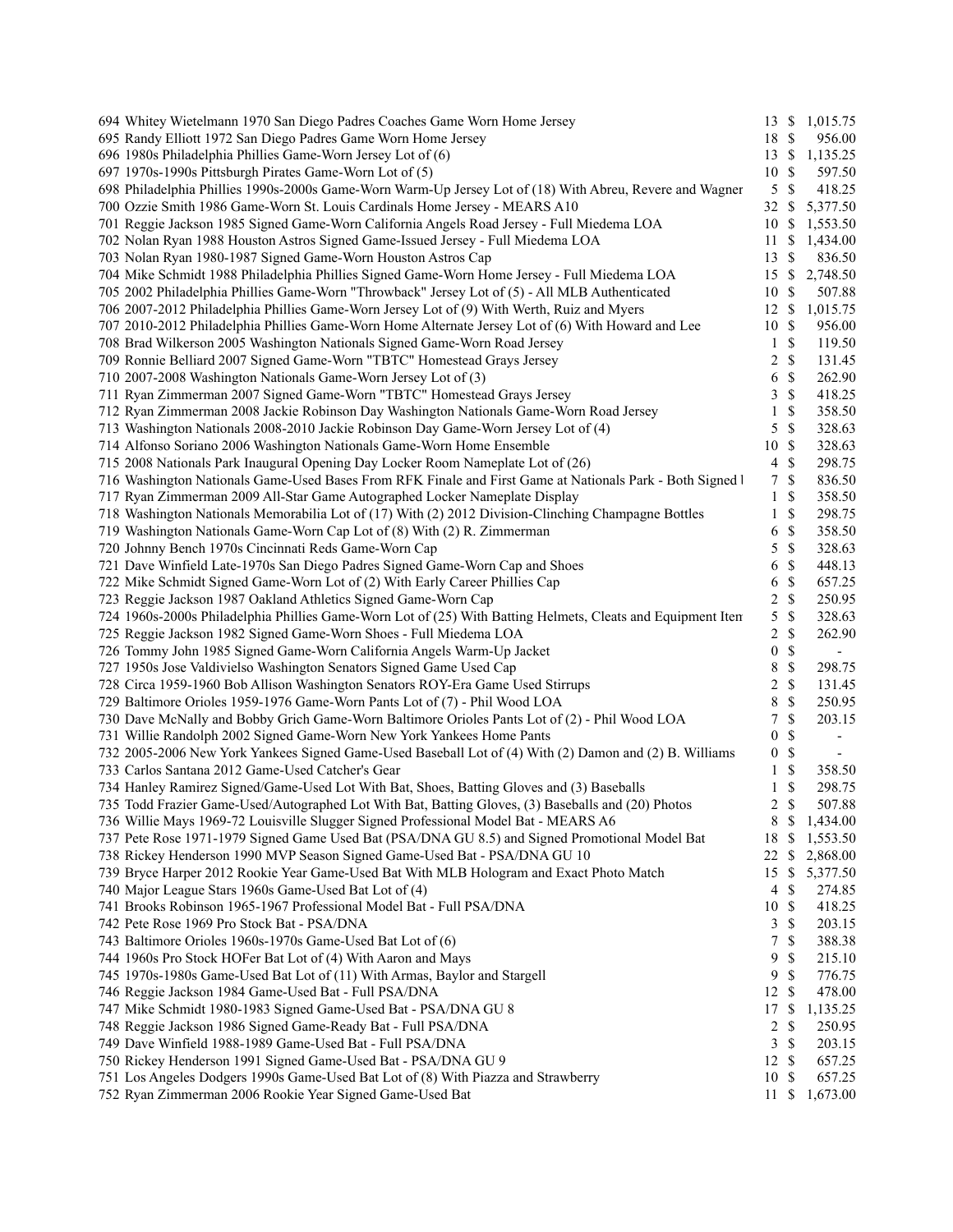| 694 Whitey Wietelmann 1970 San Diego Padres Coaches Game Worn Home Jersey                                   |                  |               | 13 \$ 1,015.75           |
|-------------------------------------------------------------------------------------------------------------|------------------|---------------|--------------------------|
| 695 Randy Elliott 1972 San Diego Padres Game Worn Home Jersey                                               | 18 \$            |               | 956.00                   |
| 696 1980s Philadelphia Phillies Game-Worn Jersey Lot of (6)                                                 |                  |               | 13 \$ 1,135.25           |
| 697 1970s-1990s Pittsburgh Pirates Game-Worn Lot of (5)                                                     | 10               | <sup>\$</sup> | 597.50                   |
| 698 Philadelphia Phillies 1990s-2000s Game-Worn Warm-Up Jersey Lot of (18) With Abreu, Revere and Wagner    | 5                | \$            | 418.25                   |
| 700 Ozzie Smith 1986 Game-Worn St. Louis Cardinals Home Jersey - MEARS A10                                  | 32               | \$            | 5,377.50                 |
| 701 Reggie Jackson 1985 Signed Game-Worn California Angels Road Jersey - Full Miedema LOA                   | 10               | <sup>\$</sup> | 1,553.50                 |
| 702 Nolan Ryan 1988 Houston Astros Signed Game-Issued Jersey - Full Miedema LOA                             | 11               | \$            | 1,434.00                 |
| 703 Nolan Ryan 1980-1987 Signed Game-Worn Houston Astros Cap                                                | 13               | \$            | 836.50                   |
| 704 Mike Schmidt 1988 Philadelphia Phillies Signed Game-Worn Home Jersey - Full Miedema LOA                 | 15               | \$            | 2,748.50                 |
| 705 2002 Philadelphia Phillies Game-Worn "Throwback" Jersey Lot of (5) - All MLB Authenticated              | 10               | S             | 507.88                   |
| 706 2007-2012 Philadelphia Phillies Game-Worn Jersey Lot of (9) With Werth, Ruiz and Myers                  | $12 \text{ }$ \$ |               | 1,015.75                 |
| 707 2010-2012 Philadelphia Phillies Game-Worn Home Alternate Jersey Lot of (6) With Howard and Lee          | 10               | $\mathbb{S}$  | 956.00                   |
| 708 Brad Wilkerson 2005 Washington Nationals Signed Game-Worn Road Jersey                                   | 1                | \$            | 119.50                   |
| 709 Ronnie Belliard 2007 Signed Game-Worn "TBTC" Homestead Grays Jersey                                     |                  |               |                          |
|                                                                                                             | 2                | \$            | 131.45                   |
| 710 2007-2008 Washington Nationals Game-Worn Jersey Lot of (3)                                              | 6                | \$            | 262.90                   |
| 711 Ryan Zimmerman 2007 Signed Game-Worn "TBTC" Homestead Grays Jersey                                      | 3                | \$            | 418.25                   |
| 712 Ryan Zimmerman 2008 Jackie Robinson Day Washington Nationals Game-Worn Road Jersey                      | 1                | \$            | 358.50                   |
| 713 Washington Nationals 2008-2010 Jackie Robinson Day Game-Worn Jersey Lot of (4)                          | 5                | \$            | 328.63                   |
| 714 Alfonso Soriano 2006 Washington Nationals Game-Worn Home Ensemble                                       | 10               | \$            | 328.63                   |
| 715 2008 Nationals Park Inaugural Opening Day Locker Room Nameplate Lot of (26)                             | 4                | \$            | 298.75                   |
| 716 Washington Nationals Game-Used Bases From RFK Finale and First Game at Nationals Park - Both Signed I   | 7                | \$            | 836.50                   |
| 717 Ryan Zimmerman 2009 All-Star Game Autographed Locker Nameplate Display                                  | 1                | \$            | 358.50                   |
| 718 Washington Nationals Memorabilia Lot of (17) With (2) 2012 Division-Clinching Champagne Bottles         | 1                | \$            | 298.75                   |
| 719 Washington Nationals Game-Worn Cap Lot of (8) With (2) R. Zimmerman                                     | 6                | \$            | 358.50                   |
| 720 Johnny Bench 1970s Cincinnati Reds Game-Worn Cap                                                        | 5                | \$            | 328.63                   |
| 721 Dave Winfield Late-1970s San Diego Padres Signed Game-Worn Cap and Shoes                                | 6                | \$            | 448.13                   |
| 722 Mike Schmidt Signed Game-Worn Lot of (2) With Early Career Phillies Cap                                 | 6                | \$            | 657.25                   |
| 723 Reggie Jackson 1987 Oakland Athletics Signed Game-Worn Cap                                              | 2                | $\mathbb{S}$  | 250.95                   |
| 724 1960s-2000s Philadelphia Phillies Game-Worn Lot of (25) With Batting Helmets, Cleats and Equipment Item | 5                | \$            | 328.63                   |
| 725 Reggie Jackson 1982 Signed Game-Worn Shoes - Full Miedema LOA                                           | 2                | \$            | 262.90                   |
| 726 Tommy John 1985 Signed Game-Worn California Angels Warm-Up Jacket                                       | 0                | \$            | $\overline{\phantom{a}}$ |
| 727 1950s Jose Valdivielso Washington Senators Signed Game Used Cap                                         | 8                | \$            | 298.75                   |
| 728 Circa 1959-1960 Bob Allison Washington Senators ROY-Era Game Used Stirrups                              | 2                | \$            | 131.45                   |
| 729 Baltimore Orioles 1959-1976 Game-Worn Pants Lot of (7) - Phil Wood LOA                                  | 8                | \$            | 250.95                   |
| 730 Dave McNally and Bobby Grich Game-Worn Baltimore Orioles Pants Lot of (2) - Phil Wood LOA               | 7                | $\mathbb{S}$  | 203.15                   |
| 731 Willie Randolph 2002 Signed Game-Worn New York Yankees Home Pants                                       | 0                | \$            |                          |
| 732 2005-2006 New York Yankees Signed Game-Used Baseball Lot of (4) With (2) Damon and (2) B. Williams      | $\boldsymbol{0}$ | \$            | $\overline{\phantom{a}}$ |
| 733 Carlos Santana 2012 Game-Used Catcher's Gear                                                            | 1                | \$            | 358.50                   |
| 734 Hanley Ramirez Signed/Game-Used Lot With Bat, Shoes, Batting Gloves and (3) Baseballs                   | 1                | \$            | 298.75                   |
| 735 Todd Frazier Game-Used/Autographed Lot With Bat, Batting Gloves, (3) Baseballs and (20) Photos          | 2                | \$            | 507.88                   |
| 736 Willie Mays 1969-72 Louisville Slugger Signed Professional Model Bat - MEARS A6                         |                  |               | 8 \$ 1,434.00            |
| 737 Pete Rose 1971-1979 Signed Game Used Bat (PSA/DNA GU 8.5) and Signed Promotional Model Bat              | 18               | \$            | 1,553.50                 |
| 738 Rickey Henderson 1990 MVP Season Signed Game-Used Bat - PSA/DNA GU 10                                   | 22               |               | 2,868.00                 |
|                                                                                                             |                  | \$            |                          |
| 739 Bryce Harper 2012 Rookie Year Game-Used Bat With MLB Hologram and Exact Photo Match                     | 15               | \$            | 5,377.50                 |
| 740 Major League Stars 1960s Game-Used Bat Lot of (4)                                                       | 4                | \$            | 274.85                   |
| 741 Brooks Robinson 1965-1967 Professional Model Bat - Full PSA/DNA                                         | 10               | \$            | 418.25                   |
| 742 Pete Rose 1969 Pro Stock Bat - PSA/DNA                                                                  | 3                | \$            | 203.15                   |
| 743 Baltimore Orioles 1960s-1970s Game-Used Bat Lot of (6)                                                  | 7                | \$            | 388.38                   |
| 744 1960s Pro Stock HOFer Bat Lot of (4) With Aaron and Mays                                                | 9                | \$            | 215.10                   |
| 745 1970s-1980s Game-Used Bat Lot of (11) With Armas, Baylor and Stargell                                   | 9                | \$            | 776.75                   |
| 746 Reggie Jackson 1984 Game-Used Bat - Full PSA/DNA                                                        | 12               | \$            | 478.00                   |
| 747 Mike Schmidt 1980-1983 Signed Game-Used Bat - PSA/DNA GU 8                                              | 17               | \$            | 1,135.25                 |
| 748 Reggie Jackson 1986 Signed Game-Ready Bat - Full PSA/DNA                                                | 2                | \$            | 250.95                   |
| 749 Dave Winfield 1988-1989 Game-Used Bat - Full PSA/DNA                                                    | 3                | \$            | 203.15                   |
| 750 Rickey Henderson 1991 Signed Game-Used Bat - PSA/DNA GU 9                                               | 12               | \$            | 657.25                   |
| 751 Los Angeles Dodgers 1990s Game-Used Bat Lot of (8) With Piazza and Strawberry                           | 10               | \$            | 657.25                   |
| 752 Ryan Zimmerman 2006 Rookie Year Signed Game-Used Bat                                                    | 11               | \$            | 1,673.00                 |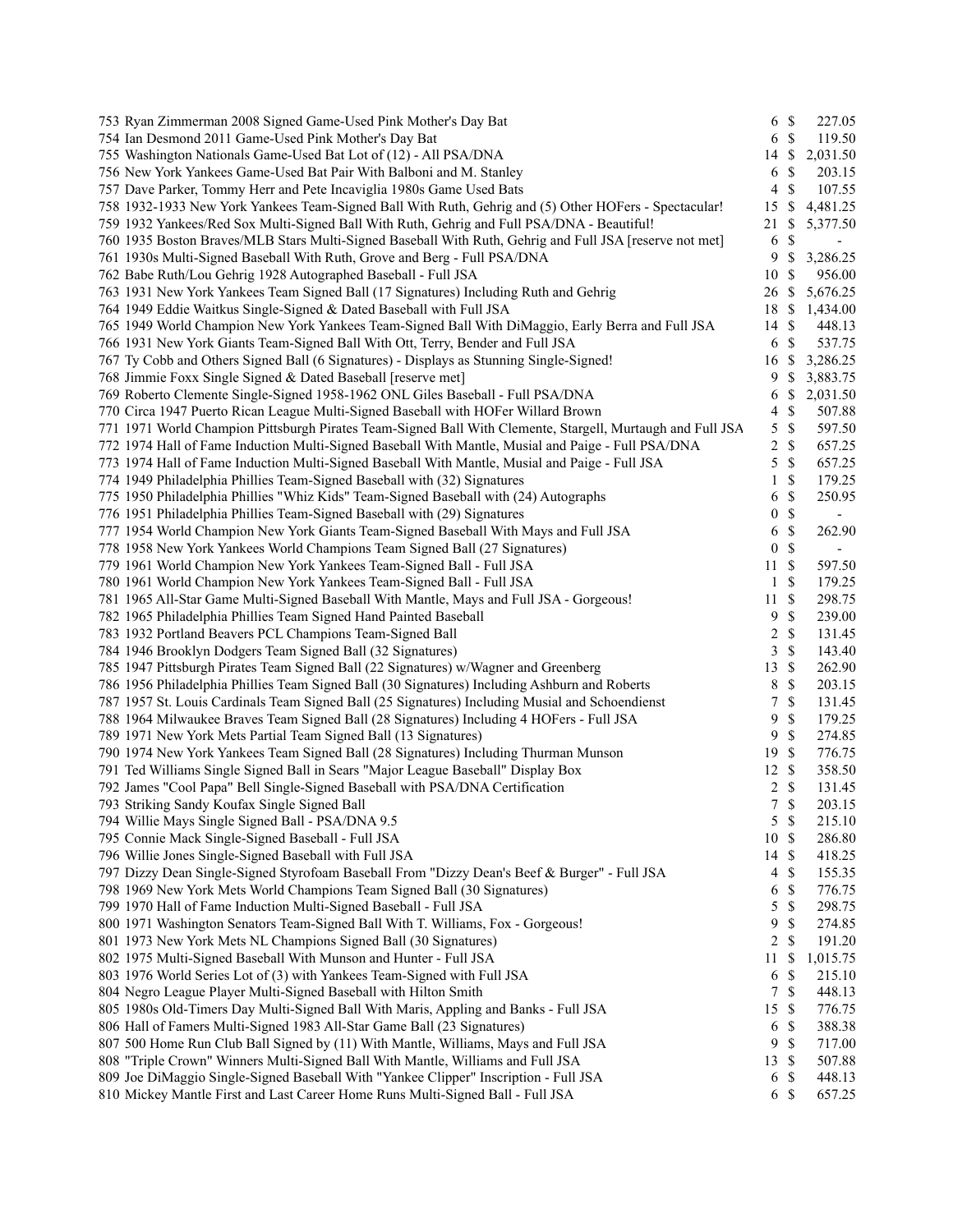| 753 Ryan Zimmerman 2008 Signed Game-Used Pink Mother's Day Bat                                             |                  | 6 <sup>°</sup> | 227.05                   |
|------------------------------------------------------------------------------------------------------------|------------------|----------------|--------------------------|
| 754 Ian Desmond 2011 Game-Used Pink Mother's Day Bat                                                       |                  | 6 <sup>°</sup> | 119.50                   |
| 755 Washington Nationals Game-Used Bat Lot of (12) - All PSA/DNA                                           | 14               | \$             | 2,031.50                 |
| 756 New York Yankees Game-Used Bat Pair With Balboni and M. Stanley                                        | 6                | \$             | 203.15                   |
| 757 Dave Parker, Tommy Herr and Pete Incaviglia 1980s Game Used Bats                                       | $\overline{4}$   | \$             | 107.55                   |
| 758 1932-1933 New York Yankees Team-Signed Ball With Ruth, Gehrig and (5) Other HOFers - Spectacular!      | 15               | \$             | 4,481.25                 |
| 759 1932 Yankees/Red Sox Multi-Signed Ball With Ruth, Gehrig and Full PSA/DNA - Beautiful!                 | 21               | \$             | 5,377.50                 |
| 760 1935 Boston Braves/MLB Stars Multi-Signed Baseball With Ruth, Gehrig and Full JSA [reserve not met]    | 6                | \$             | $\overline{\phantom{a}}$ |
| 761 1930s Multi-Signed Baseball With Ruth, Grove and Berg - Full PSA/DNA                                   | 9                | \$             | 3,286.25                 |
| 762 Babe Ruth/Lou Gehrig 1928 Autographed Baseball - Full JSA                                              | 10               | S              | 956.00                   |
| 763 1931 New York Yankees Team Signed Ball (17 Signatures) Including Ruth and Gehrig                       | 26               | \$             | 5,676.25                 |
| 764 1949 Eddie Waitkus Single-Signed & Dated Baseball with Full JSA                                        | 18               | \$             | 1,434.00                 |
| 765 1949 World Champion New York Yankees Team-Signed Ball With DiMaggio, Early Berra and Full JSA          | 14               | \$             | 448.13                   |
| 766 1931 New York Giants Team-Signed Ball With Ott, Terry, Bender and Full JSA                             | 6                | \$             | 537.75                   |
| 767 Ty Cobb and Others Signed Ball (6 Signatures) - Displays as Stunning Single-Signed!                    | 16               | \$             | 3,286.25                 |
| 768 Jimmie Foxx Single Signed & Dated Baseball [reserve met]                                               | 9                | <sup>\$</sup>  | 3,883.75                 |
| 769 Roberto Clemente Single-Signed 1958-1962 ONL Giles Baseball - Full PSA/DNA                             | 6                | \$             | 2,031.50                 |
| 770 Circa 1947 Puerto Rican League Multi-Signed Baseball with HOFer Willard Brown                          | $\overline{4}$   | $\mathbb{S}$   | 507.88                   |
| 771 1971 World Champion Pittsburgh Pirates Team-Signed Ball With Clemente, Stargell, Murtaugh and Full JSA | 5                | $\mathbb{S}$   | 597.50                   |
|                                                                                                            | 2                | $\mathbb{S}$   | 657.25                   |
| 772 1974 Hall of Fame Induction Multi-Signed Baseball With Mantle, Musial and Paige - Full PSA/DNA         |                  |                |                          |
| 773 1974 Hall of Fame Induction Multi-Signed Baseball With Mantle, Musial and Paige - Full JSA             | 5                | $\mathbb{S}$   | 657.25                   |
| 774 1949 Philadelphia Phillies Team-Signed Baseball with (32) Signatures                                   | 1                | \$             | 179.25                   |
| 775 1950 Philadelphia Phillies "Whiz Kids" Team-Signed Baseball with (24) Autographs                       | 6                | $\mathbb{S}$   | 250.95                   |
| 776 1951 Philadelphia Phillies Team-Signed Baseball with (29) Signatures                                   | 0                | $\mathbb{S}$   | $\overline{\phantom{a}}$ |
| 777 1954 World Champion New York Giants Team-Signed Baseball With Mays and Full JSA                        | 6                | $\mathbb{S}$   | 262.90                   |
| 778 1958 New York Yankees World Champions Team Signed Ball (27 Signatures)                                 | $\boldsymbol{0}$ | $\mathbb{S}$   | $\overline{\phantom{a}}$ |
| 779 1961 World Champion New York Yankees Team-Signed Ball - Full JSA                                       | 11               | \$             | 597.50                   |
| 780 1961 World Champion New York Yankees Team-Signed Ball - Full JSA                                       | 1                | \$             | 179.25                   |
| 781 1965 All-Star Game Multi-Signed Baseball With Mantle, Mays and Full JSA - Gorgeous!                    | 11               | \$             | 298.75                   |
| 782 1965 Philadelphia Phillies Team Signed Hand Painted Baseball                                           | 9                | \$             | 239.00                   |
| 783 1932 Portland Beavers PCL Champions Team-Signed Ball                                                   | 2                | \$             | 131.45                   |
| 784 1946 Brooklyn Dodgers Team Signed Ball (32 Signatures)                                                 | 3                | \$             | 143.40                   |
| 785 1947 Pittsburgh Pirates Team Signed Ball (22 Signatures) w/Wagner and Greenberg                        | 13               | \$             | 262.90                   |
| 786 1956 Philadelphia Phillies Team Signed Ball (30 Signatures) Including Ashburn and Roberts              | 8                | \$             | 203.15                   |
| 787 1957 St. Louis Cardinals Team Signed Ball (25 Signatures) Including Musial and Schoendienst            | 7                | $\mathbb{S}$   | 131.45                   |
| 788 1964 Milwaukee Braves Team Signed Ball (28 Signatures) Including 4 HOFers - Full JSA                   | 9                | $\mathbb{S}$   | 179.25                   |
| 789 1971 New York Mets Partial Team Signed Ball (13 Signatures)                                            | 9                | \$             | 274.85                   |
| 790 1974 New York Yankees Team Signed Ball (28 Signatures) Including Thurman Munson                        | 19               | \$             | 776.75                   |
| 791 Ted Williams Single Signed Ball in Sears "Major League Baseball" Display Box                           | 12               | $\mathbb{S}$   | 358.50                   |
| 792 James "Cool Papa" Bell Single-Signed Baseball with PSA/DNA Certification                               | $\overline{c}$   | \$             | 131.45                   |
| 793 Striking Sandy Koufax Single Signed Ball                                                               | $7\overline{ }$  | \$             | 203.15                   |
| 794 Willie Mays Single Signed Ball - PSA/DNA 9.5                                                           |                  | 5S             | 215.10                   |
| 795 Connie Mack Single-Signed Baseball - Full JSA                                                          | $10\,$           | \$             | 286.80                   |
| 796 Willie Jones Single-Signed Baseball with Full JSA                                                      | 14               | \$             | 418.25                   |
| 797 Dizzy Dean Single-Signed Styrofoam Baseball From "Dizzy Dean's Beef & Burger" - Full JSA               | 4                | \$             | 155.35                   |
| 798 1969 New York Mets World Champions Team Signed Ball (30 Signatures)                                    | 6                | \$             | 776.75                   |
| 799 1970 Hall of Fame Induction Multi-Signed Baseball - Full JSA                                           | 5                | $\mathbb{S}$   | 298.75                   |
| 800 1971 Washington Senators Team-Signed Ball With T. Williams, Fox - Gorgeous!                            | 9                | \$             | 274.85                   |
| 801 1973 New York Mets NL Champions Signed Ball (30 Signatures)                                            | 2                | \$             | 191.20                   |
| 802 1975 Multi-Signed Baseball With Munson and Hunter - Full JSA                                           | 11               | \$             | 1,015.75                 |
| 803 1976 World Series Lot of (3) with Yankees Team-Signed with Full JSA                                    | 6                | \$             | 215.10                   |
| 804 Negro League Player Multi-Signed Baseball with Hilton Smith                                            | $\tau$           | \$             | 448.13                   |
| 805 1980s Old-Timers Day Multi-Signed Ball With Maris, Appling and Banks - Full JSA                        | 15               | $\mathbb{S}$   | 776.75                   |
| 806 Hall of Famers Multi-Signed 1983 All-Star Game Ball (23 Signatures)                                    | 6                | \$             | 388.38                   |
| 807 500 Home Run Club Ball Signed by (11) With Mantle, Williams, Mays and Full JSA                         | 9                | \$             | 717.00                   |
| 808 "Triple Crown" Winners Multi-Signed Ball With Mantle, Williams and Full JSA                            | 13               | \$             | 507.88                   |
| 809 Joe DiMaggio Single-Signed Baseball With "Yankee Clipper" Inscription - Full JSA                       | 6                | \$             | 448.13                   |
| 810 Mickey Mantle First and Last Career Home Runs Multi-Signed Ball - Full JSA                             | 6                | \$             | 657.25                   |
|                                                                                                            |                  |                |                          |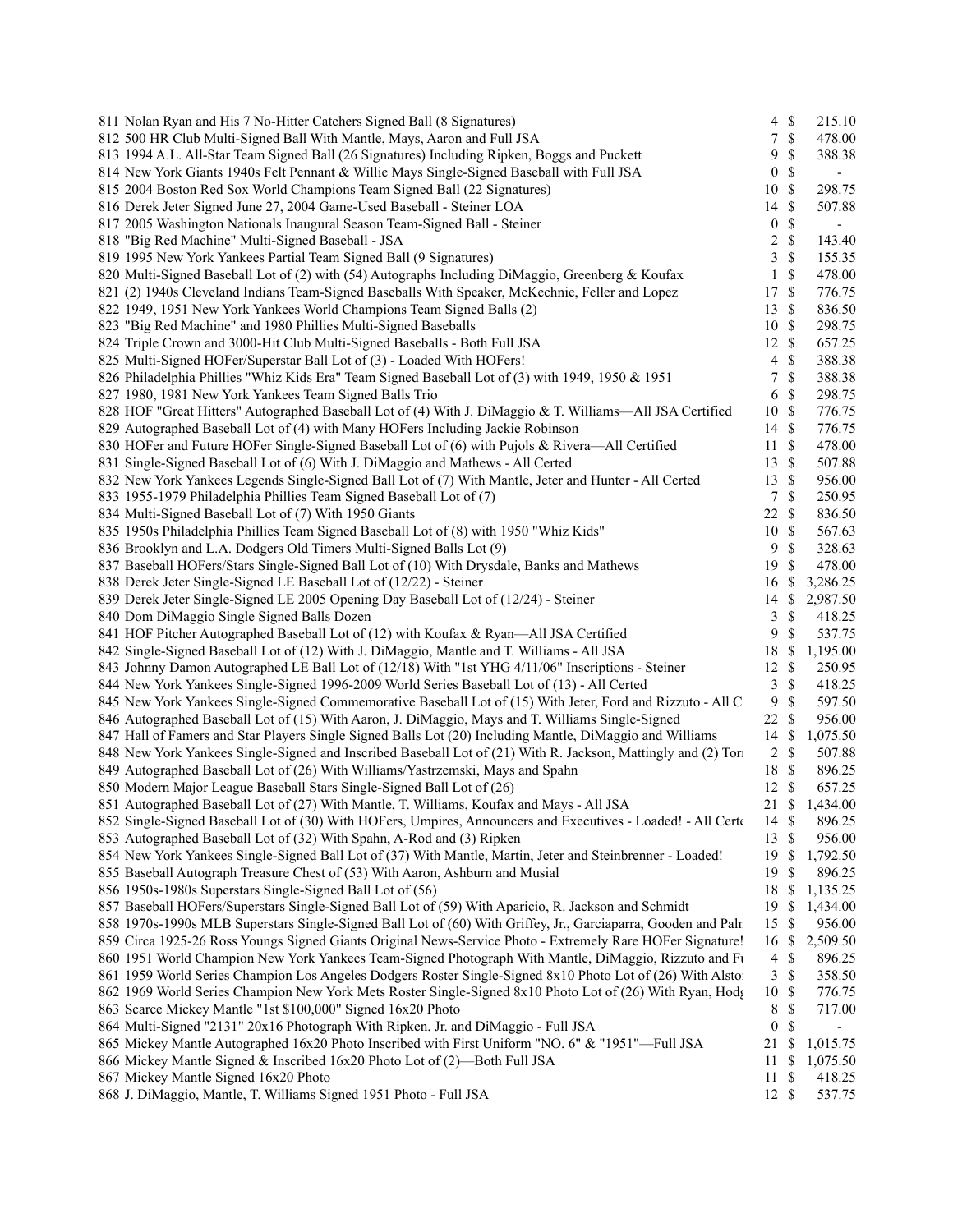| 811 Nolan Ryan and His 7 No-Hitter Catchers Signed Ball (8 Signatures)                                        | $4 \text{ }$ \$  |               | 215.10                   |  |
|---------------------------------------------------------------------------------------------------------------|------------------|---------------|--------------------------|--|
| 812 500 HR Club Multi-Signed Ball With Mantle, Mays, Aaron and Full JSA                                       | $\tau$           | $\mathbb{S}$  | 478.00                   |  |
| 813 1994 A.L. All-Star Team Signed Ball (26 Signatures) Including Ripken, Boggs and Puckett                   | 9                | $\$$          | 388.38                   |  |
| 814 New York Giants 1940s Felt Pennant & Willie Mays Single-Signed Baseball with Full JSA                     | $\boldsymbol{0}$ | $\mathbb{S}$  | $\overline{\phantom{a}}$ |  |
| 815 2004 Boston Red Sox World Champions Team Signed Ball (22 Signatures)                                      | 10               | $\mathcal{S}$ | 298.75                   |  |
| 816 Derek Jeter Signed June 27, 2004 Game-Used Baseball - Steiner LOA                                         | 14 \$            |               | 507.88                   |  |
| 817 2005 Washington Nationals Inaugural Season Team-Signed Ball - Steiner                                     | $\boldsymbol{0}$ | $\mathbb{S}$  | $\blacksquare$           |  |
| 818 "Big Red Machine" Multi-Signed Baseball - JSA                                                             | $\sqrt{2}$       | $\mathcal{S}$ | 143.40                   |  |
| 819 1995 New York Yankees Partial Team Signed Ball (9 Signatures)                                             | 3                | $\mathcal{S}$ | 155.35                   |  |
| 820 Multi-Signed Baseball Lot of (2) with (54) Autographs Including DiMaggio, Greenberg & Koufax              | $\mathbf{1}$     | $\mathcal{S}$ | 478.00                   |  |
| 821 (2) 1940s Cleveland Indians Team-Signed Baseballs With Speaker, McKechnie, Feller and Lopez               | 17 \$            |               | 776.75                   |  |
| 822 1949, 1951 New York Yankees World Champions Team Signed Balls (2)                                         | $13 \text{ }$ \$ |               | 836.50                   |  |
| 823 "Big Red Machine" and 1980 Phillies Multi-Signed Baseballs                                                | 10 \$            |               |                          |  |
|                                                                                                               |                  |               | 298.75                   |  |
| 824 Triple Crown and 3000-Hit Club Multi-Signed Baseballs - Both Full JSA                                     | $12 \text{ }$ \$ |               | 657.25                   |  |
| 825 Multi-Signed HOFer/Superstar Ball Lot of (3) - Loaded With HOFers!                                        | $\overline{4}$   | $\mathcal{S}$ | 388.38                   |  |
| 826 Philadelphia Phillies "Whiz Kids Era" Team Signed Baseball Lot of (3) with 1949, 1950 & 1951              | 7                | $\mathbb{S}$  | 388.38                   |  |
| 827 1980, 1981 New York Yankees Team Signed Balls Trio                                                        | 6                | $\mathbb S$   | 298.75                   |  |
| 828 HOF "Great Hitters" Autographed Baseball Lot of (4) With J. DiMaggio & T. Williams—All JSA Certified      | 10S              |               | 776.75                   |  |
| 829 Autographed Baseball Lot of (4) with Many HOFers Including Jackie Robinson                                | $14 \text{ }$ \$ |               | 776.75                   |  |
| 830 HOFer and Future HOFer Single-Signed Baseball Lot of (6) with Pujols & Rivera—All Certified               | $11 \text{ }$ \$ |               | 478.00                   |  |
| 831 Single-Signed Baseball Lot of (6) With J. DiMaggio and Mathews - All Certed                               | 13 \$            |               | 507.88                   |  |
| 832 New York Yankees Legends Single-Signed Ball Lot of (7) With Mantle, Jeter and Hunter - All Certed         | $13 \text{ }$ \$ |               | 956.00                   |  |
| 833 1955-1979 Philadelphia Phillies Team Signed Baseball Lot of (7)                                           | $7\phantom{.0}$  | $\mathcal{S}$ | 250.95                   |  |
| 834 Multi-Signed Baseball Lot of (7) With 1950 Giants                                                         | 22 \$            |               | 836.50                   |  |
| 835 1950s Philadelphia Phillies Team Signed Baseball Lot of (8) with 1950 "Whiz Kids"                         | 10               | $\mathcal{S}$ | 567.63                   |  |
| 836 Brooklyn and L.A. Dodgers Old Timers Multi-Signed Balls Lot (9)                                           | 9                | $\mathbb S$   | 328.63                   |  |
| 837 Baseball HOFers/Stars Single-Signed Ball Lot of (10) With Drysdale, Banks and Mathews                     | 19               | $\mathbb{S}$  | 478.00                   |  |
| 838 Derek Jeter Single-Signed LE Baseball Lot of (12/22) - Steiner                                            | 16               | $\mathbb{S}$  | 3,286.25                 |  |
|                                                                                                               |                  |               |                          |  |
| 839 Derek Jeter Single-Signed LE 2005 Opening Day Baseball Lot of (12/24) - Steiner                           |                  |               | 14 \$ 2,987.50           |  |
| 840 Dom DiMaggio Single Signed Balls Dozen                                                                    | 3                | $\mathbb{S}$  | 418.25                   |  |
| 841 HOF Pitcher Autographed Baseball Lot of (12) with Koufax & Ryan-All JSA Certified                         | 9                | \$            | 537.75                   |  |
| 842 Single-Signed Baseball Lot of (12) With J. DiMaggio, Mantle and T. Williams - All JSA                     | 18 \$            |               | 1,195.00                 |  |
| 843 Johnny Damon Autographed LE Ball Lot of (12/18) With "1st YHG 4/11/06" Inscriptions - Steiner             | $12 \text{ }$ \$ |               | 250.95                   |  |
| 844 New York Yankees Single-Signed 1996-2009 World Series Baseball Lot of (13) - All Certed                   | 3                | $\mathcal{S}$ | 418.25                   |  |
| 845 New York Yankees Single-Signed Commemorative Baseball Lot of (15) With Jeter, Ford and Rizzuto - All C    | 9                | $\mathcal{S}$ | 597.50                   |  |
| 846 Autographed Baseball Lot of (15) With Aaron, J. DiMaggio, Mays and T. Williams Single-Signed              | $22 \text{ }$    |               | 956.00                   |  |
| 847 Hall of Famers and Star Players Single Signed Balls Lot (20) Including Mantle, DiMaggio and Williams      | 14 \$            |               | 1,075.50                 |  |
| 848 New York Yankees Single-Signed and Inscribed Baseball Lot of (21) With R. Jackson, Mattingly and (2) Tori | $2 \sqrt{s}$     |               | 507.88                   |  |
| 849 Autographed Baseball Lot of (26) With Williams/Yastrzemski, Mays and Spahn                                | 18 \$            |               | 896.25                   |  |
| 850 Modern Major League Baseball Stars Single-Signed Ball Lot of (26)                                         | 12 \$            |               | 657.25                   |  |
| 851 Autographed Baseball Lot of (27) With Mantle, T. Williams, Koufax and Mays - All JSA                      |                  |               | 21 \$ 1,434.00           |  |
| 852 Single-Signed Baseball Lot of (30) With HOFers, Umpires, Announcers and Executives - Loaded! - All Certa  | 14 \$            |               | 896.25                   |  |
| 853 Autographed Baseball Lot of (32) With Spahn, A-Rod and (3) Ripken                                         | 13               | <sup>\$</sup> | 956.00                   |  |
| 854 New York Yankees Single-Signed Ball Lot of (37) With Mantle, Martin, Jeter and Steinbrenner - Loaded!     | 19               | \$            | 1,792.50                 |  |
| 855 Baseball Autograph Treasure Chest of (53) With Aaron, Ashburn and Musial                                  | 19               | \$            | 896.25                   |  |
| 856 1950s-1980s Superstars Single-Signed Ball Lot of (56)                                                     | 18               | $\mathbb S$   | 1,135.25                 |  |
| 857 Baseball HOFers/Superstars Single-Signed Ball Lot of (59) With Aparicio, R. Jackson and Schmidt           | 19               | $\mathbb{S}$  | 1,434.00                 |  |
|                                                                                                               |                  | $\mathbb{S}$  |                          |  |
| 858 1970s-1990s MLB Superstars Single-Signed Ball Lot of (60) With Griffey, Jr., Garciaparra, Gooden and Palr | 15               |               | 956.00                   |  |
| 859 Circa 1925-26 Ross Youngs Signed Giants Original News-Service Photo - Extremely Rare HOFer Signature!     | 16S              |               | 2,509.50                 |  |
| 860 1951 World Champion New York Yankees Team-Signed Photograph With Mantle, DiMaggio, Rizzuto and Fu         | $4 \text{ }$ \$  |               | 896.25                   |  |
| 861 1959 World Series Champion Los Angeles Dodgers Roster Single-Signed 8x10 Photo Lot of (26) With Alsto     | 3                | $\mathbb{S}$  | 358.50                   |  |
| 862 1969 World Series Champion New York Mets Roster Single-Signed 8x10 Photo Lot of (26) With Ryan, Hodg      | 10               | \$            | 776.75                   |  |
| 863 Scarce Mickey Mantle "1st \$100,000" Signed 16x20 Photo                                                   | 8                | $\mathbb{S}$  | 717.00                   |  |
| 864 Multi-Signed "2131" 20x16 Photograph With Ripken. Jr. and DiMaggio - Full JSA                             | $\boldsymbol{0}$ | \$            | $\overline{\phantom{a}}$ |  |
| 865 Mickey Mantle Autographed 16x20 Photo Inscribed with First Uniform "NO. 6" & "1951"-Full JSA              | 21               | \$            | 1,015.75                 |  |
| 866 Mickey Mantle Signed & Inscribed 16x20 Photo Lot of (2)-Both Full JSA                                     | 11               | $\mathbb{S}$  | 1,075.50                 |  |
| 867 Mickey Mantle Signed 16x20 Photo                                                                          | 11               | $\mathbb{S}$  | 418.25                   |  |
| 868 J. DiMaggio, Mantle, T. Williams Signed 1951 Photo - Full JSA                                             | 12 \$            |               | 537.75                   |  |
|                                                                                                               |                  |               |                          |  |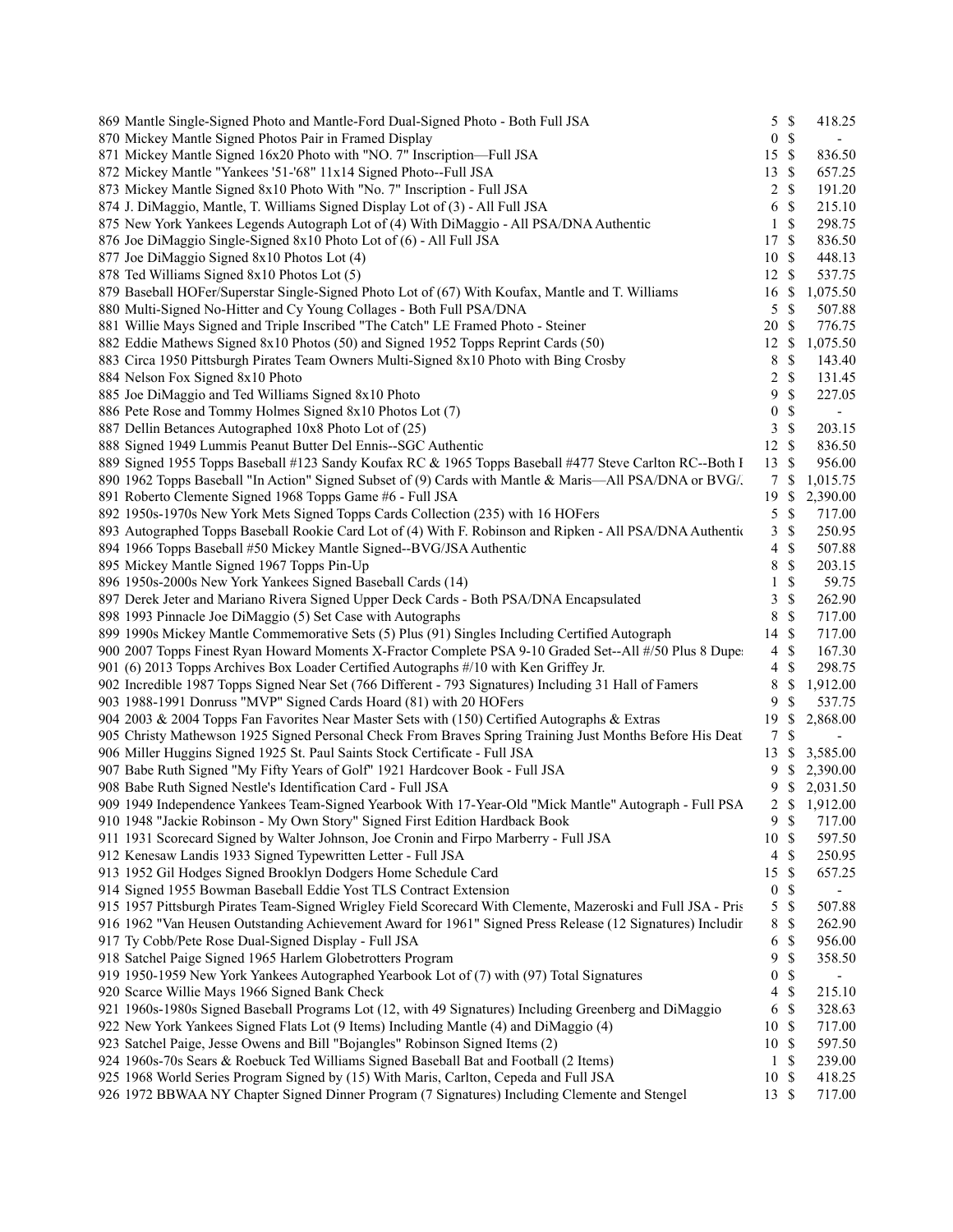| 869 Mantle Single-Signed Photo and Mantle-Ford Dual-Signed Photo - Both Full JSA                             |                  | 5S                 | 418.25                   |  |
|--------------------------------------------------------------------------------------------------------------|------------------|--------------------|--------------------------|--|
| 870 Mickey Mantle Signed Photos Pair in Framed Display                                                       | $\overline{0}$   | $\mathbb{S}$       | $\overline{\phantom{a}}$ |  |
| 871 Mickey Mantle Signed 16x20 Photo with "NO. 7" Inscription-Full JSA                                       | 15S              |                    | 836.50                   |  |
| 872 Mickey Mantle "Yankees '51-'68" 11x14 Signed Photo--Full JSA                                             | 13S              |                    | 657.25                   |  |
| 873 Mickey Mantle Signed 8x10 Photo With "No. 7" Inscription - Full JSA                                      |                  | $2 \sqrt{s}$       | 191.20                   |  |
| 874 J. DiMaggio, Mantle, T. Williams Signed Display Lot of (3) - All Full JSA                                |                  | 6 <sup>°</sup>     | 215.10                   |  |
| 875 New York Yankees Legends Autograph Lot of (4) With DiMaggio - All PSA/DNA Authentic                      |                  | $1 \text{ }$ \$    | 298.75                   |  |
| 876 Joe DiMaggio Single-Signed 8x10 Photo Lot of (6) - All Full JSA                                          | 17 \$            |                    | 836.50                   |  |
| 877 Joe DiMaggio Signed 8x10 Photos Lot (4)                                                                  | 10 \$            |                    | 448.13                   |  |
| 878 Ted Williams Signed 8x10 Photos Lot (5)                                                                  | 12S              |                    | 537.75                   |  |
| 879 Baseball HOFer/Superstar Single-Signed Photo Lot of (67) With Koufax, Mantle and T. Williams             | 16S              |                    | 1,075.50                 |  |
| 880 Multi-Signed No-Hitter and Cy Young Collages - Both Full PSA/DNA                                         |                  | 5S                 | 507.88                   |  |
| 881 Willie Mays Signed and Triple Inscribed "The Catch" LE Framed Photo - Steiner                            | 20 \$            |                    | 776.75                   |  |
| 882 Eddie Mathews Signed 8x10 Photos (50) and Signed 1952 Topps Reprint Cards (50)                           | 12S              |                    | 1,075.50                 |  |
| 883 Circa 1950 Pittsburgh Pirates Team Owners Multi-Signed 8x10 Photo with Bing Crosby                       | 8                | $\mathbb{S}$       | 143.40                   |  |
| 884 Nelson Fox Signed 8x10 Photo                                                                             |                  | $2 \sqrt{s}$       | 131.45                   |  |
| 885 Joe DiMaggio and Ted Williams Signed 8x10 Photo                                                          | 9                | $\mathcal{S}$      | 227.05                   |  |
| 886 Pete Rose and Tommy Holmes Signed 8x10 Photos Lot (7)                                                    |                  | 0 S                | $\overline{\phantom{a}}$ |  |
| 887 Dellin Betances Autographed 10x8 Photo Lot of (25)                                                       |                  | 3S                 | 203.15                   |  |
| 888 Signed 1949 Lummis Peanut Butter Del Ennis--SGC Authentic                                                | 12S              |                    | 836.50                   |  |
| 889 Signed 1955 Topps Baseball #123 Sandy Koufax RC & 1965 Topps Baseball #477 Steve Carlton RC--Both I      | 13S              |                    | 956.00                   |  |
| 890 1962 Topps Baseball "In Action" Signed Subset of (9) Cards with Mantle & Maris—All PSA/DNA or BVG/.      |                  | 7 S                | 1,015.75                 |  |
| 891 Roberto Clemente Signed 1968 Topps Game #6 - Full JSA                                                    | 19S              |                    | 2,390.00                 |  |
| 892 1950s-1970s New York Mets Signed Topps Cards Collection (235) with 16 HOFers                             |                  | 5S                 | 717.00                   |  |
| 893 Autographed Topps Baseball Rookie Card Lot of (4) With F. Robinson and Ripken - All PSA/DNA Authentic    |                  | 3S                 | 250.95                   |  |
| 894 1966 Topps Baseball #50 Mickey Mantle Signed--BVG/JSA Authentic                                          |                  | $\mathbf{\hat{s}}$ |                          |  |
|                                                                                                              | 4<br>8           | $\mathbb{S}$       | 507.88                   |  |
| 895 Mickey Mantle Signed 1967 Topps Pin-Up                                                                   |                  | $\mathbb{S}$       | 203.15                   |  |
| 896 1950s-2000s New York Yankees Signed Baseball Cards (14)                                                  | $\mathbf{1}$     |                    | 59.75                    |  |
| 897 Derek Jeter and Mariano Rivera Signed Upper Deck Cards - Both PSA/DNA Encapsulated                       | 3                | $\mathbb{S}$       | 262.90                   |  |
| 898 1993 Pinnacle Joe DiMaggio (5) Set Case with Autographs                                                  | 8                | $\mathbb{S}$       | 717.00                   |  |
| 899 1990s Mickey Mantle Commemorative Sets (5) Plus (91) Singles Including Certified Autograph               | $14 \text{ }$ \$ |                    | 717.00                   |  |
| 900 2007 Topps Finest Ryan Howard Moments X-Fractor Complete PSA 9-10 Graded Set--All #/50 Plus 8 Dupe:      |                  | $4 \text{ } $$     | 167.30                   |  |
| 901 (6) 2013 Topps Archives Box Loader Certified Autographs #/10 with Ken Griffey Jr.                        |                  | $4 \text{ }$       | 298.75                   |  |
| 902 Incredible 1987 Topps Signed Near Set (766 Different - 793 Signatures) Including 31 Hall of Famers       | 8                | - \$               | 1,912.00                 |  |
| 903 1988-1991 Donruss "MVP" Signed Cards Hoard (81) with 20 HOFers                                           | 9.               | $\mathcal{S}$      | 537.75                   |  |
| 904 2003 & 2004 Topps Fan Favorites Near Master Sets with (150) Certified Autographs & Extras                | 19S              |                    | 2,868.00                 |  |
| 905 Christy Mathewson 1925 Signed Personal Check From Braves Spring Training Just Months Before His Deat     | 7S               |                    | $\overline{\phantom{a}}$ |  |
| 906 Miller Huggins Signed 1925 St. Paul Saints Stock Certificate - Full JSA                                  |                  |                    | 13 \$ 3,585.00           |  |
| 907 Babe Ruth Signed "My Fifty Years of Golf" 1921 Hardcover Book - Full JSA                                 | 9                |                    | \$2,390.00               |  |
| 908 Babe Ruth Signed Nestle's Identification Card - Full JSA                                                 | 9.               |                    | \$2,031.50               |  |
| 909 1949 Independence Yankees Team-Signed Yearbook With 17-Year-Old "Mick Mantle" Autograph - Full PSA       |                  |                    | 2 \$ 1,912.00            |  |
| 910 1948 "Jackie Robinson - My Own Story" Signed First Edition Hardback Book                                 |                  | 9S                 | 717.00                   |  |
| 911 1931 Scorecard Signed by Walter Johnson, Joe Cronin and Firpo Marberry - Full JSA                        | 10S              |                    | 597.50                   |  |
| 912 Kenesaw Landis 1933 Signed Typewritten Letter - Full JSA                                                 |                  | 4 \$               | 250.95                   |  |
| 913 1952 Gil Hodges Signed Brooklyn Dodgers Home Schedule Card                                               | 15 \$            |                    | 657.25                   |  |
| 914 Signed 1955 Bowman Baseball Eddie Yost TLS Contract Extension                                            | $\boldsymbol{0}$ | $\mathbb{S}$       |                          |  |
| 915 1957 Pittsburgh Pirates Team-Signed Wrigley Field Scorecard With Clemente, Mazeroski and Full JSA - Pris |                  | 5S                 | 507.88                   |  |
| 916 1962 "Van Heusen Outstanding Achievement Award for 1961" Signed Press Release (12 Signatures) Includir   | 8                | $\mathbb{S}$       | 262.90                   |  |
| 917 Ty Cobb/Pete Rose Dual-Signed Display - Full JSA                                                         | 6                | -S                 | 956.00                   |  |
| 918 Satchel Paige Signed 1965 Harlem Globetrotters Program                                                   | 9                | \$                 | 358.50                   |  |
| 919 1950-1959 New York Yankees Autographed Yearbook Lot of (7) with (97) Total Signatures                    | 0                | $\mathbb{S}$       |                          |  |
| 920 Scarce Willie Mays 1966 Signed Bank Check                                                                |                  | 4S                 | 215.10                   |  |
| 921 1960s-1980s Signed Baseball Programs Lot (12, with 49 Signatures) Including Greenberg and DiMaggio       |                  | 6S                 | 328.63                   |  |
| 922 New York Yankees Signed Flats Lot (9 Items) Including Mantle (4) and DiMaggio (4)                        | 10S              |                    | 717.00                   |  |
| 923 Satchel Paige, Jesse Owens and Bill "Bojangles" Robinson Signed Items (2)                                | 10S              |                    | 597.50                   |  |
| 924 1960s-70s Sears & Roebuck Ted Williams Signed Baseball Bat and Football (2 Items)                        |                  | $1 \text{ }$       | 239.00                   |  |
| 925 1968 World Series Program Signed by (15) With Maris, Carlton, Cepeda and Full JSA                        | 10S              |                    | 418.25                   |  |
| 926 1972 BBWAA NY Chapter Signed Dinner Program (7 Signatures) Including Clemente and Stengel                | 13 \$            |                    | 717.00                   |  |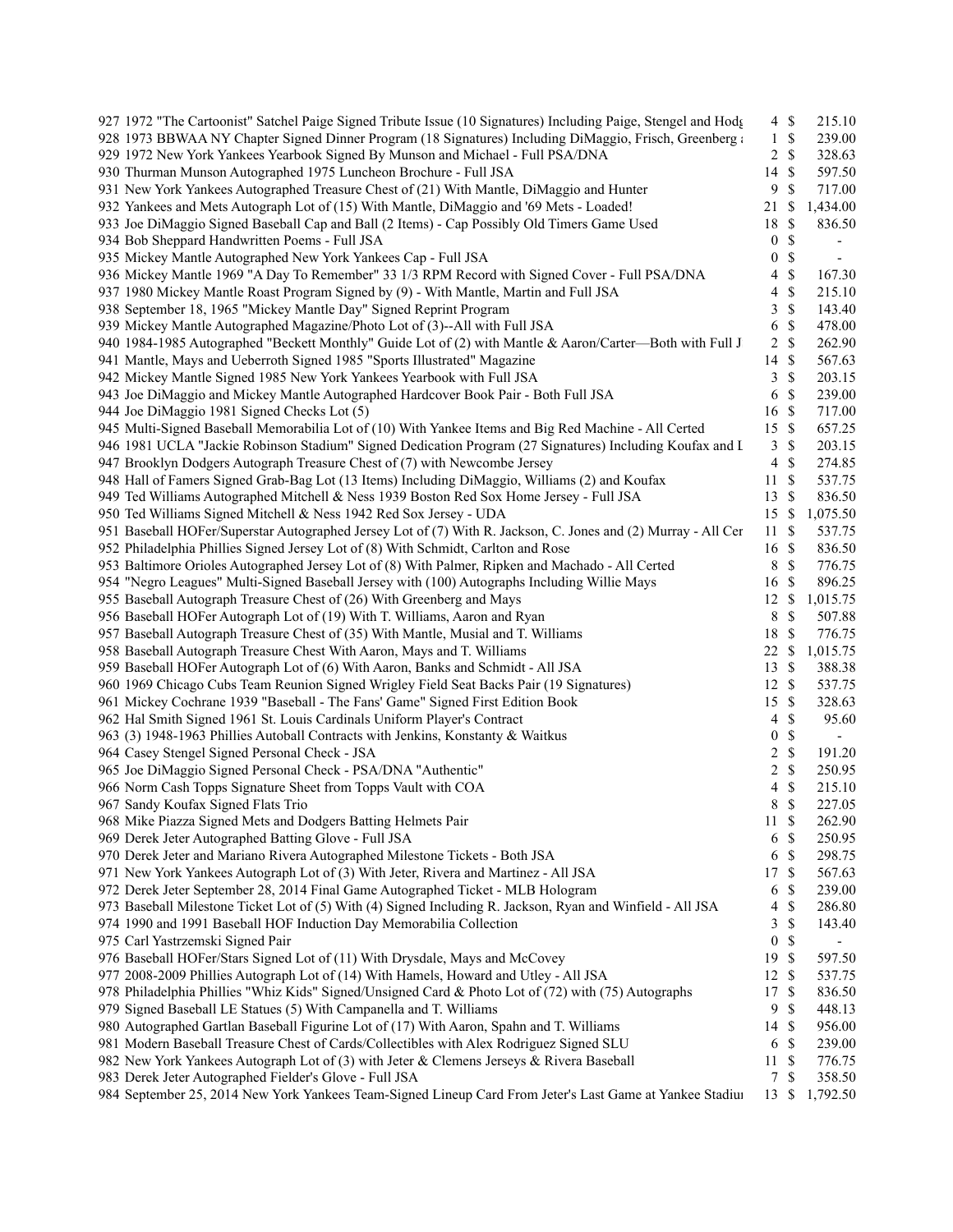| 927 1972 "The Cartoonist" Satchel Paige Signed Tribute Issue (10 Signatures) Including Paige, Stengel and Hodg |                  | $4 \text{ }$ \$ | 215.10                   |
|----------------------------------------------------------------------------------------------------------------|------------------|-----------------|--------------------------|
| 928 1973 BBWAA NY Chapter Signed Dinner Program (18 Signatures) Including DiMaggio, Frisch, Greenberg and      | $\mathbf{1}$     | \$              | 239.00                   |
| 929 1972 New York Yankees Yearbook Signed By Munson and Michael - Full PSA/DNA                                 | 2                | $\mathbb{S}$    | 328.63                   |
| 930 Thurman Munson Autographed 1975 Luncheon Brochure - Full JSA                                               | 14               | \$              | 597.50                   |
| 931 New York Yankees Autographed Treasure Chest of (21) With Mantle, DiMaggio and Hunter                       | 9                | \$              | 717.00                   |
| 932 Yankees and Mets Autograph Lot of (15) With Mantle, DiMaggio and '69 Mets - Loaded!                        | 21               | $\mathbb{S}$    | 1,434.00                 |
| 933 Joe DiMaggio Signed Baseball Cap and Ball (2 Items) - Cap Possibly Old Timers Game Used                    | 18               | \$              | 836.50                   |
| 934 Bob Sheppard Handwritten Poems - Full JSA                                                                  | $\boldsymbol{0}$ | $\mathbb{S}$    | $\overline{\phantom{a}}$ |
| 935 Mickey Mantle Autographed New York Yankees Cap - Full JSA                                                  | $\boldsymbol{0}$ | $\mathbb S$     | $\overline{\phantom{a}}$ |
| 936 Mickey Mantle 1969 "A Day To Remember" 33 1/3 RPM Record with Signed Cover - Full PSA/DNA                  | 4                | $\mathbb S$     | 167.30                   |
| 937 1980 Mickey Mantle Roast Program Signed by (9) - With Mantle, Martin and Full JSA                          | 4                | $\mathbb{S}$    | 215.10                   |
| 938 September 18, 1965 "Mickey Mantle Day" Signed Reprint Program                                              | 3                | \$              | 143.40                   |
| 939 Mickey Mantle Autographed Magazine/Photo Lot of (3)--All with Full JSA                                     | 6                | \$              | 478.00                   |
| 940 1984-1985 Autographed "Beckett Monthly" Guide Lot of (2) with Mantle & Aaron/Carter—Both with Full J       | 2                | \$              | 262.90                   |
| 941 Mantle, Mays and Ueberroth Signed 1985 "Sports Illustrated" Magazine                                       | 14               | \$              | 567.63                   |
| 942 Mickey Mantle Signed 1985 New York Yankees Yearbook with Full JSA                                          | 3                | \$              | 203.15                   |
| 943 Joe DiMaggio and Mickey Mantle Autographed Hardcover Book Pair - Both Full JSA                             | $\sqrt{6}$       | \$              | 239.00                   |
| 944 Joe DiMaggio 1981 Signed Checks Lot (5)                                                                    | 16               | \$              | 717.00                   |
| 945 Multi-Signed Baseball Memorabilia Lot of (10) With Yankee Items and Big Red Machine - All Certed           | 15               | \$              | 657.25                   |
|                                                                                                                |                  |                 |                          |
| 946 1981 UCLA "Jackie Robinson Stadium" Signed Dedication Program (27 Signatures) Including Koufax and I       | 3                | \$              | 203.15                   |
| 947 Brooklyn Dodgers Autograph Treasure Chest of (7) with Newcombe Jersey                                      | 4                | \$              | 274.85                   |
| 948 Hall of Famers Signed Grab-Bag Lot (13 Items) Including DiMaggio, Williams (2) and Koufax                  | 11               | $\mathbb{S}$    | 537.75                   |
| 949 Ted Williams Autographed Mitchell & Ness 1939 Boston Red Sox Home Jersey - Full JSA                        | 13               | $\mathbb{S}$    | 836.50                   |
| 950 Ted Williams Signed Mitchell & Ness 1942 Red Sox Jersey - UDA                                              | 15S              |                 | 1,075.50                 |
| 951 Baseball HOFer/Superstar Autographed Jersey Lot of (7) With R. Jackson, C. Jones and (2) Murray - All Cer  | 11               | \$              | 537.75                   |
| 952 Philadelphia Phillies Signed Jersey Lot of (8) With Schmidt, Carlton and Rose                              | 16               | $\mathbb{S}$    | 836.50                   |
| 953 Baltimore Orioles Autographed Jersey Lot of (8) With Palmer, Ripken and Machado - All Certed               | 8                | \$              | 776.75                   |
| 954 "Negro Leagues" Multi-Signed Baseball Jersey with (100) Autographs Including Willie Mays                   | 16               | $\mathbb{S}$    | 896.25                   |
| 955 Baseball Autograph Treasure Chest of (26) With Greenberg and Mays                                          | 12               | \$              | 1,015.75                 |
| 956 Baseball HOFer Autograph Lot of (19) With T. Williams, Aaron and Ryan                                      | 8                | $\mathbb{S}$    | 507.88                   |
| 957 Baseball Autograph Treasure Chest of (35) With Mantle, Musial and T. Williams                              | 18               | \$              | 776.75                   |
| 958 Baseball Autograph Treasure Chest With Aaron, Mays and T. Williams                                         | 22               | \$              | 1,015.75                 |
| 959 Baseball HOFer Autograph Lot of (6) With Aaron, Banks and Schmidt - All JSA                                | 13               | S               | 388.38                   |
| 960 1969 Chicago Cubs Team Reunion Signed Wrigley Field Seat Backs Pair (19 Signatures)                        | 12               | $\mathbb{S}$    | 537.75                   |
| 961 Mickey Cochrane 1939 "Baseball - The Fans' Game" Signed First Edition Book                                 | 15               | $\mathbb{S}$    | 328.63                   |
| 962 Hal Smith Signed 1961 St. Louis Cardinals Uniform Player's Contract                                        | 4                | $\mathbb{S}$    | 95.60                    |
| 963 (3) 1948-1963 Phillies Autoball Contracts with Jenkins, Konstanty & Waitkus                                | $\boldsymbol{0}$ | \$              | $\overline{\phantom{a}}$ |
| 964 Casey Stengel Signed Personal Check - JSA                                                                  | 2                | $\mathbb S$     | 191.20                   |
| 965 Joe DiMaggio Signed Personal Check - PSA/DNA "Authentic"                                                   | 2                | $\mathbb{S}$    | 250.95                   |
| 966 Norm Cash Topps Signature Sheet from Topps Vault with COA                                                  | 4                | $\mathbb{S}$    | 215.10                   |
| 967 Sandy Koufax Signed Flats Trio                                                                             | 8                | \$              | 227.05                   |
| 968 Mike Piazza Signed Mets and Dodgers Batting Helmets Pair                                                   | $11 \text{ }$ \$ |                 | 262.90                   |
| 969 Derek Jeter Autographed Batting Glove - Full JSA                                                           | 6                | $\mathbb{S}$    | 250.95                   |
| 970 Derek Jeter and Mariano Rivera Autographed Milestone Tickets - Both JSA                                    | 6                | \$              | 298.75                   |
| 971 New York Yankees Autograph Lot of (3) With Jeter, Rivera and Martinez - All JSA                            | 17               | $\mathcal{S}$   | 567.63                   |
| 972 Derek Jeter September 28, 2014 Final Game Autographed Ticket - MLB Hologram                                | 6                | \$              | 239.00                   |
| 973 Baseball Milestone Ticket Lot of (5) With (4) Signed Including R. Jackson, Ryan and Winfield - All JSA     | 4                | \$              | 286.80                   |
| 974 1990 and 1991 Baseball HOF Induction Day Memorabilia Collection                                            | 3                | \$              | 143.40                   |
| 975 Carl Yastrzemski Signed Pair                                                                               | $\boldsymbol{0}$ | \$              |                          |
| 976 Baseball HOFer/Stars Signed Lot of (11) With Drysdale, Mays and McCovey                                    | 19               | \$              | 597.50                   |
| 977 2008-2009 Phillies Autograph Lot of (14) With Hamels, Howard and Utley - All JSA                           | 12               | \$              | 537.75                   |
| 978 Philadelphia Phillies "Whiz Kids" Signed/Unsigned Card & Photo Lot of (72) with (75) Autographs            | 17               | \$              | 836.50                   |
| 979 Signed Baseball LE Statues (5) With Campanella and T. Williams                                             | 9                | \$              | 448.13                   |
| 980 Autographed Gartlan Baseball Figurine Lot of (17) With Aaron, Spahn and T. Williams                        | 14               | \$              | 956.00                   |
| 981 Modern Baseball Treasure Chest of Cards/Collectibles with Alex Rodriguez Signed SLU                        | 6                | \$              | 239.00                   |
| 982 New York Yankees Autograph Lot of (3) with Jeter & Clemens Jerseys & Rivera Baseball                       | 11               | \$              | 776.75                   |
| 983 Derek Jeter Autographed Fielder's Glove - Full JSA                                                         | 7                | \$              | 358.50                   |
| 984 September 25, 2014 New York Yankees Team-Signed Lineup Card From Jeter's Last Game at Yankee Stadiui       | 13S              |                 | 1,792.50                 |
|                                                                                                                |                  |                 |                          |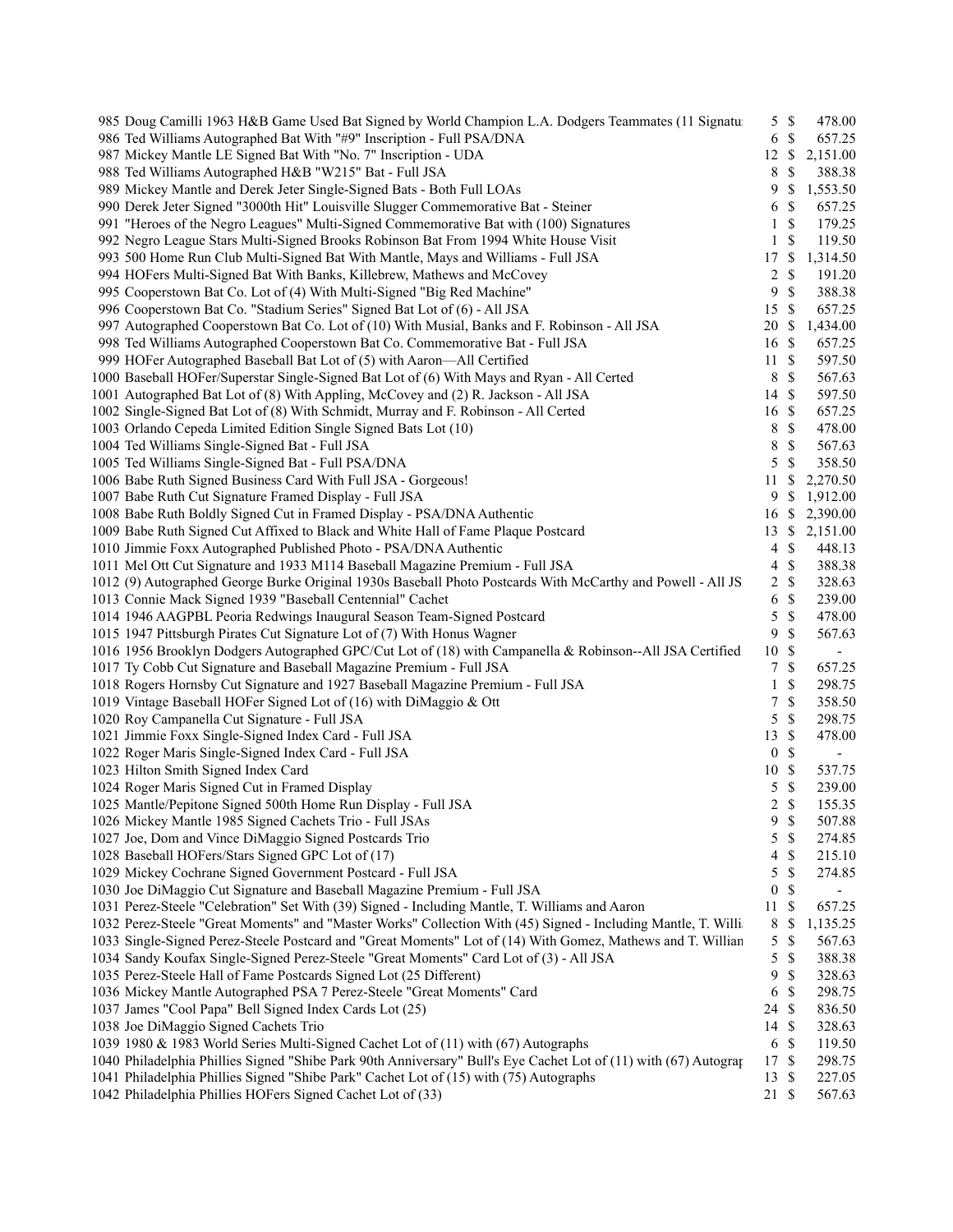| 985 Doug Camilli 1963 H&B Game Used Bat Signed by World Champion L.A. Dodgers Teammates (11 Signatur                                                                           |                  | 5S                        | 478.00                   |  |
|--------------------------------------------------------------------------------------------------------------------------------------------------------------------------------|------------------|---------------------------|--------------------------|--|
| 986 Ted Williams Autographed Bat With "#9" Inscription - Full PSA/DNA                                                                                                          | 6 \$             |                           | 657.25                   |  |
| 987 Mickey Mantle LE Signed Bat With "No. 7" Inscription - UDA                                                                                                                 |                  |                           | 12 \$ 2,151.00           |  |
| 988 Ted Williams Autographed H&B "W215" Bat - Full JSA                                                                                                                         | 8                | - \$                      | 388.38                   |  |
| 989 Mickey Mantle and Derek Jeter Single-Signed Bats - Both Full LOAs                                                                                                          |                  |                           | 9 \$ 1,553.50            |  |
| 990 Derek Jeter Signed "3000th Hit" Louisville Slugger Commemorative Bat - Steiner                                                                                             | 6 <sup>°</sup>   |                           | 657.25                   |  |
| 991 "Heroes of the Negro Leagues" Multi-Signed Commemorative Bat with (100) Signatures                                                                                         | 1 \$             |                           | 179.25                   |  |
| 992 Negro League Stars Multi-Signed Brooks Robinson Bat From 1994 White House Visit                                                                                            | 1 \$             |                           | 119.50                   |  |
| 993 500 Home Run Club Multi-Signed Bat With Mantle, Mays and Williams - Full JSA                                                                                               |                  |                           | 17 \$ 1,314.50           |  |
| 994 HOFers Multi-Signed Bat With Banks, Killebrew, Mathews and McCovey                                                                                                         | 2 \$             |                           | 191.20                   |  |
| 995 Cooperstown Bat Co. Lot of (4) With Multi-Signed "Big Red Machine"                                                                                                         | 9S               |                           | 388.38                   |  |
| 996 Cooperstown Bat Co. "Stadium Series" Signed Bat Lot of (6) - All JSA                                                                                                       | 15S              |                           | 657.25                   |  |
| 997 Autographed Cooperstown Bat Co. Lot of (10) With Musial, Banks and F. Robinson - All JSA                                                                                   | 20 \$            |                           | 1,434.00                 |  |
| 998 Ted Williams Autographed Cooperstown Bat Co. Commemorative Bat - Full JSA                                                                                                  | 16S              |                           | 657.25                   |  |
|                                                                                                                                                                                | 11S              |                           | 597.50                   |  |
| 1000 Baseball HOFer/Superstar Single-Signed Bat Lot of (6) With Mays and Ryan - All Certed<br>1001 Autographed Bat Lot of (8) With Appling, McCovev and (2) R. Jackson All ISA | 8 \$             |                           | 567.63                   |  |
|                                                                                                                                                                                | 14S              |                           | 597.50                   |  |
|                                                                                                                                                                                | $16 \text{ }$ \$ |                           |                          |  |
| 1002 Single-Signed Bat Lot of (8) With Schmidt, Murray and F. Robinson - All Certed                                                                                            | 8 \$             |                           | 657.25                   |  |
| 1003 Orlando Cepeda Limited Edition Single Signed Bats Lot (10)                                                                                                                |                  |                           | 478.00                   |  |
| 1004 Ted Williams Single-Signed Bat - Full JSA                                                                                                                                 | 8                | $\mathcal{S}$             | 567.63                   |  |
| 1005 Ted Williams Single-Signed Bat - Full PSA/DNA                                                                                                                             | 5                | - \$                      | 358.50                   |  |
| 1006 Babe Ruth Signed Business Card With Full JSA - Gorgeous!                                                                                                                  |                  |                           | 11 \$ 2,270.50           |  |
| 1007 Babe Ruth Cut Signature Framed Display - Full JSA                                                                                                                         |                  |                           | 9 \$ 1,912.00            |  |
| 1008 Babe Ruth Boldly Signed Cut in Framed Display - PSA/DNA Authentic                                                                                                         |                  |                           | 16 \$ 2,390.00           |  |
| 1009 Babe Ruth Signed Cut Affixed to Black and White Hall of Fame Plaque Postcard                                                                                              |                  |                           | 13 \$ 2,151.00           |  |
| 1010 Jimmie Foxx Autographed Published Photo - PSA/DNA Authentic                                                                                                               | $4 \text{ }$ \$  |                           | 448.13                   |  |
| 1011 Mel Ott Cut Signature and 1933 M114 Baseball Magazine Premium - Full JSA                                                                                                  |                  | $4 \text{ }$              | 388.38                   |  |
| 1012 (9) Autographed George Burke Original 1930s Baseball Photo Postcards With McCarthy and Powell - All JS.                                                                   | 2 S              |                           | 328.63                   |  |
| 1013 Connie Mack Signed 1939 "Baseball Centennial" Cachet                                                                                                                      |                  | 6 <sup>°</sup>            | 239.00                   |  |
| 1014 1946 AAGPBL Peoria Redwings Inaugural Season Team-Signed Postcard                                                                                                         |                  | 5S                        | 478.00                   |  |
| 1015 1947 Pittsburgh Pirates Cut Signature Lot of (7) With Honus Wagner                                                                                                        | 9S               |                           | 567.63                   |  |
| 1016 1956 Brooklyn Dodgers Autographed GPC/Cut Lot of (18) with Campanella & Robinson--All JSA Certified                                                                       | 10S              |                           | $\sim$ $-$               |  |
| 1017 Ty Cobb Cut Signature and Baseball Magazine Premium - Full JSA                                                                                                            | 7S               |                           | 657.25                   |  |
| 1018 Rogers Hornsby Cut Signature and 1927 Baseball Magazine Premium - Full JSA                                                                                                | $1 \text{ }$ \$  |                           | 298.75                   |  |
| 1019 Vintage Baseball HOFer Signed Lot of (16) with DiMaggio & Ott                                                                                                             |                  | 7S                        | 358.50                   |  |
| 1020 Roy Campanella Cut Signature - Full JSA                                                                                                                                   |                  | 5S                        | 298.75                   |  |
| 1021 Jimmie Foxx Single-Signed Index Card - Full JSA                                                                                                                           | 13S              |                           | 478.00                   |  |
| 1022 Roger Maris Single-Signed Index Card - Full JSA                                                                                                                           | 0 <sup>5</sup>   |                           | $\overline{\phantom{a}}$ |  |
| 1023 Hilton Smith Signed Index Card                                                                                                                                            | 10S              |                           | 537.75                   |  |
| 1024 Roger Maris Signed Cut in Framed Display                                                                                                                                  | 5                | $\mathcal{S}$             | 239.00                   |  |
| 1025 Mantle/Pepitone Signed 500th Home Run Display - Full JSA                                                                                                                  | 2S               |                           | 155.35                   |  |
| 1026 Mickey Mantle 1985 Signed Cachets Trio - Full JSAs                                                                                                                        | 9\$              |                           | 507.88                   |  |
| 1027 Joe, Dom and Vince DiMaggio Signed Postcards Trio                                                                                                                         | 5                | $\mathbb{S}$              | 274.85                   |  |
| 1028 Baseball HOFers/Stars Signed GPC Lot of (17)                                                                                                                              | 4                | \$                        | 215.10                   |  |
| 1029 Mickey Cochrane Signed Government Postcard - Full JSA                                                                                                                     | 5                | $\mathbb{S}$              | 274.85                   |  |
| 1030 Joe DiMaggio Cut Signature and Baseball Magazine Premium - Full JSA                                                                                                       | $\boldsymbol{0}$ | $\boldsymbol{\mathsf{S}}$ | $\overline{\phantom{a}}$ |  |
| 1031 Perez-Steele "Celebration" Set With (39) Signed - Including Mantle, T. Williams and Aaron                                                                                 | 11S              |                           | 657.25                   |  |
| 1032 Perez-Steele "Great Moments" and "Master Works" Collection With (45) Signed - Including Mantle, T. Willi                                                                  |                  | 8 \$                      | 1,135.25                 |  |
| 1033 Single-Signed Perez-Steele Postcard and "Great Moments" Lot of (14) With Gomez, Mathews and T. Willian                                                                    | $5 \text{ }$ \$  |                           | 567.63                   |  |
| 1034 Sandy Koufax Single-Signed Perez-Steele "Great Moments" Card Lot of (3) - All JSA                                                                                         | 5                | $\mathbb{S}$              | 388.38                   |  |
| 1035 Perez-Steele Hall of Fame Postcards Signed Lot (25 Different)                                                                                                             | 9                | $\mathbb{S}$              | 328.63                   |  |
| 1036 Mickey Mantle Autographed PSA 7 Perez-Steele "Great Moments" Card                                                                                                         | 6                | $\mathbf{\hat{s}}$        | 298.75                   |  |
|                                                                                                                                                                                | 24 \$            |                           |                          |  |
| 1037 James "Cool Papa" Bell Signed Index Cards Lot (25)                                                                                                                        |                  |                           | 836.50                   |  |
| 1038 Joe DiMaggio Signed Cachets Trio                                                                                                                                          | 14S              |                           | 328.63                   |  |
| 1039 1980 & 1983 World Series Multi-Signed Cachet Lot of (11) with (67) Autographs                                                                                             | 6 \$             |                           | 119.50                   |  |
| 1040 Philadelphia Phillies Signed "Shibe Park 90th Anniversary" Bull's Eye Cachet Lot of (11) with (67) Autograp                                                               | 17 \$            |                           | 298.75                   |  |
| 1041 Philadelphia Phillies Signed "Shibe Park" Cachet Lot of (15) with (75) Autographs                                                                                         | 13S              |                           | 227.05                   |  |
| 1042 Philadelphia Phillies HOFers Signed Cachet Lot of (33)                                                                                                                    | 21 \$            |                           | 567.63                   |  |
|                                                                                                                                                                                |                  |                           |                          |  |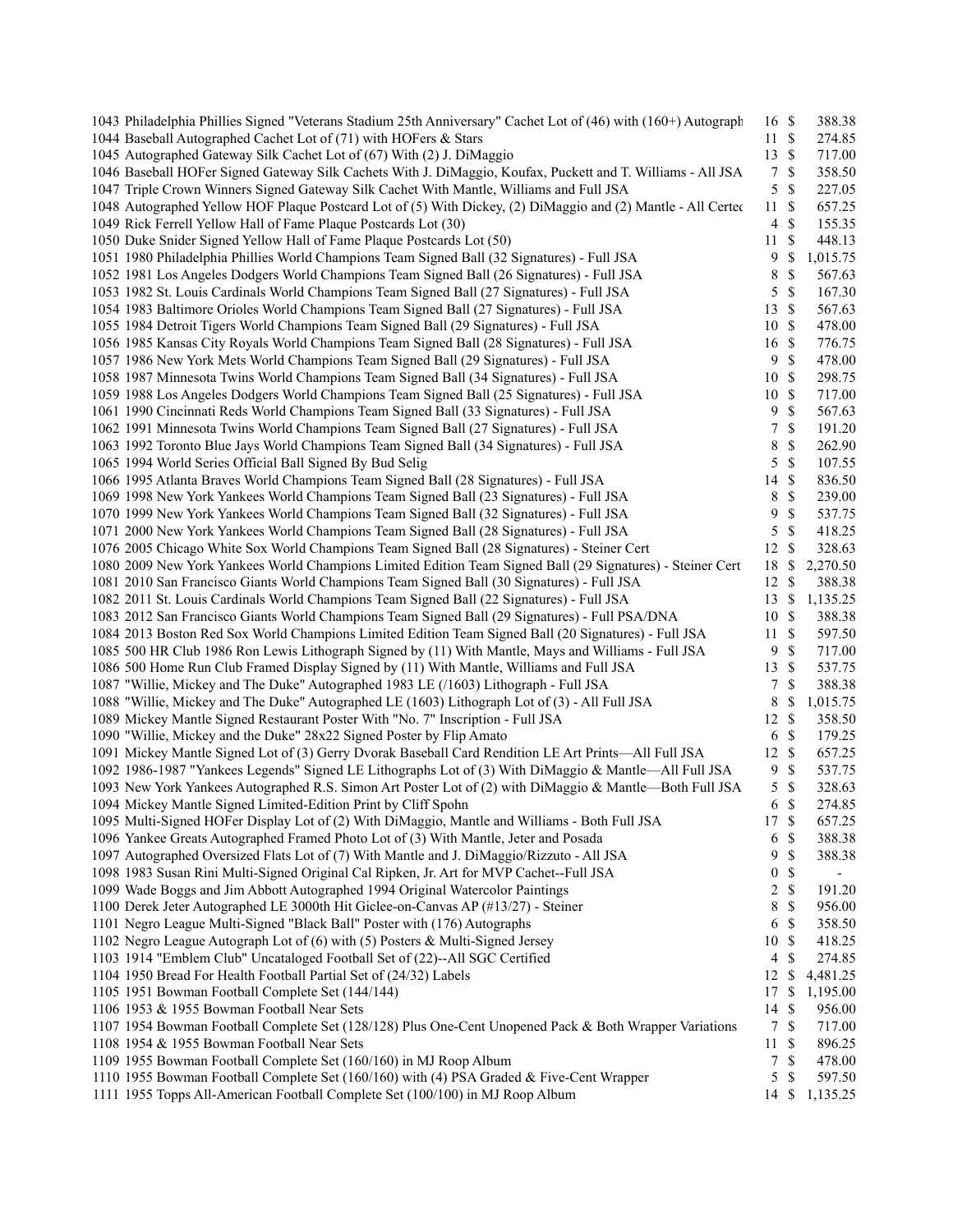| 1043 Philadelphia Phillies Signed "Veterans Stadium 25th Anniversary" Cachet Lot of (46) with (160+) Autograph | 16 \$            |               | 388.38   |
|----------------------------------------------------------------------------------------------------------------|------------------|---------------|----------|
| 1044 Baseball Autographed Cachet Lot of (71) with HOFers & Stars                                               | 11S              |               | 274.85   |
| 1045 Autographed Gateway Silk Cachet Lot of (67) With (2) J. DiMaggio                                          | 13S              |               | 717.00   |
| 1046 Baseball HOFer Signed Gateway Silk Cachets With J. DiMaggio, Koufax, Puckett and T. Williams - All JSA    | $\overline{7}$   | $\mathcal{S}$ | 358.50   |
| 1047 Triple Crown Winners Signed Gateway Silk Cachet With Mantle, Williams and Full JSA                        | 5                | $\mathcal{S}$ | 227.05   |
| 1048 Autographed Yellow HOF Plaque Postcard Lot of (5) With Dickey, (2) DiMaggio and (2) Mantle - All Certec   | 11               | <sup>\$</sup> | 657.25   |
| 1049 Rick Ferrell Yellow Hall of Fame Plaque Postcards Lot (30)                                                | $\overline{4}$   | $\mathcal{S}$ | 155.35   |
| 1050 Duke Snider Signed Yellow Hall of Fame Plaque Postcards Lot (50)                                          | 11               | \$            | 448.13   |
| 1051 1980 Philadelphia Phillies World Champions Team Signed Ball (32 Signatures) - Full JSA                    | 9                | \$            | 1,015.75 |
| 1052 1981 Los Angeles Dodgers World Champions Team Signed Ball (26 Signatures) - Full JSA                      | 8                | \$            | 567.63   |
| 1053 1982 St. Louis Cardinals World Champions Team Signed Ball (27 Signatures) - Full JSA                      | 5                | $\mathbb S$   | 167.30   |
| 1054 1983 Baltimore Orioles World Champions Team Signed Ball (27 Signatures) - Full JSA                        | 13               | $\mathcal{S}$ | 567.63   |
| 1055 1984 Detroit Tigers World Champions Team Signed Ball (29 Signatures) - Full JSA                           | 10               | $\mathbb{S}$  | 478.00   |
| 1056 1985 Kansas City Royals World Champions Team Signed Ball (28 Signatures) - Full JSA                       | 16               | $\mathcal{S}$ | 776.75   |
| 1057 1986 New York Mets World Champions Team Signed Ball (29 Signatures) - Full JSA                            | 9                | \$            | 478.00   |
| 1058 1987 Minnesota Twins World Champions Team Signed Ball (34 Signatures) - Full JSA                          | 10               | $\mathbb{S}$  | 298.75   |
| 1059 1988 Los Angeles Dodgers World Champions Team Signed Ball (25 Signatures) - Full JSA                      | 10               | $\mathcal{S}$ | 717.00   |
| 1061 1990 Cincinnati Reds World Champions Team Signed Ball (33 Signatures) - Full JSA                          | 9                | $\mathbb{S}$  | 567.63   |
| 1062 1991 Minnesota Twins World Champions Team Signed Ball (27 Signatures) - Full JSA                          | 7                | \$            | 191.20   |
| 1063 1992 Toronto Blue Jays World Champions Team Signed Ball (34 Signatures) - Full JSA                        | 8                | \$            | 262.90   |
| 1065 1994 World Series Official Ball Signed By Bud Selig                                                       | 5                | $\mathbb{S}$  | 107.55   |
| 1066 1995 Atlanta Braves World Champions Team Signed Ball (28 Signatures) - Full JSA                           | 14               | $\mathbb{S}$  | 836.50   |
| 1069 1998 New York Yankees World Champions Team Signed Ball (23 Signatures) - Full JSA                         | 8                | \$            | 239.00   |
| 1070 1999 New York Yankees World Champions Team Signed Ball (32 Signatures) - Full JSA                         | 9                | $\mathbb{S}$  | 537.75   |
| 1071 2000 New York Yankees World Champions Team Signed Ball (28 Signatures) - Full JSA                         | 5                | \$            | 418.25   |
| 1076 2005 Chicago White Sox World Champions Team Signed Ball (28 Signatures) - Steiner Cert                    | 12               | \$            | 328.63   |
| 1080 2009 New York Yankees World Champions Limited Edition Team Signed Ball (29 Signatures) - Steiner Cert     | 18               | \$            | 2,270.50 |
| 1081 2010 San Francisco Giants World Champions Team Signed Ball (30 Signatures) - Full JSA                     | 12S              |               | 388.38   |
| 1082 2011 St. Louis Cardinals World Champions Team Signed Ball (22 Signatures) - Full JSA                      | 13               | <sup>\$</sup> | 1,135.25 |
| 1083 2012 San Francisco Giants World Champions Team Signed Ball (29 Signatures) - Full PSA/DNA                 | 10               | $\mathbb{S}$  | 388.38   |
| 1084 2013 Boston Red Sox World Champions Limited Edition Team Signed Ball (20 Signatures) - Full JSA           | 11               | $\mathbb{S}$  | 597.50   |
| 1085 500 HR Club 1986 Ron Lewis Lithograph Signed by (11) With Mantle, Mays and Williams - Full JSA            | 9                | $\mathbb{S}$  | 717.00   |
| 1086 500 Home Run Club Framed Display Signed by (11) With Mantle, Williams and Full JSA                        | 13               | $\mathbb{S}$  | 537.75   |
| 1087 "Willie, Mickey and The Duke" Autographed 1983 LE (/1603) Lithograph - Full JSA                           | 7                | \$            | 388.38   |
| 1088 "Willie, Mickey and The Duke" Autographed LE (1603) Lithograph Lot of (3) - All Full JSA                  | 8                | \$            | 1,015.75 |
| 1089 Mickey Mantle Signed Restaurant Poster With "No. 7" Inscription - Full JSA                                | 12               | $\mathcal{S}$ | 358.50   |
| 1090 "Willie, Mickey and the Duke" 28x22 Signed Poster by Flip Amato                                           |                  | $\mathbb{S}$  | 179.25   |
|                                                                                                                | 6<br>12          | $\mathbb{S}$  |          |
| 1091 Mickey Mantle Signed Lot of (3) Gerry Dvorak Baseball Card Rendition LE Art Prints—All Full JSA           |                  |               | 657.25   |
| 1092 1986-1987 "Yankees Legends" Signed LE Lithographs Lot of (3) With DiMaggio & Mantle—All Full JSA          | 9                | \$            | 537.75   |
| 1093 New York Yankees Autographed R.S. Simon Art Poster Lot of (2) with DiMaggio & Mantle—Both Full JSA        | 5                | \$            | 328.63   |
| 1094 Mickey Mantle Signed Limited-Edition Print by Cliff Spohn                                                 | 6                | \$            | 274.85   |
| 1095 Multi-Signed HOFer Display Lot of (2) With DiMaggio, Mantle and Williams - Both Full JSA                  | 17               | $\mathbb{S}$  | 657.25   |
| 1096 Yankee Greats Autographed Framed Photo Lot of (3) With Mantle, Jeter and Posada                           | 6                | $\mathbb{S}$  | 388.38   |
| 1097 Autographed Oversized Flats Lot of (7) With Mantle and J. DiMaggio/Rizzuto - All JSA                      | 9                | \$            | 388.38   |
| 1098 1983 Susan Rini Multi-Signed Original Cal Ripken, Jr. Art for MVP Cachet--Full JSA                        | $\boldsymbol{0}$ | \$            |          |
| 1099 Wade Boggs and Jim Abbott Autographed 1994 Original Watercolor Paintings                                  | 2                | \$            | 191.20   |
| 1100 Derek Jeter Autographed LE 3000th Hit Giclee-on-Canvas AP (#13/27) - Steiner                              | 8                | \$            | 956.00   |
| 1101 Negro League Multi-Signed "Black Ball" Poster with (176) Autographs                                       | 6                | \$            | 358.50   |
| 1102 Negro League Autograph Lot of (6) with (5) Posters & Multi-Signed Jersey                                  | 10               | \$            | 418.25   |
| 1103 1914 "Emblem Club" Uncataloged Football Set of (22)--All SGC Certified                                    | 4                | \$            | 274.85   |
| 1104 1950 Bread For Health Football Partial Set of (24/32) Labels                                              | 12               | \$            | 4,481.25 |
| 1105 1951 Bowman Football Complete Set (144/144)                                                               | 17               | \$            | 1,195.00 |
| 1106 1953 & 1955 Bowman Football Near Sets                                                                     | 14               | \$            | 956.00   |
| 1107 1954 Bowman Football Complete Set (128/128) Plus One-Cent Unopened Pack & Both Wrapper Variations         | $\tau$           | $\mathcal{S}$ | 717.00   |
| 1108 1954 & 1955 Bowman Football Near Sets                                                                     | 11               | \$            | 896.25   |
| 1109 1955 Bowman Football Complete Set (160/160) in MJ Roop Album                                              | 7                | \$            | 478.00   |
| 1110 1955 Bowman Football Complete Set (160/160) with (4) PSA Graded & Five-Cent Wrapper                       | 5                | \$            | 597.50   |
| 1111 1955 Topps All-American Football Complete Set (100/100) in MJ Roop Album                                  | 14               | \$            | 1,135.25 |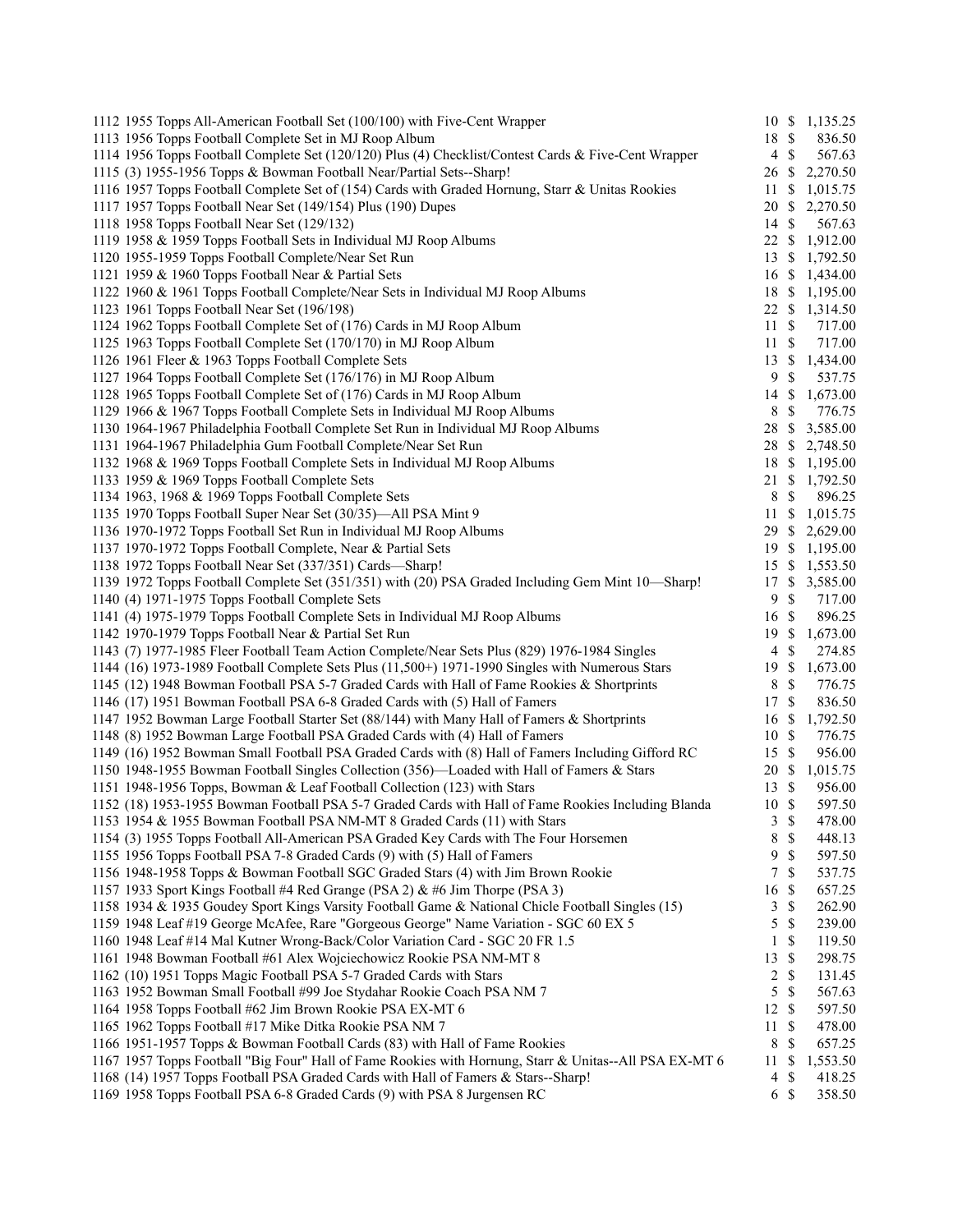| 1112 1955 Topps All-American Football Set (100/100) with Five-Cent Wrapper                                                                                        |                     |                     | 10 \$ 1,135.25 |
|-------------------------------------------------------------------------------------------------------------------------------------------------------------------|---------------------|---------------------|----------------|
| 1113 1956 Topps Football Complete Set in MJ Roop Album                                                                                                            | 18 \$               |                     | 836.50         |
| 1114 1956 Topps Football Complete Set (120/120) Plus (4) Checklist/Contest Cards & Five-Cent Wrapper                                                              | $\overline{4}$      | -\$                 | 567.63         |
| 1115 (3) 1955-1956 Topps & Bowman Football Near/Partial Sets--Sharp!                                                                                              | 26                  | \$                  | 2,270.50       |
| 1116 1957 Topps Football Complete Set of (154) Cards with Graded Hornung, Starr & Unitas Rookies                                                                  | 11                  | \$                  | 1,015.75       |
| 1117 1957 Topps Football Near Set (149/154) Plus (190) Dupes                                                                                                      | 20                  | \$                  | 2,270.50       |
| 1118 1958 Topps Football Near Set (129/132)                                                                                                                       | 14 \$               |                     | 567.63         |
| 1119 1958 & 1959 Topps Football Sets in Individual MJ Roop Albums                                                                                                 | $22 \text{ }$ \$    |                     | 1,912.00       |
| 1120 1955-1959 Topps Football Complete/Near Set Run                                                                                                               |                     |                     | 13 \$ 1,792.50 |
| 1121 1959 & 1960 Topps Football Near & Partial Sets                                                                                                               |                     |                     | 16 \$ 1,434.00 |
| 1122 1960 & 1961 Topps Football Complete/Near Sets in Individual MJ Roop Albums                                                                                   | 18                  |                     | \$1,195.00     |
| 1123 1961 Topps Football Near Set (196/198)                                                                                                                       |                     |                     | 22 \$ 1,314.50 |
| 1124 1962 Topps Football Complete Set of (176) Cards in MJ Roop Album                                                                                             | $11 \text{ }$ \$    |                     | 717.00         |
| 1125 1963 Topps Football Complete Set (170/170) in MJ Roop Album                                                                                                  | $11 \text{ }$ \$    |                     | 717.00         |
| 1126 1961 Fleer & 1963 Topps Football Complete Sets                                                                                                               | 13S                 |                     | 1,434.00       |
| 1127 1964 Topps Football Complete Set (176/176) in MJ Roop Album                                                                                                  | 9                   | $\mathbb{S}$        | 537.75         |
| 1128 1965 Topps Football Complete Set of (176) Cards in MJ Roop Album                                                                                             | 14                  | \$                  | 1,673.00       |
| 1129 1966 & 1967 Topps Football Complete Sets in Individual MJ Roop Albums                                                                                        | 8                   | $\mathbb{S}$        | 776.75         |
| 1130 1964-1967 Philadelphia Football Complete Set Run in Individual MJ Roop Albums                                                                                | 28 \$               |                     | 3,585.00       |
| 1131 1964-1967 Philadelphia Gum Football Complete/Near Set Run                                                                                                    | 28 \$               |                     | 2,748.50       |
| 1132 1968 & 1969 Topps Football Complete Sets in Individual MJ Roop Albums                                                                                        |                     |                     | 18 \$ 1,195.00 |
| 1133 1959 & 1969 Topps Football Complete Sets                                                                                                                     |                     |                     | 21 \$ 1,792.50 |
| 1134 1963, 1968 & 1969 Topps Football Complete Sets                                                                                                               | 8                   | \$                  | 896.25         |
| 1135 1970 Topps Football Super Near Set (30/35)—All PSA Mint 9                                                                                                    |                     |                     | 11 \$ 1,015.75 |
| 1136 1970-1972 Topps Football Set Run in Individual MJ Roop Albums                                                                                                |                     |                     | 29 \$ 2,629.00 |
| 1137 1970-1972 Topps Football Complete, Near & Partial Sets                                                                                                       |                     |                     | 19 \$ 1,195.00 |
| 1138 1972 Topps Football Near Set (337/351) Cards—Sharp!                                                                                                          |                     |                     | 15 \$ 1,553.50 |
| 1139 1972 Topps Football Complete Set (351/351) with (20) PSA Graded Including Gem Mint 10—Sharp!                                                                 | 17                  | $\mathbb{S}$        | 3,585.00       |
| 1140 (4) 1971-1975 Topps Football Complete Sets                                                                                                                   | 9                   | $\mathcal{S}$       | 717.00         |
| 1141 (4) 1975-1979 Topps Football Complete Sets in Individual MJ Roop Albums                                                                                      | 16 \$               |                     | 896.25         |
| 1142 1970-1979 Topps Football Near & Partial Set Run                                                                                                              | 19                  | <sup>\$</sup>       | 1,673.00       |
| 1143 (7) 1977-1985 Fleer Football Team Action Complete/Near Sets Plus (829) 1976-1984 Singles                                                                     | $\overline{4}$      | \$                  | 274.85         |
| 1144 (16) 1973-1989 Football Complete Sets Plus (11,500+) 1971-1990 Singles with Numerous Stars                                                                   | 19                  | \$                  | 1,673.00       |
| 1145 (12) 1948 Bowman Football PSA 5-7 Graded Cards with Hall of Fame Rookies & Shortprints                                                                       | 8                   | \$                  | 776.75         |
| 1146 (17) 1951 Bowman Football PSA 6-8 Graded Cards with (5) Hall of Famers                                                                                       | 17                  | $\mathbb{S}$        | 836.50         |
| 1147 1952 Bowman Large Football Starter Set (88/144) with Many Hall of Famers & Shortprints                                                                       | 16                  | <sup>\$</sup>       | 1,792.50       |
| 1148 (8) 1952 Bowman Large Football PSA Graded Cards with (4) Hall of Famers                                                                                      | 10                  | $\mathbb{S}$        | 776.75         |
| 1149 (16) 1952 Bowman Small Football PSA Graded Cards with (8) Hall of Famers Including Gifford RC                                                                | 15                  | $\mathbb{S}$        | 956.00         |
| 1150 1948-1955 Bowman Football Singles Collection (356)—Loaded with Hall of Famers & Stars                                                                        | 20                  | <sup>\$</sup>       | 1,015.75       |
| 1151 1948-1956 Topps, Bowman & Leaf Football Collection (123) with Stars                                                                                          | 13                  | -\$                 | 956.00         |
| 1152 (18) 1953-1955 Bowman Football PSA 5-7 Graded Cards with Hall of Fame Rookies Including Blanda                                                               | 10                  | <sup>\$</sup>       | 597.50         |
| 1153 1954 & 1955 Bowman Football PSA NM-MT 8 Graded Cards (11) with Stars                                                                                         | 3                   | $\mathcal{S}$       | 478.00         |
| 1154 (3) 1955 Topps Football All-American PSA Graded Key Cards with The Four Horsemen                                                                             | 8                   | $\mathbb{S}$        | 448.13         |
| 1155 1956 Topps Football PSA 7-8 Graded Cards (9) with (5) Hall of Famers                                                                                         | 9                   | \$                  | 597.50         |
|                                                                                                                                                                   | 7                   | \$                  |                |
| 1156 1948-1958 Topps & Bowman Football SGC Graded Stars (4) with Jim Brown Rookie<br>1157 1933 Sport Kings Football #4 Red Grange (PSA 2) & #6 Jim Thorpe (PSA 3) |                     |                     | 537.75         |
|                                                                                                                                                                   | 16                  | \$                  | 657.25         |
| 1158 1934 & 1935 Goudey Sport Kings Varsity Football Game & National Chicle Football Singles (15)                                                                 | 3                   | \$                  | 262.90         |
| 1159 1948 Leaf #19 George McAfee, Rare "Gorgeous George" Name Variation - SGC 60 EX 5                                                                             | 5                   | \$<br><sup>\$</sup> | 239.00         |
| 1160 1948 Leaf #14 Mal Kutner Wrong-Back/Color Variation Card - SGC 20 FR 1.5                                                                                     | 1                   |                     | 119.50         |
| 1161 1948 Bowman Football #61 Alex Wojciechowicz Rookie PSA NM-MT 8                                                                                               | 13                  | \$                  | 298.75         |
| 1162 (10) 1951 Topps Magic Football PSA 5-7 Graded Cards with Stars                                                                                               | 2                   | \$                  | 131.45         |
| 1163 1952 Bowman Small Football #99 Joe Stydahar Rookie Coach PSA NM 7                                                                                            | 5                   | \$                  | 567.63         |
| 1164 1958 Topps Football #62 Jim Brown Rookie PSA EX-MT 6                                                                                                         | 12                  | \$                  | 597.50         |
| 1165 1962 Topps Football #17 Mike Ditka Rookie PSA NM 7                                                                                                           | 11                  | \$                  | 478.00         |
| 1166 1951-1957 Topps & Bowman Football Cards (83) with Hall of Fame Rookies                                                                                       | 8                   | \$                  | 657.25         |
| 1167 1957 Topps Football "Big Four" Hall of Fame Rookies with Hornung, Starr & Unitas--All PSA EX-MT 6                                                            | 11                  | \$                  | 1,553.50       |
| 1168 (14) 1957 Topps Football PSA Graded Cards with Hall of Famers & Stars--Sharp!                                                                                | 4<br>6 <sup>°</sup> | \$                  | 418.25         |
| 1169 1958 Topps Football PSA 6-8 Graded Cards (9) with PSA 8 Jurgensen RC                                                                                         |                     |                     | 358.50         |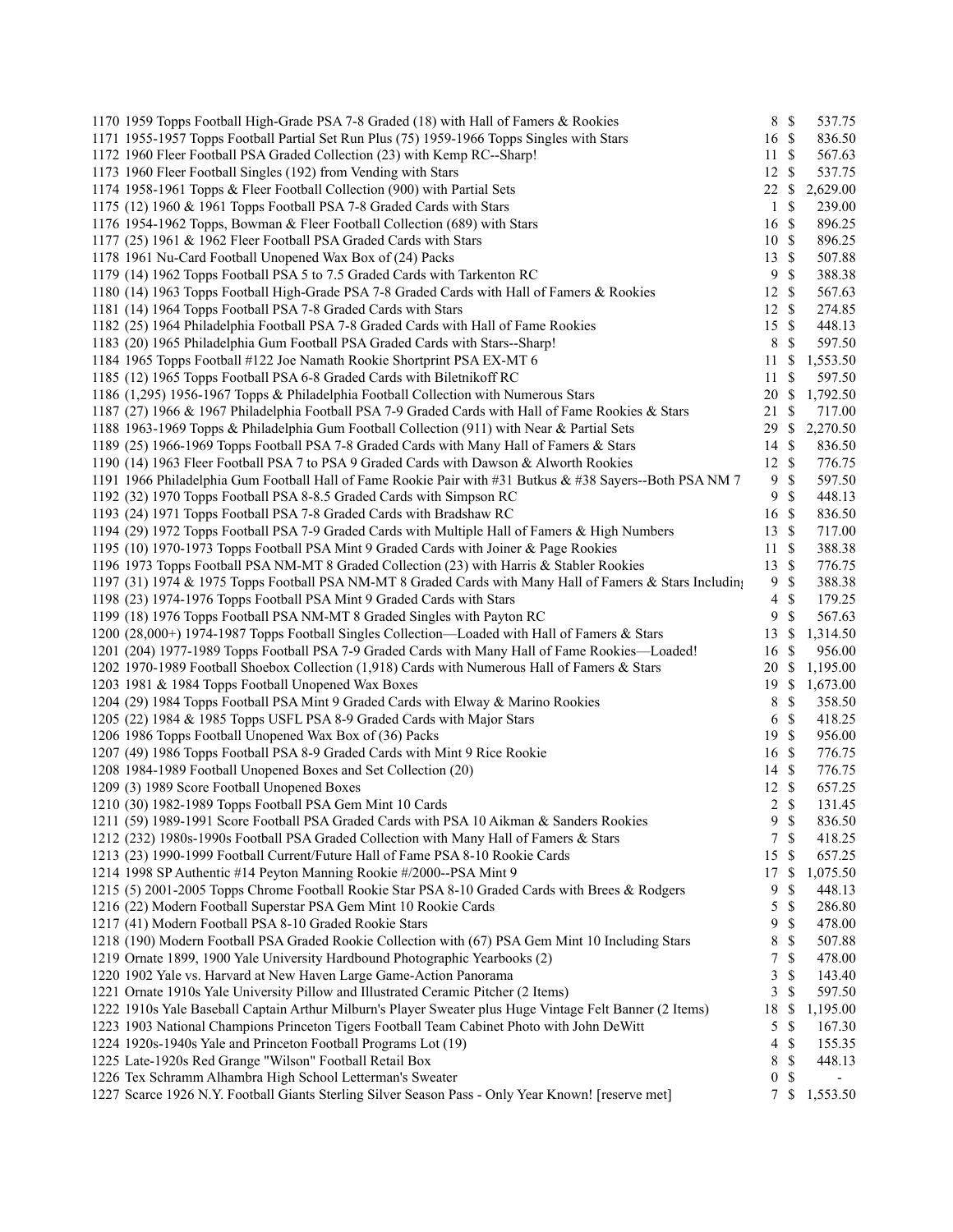| 1170 1959 Topps Football High-Grade PSA 7-8 Graded (18) with Hall of Famers & Rookies                    | 8 \$             |                    | 537.75   |
|----------------------------------------------------------------------------------------------------------|------------------|--------------------|----------|
| 1171 1955-1957 Topps Football Partial Set Run Plus (75) 1959-1966 Topps Singles with Stars               | 16 \$            |                    | 836.50   |
| 1172 1960 Fleer Football PSA Graded Collection (23) with Kemp RC--Sharp!                                 | 11               | $\mathbb{S}$       | 567.63   |
| 1173 1960 Fleer Football Singles (192) from Vending with Stars                                           | 12               | $\mathcal{S}$      | 537.75   |
| 1174 1958-1961 Topps & Fleer Football Collection (900) with Partial Sets                                 | 22               | \$                 | 2,629.00 |
| 1175 (12) 1960 & 1961 Topps Football PSA 7-8 Graded Cards with Stars                                     | $\mathbf{1}$     | $\mathbb{S}$       | 239.00   |
| 1176 1954-1962 Topps, Bowman & Fleer Football Collection (689) with Stars                                | 16               | $\mathbb{S}$       | 896.25   |
| 1177 (25) 1961 & 1962 Fleer Football PSA Graded Cards with Stars                                         | 10               | $\mathbb{S}$       | 896.25   |
| 1178 1961 Nu-Card Football Unopened Wax Box of (24) Packs                                                | 13               | <sup>\$</sup>      | 507.88   |
| 1179 (14) 1962 Topps Football PSA 5 to 7.5 Graded Cards with Tarkenton RC                                | 9                | \$                 | 388.38   |
| 1180 (14) 1963 Topps Football High-Grade PSA 7-8 Graded Cards with Hall of Famers & Rookies              | 12               | $\mathcal{S}$      | 567.63   |
| 1181 (14) 1964 Topps Football PSA 7-8 Graded Cards with Stars                                            | 12S              |                    | 274.85   |
| 1182 (25) 1964 Philadelphia Football PSA 7-8 Graded Cards with Hall of Fame Rookies                      | 15               | $\mathcal{S}$      | 448.13   |
| 1183 (20) 1965 Philadelphia Gum Football PSA Graded Cards with Stars--Sharp!                             | $\,8\,$          | $\mathcal{S}$      | 597.50   |
| 1184 1965 Topps Football #122 Joe Namath Rookie Shortprint PSA EX-MT 6                                   | 11               | \$                 | 1,553.50 |
| 1185 (12) 1965 Topps Football PSA 6-8 Graded Cards with Biletnik off RC                                  | 11               | \$                 | 597.50   |
| 1186 (1,295) 1956-1967 Topps & Philadelphia Football Collection with Numerous Stars                      | 20               | \$                 | 1,792.50 |
| 1187 (27) 1966 & 1967 Philadelphia Football PSA 7-9 Graded Cards with Hall of Fame Rookies & Stars       | 21               | $\mathbb{S}$       | 717.00   |
| 1188 1963-1969 Topps & Philadelphia Gum Football Collection (911) with Near & Partial Sets               | 29               | $\mathbb{S}$       | 2,270.50 |
| 1189 (25) 1966-1969 Topps Football PSA 7-8 Graded Cards with Many Hall of Famers & Stars                 | 14               | $\mathbb{S}$       | 836.50   |
| 1190 (14) 1963 Fleer Football PSA 7 to PSA 9 Graded Cards with Dawson & Alworth Rookies                  | 12               | $\mathbf{\hat{s}}$ | 776.75   |
| 1191 1966 Philadelphia Gum Football Hall of Fame Rookie Pair with #31 Butkus & #38 Sayers--Both PSA NM 7 | 9                | \$                 | 597.50   |
| 1192 (32) 1970 Topps Football PSA 8-8.5 Graded Cards with Simpson RC                                     | 9                | $\mathcal{S}$      | 448.13   |
| 1193 (24) 1971 Topps Football PSA 7-8 Graded Cards with Bradshaw RC                                      | 16               | $\mathbb{S}$       | 836.50   |
| 1194 (29) 1972 Topps Football PSA 7-9 Graded Cards with Multiple Hall of Famers & High Numbers           | 13               | $\mathcal{S}$      | 717.00   |
| 1195 (10) 1970-1973 Topps Football PSA Mint 9 Graded Cards with Joiner & Page Rookies                    | 11               | $\mathcal{S}$      | 388.38   |
| 1196 1973 Topps Football PSA NM-MT 8 Graded Collection (23) with Harris & Stabler Rookies                | 13               | $\mathbb{S}$       | 776.75   |
| 1197 (31) 1974 & 1975 Topps Football PSA NM-MT 8 Graded Cards with Many Hall of Famers & Stars Including | 9                | <sup>\$</sup>      | 388.38   |
| 1198 (23) 1974-1976 Topps Football PSA Mint 9 Graded Cards with Stars                                    | $\overline{4}$   | $\mathcal{S}$      | 179.25   |
| 1199 (18) 1976 Topps Football PSA NM-MT 8 Graded Singles with Payton RC                                  | 9                | <sup>\$</sup>      | 567.63   |
| 1200 (28,000+) 1974-1987 Topps Football Singles Collection—Loaded with Hall of Famers & Stars            | 13               | \$                 | 1,314.50 |
| 1201 (204) 1977-1989 Topps Football PSA 7-9 Graded Cards with Many Hall of Fame Rookies—Loaded!          | 16               | \$                 | 956.00   |
| 1202 1970-1989 Football Shoebox Collection (1,918) Cards with Numerous Hall of Famers & Stars            | 20               | \$                 | 1,195.00 |
| 1203 1981 & 1984 Topps Football Unopened Wax Boxes                                                       | 19               | <sup>\$</sup>      | 1,673.00 |
| 1204 (29) 1984 Topps Football PSA Mint 9 Graded Cards with Elway & Marino Rookies                        | 8                | \$                 | 358.50   |
| 1205 (22) 1984 & 1985 Topps USFL PSA 8-9 Graded Cards with Major Stars                                   | 6                | $\mathbb{S}$       | 418.25   |
| 1206 1986 Topps Football Unopened Wax Box of (36) Packs                                                  | 19               | $\mathcal{S}$      | 956.00   |
| 1207 (49) 1986 Topps Football PSA 8-9 Graded Cards with Mint 9 Rice Rookie                               | 16               | $\mathbb{S}$       | 776.75   |
| 1208 1984-1989 Football Unopened Boxes and Set Collection (20)                                           | 14               | -\$                | 776.75   |
| 1209 (3) 1989 Score Football Unopened Boxes                                                              | 12               | $\mathbb{S}$       | 657.25   |
| 1210 (30) 1982-1989 Topps Football PSA Gem Mint 10 Cards                                                 | $\overline{2}$   | <sup>\$</sup>      | 131.45   |
| 1211 (59) 1989-1991 Score Football PSA Graded Cards with PSA 10 Aikman & Sanders Rookies                 | 9                | $\mathbb{S}$       | 836.50   |
| 1212 (232) 1980s-1990s Football PSA Graded Collection with Many Hall of Famers & Stars                   | 7                | $\mathbb{S}$       | 418.25   |
| 1213 (23) 1990-1999 Football Current/Future Hall of Fame PSA 8-10 Rookie Cards                           | 15               | \$                 | 657.25   |
| 1214 1998 SP Authentic #14 Peyton Manning Rookie #/2000--PSA Mint 9                                      | 17               | \$                 | 1,075.50 |
|                                                                                                          |                  | \$                 |          |
| 1215 (5) 2001-2005 Topps Chrome Football Rookie Star PSA 8-10 Graded Cards with Brees & Rodgers          | 9                | $\mathbb{S}$       | 448.13   |
| 1216 (22) Modern Football Superstar PSA Gem Mint 10 Rookie Cards                                         | 5                | \$                 | 286.80   |
| 1217 (41) Modern Football PSA 8-10 Graded Rookie Stars                                                   | 9                |                    | 478.00   |
| 1218 (190) Modern Football PSA Graded Rookie Collection with (67) PSA Gem Mint 10 Including Stars        | 8                | \$                 | 507.88   |
| 1219 Ornate 1899, 1900 Yale University Hardbound Photographic Yearbooks (2)                              | 7                | \$                 | 478.00   |
| 1220 1902 Yale vs. Harvard at New Haven Large Game-Action Panorama                                       | 3<br>3           | \$<br>\$           | 143.40   |
| 1221 Ornate 1910s Yale University Pillow and Illustrated Ceramic Pitcher (2 Items)                       |                  |                    | 597.50   |
| 1222 1910s Yale Baseball Captain Arthur Milburn's Player Sweater plus Huge Vintage Felt Banner (2 Items) | 18               | \$                 | 1,195.00 |
| 1223 1903 National Champions Princeton Tigers Football Team Cabinet Photo with John DeWitt               | 5                | $\mathbb{S}$       | 167.30   |
| 1224 1920s-1940s Yale and Princeton Football Programs Lot (19)                                           | 4                | \$                 | 155.35   |
| 1225 Late-1920s Red Grange "Wilson" Football Retail Box                                                  | 8                | \$                 | 448.13   |
| 1226 Tex Schramm Alhambra High School Letterman's Sweater                                                | $\boldsymbol{0}$ | \$                 |          |
| 1227 Scarce 1926 N.Y. Football Giants Sterling Silver Season Pass - Only Year Known! [reserve met]       | 7                | -\$                | 1,553.50 |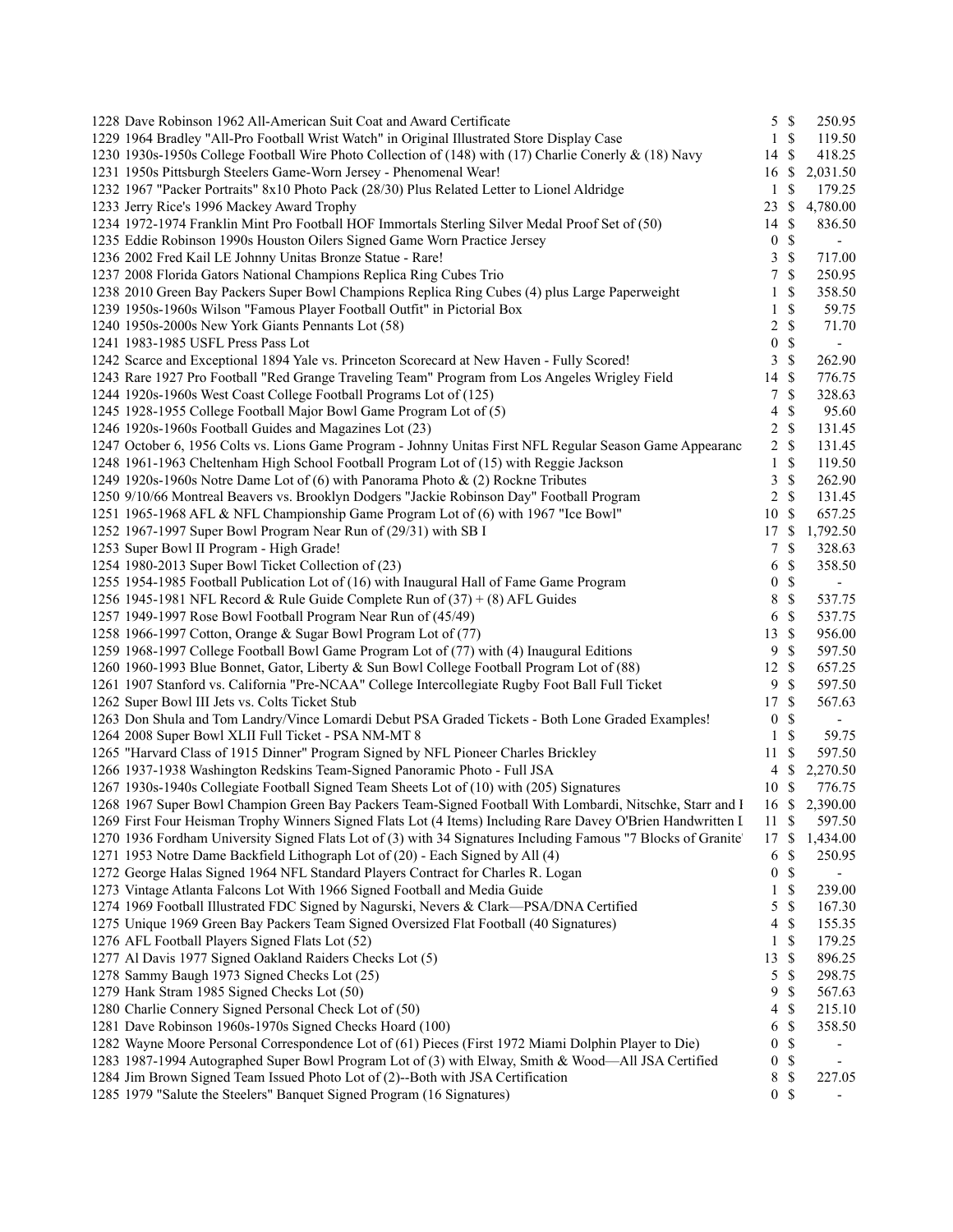| 1228 Dave Robinson 1962 All-American Suit Coat and Award Certificate                                           | $5 \text{ }$ \$  |                    | 250.95                       |
|----------------------------------------------------------------------------------------------------------------|------------------|--------------------|------------------------------|
| 1229 1964 Bradley "All-Pro Football Wrist Watch" in Original Illustrated Store Display Case                    | $\mathbf{1}$     | \$                 | 119.50                       |
| 1230 1930s-1950s College Football Wire Photo Collection of (148) with (17) Charlie Conerly & (18) Navy         | 14 \$            |                    | 418.25                       |
| 1231 1950s Pittsburgh Steelers Game-Worn Jersey - Phenomenal Wear!                                             | 16 \$            |                    | 2,031.50                     |
| 1232 1967 "Packer Portraits" 8x10 Photo Pack (28/30) Plus Related Letter to Lionel Aldridge                    | 1                | \$                 | 179.25                       |
| 1233 Jerry Rice's 1996 Mackey Award Trophy                                                                     | 23 \$            |                    | 4,780.00                     |
| 1234 1972-1974 Franklin Mint Pro Football HOF Immortals Sterling Silver Medal Proof Set of (50)                | 14S              |                    | 836.50                       |
| 1235 Eddie Robinson 1990s Houston Oilers Signed Game Worn Practice Jersey                                      | $\boldsymbol{0}$ | $\mathbb{S}$       | $\overline{\phantom{a}}$     |
| 1236 2002 Fred Kail LE Johnny Unitas Bronze Statue - Rare!                                                     | 3                | \$                 | 717.00                       |
| 1237 2008 Florida Gators National Champions Replica Ring Cubes Trio                                            | 7                | \$                 | 250.95                       |
| 1238 2010 Green Bay Packers Super Bowl Champions Replica Ring Cubes (4) plus Large Paperweight                 | 1                | \$                 | 358.50                       |
| 1239 1950s-1960s Wilson "Famous Player Football Outfit" in Pictorial Box                                       | 1                | \$                 | 59.75                        |
| 1240 1950s-2000s New York Giants Pennants Lot (58)                                                             | 2                | \$                 | 71.70                        |
| 1241 1983-1985 USFL Press Pass Lot                                                                             | $\boldsymbol{0}$ | \$                 | $\overline{\phantom{a}}$     |
| 1242 Scarce and Exceptional 1894 Yale vs. Princeton Scorecard at New Haven - Fully Scored!                     | 3                | \$                 | 262.90                       |
| 1243 Rare 1927 Pro Football "Red Grange Traveling Team" Program from Los Angeles Wrigley Field                 | 14S              |                    | 776.75                       |
| 1244 1920s-1960s West Coast College Football Programs Lot of (125)                                             | 7                | \$                 | 328.63                       |
| 1245 1928-1955 College Football Major Bowl Game Program Lot of (5)                                             | 4                | \$                 | 95.60                        |
|                                                                                                                | $2 \sqrt{s}$     |                    |                              |
| 1246 1920s-1960s Football Guides and Magazines Lot (23)                                                        |                  |                    | 131.45                       |
| 1247 October 6, 1956 Colts vs. Lions Game Program - Johnny Unitas First NFL Regular Season Game Appearanc      | 2 S              |                    | 131.45                       |
| 1248 1961-1963 Cheltenham High School Football Program Lot of (15) with Reggie Jackson                         | 1                | \$                 | 119.50                       |
| 1249 1920s-1960s Notre Dame Lot of (6) with Panorama Photo & (2) Rockne Tributes                               | 3                | $\mathbb{S}$       | 262.90                       |
| 1250 9/10/66 Montreal Beavers vs. Brooklyn Dodgers "Jackie Robinson Day" Football Program                      | $\overline{2}$   | $\mathbb{S}$       | 131.45                       |
| 1251 1965-1968 AFL & NFL Championship Game Program Lot of (6) with 1967 "Ice Bowl"                             | 10S              |                    | 657.25                       |
| 1252 1967-1997 Super Bowl Program Near Run of (29/31) with SB I                                                | 17S              |                    | 1,792.50                     |
| 1253 Super Bowl II Program - High Grade!                                                                       | 7                | $\mathbb{S}$       | 328.63                       |
| 1254 1980-2013 Super Bowl Ticket Collection of (23)                                                            | 6                | \$                 | 358.50                       |
| 1255 1954-1985 Football Publication Lot of (16) with Inaugural Hall of Fame Game Program                       | $\boldsymbol{0}$ | \$                 | $\overline{\phantom{a}}$     |
| 1256 1945-1981 NFL Record & Rule Guide Complete Run of $(37) + (8)$ AFL Guides                                 | 8                | $\mathbb{S}$       | 537.75                       |
| 1257 1949-1997 Rose Bowl Football Program Near Run of (45/49)                                                  | 6                | $\mathbb{S}$       | 537.75                       |
| 1258 1966-1997 Cotton, Orange & Sugar Bowl Program Lot of (77)                                                 | 13               | $\mathbb{S}$       | 956.00                       |
| 1259 1968-1997 College Football Bowl Game Program Lot of (77) with (4) Inaugural Editions                      | 9                | <sup>\$</sup>      | 597.50                       |
| 1260 1960-1993 Blue Bonnet, Gator, Liberty & Sun Bowl College Football Program Lot of (88)                     | $12 \text{ }$ \$ |                    | 657.25                       |
| 1261 1907 Stanford vs. California "Pre-NCAA" College Intercollegiate Rugby Foot Ball Full Ticket               | 9                | <sup>\$</sup>      | 597.50                       |
| 1262 Super Bowl III Jets vs. Colts Ticket Stub                                                                 | 17S              |                    | 567.63                       |
| 1263 Don Shula and Tom Landry/Vince Lomardi Debut PSA Graded Tickets - Both Lone Graded Examples!              | $\boldsymbol{0}$ | \$                 | $\overline{\phantom{a}}$     |
| 1264 2008 Super Bowl XLII Full Ticket - PSA NM-MT 8                                                            | $\mathbf{1}$     | \$                 | 59.75                        |
| 1265 "Harvard Class of 1915 Dinner" Program Signed by NFL Pioneer Charles Brickley                             | 11               | \$                 | 597.50                       |
| 1266 1937-1938 Washington Redskins Team-Signed Panoramic Photo - Full JSA                                      | 4                | $\mathbb{S}$       | 2,270.50                     |
| 1267 1930s-1940s Collegiate Football Signed Team Sheets Lot of (10) with (205) Signatures                      | 10 \$            |                    | 776.75                       |
| 1268 1967 Super Bowl Champion Green Bay Packers Team-Signed Football With Lombardi, Nitschke, Starr and I      |                  |                    | 16 \$ 2,390.00               |
| 1269 First Four Heisman Trophy Winners Signed Flats Lot (4 Items) Including Rare Davey O'Brien Handwritten I   | 11S              |                    | 597.50                       |
| 1270 1936 Fordham University Signed Flats Lot of (3) with 34 Signatures Including Famous "7 Blocks of Granite" | 17               | \$                 | 1,434.00                     |
| 1271 1953 Notre Dame Backfield Lithograph Lot of (20) - Each Signed by All (4)                                 | 6                | \$                 | 250.95                       |
| 1272 George Halas Signed 1964 NFL Standard Players Contract for Charles R. Logan                               | $\boldsymbol{0}$ | \$                 | $\qquad \qquad \blacksquare$ |
| 1273 Vintage Atlanta Falcons Lot With 1966 Signed Football and Media Guide                                     | 1                | \$                 | 239.00                       |
| 1274 1969 Football Illustrated FDC Signed by Nagurski, Nevers & Clark—PSA/DNA Certified                        | 5                | \$                 | 167.30                       |
| 1275 Unique 1969 Green Bay Packers Team Signed Oversized Flat Football (40 Signatures)                         | 4                | \$                 | 155.35                       |
| 1276 AFL Football Players Signed Flats Lot (52)                                                                | 1                | \$                 | 179.25                       |
| 1277 Al Davis 1977 Signed Oakland Raiders Checks Lot (5)                                                       | 13               | $\mathbf{\hat{s}}$ | 896.25                       |
| 1278 Sammy Baugh 1973 Signed Checks Lot (25)                                                                   | 5                | \$                 | 298.75                       |
| 1279 Hank Stram 1985 Signed Checks Lot (50)                                                                    | 9                | \$                 | 567.63                       |
| 1280 Charlie Connery Signed Personal Check Lot of (50)                                                         | 4                | \$                 | 215.10                       |
|                                                                                                                |                  |                    |                              |
| 1281 Dave Robinson 1960s-1970s Signed Checks Hoard (100)                                                       | 6                | \$                 | 358.50                       |
| 1282 Wayne Moore Personal Correspondence Lot of (61) Pieces (First 1972 Miami Dolphin Player to Die)           | 0                | \$                 | $\overline{\phantom{a}}$     |
| 1283 1987-1994 Autographed Super Bowl Program Lot of (3) with Elway, Smith & Wood-All JSA Certified            | $\boldsymbol{0}$ | \$                 | $\overline{\phantom{a}}$     |
| 1284 Jim Brown Signed Team Issued Photo Lot of (2)--Both with JSA Certification                                | 8                | \$                 | 227.05                       |
| 1285 1979 "Salute the Steelers" Banquet Signed Program (16 Signatures)                                         | $\overline{0}$   | $\mathbb{S}$       |                              |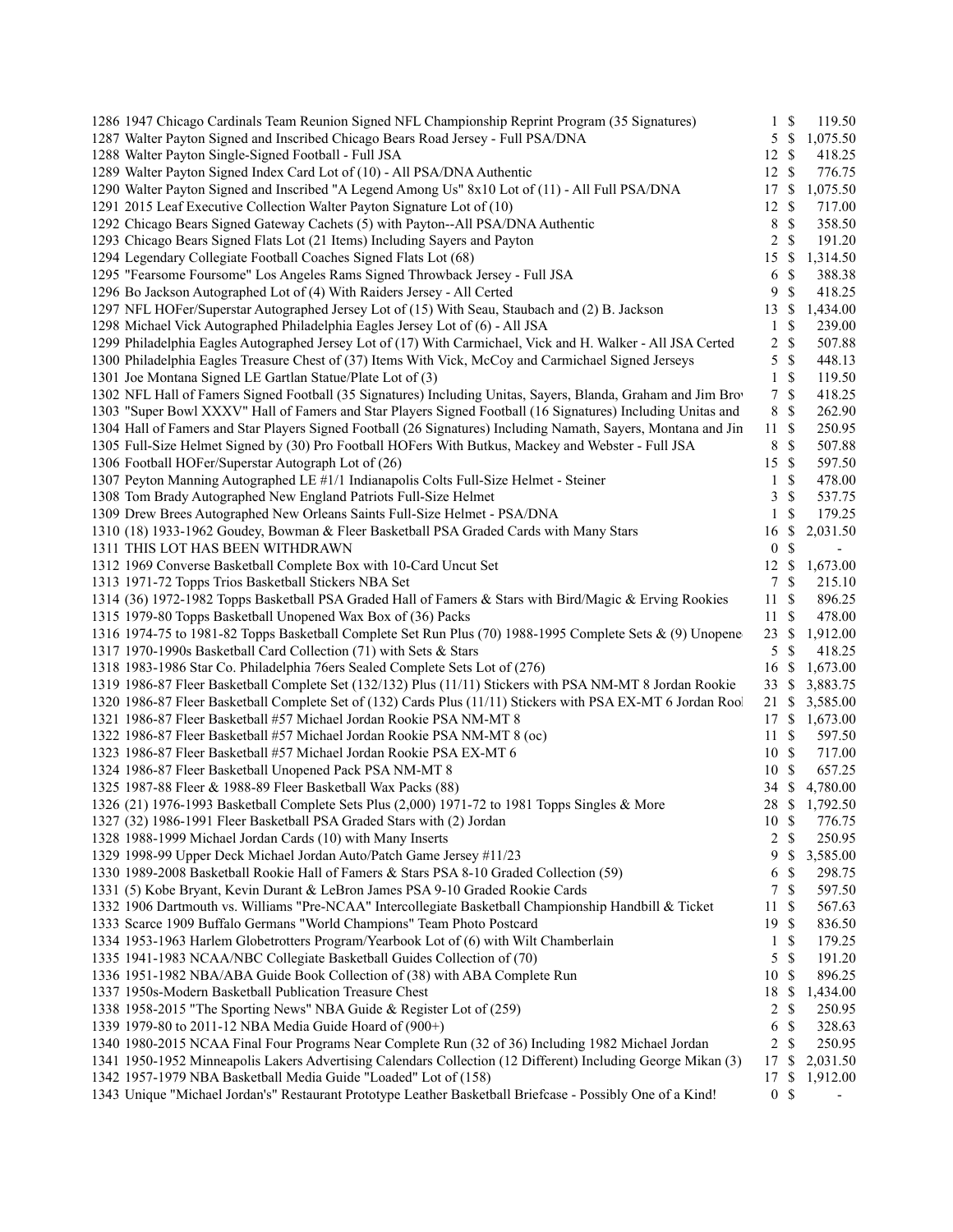|  | 1286 1947 Chicago Cardinals Team Reunion Signed NFL Championship Reprint Program (35 Signatures)               |                  | $1 \text{ } s$ | 119.50                   |
|--|----------------------------------------------------------------------------------------------------------------|------------------|----------------|--------------------------|
|  | 1287 Walter Payton Signed and Inscribed Chicago Bears Road Jersey - Full PSA/DNA                               | 5                | \$             | 1,075.50                 |
|  | 1288 Walter Payton Single-Signed Football - Full JSA                                                           | 12               | \$             | 418.25                   |
|  | 1289 Walter Payton Signed Index Card Lot of (10) - All PSA/DNA Authentic                                       | 12               | \$             | 776.75                   |
|  | 1290 Walter Payton Signed and Inscribed "A Legend Among Us" 8x10 Lot of (11) - All Full PSA/DNA                | 17               | $\mathbb{S}$   | 1,075.50                 |
|  | 1291 2015 Leaf Executive Collection Walter Payton Signature Lot of (10)                                        | 12               | \$             | 717.00                   |
|  | 1292 Chicago Bears Signed Gateway Cachets (5) with Payton--All PSA/DNA Authentic                               | 8                | $\mathbb{S}$   | 358.50                   |
|  | 1293 Chicago Bears Signed Flats Lot (21 Items) Including Sayers and Payton                                     | 2                | \$             | 191.20                   |
|  | 1294 Legendary Collegiate Football Coaches Signed Flats Lot (68)                                               | 15               | \$             | 1,314.50                 |
|  | 1295 "Fearsome Foursome" Los Angeles Rams Signed Throwback Jersey - Full JSA                                   | 6                | \$             | 388.38                   |
|  | 1296 Bo Jackson Autographed Lot of (4) With Raiders Jersey - All Certed                                        | 9                | \$             | 418.25                   |
|  | 1297 NFL HOFer/Superstar Autographed Jersey Lot of (15) With Seau, Staubach and (2) B. Jackson                 | 13               | <sup>\$</sup>  | 1,434.00                 |
|  | 1298 Michael Vick Autographed Philadelphia Eagles Jersey Lot of (6) - All JSA                                  | $\mathbf{1}$     | \$             | 239.00                   |
|  | 1299 Philadelphia Eagles Autographed Jersey Lot of (17) With Carmichael, Vick and H. Walker - All JSA Certed   | $\overline{c}$   | \$             | 507.88                   |
|  | 1300 Philadelphia Eagles Treasure Chest of (37) Items With Vick, McCoy and Carmichael Signed Jerseys           | 5                | $\mathbb{S}$   | 448.13                   |
|  | 1301 Joe Montana Signed LE Gartlan Statue/Plate Lot of (3)                                                     | $\mathbf{1}$     | \$             | 119.50                   |
|  | 1302 NFL Hall of Famers Signed Football (35 Signatures) Including Unitas, Sayers, Blanda, Graham and Jim Brov  | 7                | \$             | 418.25                   |
|  | 1303 "Super Bowl XXXV" Hall of Famers and Star Players Signed Football (16 Signatures) Including Unitas and    | $\,8\,$          | \$             | 262.90                   |
|  | 1304 Hall of Famers and Star Players Signed Football (26 Signatures) Including Namath, Sayers, Montana and Jin | 11               | $\mathbb{S}$   | 250.95                   |
|  | 1305 Full-Size Helmet Signed by (30) Pro Football HOFers With Butkus, Mackey and Webster - Full JSA            | 8                | \$             | 507.88                   |
|  | 1306 Football HOFer/Superstar Autograph Lot of (26)                                                            | 15               | \$             | 597.50                   |
|  | 1307 Peyton Manning Autographed LE #1/1 Indianapolis Colts Full-Size Helmet - Steiner                          | $\mathbf{1}$     | \$             | 478.00                   |
|  | 1308 Tom Brady Autographed New England Patriots Full-Size Helmet                                               | 3                | $\mathbb{S}$   | 537.75                   |
|  | 1309 Drew Brees Autographed New Orleans Saints Full-Size Helmet - PSA/DNA                                      | 1                | \$             | 179.25                   |
|  | 1310 (18) 1933-1962 Goudey, Bowman & Fleer Basketball PSA Graded Cards with Many Stars                         | 16               | \$             | 2,031.50                 |
|  | 1311 THIS LOT HAS BEEN WITHDRAWN                                                                               | $\boldsymbol{0}$ | \$             | $\overline{\phantom{a}}$ |
|  | 1312 1969 Converse Basketball Complete Box with 10-Card Uncut Set                                              | 12               | \$             | 1,673.00                 |
|  | 1313 1971-72 Topps Trios Basketball Stickers NBA Set                                                           | 7                | \$             | 215.10                   |
|  | 1314 (36) 1972-1982 Topps Basketball PSA Graded Hall of Famers & Stars with Bird/Magic & Erving Rookies        | 11               | $\mathbb{S}$   | 896.25                   |
|  | 1315 1979-80 Topps Basketball Unopened Wax Box of (36) Packs                                                   | 11               | \$             | 478.00                   |
|  |                                                                                                                | 23               |                | 1,912.00                 |
|  | 1316 1974-75 to 1981-82 Topps Basketball Complete Set Run Plus (70) 1988-1995 Complete Sets & (9) Unopene      |                  | \$             |                          |
|  | 1317 1970-1990s Basketball Card Collection (71) with Sets & Stars                                              | 5                | S              | 418.25                   |
|  | 1318 1983-1986 Star Co. Philadelphia 76ers Sealed Complete Sets Lot of (276)                                   | 16               | <sup>\$</sup>  | 1,673.00                 |
|  | 1319 1986-87 Fleer Basketball Complete Set (132/132) Plus (11/11) Stickers with PSA NM-MT 8 Jordan Rookie      | 33               | \$             | 3,883.75                 |
|  | 1320 1986-87 Fleer Basketball Complete Set of (132) Cards Plus (11/11) Stickers with PSA EX-MT 6 Jordan Rool   | 21               | \$             | 3,585.00                 |
|  | 1321 1986-87 Fleer Basketball #57 Michael Jordan Rookie PSA NM-MT 8                                            | 17               | <sup>\$</sup>  | 1,673.00                 |
|  | 1322 1986-87 Fleer Basketball #57 Michael Jordan Rookie PSA NM-MT 8 (oc)                                       | 11               | \$             | 597.50                   |
|  | 1323 1986-87 Fleer Basketball #57 Michael Jordan Rookie PSA EX-MT 6                                            | 10S              |                | 717.00                   |
|  | 1324 1986-87 Fleer Basketball Unopened Pack PSA NM-MT 8                                                        | 10               | -S             | 657.25                   |
|  | 1325 1987-88 Fleer & 1988-89 Fleer Basketball Wax Packs (88)                                                   | 34               | \$             | 4,780.00                 |
|  | 1326 (21) 1976-1993 Basketball Complete Sets Plus (2,000) 1971-72 to 1981 Topps Singles & More                 | 28 \$            |                | 1,792.50                 |
|  | 1327 (32) 1986-1991 Fleer Basketball PSA Graded Stars with (2) Jordan                                          | 10S              |                | 776.75                   |
|  | 1328 1988-1999 Michael Jordan Cards (10) with Many Inserts                                                     | 2                | <sup>\$</sup>  | 250.95                   |
|  | 1329 1998-99 Upper Deck Michael Jordan Auto/Patch Game Jersey #11/23                                           | 9                | \$             | 3,585.00                 |
|  | 1330 1989-2008 Basketball Rookie Hall of Famers & Stars PSA 8-10 Graded Collection (59)                        | 6                | \$             | 298.75                   |
|  | 1331 (5) Kobe Bryant, Kevin Durant & LeBron James PSA 9-10 Graded Rookie Cards                                 | 7                | \$             | 597.50                   |
|  | 1332 1906 Dartmouth vs. Williams "Pre-NCAA" Intercollegiate Basketball Championship Handbill & Ticket          | 11               | \$             | 567.63                   |
|  | 1333 Scarce 1909 Buffalo Germans "World Champions" Team Photo Postcard                                         | 19               | <sup>\$</sup>  | 836.50                   |
|  | 1334 1953-1963 Harlem Globetrotters Program/Yearbook Lot of (6) with Wilt Chamberlain                          | $\mathbf{1}$     | \$             | 179.25                   |
|  | 1335 1941-1983 NCAA/NBC Collegiate Basketball Guides Collection of (70)                                        | 5                | \$             | 191.20                   |
|  | 1336 1951-1982 NBA/ABA Guide Book Collection of (38) with ABA Complete Run                                     | $10\,$           | <sup>\$</sup>  | 896.25                   |
|  | 1337 1950s-Modern Basketball Publication Treasure Chest                                                        | 18               | \$             | 1,434.00                 |
|  | 1338 1958-2015 "The Sporting News" NBA Guide & Register Lot of (259)                                           | 2                | \$             | 250.95                   |
|  | 1339 1979-80 to 2011-12 NBA Media Guide Hoard of (900+)                                                        | 6                | \$             | 328.63                   |
|  | 1340 1980-2015 NCAA Final Four Programs Near Complete Run (32 of 36) Including 1982 Michael Jordan             | 2                | \$             | 250.95                   |
|  | 1341 1950-1952 Minneapolis Lakers Advertising Calendars Collection (12 Different) Including George Mikan (3)   | 17               | \$             | 2,031.50                 |
|  | 1342 1957-1979 NBA Basketball Media Guide "Loaded" Lot of (158)                                                | 17               | \$             | 1,912.00                 |
|  | 1343 Unique "Michael Jordan's" Restaurant Prototype Leather Basketball Briefcase - Possibly One of a Kind!     | $\overline{0}$   | \$             |                          |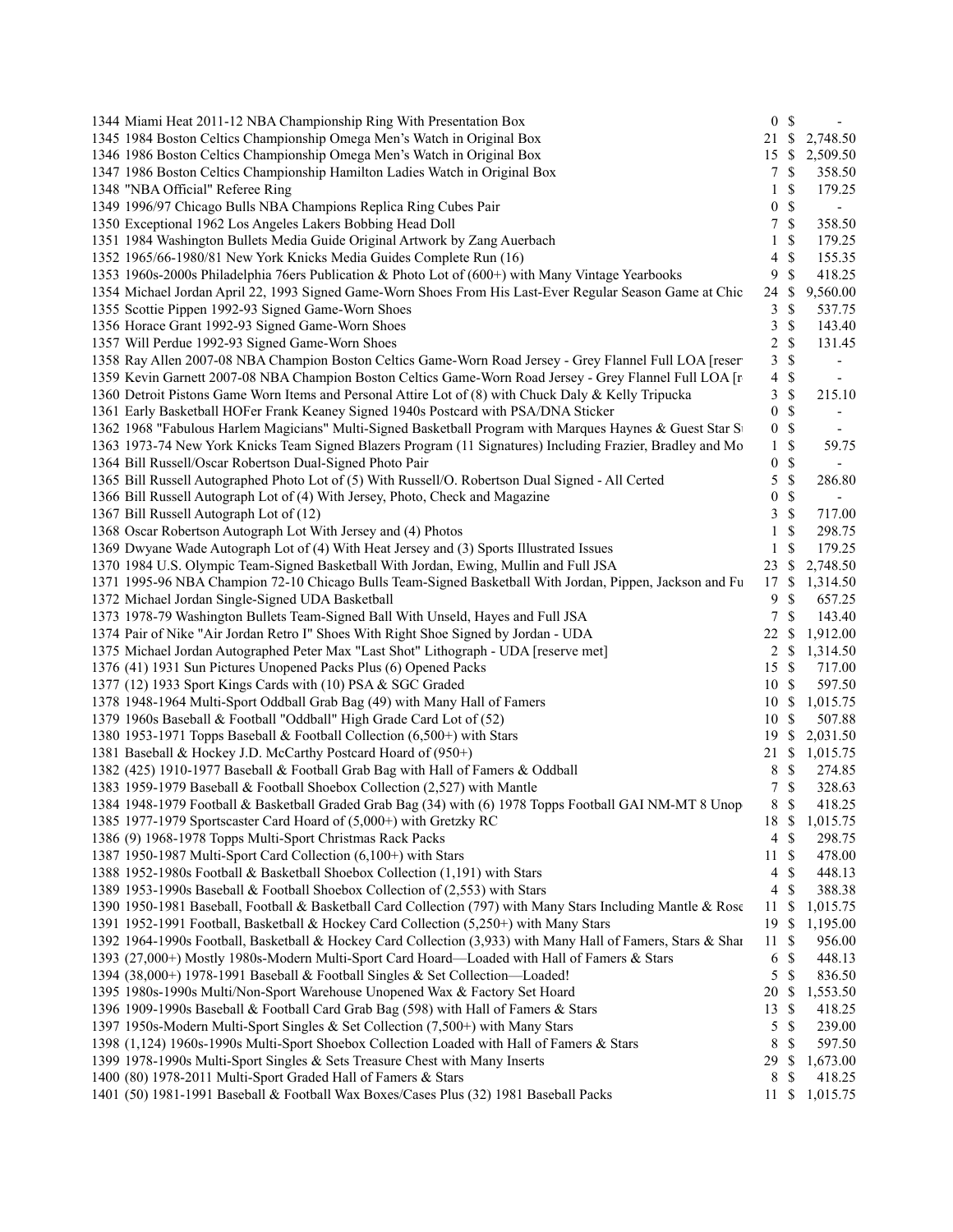| 1344 Miami Heat 2011-12 NBA Championship Ring With Presentation Box                                                                                          | 0 <sup>5</sup>          |               | $\sim$                   |
|--------------------------------------------------------------------------------------------------------------------------------------------------------------|-------------------------|---------------|--------------------------|
| 1345 1984 Boston Celtics Championship Omega Men's Watch in Original Box                                                                                      |                         |               | 21 \$ 2,748.50           |
| 1346 1986 Boston Celtics Championship Omega Men's Watch in Original Box                                                                                      | 15                      | <sup>\$</sup> | 2,509.50                 |
| 1347 1986 Boston Celtics Championship Hamilton Ladies Watch in Original Box                                                                                  | 7                       | <sup>\$</sup> | 358.50                   |
| 1348 "NBA Official" Referee Ring                                                                                                                             | 1                       | $\mathbb{S}$  | 179.25                   |
| 1349 1996/97 Chicago Bulls NBA Champions Replica Ring Cubes Pair                                                                                             | $\boldsymbol{0}$        | $\mathbb{S}$  | $\overline{\phantom{a}}$ |
| 1350 Exceptional 1962 Los Angeles Lakers Bobbing Head Doll                                                                                                   | 7                       | $\mathbb{S}$  | 358.50                   |
| 1351 1984 Washington Bullets Media Guide Original Artwork by Zang Auerbach                                                                                   | 1                       | \$            | 179.25                   |
| 1352 1965/66-1980/81 New York Knicks Media Guides Complete Run (16)                                                                                          | 4                       | \$            | 155.35                   |
| 1353 1960s-2000s Philadelphia 76ers Publication & Photo Lot of (600+) with Many Vintage Yearbooks                                                            | 9                       | \$            | 418.25                   |
| 1354 Michael Jordan April 22, 1993 Signed Game-Worn Shoes From His Last-Ever Regular Season Game at Chic                                                     | 24                      | <sup>\$</sup> | 9,560.00                 |
| 1355 Scottie Pippen 1992-93 Signed Game-Worn Shoes                                                                                                           | 3                       | \$            | 537.75                   |
| 1356 Horace Grant 1992-93 Signed Game-Worn Shoes                                                                                                             | 3                       | $\mathbb{S}$  | 143.40                   |
| 1357 Will Perdue 1992-93 Signed Game-Worn Shoes                                                                                                              | $\overline{\mathbf{c}}$ | \$            | 131.45                   |
| 1358 Ray Allen 2007-08 NBA Champion Boston Celtics Game-Worn Road Jersey - Grey Flannel Full LOA [reser                                                      | 3                       | \$            | $\overline{\phantom{a}}$ |
| 1359 Kevin Garnett 2007-08 NBA Champion Boston Celtics Game-Worn Road Jersey - Grey Flannel Full LOA [r                                                      | 4                       | $\mathbb S$   | $\overline{\phantom{a}}$ |
| 1360 Detroit Pistons Game Worn Items and Personal Attire Lot of (8) with Chuck Daly & Kelly Tripucka                                                         | 3                       | $\mathbb{S}$  | 215.10                   |
| 1361 Early Basketball HOFer Frank Keaney Signed 1940s Postcard with PSA/DNA Sticker                                                                          | $\boldsymbol{0}$        | $\mathcal{S}$ |                          |
| 1362 1968 "Fabulous Harlem Magicians" Multi-Signed Basketball Program with Marques Haynes & Guest Star St                                                    | $\boldsymbol{0}$        | $\mathbb{S}$  | $\overline{\phantom{a}}$ |
| 1363 1973-74 New York Knicks Team Signed Blazers Program (11 Signatures) Including Frazier, Bradley and Mo                                                   | $\mathbf{1}$            | \$            | 59.75                    |
| 1364 Bill Russell/Oscar Robertson Dual-Signed Photo Pair                                                                                                     | $\boldsymbol{0}$        | $\mathbb{S}$  |                          |
| 1365 Bill Russell Autographed Photo Lot of (5) With Russell/O. Robertson Dual Signed - All Certed                                                            | 5                       | $\mathbb{S}$  | 286.80                   |
| 1366 Bill Russell Autograph Lot of (4) With Jersey, Photo, Check and Magazine                                                                                | $\boldsymbol{0}$        | $\mathbb{S}$  |                          |
| 1367 Bill Russell Autograph Lot of (12)                                                                                                                      | 3                       | $\mathbb{S}$  | 717.00                   |
| 1368 Oscar Robertson Autograph Lot With Jersey and (4) Photos                                                                                                |                         |               | 298.75                   |
| 1369 Dwyane Wade Autograph Lot of (4) With Heat Jersey and (3) Sports Illustrated Issues                                                                     | $\mathbf{1}$<br>1       | \$            | 179.25                   |
| 1370 1984 U.S. Olympic Team-Signed Basketball With Jordan, Ewing, Mullin and Full JSA                                                                        |                         | \$<br>S       |                          |
|                                                                                                                                                              | 23<br>17                | \$            | 2,748.50<br>1,314.50     |
| 1371 1995-96 NBA Champion 72-10 Chicago Bulls Team-Signed Basketball With Jordan, Pippen, Jackson and Fu<br>1372 Michael Jordan Single-Signed UDA Basketball |                         |               |                          |
|                                                                                                                                                              | 9                       | $\mathbb{S}$  | 657.25                   |
| 1373 1978-79 Washington Bullets Team-Signed Ball With Unseld, Hayes and Full JSA                                                                             | $\tau$                  | \$            | 143.40                   |
| 1374 Pair of Nike "Air Jordan Retro I" Shoes With Right Shoe Signed by Jordan - UDA                                                                          | 22                      | \$            | 1,912.00                 |
| 1375 Michael Jordan Autographed Peter Max "Last Shot" Lithograph - UDA [reserve met]                                                                         | 2                       | \$            | 1,314.50                 |
| 1376 (41) 1931 Sun Pictures Unopened Packs Plus (6) Opened Packs                                                                                             | 15S                     |               | 717.00                   |
| 1377 (12) 1933 Sport Kings Cards with (10) PSA & SGC Graded                                                                                                  | 10 \$                   |               | 597.50                   |
| 1378 1948-1964 Multi-Sport Oddball Grab Bag (49) with Many Hall of Famers                                                                                    | 10S                     |               | 1,015.75                 |
| 1379 1960s Baseball & Football "Oddball" High Grade Card Lot of (52)                                                                                         | 10S                     |               | 507.88                   |
| 1380 1953-1971 Topps Baseball & Football Collection (6,500+) with Stars                                                                                      | 19                      |               | \$2,031.50               |
| 1381 Baseball & Hockey J.D. McCarthy Postcard Hoard of (950+)                                                                                                | 21 \$                   |               | 1,015.75                 |
| 1382 (425) 1910-1977 Baseball & Football Grab Bag with Hall of Famers & Oddball                                                                              | 8                       | \$            | 274.85                   |
| 1383 1959-1979 Baseball & Football Shoebox Collection (2,527) with Mantle                                                                                    | 7                       | $\mathbb{S}$  | 328.63                   |
| 1384 1948-1979 Football & Basketball Graded Grab Bag (34) with (6) 1978 Topps Football GAI NM-MT 8 Unop                                                      | 8                       | $\mathbb{S}$  | 418.25                   |
| 1385 1977-1979 Sportscaster Card Hoard of (5,000+) with Gretzky RC                                                                                           | 18 \$                   |               | 1,015.75                 |
| 1386 (9) 1968-1978 Topps Multi-Sport Christmas Rack Packs                                                                                                    | 4                       | S             | 298.75                   |
| 1387 1950-1987 Multi-Sport Card Collection (6,100+) with Stars                                                                                               | 11                      | \$            | 478.00                   |
| 1388 1952-1980s Football & Basketball Shoebox Collection (1,191) with Stars                                                                                  | 4                       | \$            | 448.13                   |
| 1389 1953-1990s Baseball & Football Shoebox Collection of (2,553) with Stars                                                                                 | 4                       | \$            | 388.38                   |
| 1390 1950-1981 Baseball, Football & Basketball Card Collection (797) with Many Stars Including Mantle & Rose                                                 | 11                      | \$            | 1,015.75                 |
| 1391 1952-1991 Football, Basketball & Hockey Card Collection (5,250+) with Many Stars                                                                        | 19                      | \$            | 1,195.00                 |
| 1392 1964-1990s Football, Basketball & Hockey Card Collection (3,933) with Many Hall of Famers, Stars & Shar                                                 | 11                      | \$            | 956.00                   |
| 1393 (27,000+) Mostly 1980s-Modern Multi-Sport Card Hoard—Loaded with Hall of Famers & Stars                                                                 | 6                       | \$            | 448.13                   |
| 1394 (38,000+) 1978-1991 Baseball & Football Singles & Set Collection-Loaded!                                                                                | 5                       | \$            | 836.50                   |
| 1395 1980s-1990s Multi/Non-Sport Warehouse Unopened Wax & Factory Set Hoard                                                                                  | 20                      | <sup>\$</sup> | 1,553.50                 |
| 1396 1909-1990s Baseball & Football Card Grab Bag (598) with Hall of Famers & Stars                                                                          | 13                      | S             | 418.25                   |
| 1397 1950s-Modern Multi-Sport Singles & Set Collection (7,500+) with Many Stars                                                                              | 5                       | \$            | 239.00                   |
| 1398 (1,124) 1960s-1990s Multi-Sport Shoebox Collection Loaded with Hall of Famers & Stars                                                                   | 8                       | \$            | 597.50                   |
| 1399 1978-1990s Multi-Sport Singles & Sets Treasure Chest with Many Inserts                                                                                  | 29                      | \$            | 1,673.00                 |
| 1400 (80) 1978-2011 Multi-Sport Graded Hall of Famers & Stars                                                                                                | 8                       | \$            | 418.25                   |
| 1401 (50) 1981-1991 Baseball & Football Wax Boxes/Cases Plus (32) 1981 Baseball Packs                                                                        | 11                      | \$            | 1,015.75                 |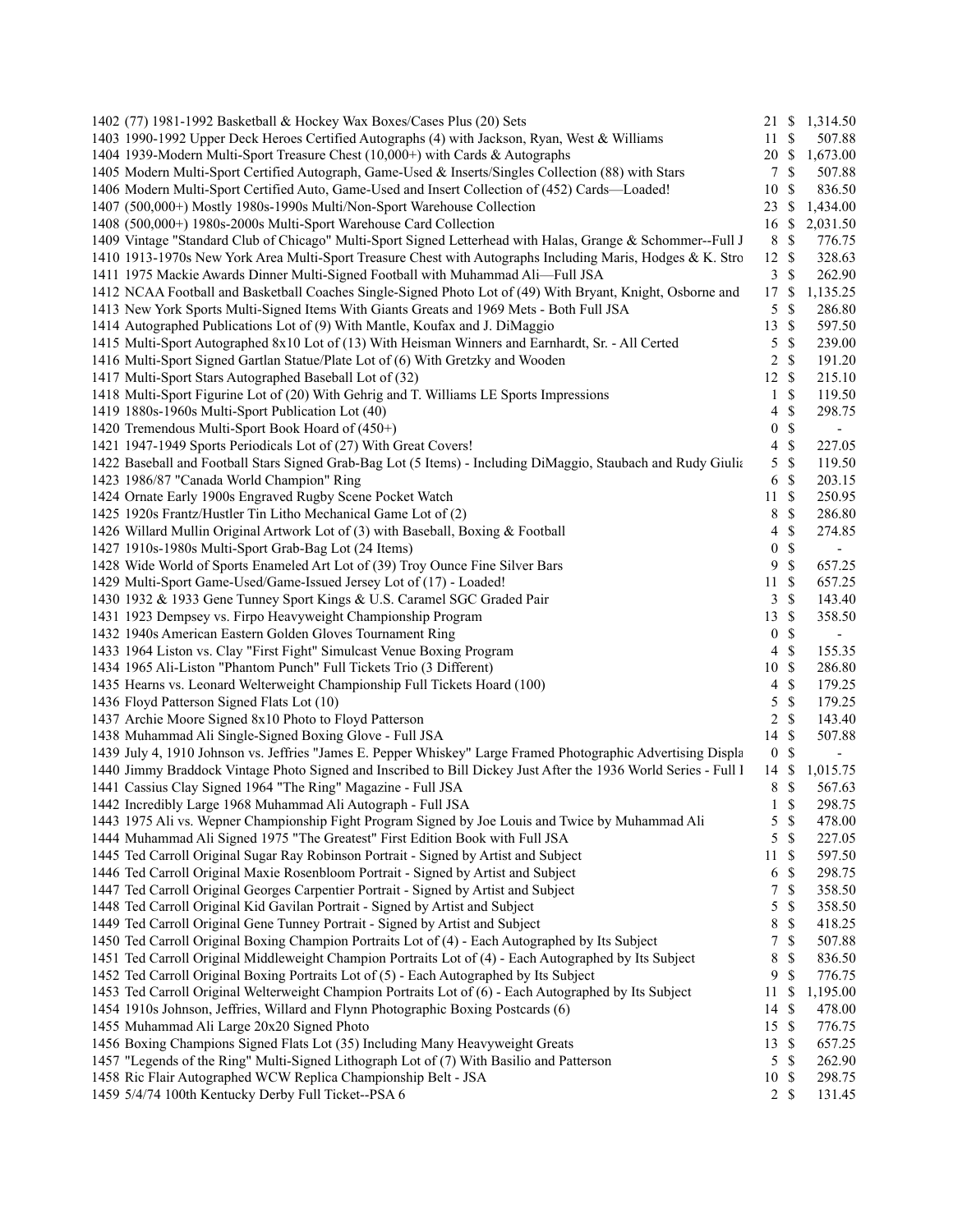| 1402 (77) 1981-1992 Basketball & Hockey Wax Boxes/Cases Plus (20) Sets                                                                   |                  |               | 21 \$ 1,314.50           |
|------------------------------------------------------------------------------------------------------------------------------------------|------------------|---------------|--------------------------|
| 1403 1990-1992 Upper Deck Heroes Certified Autographs (4) with Jackson, Ryan, West & Williams                                            | 11               | \$            | 507.88                   |
| 1404 1939-Modern Multi-Sport Treasure Chest (10,000+) with Cards & Autographs                                                            | 20 \$            |               | 1,673.00                 |
| 1405 Modern Multi-Sport Certified Autograph, Game-Used & Inserts/Singles Collection (88) with Stars                                      | 7                | S             | 507.88                   |
| 1406 Modern Multi-Sport Certified Auto, Game-Used and Insert Collection of (452) Cards—Loaded!                                           | 10               | \$            | 836.50                   |
| 1407 (500,000+) Mostly 1980s-1990s Multi/Non-Sport Warehouse Collection                                                                  | $23 \text{ }$ \$ |               | 1,434.00                 |
| 1408 (500,000+) 1980s-2000s Multi-Sport Warehouse Card Collection                                                                        | 16 \$            |               | 2,031.50                 |
| 1409 Vintage "Standard Club of Chicago" Multi-Sport Signed Letterhead with Halas, Grange & Schommer--Full J                              | 8                | $\mathbb{S}$  | 776.75                   |
| 1410 1913-1970s New York Area Multi-Sport Treasure Chest with Autographs Including Maris, Hodges & K. Stro                               | 12 \$            |               | 328.63                   |
| 1411 1975 Mackie Awards Dinner Multi-Signed Football with Muhammad Ali-Full JSA                                                          | 3                | \$            | 262.90                   |
| 1412 NCAA Football and Basketball Coaches Single-Signed Photo Lot of (49) With Bryant, Knight, Osborne and                               | 17               | <sup>\$</sup> | 1,135.25                 |
| 1413 New York Sports Multi-Signed Items With Giants Greats and 1969 Mets - Both Full JSA                                                 | 5                | \$            | 286.80                   |
| 1414 Autographed Publications Lot of (9) With Mantle, Koufax and J. DiMaggio                                                             | 13               | $\mathcal{S}$ | 597.50                   |
| 1415 Multi-Sport Autographed 8x10 Lot of (13) With Heisman Winners and Earnhardt, Sr. - All Certed                                       | 5                | \$            | 239.00                   |
| 1416 Multi-Sport Signed Gartlan Statue/Plate Lot of (6) With Gretzky and Wooden                                                          | 2                | \$            | 191.20                   |
| 1417 Multi-Sport Stars Autographed Baseball Lot of (32)                                                                                  | 12               | \$            | 215.10                   |
| 1418 Multi-Sport Figurine Lot of (20) With Gehrig and T. Williams LE Sports Impressions                                                  | $\mathbf{1}$     | \$            | 119.50                   |
| 1419 1880s-1960s Multi-Sport Publication Lot (40)                                                                                        | 4                | $\mathbb S$   | 298.75                   |
| 1420 Tremendous Multi-Sport Book Hoard of (450+)                                                                                         | 0                | $\mathbb{S}$  | $\overline{\phantom{a}}$ |
| 1421 1947-1949 Sports Periodicals Lot of (27) With Great Covers!                                                                         | 4                | \$            | 227.05                   |
| 1422 Baseball and Football Stars Signed Grab-Bag Lot (5 Items) - Including DiMaggio, Staubach and Rudy Giulia                            | 5                | $\mathcal{S}$ | 119.50                   |
| 1423 1986/87 "Canada World Champion" Ring                                                                                                | 6                | \$            | 203.15                   |
| 1424 Ornate Early 1900s Engraved Rugby Scene Pocket Watch                                                                                | 11               | $\mathbb{S}$  | 250.95                   |
| 1425 1920s Frantz/Hustler Tin Litho Mechanical Game Lot of (2)                                                                           | 8                | $\mathbb{S}$  | 286.80                   |
|                                                                                                                                          | 4                | \$            |                          |
| 1426 Willard Mullin Original Artwork Lot of (3) with Baseball, Boxing & Football<br>1427 1910s-1980s Multi-Sport Grab-Bag Lot (24 Items) | 0                | $\mathbb{S}$  | 274.85                   |
| 1428 Wide World of Sports Enameled Art Lot of (39) Troy Ounce Fine Silver Bars                                                           | 9                |               | $\overline{\phantom{a}}$ |
|                                                                                                                                          |                  | \$            | 657.25                   |
| 1429 Multi-Sport Game-Used/Game-Issued Jersey Lot of (17) - Loaded!                                                                      | 11               | \$            | 657.25                   |
| 1430 1932 & 1933 Gene Tunney Sport Kings & U.S. Caramel SGC Graded Pair                                                                  | 3                | \$            | 143.40                   |
| 1431 1923 Dempsey vs. Firpo Heavyweight Championship Program                                                                             | 13               | $\mathcal{S}$ | 358.50                   |
| 1432 1940s American Eastern Golden Gloves Tournament Ring                                                                                | $\boldsymbol{0}$ | \$            | $\overline{\phantom{a}}$ |
| 1433 1964 Liston vs. Clay "First Fight" Simulcast Venue Boxing Program                                                                   | 4                | \$            | 155.35                   |
| 1434 1965 Ali-Liston "Phantom Punch" Full Tickets Trio (3 Different)                                                                     | 10               | \$            | 286.80                   |
| 1435 Hearns vs. Leonard Welterweight Championship Full Tickets Hoard (100)                                                               | 4                | $\mathbb{S}$  | 179.25                   |
| 1436 Floyd Patterson Signed Flats Lot (10)                                                                                               | 5                | $\mathbb{S}$  | 179.25                   |
| 1437 Archie Moore Signed 8x10 Photo to Floyd Patterson                                                                                   | $\overline{2}$   | $\mathcal{S}$ | 143.40                   |
| 1438 Muhammad Ali Single-Signed Boxing Glove - Full JSA                                                                                  | 14               | $\mathbb{S}$  | 507.88                   |
| 1439 July 4, 1910 Johnson vs. Jeffries "James E. Pepper Whiskey" Large Framed Photographic Advertising Displa                            | $\bf{0}$         | \$            | $\overline{\phantom{a}}$ |
| 1440 Jimmy Braddock Vintage Photo Signed and Inscribed to Bill Dickey Just After the 1936 World Series - Full I                          | 14               | -S            | 1,015.75                 |
| 1441 Cassius Clay Signed 1964 "The Ring" Magazine - Full JSA                                                                             | 8                | \$            | 567.63                   |
| 1442 Incredibly Large 1968 Muhammad Ali Autograph - Full JSA                                                                             | $\mathbf{1}$     | <sup>\$</sup> | 298.75                   |
| 1443 1975 Ali vs. Wepner Championship Fight Program Signed by Joe Louis and Twice by Muhammad Ali                                        | 5                | $\mathbb{S}$  | 478.00                   |
| 1444 Muhammad Ali Signed 1975 "The Greatest" First Edition Book with Full JSA                                                            | 5                | $\mathbb{S}$  | 227.05                   |
| 1445 Ted Carroll Original Sugar Ray Robinson Portrait - Signed by Artist and Subject                                                     | 11               | $\mathbb{S}$  | 597.50                   |
| 1446 Ted Carroll Original Maxie Rosenbloom Portrait - Signed by Artist and Subject                                                       | 6                | \$            | 298.75                   |
| 1447 Ted Carroll Original Georges Carpentier Portrait - Signed by Artist and Subject                                                     | 7                | \$            | 358.50                   |
| 1448 Ted Carroll Original Kid Gavilan Portrait - Signed by Artist and Subject                                                            | 5                | \$            | 358.50                   |
| 1449 Ted Carroll Original Gene Tunney Portrait - Signed by Artist and Subject                                                            | 8                | \$            | 418.25                   |
| 1450 Ted Carroll Original Boxing Champion Portraits Lot of (4) - Each Autographed by Its Subject                                         | 7                | \$            | 507.88                   |
| 1451 Ted Carroll Original Middleweight Champion Portraits Lot of (4) - Each Autographed by Its Subject                                   | 8                | \$            | 836.50                   |
| 1452 Ted Carroll Original Boxing Portraits Lot of (5) - Each Autographed by Its Subject                                                  | 9                | \$            | 776.75                   |
| 1453 Ted Carroll Original Welterweight Champion Portraits Lot of (6) - Each Autographed by Its Subject                                   | 11               | \$            | 1,195.00                 |
| 1454 1910s Johnson, Jeffries, Willard and Flynn Photographic Boxing Postcards (6)                                                        | 14               | \$            | 478.00                   |
| 1455 Muhammad Ali Large 20x20 Signed Photo                                                                                               | 15S              |               | 776.75                   |
| 1456 Boxing Champions Signed Flats Lot (35) Including Many Heavyweight Greats                                                            | 13               | <sup>\$</sup> | 657.25                   |
| 1457 "Legends of the Ring" Multi-Signed Lithograph Lot of (7) With Basilio and Patterson                                                 | $\sqrt{5}$       | \$            | 262.90                   |
| 1458 Ric Flair Autographed WCW Replica Championship Belt - JSA                                                                           | 10               | \$            | 298.75                   |
| 1459 5/4/74 100th Kentucky Derby Full Ticket--PSA 6                                                                                      |                  | 2S            | 131.45                   |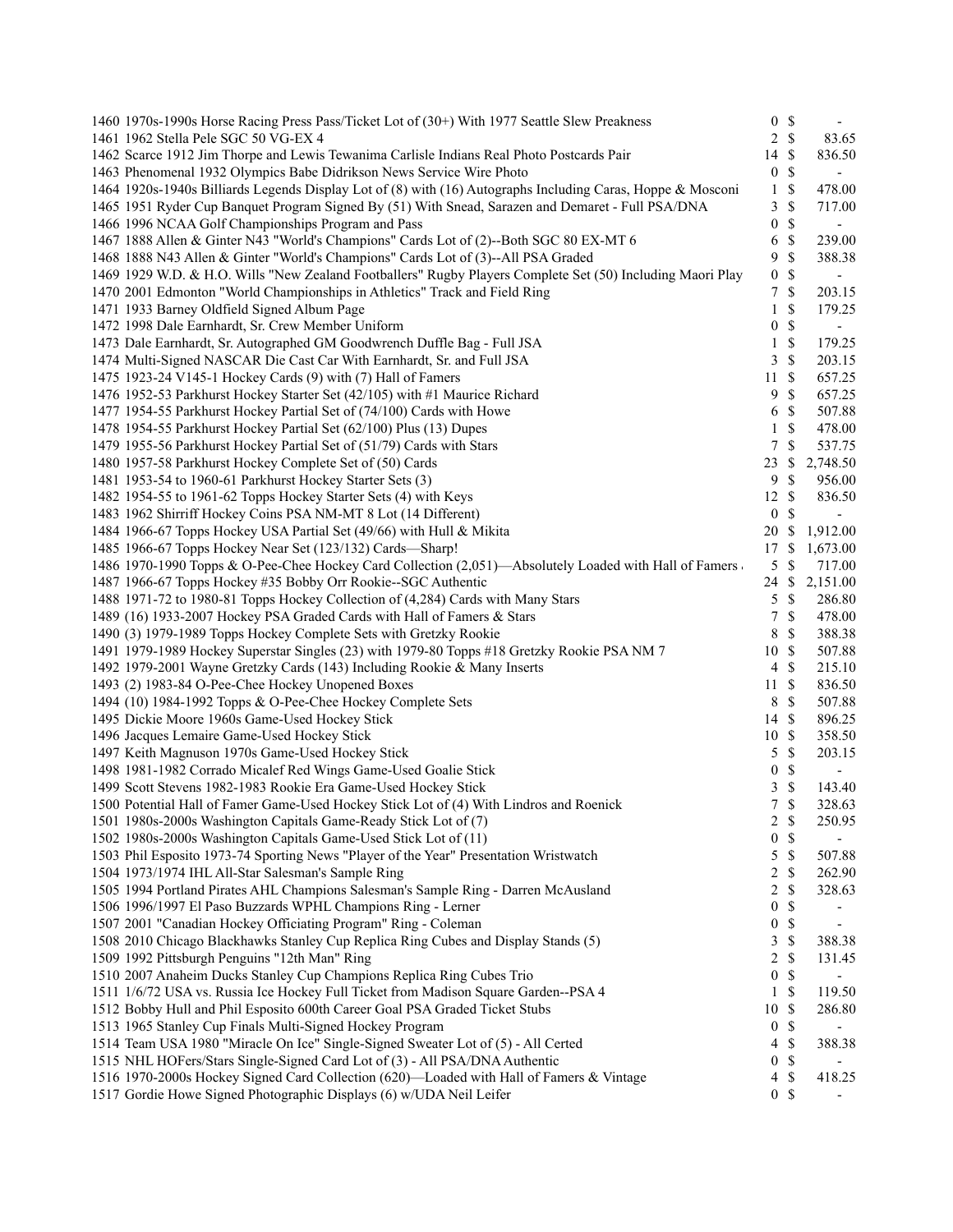| 1460 1970s-1990s Horse Racing Press Pass/Ticket Lot of (30+) With 1977 Seattle Slew Preakness               |                         | 0 S              |                          |
|-------------------------------------------------------------------------------------------------------------|-------------------------|------------------|--------------------------|
| 1461 1962 Stella Pele SGC 50 VG-EX 4                                                                        |                         | $2 \sqrt{s}$     | 83.65                    |
| 1462 Scarce 1912 Jim Thorpe and Lewis Tewanima Carlisle Indians Real Photo Postcards Pair                   | 14 \$                   |                  | 836.50                   |
| 1463 Phenomenal 1932 Olympics Babe Didrikson News Service Wire Photo                                        | $\boldsymbol{0}$        | \$               | $\overline{\phantom{a}}$ |
| 1464 1920s-1940s Billiards Legends Display Lot of (8) with (16) Autographs Including Caras, Hoppe & Mosconi | 1                       | \$               | 478.00                   |
| 1465 1951 Ryder Cup Banquet Program Signed By (51) With Snead, Sarazen and Demaret - Full PSA/DNA           | 3                       | \$               | 717.00                   |
| 1466 1996 NCAA Golf Championships Program and Pass                                                          | $\boldsymbol{0}$        | $\mathbb{S}$     | $\overline{\phantom{a}}$ |
| 1467 1888 Allen & Ginter N43 "World's Champions" Cards Lot of (2)--Both SGC 80 EX-MT 6                      | 6                       | \$               | 239.00                   |
| 1468 1888 N43 Allen & Ginter "World's Champions" Cards Lot of (3)--All PSA Graded                           | 9                       | \$               | 388.38                   |
| 1469 1929 W.D. & H.O. Wills "New Zealand Footballers" Rugby Players Complete Set (50) Including Maori Play  | $\boldsymbol{0}$        | $\mathbb{S}$     |                          |
| 1470 2001 Edmonton "World Championships in Athletics" Track and Field Ring                                  | 7                       | \$               | 203.15                   |
| 1471 1933 Barney Oldfield Signed Album Page                                                                 | 1                       | \$               | 179.25                   |
| 1472 1998 Dale Earnhardt, Sr. Crew Member Uniform                                                           | 0                       | \$               | $\blacksquare$           |
| 1473 Dale Earnhardt, Sr. Autographed GM Goodwrench Duffle Bag - Full JSA                                    | 1                       | \$               | 179.25                   |
| 1474 Multi-Signed NASCAR Die Cast Car With Earnhardt, Sr. and Full JSA                                      | 3                       | \$               | 203.15                   |
| 1475 1923-24 V145-1 Hockey Cards (9) with (7) Hall of Famers                                                | 11                      | \$               | 657.25                   |
| 1476 1952-53 Parkhurst Hockey Starter Set (42/105) with #1 Maurice Richard                                  | 9                       | \$               | 657.25                   |
| 1477 1954-55 Parkhurst Hockey Partial Set of (74/100) Cards with Howe                                       | 6                       | \$               | 507.88                   |
| 1478 1954-55 Parkhurst Hockey Partial Set (62/100) Plus (13) Dupes                                          | $\mathbf{1}$            | \$               | 478.00                   |
| 1479 1955-56 Parkhurst Hockey Partial Set of (51/79) Cards with Stars                                       | 7                       | \$               | 537.75                   |
| 1480 1957-58 Parkhurst Hockey Complete Set of (50) Cards                                                    | 23                      | \$               | 2,748.50                 |
| 1481 1953-54 to 1960-61 Parkhurst Hockey Starter Sets (3)                                                   | 9                       | \$               | 956.00                   |
| 1482 1954-55 to 1961-62 Topps Hockey Starter Sets (4) with Keys                                             | 12                      | \$               | 836.50                   |
| 1483 1962 Shirriff Hockey Coins PSA NM-MT 8 Lot (14 Different)                                              | $\boldsymbol{0}$        | \$               |                          |
| 1484 1966-67 Topps Hockey USA Partial Set (49/66) with Hull & Mikita                                        |                         | 20 \$            | 1,912.00                 |
| 1485 1966-67 Topps Hockey Near Set (123/132) Cards-Sharp!                                                   | 17                      | \$               | 1,673.00                 |
| 1486 1970-1990 Topps & O-Pee-Chee Hockey Card Collection (2,051)—Absolutely Loaded with Hall of Famers      | $\sqrt{5}$              | S                | 717.00                   |
| 1487 1966-67 Topps Hockey #35 Bobby Orr Rookie--SGC Authentic                                               | 24                      | \$               | 2,151.00                 |
| 1488 1971-72 to 1980-81 Topps Hockey Collection of (4,284) Cards with Many Stars                            | 5                       | \$               | 286.80                   |
| 1489 (16) 1933-2007 Hockey PSA Graded Cards with Hall of Famers & Stars                                     | 7                       | \$               | 478.00                   |
| 1490 (3) 1979-1989 Topps Hockey Complete Sets with Gretzky Rookie                                           | 8                       | \$               | 388.38                   |
| 1491 1979-1989 Hockey Superstar Singles (23) with 1979-80 Topps #18 Gretzky Rookie PSA NM 7                 | 10                      | \$               | 507.88                   |
| 1492 1979-2001 Wayne Gretzky Cards (143) Including Rookie & Many Inserts                                    | $\overline{4}$          | \$               | 215.10                   |
| 1493 (2) 1983-84 O-Pee-Chee Hockey Unopened Boxes                                                           | 11                      | <sup>\$</sup>    | 836.50                   |
| 1494 (10) 1984-1992 Topps & O-Pee-Chee Hockey Complete Sets                                                 | 8                       | \$               | 507.88                   |
| 1495 Dickie Moore 1960s Game-Used Hockey Stick                                                              |                         | $14 \text{ }$ \$ | 896.25                   |
| 1496 Jacques Lemaire Game-Used Hockey Stick                                                                 |                         | 10S              | 358.50                   |
| 1497 Keith Magnuson 1970s Game-Used Hockey Stick                                                            | 5                       | \$               | 203.15                   |
| 1498 1981-1982 Corrado Micalef Red Wings Game-Used Goalie Stick                                             | $\boldsymbol{0}$        | \$               | $\overline{\phantom{a}}$ |
| 1499 Scott Stevens 1982-1983 Rookie Era Game-Used Hockey Stick                                              | 3                       | $\mathbb{S}$     | 143.40                   |
| 1500 Potential Hall of Famer Game-Used Hockey Stick Lot of (4) With Lindros and Roenick                     | 7                       | \$               | 328.63                   |
| 1501 1980s-2000s Washington Capitals Game-Ready Stick Lot of (7)                                            | 2                       | $\mathbb{S}$     | 250.95                   |
| 1502 1980s-2000s Washington Capitals Game-Used Stick Lot of (11)                                            | $\boldsymbol{0}$        | $\mathbb{S}$     |                          |
| 1503 Phil Esposito 1973-74 Sporting News "Player of the Year" Presentation Wristwatch                       | 5                       | \$               | 507.88                   |
| 1504 1973/1974 IHL All-Star Salesman's Sample Ring                                                          | $\overline{\mathbf{c}}$ | \$               | 262.90                   |
| 1505 1994 Portland Pirates AHL Champions Salesman's Sample Ring - Darren McAusland                          | 2                       | \$               | 328.63                   |
| 1506 1996/1997 El Paso Buzzards WPHL Champions Ring - Lerner                                                | $\boldsymbol{0}$        | \$               |                          |
| 1507 2001 "Canadian Hockey Officiating Program" Ring - Coleman                                              | $\boldsymbol{0}$        | \$               |                          |
| 1508 2010 Chicago Blackhawks Stanley Cup Replica Ring Cubes and Display Stands (5)                          | 3                       | \$               | 388.38                   |
| 1509 1992 Pittsburgh Penguins "12th Man" Ring                                                               | 2                       | \$               | 131.45                   |
| 1510 2007 Anaheim Ducks Stanley Cup Champions Replica Ring Cubes Trio                                       | $\boldsymbol{0}$        | \$               |                          |
| 1511 1/6/72 USA vs. Russia Ice Hockey Full Ticket from Madison Square Garden--PSA 4                         | 1                       | \$               | 119.50                   |
| 1512 Bobby Hull and Phil Esposito 600th Career Goal PSA Graded Ticket Stubs                                 | $10\,$                  | $\mathbb{S}$     | 286.80                   |
| 1513 1965 Stanley Cup Finals Multi-Signed Hockey Program                                                    | $\boldsymbol{0}$        | $\mathbb{S}$     |                          |
| 1514 Team USA 1980 "Miracle On Ice" Single-Signed Sweater Lot of (5) - All Certed                           | 4                       | \$               | 388.38                   |
| 1515 NHL HOFers/Stars Single-Signed Card Lot of (3) - All PSA/DNA Authentic                                 | $\boldsymbol{0}$        | \$               |                          |
| 1516 1970-2000s Hockey Signed Card Collection (620)—Loaded with Hall of Famers & Vintage                    | 4                       | \$               | 418.25                   |
| 1517 Gordie Howe Signed Photographic Displays (6) w/UDA Neil Leifer                                         |                         | 0S               |                          |
|                                                                                                             |                         |                  |                          |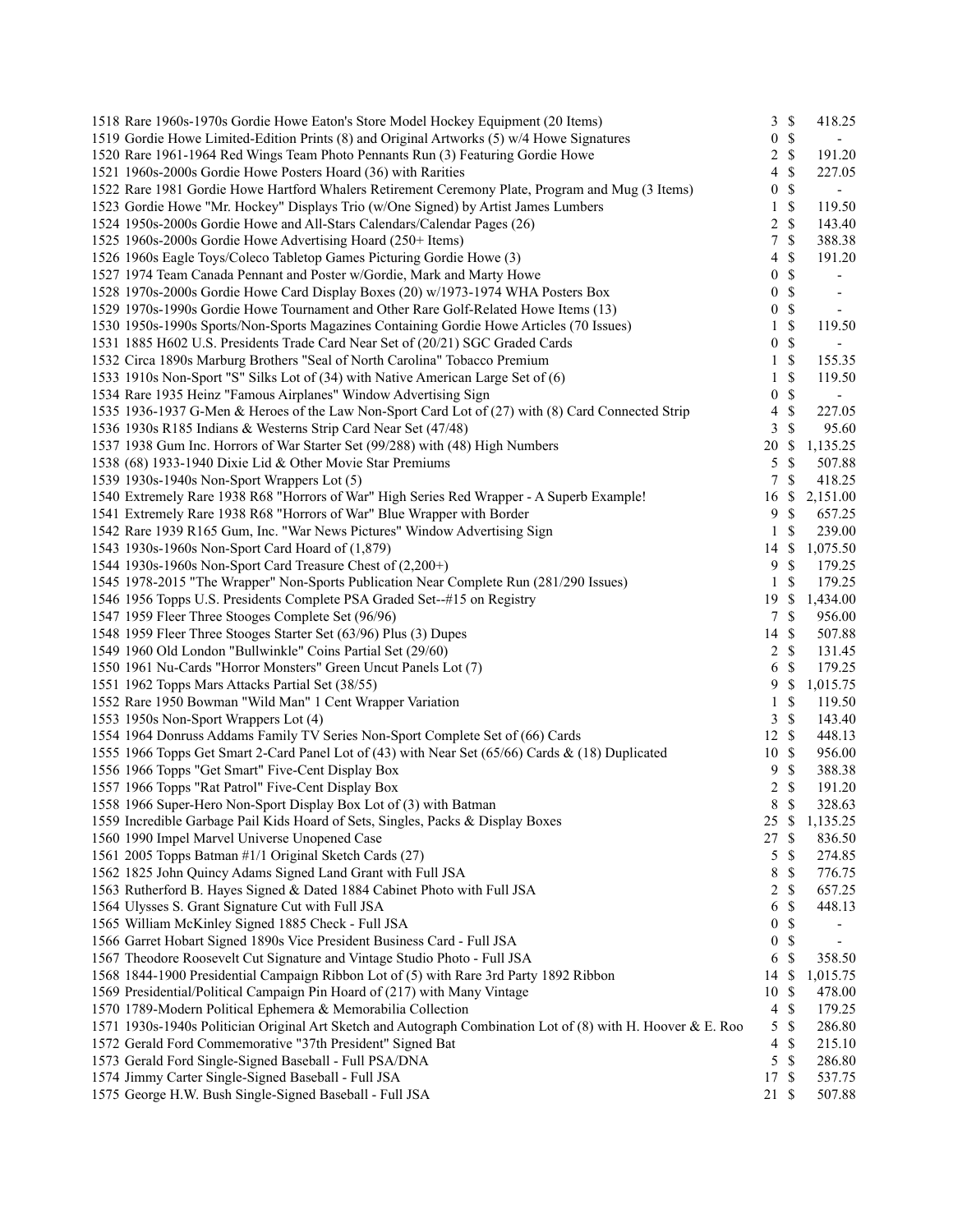| 1518 Rare 1960s-1970s Gordie Howe Eaton's Store Model Hockey Equipment (20 Items)                            | 3                | $\mathbb{S}$       | 418.25                   |
|--------------------------------------------------------------------------------------------------------------|------------------|--------------------|--------------------------|
| 1519 Gordie Howe Limited-Edition Prints (8) and Original Artworks (5) w/4 Howe Signatures                    | 0                | $\mathbb{S}$       | $\sim$                   |
| 1520 Rare 1961-1964 Red Wings Team Photo Pennants Run (3) Featuring Gordie Howe                              | 2                | $\mathbb S$        | 191.20                   |
| 1521 1960s-2000s Gordie Howe Posters Hoard (36) with Rarities                                                | 4                | \$                 | 227.05                   |
| 1522 Rare 1981 Gordie Howe Hartford Whalers Retirement Ceremony Plate, Program and Mug (3 Items)             | 0                | \$                 | $\overline{\phantom{a}}$ |
| 1523 Gordie Howe "Mr. Hockey" Displays Trio (w/One Signed) by Artist James Lumbers                           | 1                | \$                 | 119.50                   |
| 1524 1950s-2000s Gordie Howe and All-Stars Calendars/Calendar Pages (26)                                     | 2                | $\mathbb{S}$       | 143.40                   |
| 1525 1960s-2000s Gordie Howe Advertising Hoard (250+ Items)                                                  | 7                | $\mathbb{S}$       | 388.38                   |
| 1526 1960s Eagle Toys/Coleco Tabletop Games Picturing Gordie Howe (3)                                        | 4                | \$                 | 191.20                   |
| 1527 1974 Team Canada Pennant and Poster w/Gordie, Mark and Marty Howe                                       | 0                | \$                 |                          |
| 1528 1970s-2000s Gordie Howe Card Display Boxes (20) w/1973-1974 WHA Posters Box                             | 0                | $\mathbb S$        | $\overline{\phantom{a}}$ |
| 1529 1970s-1990s Gordie Howe Tournament and Other Rare Golf-Related Howe Items (13)                          | $\boldsymbol{0}$ | $\$$               | $\sim$                   |
| 1530 1950s-1990s Sports/Non-Sports Magazines Containing Gordie Howe Articles (70 Issues)                     | $\mathbf{1}$     | \$                 | 119.50                   |
| 1531 1885 H602 U.S. Presidents Trade Card Near Set of (20/21) SGC Graded Cards                               | 0                | \$                 | $\blacksquare$           |
| 1532 Circa 1890s Marburg Brothers "Seal of North Carolina" Tobacco Premium                                   | 1                | \$                 | 155.35                   |
| 1533 1910s Non-Sport "S" Silks Lot of (34) with Native American Large Set of (6)                             | 1                | \$                 | 119.50                   |
| 1534 Rare 1935 Heinz "Famous Airplanes" Window Advertising Sign                                              | 0                | $\mathbb{S}$       | $\overline{\phantom{a}}$ |
| 1535 1936-1937 G-Men & Heroes of the Law Non-Sport Card Lot of (27) with (8) Card Connected Strip            | 4                | $\mathbb{S}$       | 227.05                   |
| 1536 1930s R185 Indians & Westerns Strip Card Near Set (47/48)                                               | 3                | \$                 | 95.60                    |
| 1537 1938 Gum Inc. Horrors of War Starter Set (99/288) with (48) High Numbers                                | 20               | \$                 | 1,135.25                 |
| 1538 (68) 1933-1940 Dixie Lid & Other Movie Star Premiums                                                    | 5                | \$                 | 507.88                   |
| 1539 1930s-1940s Non-Sport Wrappers Lot (5)                                                                  | 7                | \$                 | 418.25                   |
| 1540 Extremely Rare 1938 R68 "Horrors of War" High Series Red Wrapper - A Superb Example!                    | 16               | \$                 | 2,151.00                 |
| 1541 Extremely Rare 1938 R68 "Horrors of War" Blue Wrapper with Border                                       | 9                | \$                 | 657.25                   |
|                                                                                                              | $\mathbf{1}$     | \$                 |                          |
| 1542 Rare 1939 R165 Gum, Inc. "War News Pictures" Window Advertising Sign                                    |                  |                    | 239.00                   |
| 1543 1930s-1960s Non-Sport Card Hoard of (1,879)                                                             | 14<br>9          | \$<br>$\mathbb{S}$ | 1,075.50                 |
| 1544 1930s-1960s Non-Sport Card Treasure Chest of (2,200+)                                                   | 1                | \$                 | 179.25<br>179.25         |
| 1545 1978-2015 "The Wrapper" Non-Sports Publication Near Complete Run (281/290 Issues)                       |                  |                    |                          |
| 1546 1956 Topps U.S. Presidents Complete PSA Graded Set--#15 on Registry                                     | 19               | \$                 | 1,434.00                 |
| 1547 1959 Fleer Three Stooges Complete Set (96/96)                                                           | 7                | \$                 | 956.00                   |
| 1548 1959 Fleer Three Stooges Starter Set (63/96) Plus (3) Dupes                                             | 14               | <sup>\$</sup>      | 507.88                   |
| 1549 1960 Old London "Bullwinkle" Coins Partial Set (29/60)                                                  | $\overline{2}$   | $\mathbb{S}$       | 131.45                   |
| 1550 1961 Nu-Cards "Horror Monsters" Green Uncut Panels Lot (7)                                              | 6                | \$                 | 179.25                   |
| 1551 1962 Topps Mars Attacks Partial Set (38/55)                                                             | 9                | S                  | 1,015.75                 |
| 1552 Rare 1950 Bowman "Wild Man" 1 Cent Wrapper Variation                                                    | 1                | \$                 | 119.50                   |
| 1553 1950s Non-Sport Wrappers Lot (4)                                                                        | 3                | $\mathbb S$        | 143.40                   |
| 1554 1964 Donruss Addams Family TV Series Non-Sport Complete Set of (66) Cards                               | 12               | $\mathbb{S}$       | 448.13                   |
| 1555 1966 Topps Get Smart 2-Card Panel Lot of (43) with Near Set (65/66) Cards & (18) Duplicated             | 10               | \$                 | 956.00                   |
| 1556 1966 Topps "Get Smart" Five-Cent Display Box                                                            | 9                | $\mathbb{S}$       | 388.38                   |
| 1557 1966 Topps "Rat Patrol" Five-Cent Display Box                                                           | 2                | \$                 | 191.20                   |
| 1558 1966 Super-Hero Non-Sport Display Box Lot of (3) with Batman                                            | 8                | \$                 | 328.63                   |
| 1559 Incredible Garbage Pail Kids Hoard of Sets, Singles, Packs & Display Boxes                              | 25 \$            |                    | 1,135.25                 |
| 1560 1990 Impel Marvel Universe Unopened Case                                                                | 27               | \$                 | 836.50                   |
| 1561 2005 Topps Batman #1/1 Original Sketch Cards (27)                                                       | 5                | \$                 | 274.85                   |
| 1562 1825 John Quincy Adams Signed Land Grant with Full JSA                                                  | 8                | \$                 | 776.75                   |
| 1563 Rutherford B. Hayes Signed & Dated 1884 Cabinet Photo with Full JSA                                     | 2                | \$                 | 657.25                   |
| 1564 Ulysses S. Grant Signature Cut with Full JSA                                                            | 6                | \$                 | 448.13                   |
| 1565 William McKinley Signed 1885 Check - Full JSA                                                           | 0                | \$                 |                          |
| 1566 Garret Hobart Signed 1890s Vice President Business Card - Full JSA                                      | 0                | \$                 | $\overline{\phantom{a}}$ |
| 1567 Theodore Roosevelt Cut Signature and Vintage Studio Photo - Full JSA                                    | 6                | \$                 | 358.50                   |
| 1568 1844-1900 Presidential Campaign Ribbon Lot of (5) with Rare 3rd Party 1892 Ribbon                       | 14               | \$                 | 1,015.75                 |
| 1569 Presidential/Political Campaign Pin Hoard of (217) with Many Vintage                                    | 10               | \$                 | 478.00                   |
| 1570 1789-Modern Political Ephemera & Memorabilia Collection                                                 | $\overline{4}$   | $\mathbb{S}$       | 179.25                   |
| 1571 1930s-1940s Politician Original Art Sketch and Autograph Combination Lot of (8) with H. Hoover & E. Roo | 5                | $\mathbb S$        | 286.80                   |
| 1572 Gerald Ford Commemorative "37th President" Signed Bat                                                   | 4                | $\mathbb{S}$       | 215.10                   |
| 1573 Gerald Ford Single-Signed Baseball - Full PSA/DNA                                                       | 5                | \$                 | 286.80                   |
| 1574 Jimmy Carter Single-Signed Baseball - Full JSA                                                          | 17               | \$                 | 537.75                   |
| 1575 George H.W. Bush Single-Signed Baseball - Full JSA                                                      | 21               | -S                 | 507.88                   |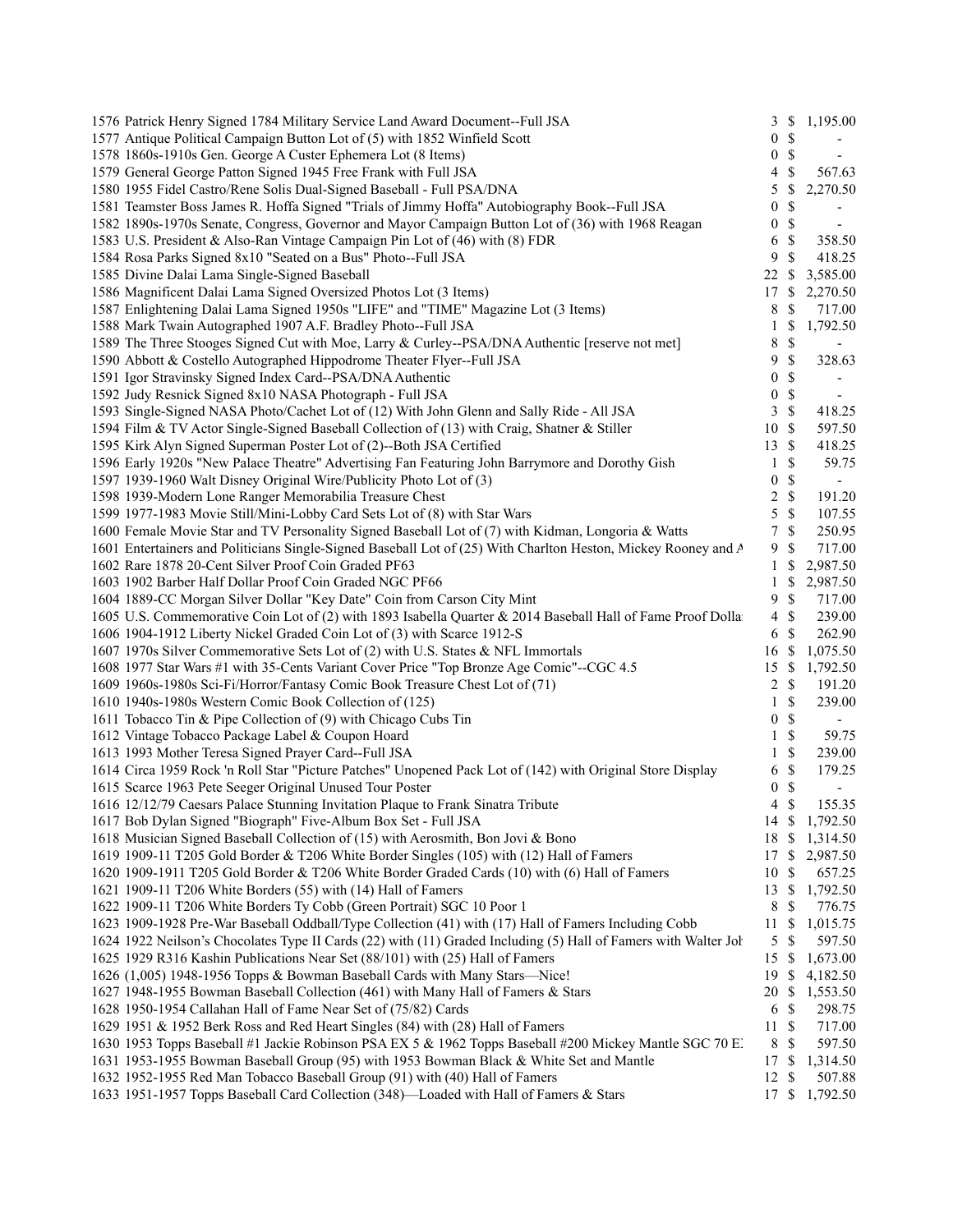| 1576 Patrick Henry Signed 1784 Military Service Land Award Document--Full JSA                                    | 3                | $\mathbb{S}$  | 1,195.00                 |
|------------------------------------------------------------------------------------------------------------------|------------------|---------------|--------------------------|
| 1577 Antique Political Campaign Button Lot of (5) with 1852 Winfield Scott                                       | 0                | $\mathbb{S}$  |                          |
| 1578 1860s-1910s Gen. George A Custer Ephemera Lot (8 Items)                                                     | $\boldsymbol{0}$ | \$            | $\blacksquare$           |
| 1579 General George Patton Signed 1945 Free Frank with Full JSA                                                  | 4                | \$            | 567.63                   |
| 1580 1955 Fidel Castro/Rene Solis Dual-Signed Baseball - Full PSA/DNA                                            | 5                | \$            | 2,270.50                 |
| 1581 Teamster Boss James R. Hoffa Signed "Trials of Jimmy Hoffa" Autobiography Book--Full JSA                    | $\boldsymbol{0}$ | \$            |                          |
| 1582 1890s-1970s Senate, Congress, Governor and Mayor Campaign Button Lot of (36) with 1968 Reagan               | $\boldsymbol{0}$ | \$            |                          |
| 1583 U.S. President & Also-Ran Vintage Campaign Pin Lot of (46) with (8) FDR                                     | 6                | \$            | 358.50                   |
| 1584 Rosa Parks Signed 8x10 "Seated on a Bus" Photo--Full JSA                                                    | 9                | \$            | 418.25                   |
| 1585 Divine Dalai Lama Single-Signed Baseball                                                                    | 22               | \$            | 3,585.00                 |
| 1586 Magnificent Dalai Lama Signed Oversized Photos Lot (3 Items)                                                | 17               | \$            | 2,270.50                 |
| 1587 Enlightening Dalai Lama Signed 1950s "LIFE" and "TIME" Magazine Lot (3 Items)                               | 8                | \$            | 717.00                   |
| 1588 Mark Twain Autographed 1907 A.F. Bradley Photo--Full JSA                                                    | 1                | \$            | 1,792.50                 |
| 1589 The Three Stooges Signed Cut with Moe, Larry & Curley--PSA/DNA Authentic [reserve not met]                  | 8                | \$            | $\overline{\phantom{a}}$ |
| 1590 Abbott & Costello Autographed Hippodrome Theater Flyer--Full JSA                                            | 9                | \$            | 328.63                   |
| 1591 Igor Stravinsky Signed Index Card--PSA/DNA Authentic                                                        | $\boldsymbol{0}$ | \$            |                          |
| 1592 Judy Resnick Signed 8x10 NASA Photograph - Full JSA                                                         | $\boldsymbol{0}$ | \$            |                          |
| 1593 Single-Signed NASA Photo/Cachet Lot of (12) With John Glenn and Sally Ride - All JSA                        | 3                | $\mathbb{S}$  | 418.25                   |
| 1594 Film & TV Actor Single-Signed Baseball Collection of (13) with Craig, Shatner & Stiller                     | 10               | $\mathcal{S}$ | 597.50                   |
| 1595 Kirk Alyn Signed Superman Poster Lot of (2)--Both JSA Certified                                             | 13               | -\$           | 418.25                   |
|                                                                                                                  |                  |               |                          |
| 1596 Early 1920s "New Palace Theatre" Advertising Fan Featuring John Barrymore and Dorothy Gish                  | 1                | \$            | 59.75                    |
| 1597 1939-1960 Walt Disney Original Wire/Publicity Photo Lot of (3)                                              | $\boldsymbol{0}$ | \$            |                          |
| 1598 1939-Modern Lone Ranger Memorabilia Treasure Chest                                                          | $\overline{c}$   | $\mathcal{S}$ | 191.20                   |
| 1599 1977-1983 Movie Still/Mini-Lobby Card Sets Lot of (8) with Star Wars                                        | 5                | $\mathcal{S}$ | 107.55                   |
| 1600 Female Movie Star and TV Personality Signed Baseball Lot of (7) with Kidman, Longoria & Watts               | 7                | $\mathbb{S}$  | 250.95                   |
| 1601 Entertainers and Politicians Single-Signed Baseball Lot of (25) With Charlton Heston, Mickey Rooney and A   | 9                | \$            | 717.00                   |
| 1602 Rare 1878 20-Cent Silver Proof Coin Graded PF63                                                             | 1                | \$            | 2,987.50                 |
| 1603 1902 Barber Half Dollar Proof Coin Graded NGC PF66                                                          | 1                | \$            | 2,987.50                 |
| 1604 1889-CC Morgan Silver Dollar "Key Date" Coin from Carson City Mint                                          | 9                | \$            | 717.00                   |
| 1605 U.S. Commemorative Coin Lot of (2) with 1893 Isabella Quarter & 2014 Baseball Hall of Fame Proof Dollar     | $\overline{4}$   | $\mathcal{S}$ | 239.00                   |
| 1606 1904-1912 Liberty Nickel Graded Coin Lot of (3) with Scarce 1912-S                                          | 6                | $\mathcal{S}$ | 262.90                   |
| 1607 1970s Silver Commemorative Sets Lot of (2) with U.S. States & NFL Immortals                                 | 16               | \$            | 1,075.50                 |
| 1608 1977 Star Wars #1 with 35-Cents Variant Cover Price "Top Bronze Age Comic"--CGC 4.5                         | 15               | \$            | 1,792.50                 |
| 1609 1960s-1980s Sci-Fi/Horror/Fantasy Comic Book Treasure Chest Lot of (71)                                     | 2                | \$            | 191.20                   |
| 1610 1940s-1980s Western Comic Book Collection of (125)                                                          | 1                | \$            | 239.00                   |
| 1611 Tobacco Tin & Pipe Collection of (9) with Chicago Cubs Tin                                                  | 0                | $\mathcal{S}$ |                          |
| 1612 Vintage Tobacco Package Label & Coupon Hoard                                                                | $\mathbf{1}$     | $\mathcal{S}$ | 59.75                    |
| 1613 1993 Mother Teresa Signed Prayer Card--Full JSA                                                             | 1                | \$            | 239.00                   |
| 1614 Circa 1959 Rock 'n Roll Star "Picture Patches" Unopened Pack Lot of (142) with Original Store Display       | 6                | $\mathbb{S}$  | 179.25                   |
| 1615 Scarce 1963 Pete Seeger Original Unused Tour Poster                                                         | $\boldsymbol{0}$ | \$            |                          |
| 1616 12/12/79 Caesars Palace Stunning Invitation Plaque to Frank Sinatra Tribute                                 | $\overline{4}$   | \$            | 155.35                   |
| 1617 Bob Dylan Signed "Biograph" Five-Album Box Set - Full JSA                                                   |                  |               | 14 \$ 1,792.50           |
| 1618 Musician Signed Baseball Collection of (15) with Aerosmith, Bon Jovi & Bono                                 | 18               | -\$           | 1,314.50                 |
| 1619 1909-11 T205 Gold Border & T206 White Border Singles (105) with (12) Hall of Famers                         | 17               | $\mathbb{S}$  | 2,987.50                 |
| 1620 1909-1911 T205 Gold Border & T206 White Border Graded Cards (10) with (6) Hall of Famers                    | 10               | \$            | 657.25                   |
| 1621 1909-11 T206 White Borders (55) with (14) Hall of Famers                                                    | 13               | \$            | 1,792.50                 |
| 1622 1909-11 T206 White Borders Ty Cobb (Green Portrait) SGC 10 Poor 1                                           | 8                | \$            | 776.75                   |
| 1623 1909-1928 Pre-War Baseball Oddball/Type Collection (41) with (17) Hall of Famers Including Cobb             | 11               | \$            | 1,015.75                 |
| 1624 1922 Neilson's Chocolates Type II Cards (22) with (11) Graded Including (5) Hall of Famers with Walter John | 5                | \$            | 597.50                   |
| 1625 1929 R316 Kashin Publications Near Set (88/101) with (25) Hall of Famers                                    | 15               | S             | 1,673.00                 |
| 1626 (1,005) 1948-1956 Topps & Bowman Baseball Cards with Many Stars-Nice!                                       | 19               | \$            | 4,182.50                 |
| 1627 1948-1955 Bowman Baseball Collection (461) with Many Hall of Famers & Stars                                 | 20               | \$            | 1,553.50                 |
| 1628 1950-1954 Callahan Hall of Fame Near Set of (75/82) Cards                                                   | 6                | \$            | 298.75                   |
| 1629 1951 & 1952 Berk Ross and Red Heart Singles (84) with (28) Hall of Famers                                   | 11               | $\mathbb{S}$  | 717.00                   |
| 1630 1953 Topps Baseball #1 Jackie Robinson PSA EX 5 & 1962 Topps Baseball #200 Mickey Mantle SGC 70 E.          | 8                | \$            | 597.50                   |
| 1631 1953-1955 Bowman Baseball Group (95) with 1953 Bowman Black & White Set and Mantle                          | 17               | -S            | 1,314.50                 |
| 1632 1952-1955 Red Man Tobacco Baseball Group (91) with (40) Hall of Famers                                      | 12               | S             | 507.88                   |
| 1633 1951-1957 Topps Baseball Card Collection (348)—Loaded with Hall of Famers & Stars                           | 17               |               | \$1,792.50               |
|                                                                                                                  |                  |               |                          |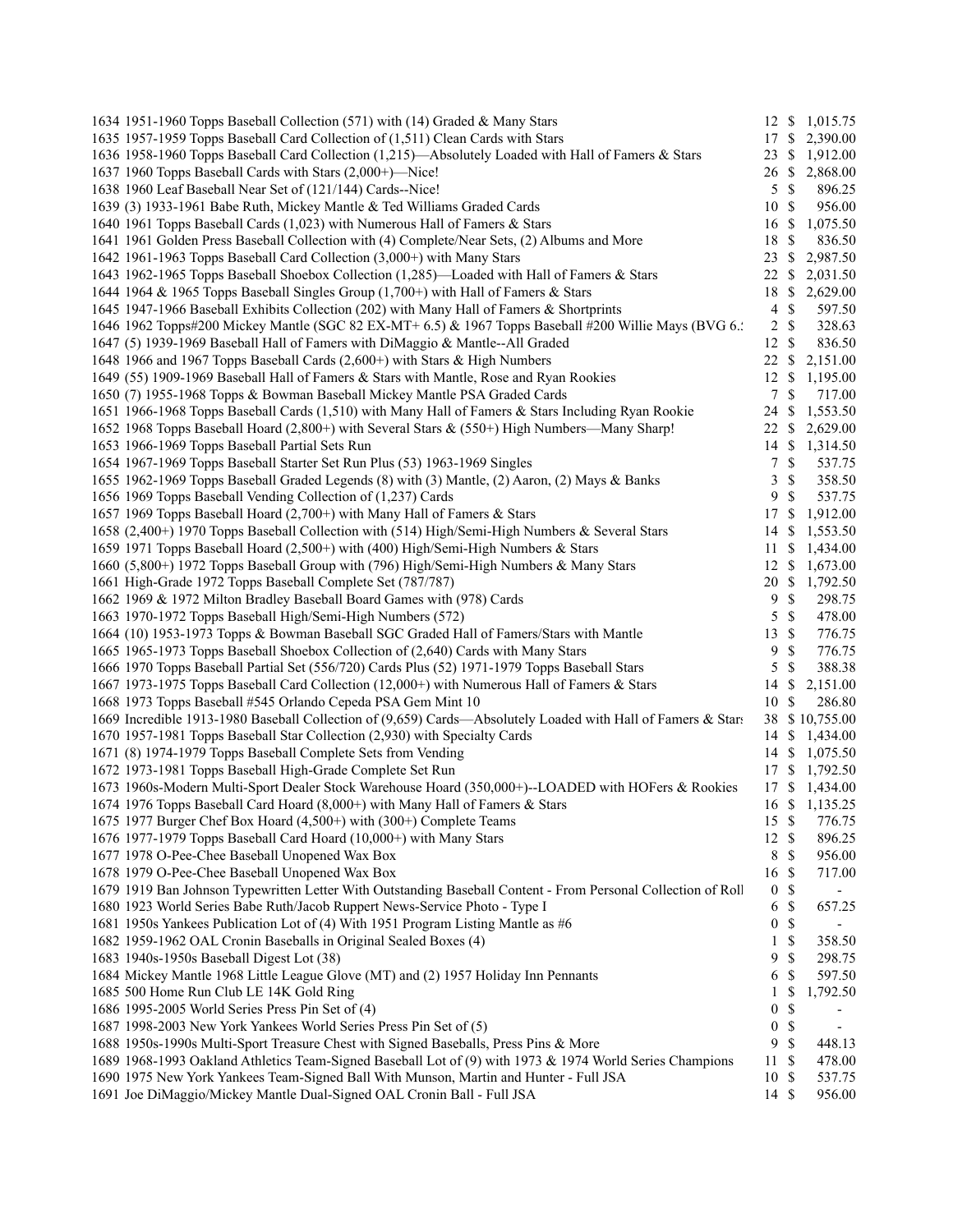| 1634 1951-1960 Topps Baseball Collection (571) with (14) Graded & Many Stars                                  |                  |               | 12 \$ 1,015.75 |
|---------------------------------------------------------------------------------------------------------------|------------------|---------------|----------------|
| 1635 1957-1959 Topps Baseball Card Collection of (1,511) Clean Cards with Stars                               | 17 \$            |               | 2,390.00       |
| 1636 1958-1960 Topps Baseball Card Collection (1,215)—Absolutely Loaded with Hall of Famers & Stars           | 23               | <sup>\$</sup> | 1,912.00       |
| 1637 1960 Topps Baseball Cards with Stars (2,000+)—Nice!                                                      | 26               | <sup>S</sup>  | 2,868.00       |
| 1638 1960 Leaf Baseball Near Set of (121/144) Cards--Nice!                                                    | 5                | -\$           | 896.25         |
| 1639 (3) 1933-1961 Babe Ruth, Mickey Mantle & Ted Williams Graded Cards                                       | 10S              |               | 956.00         |
| 1640 1961 Topps Baseball Cards (1,023) with Numerous Hall of Famers & Stars                                   | 16               | -S            | 1,075.50       |
| 1641 1961 Golden Press Baseball Collection with (4) Complete/Near Sets, (2) Albums and More                   | 18               | \$            | 836.50         |
| 1642 1961-1963 Topps Baseball Card Collection (3,000+) with Many Stars                                        | 23               | \$            | 2,987.50       |
| 1643 1962-1965 Topps Baseball Shoebox Collection (1,285)—Loaded with Hall of Famers & Stars                   | 22               | <sup>\$</sup> | 2,031.50       |
| 1644 1964 & 1965 Topps Baseball Singles Group (1,700+) with Hall of Famers & Stars                            | 18               | $\mathbb{S}$  | 2,629.00       |
| 1645 1947-1966 Baseball Exhibits Collection (202) with Many Hall of Famers & Shortprints                      | 4                | $\mathbb{S}$  | 597.50         |
| 1646 1962 Topps#200 Mickey Mantle (SGC 82 EX-MT+ 6.5) & 1967 Topps Baseball #200 Willie Mays (BVG 6.:         | 2                | $\mathcal{S}$ | 328.63         |
| 1647 (5) 1939-1969 Baseball Hall of Famers with DiMaggio & Mantle--All Graded                                 | 12S              |               | 836.50         |
| 1648 1966 and 1967 Topps Baseball Cards (2,600+) with Stars & High Numbers                                    | 22               | -S            | 2,151.00       |
| 1649 (55) 1909-1969 Baseball Hall of Famers & Stars with Mantle, Rose and Ryan Rookies                        | 12               | \$            | 1,195.00       |
| 1650 (7) 1955-1968 Topps & Bowman Baseball Mickey Mantle PSA Graded Cards                                     | $\tau$           | \$            | 717.00         |
| 1651 1966-1968 Topps Baseball Cards (1,510) with Many Hall of Famers & Stars Including Ryan Rookie            | 24               | -\$           | 1,553.50       |
| 1652 1968 Topps Baseball Hoard (2,800+) with Several Stars & (550+) High Numbers—Many Sharp!                  |                  |               |                |
|                                                                                                               | 22 \$            |               | 2,629.00       |
| 1653 1966-1969 Topps Baseball Partial Sets Run                                                                | 14S              |               | 1,314.50       |
| 1654 1967-1969 Topps Baseball Starter Set Run Plus (53) 1963-1969 Singles                                     | 7                | $\mathbb{S}$  | 537.75         |
| 1655 1962-1969 Topps Baseball Graded Legends (8) with (3) Mantle, (2) Aaron, (2) Mays & Banks                 | 3                | \$            | 358.50         |
| 1656 1969 Topps Baseball Vending Collection of (1,237) Cards                                                  | 9                | $\mathcal{S}$ | 537.75         |
| 1657 1969 Topps Baseball Hoard (2,700+) with Many Hall of Famers & Stars                                      | 17 \$            |               | 1,912.00       |
| 1658 (2,400+) 1970 Topps Baseball Collection with (514) High/Semi-High Numbers & Several Stars                | 14               | -\$           | 1,553.50       |
| 1659 1971 Topps Baseball Hoard (2,500+) with (400) High/Semi-High Numbers & Stars                             | 11               | -S            | 1,434.00       |
| 1660 (5,800+) 1972 Topps Baseball Group with (796) High/Semi-High Numbers & Many Stars                        | 12               | <sup>\$</sup> | 1,673.00       |
| 1661 High-Grade 1972 Topps Baseball Complete Set (787/787)                                                    | 20               |               | \$1,792.50     |
| 1662 1969 & 1972 Milton Bradley Baseball Board Games with (978) Cards                                         | 9                | $\mathbb{S}$  | 298.75         |
| 1663 1970-1972 Topps Baseball High/Semi-High Numbers (572)                                                    | 5                | $\mathcal{S}$ | 478.00         |
| 1664 (10) 1953-1973 Topps & Bowman Baseball SGC Graded Hall of Famers/Stars with Mantle                       | 13               | $\mathbb{S}$  | 776.75         |
| 1665 1965-1973 Topps Baseball Shoebox Collection of (2,640) Cards with Many Stars                             | 9                | $\mathbb S$   | 776.75         |
| 1666 1970 Topps Baseball Partial Set (556/720) Cards Plus (52) 1971-1979 Topps Baseball Stars                 | 5                | \$            | 388.38         |
| 1667 1973-1975 Topps Baseball Card Collection (12,000+) with Numerous Hall of Famers & Stars                  | 14               | \$            | 2,151.00       |
| 1668 1973 Topps Baseball #545 Orlando Cepeda PSA Gem Mint 10                                                  | 10 \$            |               | 286.80         |
| 1669 Incredible 1913-1980 Baseball Collection of (9,659) Cards—Absolutely Loaded with Hall of Famers & Stars  |                  |               | 38 \$10,755.00 |
| 1670 1957-1981 Topps Baseball Star Collection (2,930) with Specialty Cards                                    |                  |               | 14 \$ 1,434.00 |
| 1671 (8) 1974-1979 Topps Baseball Complete Sets from Vending                                                  |                  |               | 14 \$ 1,075.50 |
| 1672 1973-1981 Topps Baseball High-Grade Complete Set Run                                                     |                  |               | 17 \$ 1,792.50 |
| 1673 1960s-Modern Multi-Sport Dealer Stock Warehouse Hoard (350,000+)--LOADED with HOFers & Rookies           | 17               |               | \$1,434.00     |
| 1674 1976 Topps Baseball Card Hoard (8,000+) with Many Hall of Famers & Stars                                 |                  |               | 16 \$ 1,135.25 |
| 1675 1977 Burger Chef Box Hoard (4,500+) with (300+) Complete Teams                                           | 15 \$            |               | 776.75         |
| 1676 1977-1979 Topps Baseball Card Hoard (10,000+) with Many Stars                                            | 12 \$            |               | 896.25         |
| 1677 1978 O-Pee-Chee Baseball Unopened Wax Box                                                                | $\,8\,$          | $\mathbb{S}$  | 956.00         |
| 1678 1979 O-Pee-Chee Baseball Unopened Wax Box                                                                | 16               | $\mathcal{S}$ | 717.00         |
| 1679 1919 Ban Johnson Typewritten Letter With Outstanding Baseball Content - From Personal Collection of Roll | $\boldsymbol{0}$ | \$            |                |
| 1680 1923 World Series Babe Ruth/Jacob Ruppert News-Service Photo - Type I                                    | 6                | $\mathbb{S}$  | 657.25         |
| 1681 1950s Yankees Publication Lot of (4) With 1951 Program Listing Mantle as #6                              | $\boldsymbol{0}$ | $\mathbb{S}$  |                |
| 1682 1959-1962 OAL Cronin Baseballs in Original Sealed Boxes (4)                                              | 1                | \$            | 358.50         |
| 1683 1940s-1950s Baseball Digest Lot (38)                                                                     | 9                | \$            | 298.75         |
| 1684 Mickey Mantle 1968 Little League Glove (MT) and (2) 1957 Holiday Inn Pennants                            |                  |               |                |
|                                                                                                               | 6                | \$            | 597.50         |
| 1685 500 Home Run Club LE 14K Gold Ring                                                                       | 1                | \$            | 1,792.50       |
| 1686 1995-2005 World Series Press Pin Set of (4)                                                              | $\boldsymbol{0}$ | \$            |                |
| 1687 1998-2003 New York Yankees World Series Press Pin Set of (5)                                             | $\boldsymbol{0}$ | \$            |                |
| 1688 1950s-1990s Multi-Sport Treasure Chest with Signed Baseballs, Press Pins & More                          | 9                | \$            | 448.13         |
| 1689 1968-1993 Oakland Athletics Team-Signed Baseball Lot of (9) with 1973 & 1974 World Series Champions      | 11               | $\mathcal{S}$ | 478.00         |
| 1690 1975 New York Yankees Team-Signed Ball With Munson, Martin and Hunter - Full JSA                         | 10               | \$            | 537.75         |
| 1691 Joe DiMaggio/Mickey Mantle Dual-Signed OAL Cronin Ball - Full JSA                                        | $14 \text{ }$ \$ |               | 956.00         |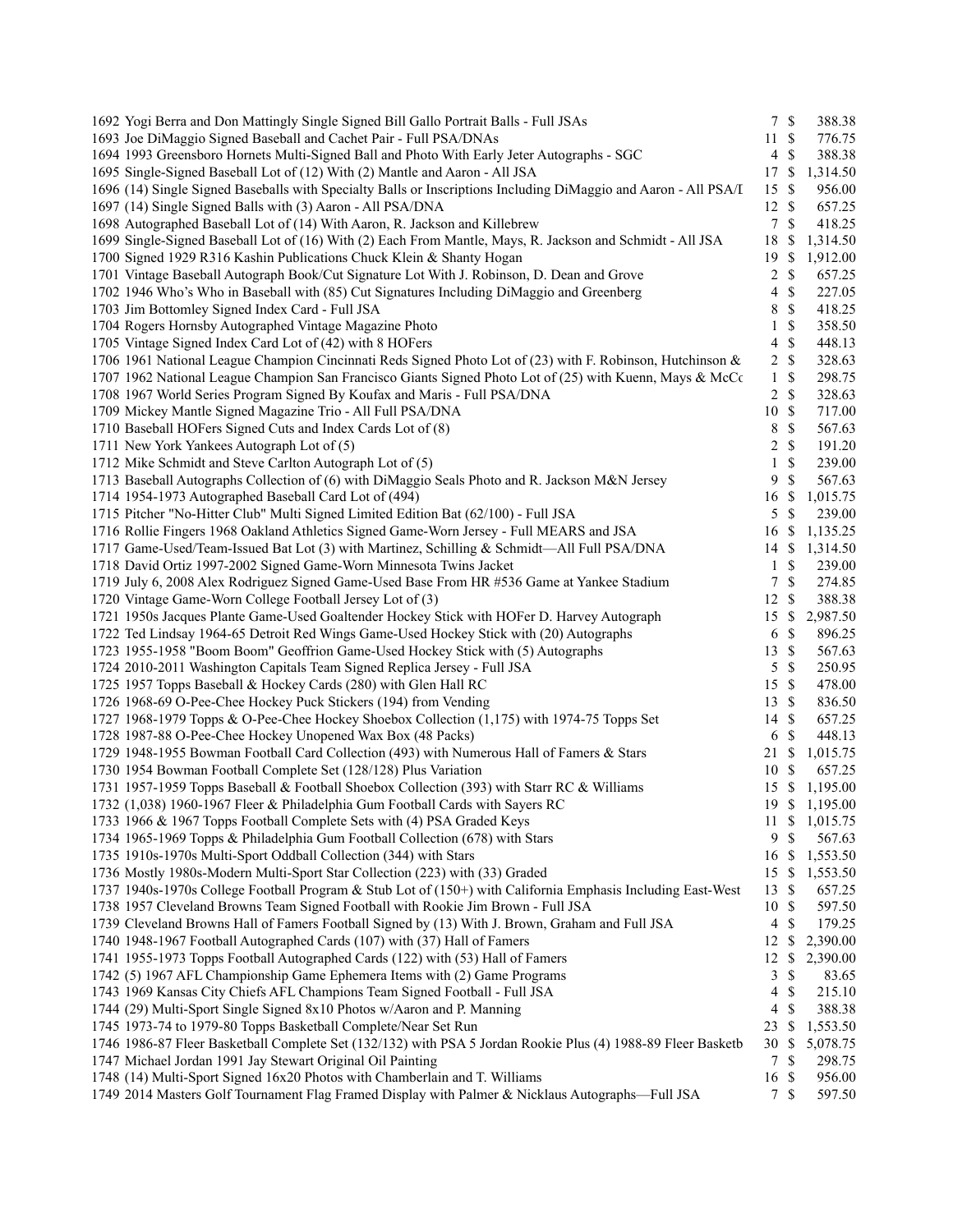| 1692 Yogi Berra and Don Mattingly Single Signed Bill Gallo Portrait Balls - Full JSAs                                                                                      | 7S                      |               | 388.38             |
|----------------------------------------------------------------------------------------------------------------------------------------------------------------------------|-------------------------|---------------|--------------------|
| 1693 Joe DiMaggio Signed Baseball and Cachet Pair - Full PSA/DNAs                                                                                                          | $11 \text{ }$ \$        |               | 776.75             |
| 1694 1993 Greensboro Hornets Multi-Signed Ball and Photo With Early Jeter Autographs - SGC                                                                                 | $\overline{4}$          | $\mathbb{S}$  | 388.38             |
| 1695 Single-Signed Baseball Lot of (12) With (2) Mantle and Aaron - All JSA                                                                                                | 17S                     |               | 1,314.50           |
| 1696 (14) Single Signed Baseballs with Specialty Balls or Inscriptions Including DiMaggio and Aaron - All PSA/I                                                            | 15S                     |               | 956.00             |
| 1697 (14) Single Signed Balls with (3) Aaron - All PSA/DNA                                                                                                                 | $12 \text{ }$ \$        |               | 657.25             |
| 1698 Autographed Baseball Lot of (14) With Aaron, R. Jackson and Killebrew                                                                                                 | $7\overline{ }$         | $\mathbb{S}$  | 418.25             |
| 1699 Single-Signed Baseball Lot of (16) With (2) Each From Mantle, Mays, R. Jackson and Schmidt - All JSA                                                                  | 18 \$                   |               | 1,314.50           |
| 1700 Signed 1929 R316 Kashin Publications Chuck Klein & Shanty Hogan                                                                                                       | 19S                     |               | 1,912.00           |
| 1701 Vintage Baseball Autograph Book/Cut Signature Lot With J. Robinson, D. Dean and Grove                                                                                 | $\overline{c}$          | $\mathbb{S}$  | 657.25             |
| 1702 1946 Who's Who in Baseball with (85) Cut Signatures Including DiMaggio and Greenberg                                                                                  | $\overline{4}$          | $\mathbb S$   | 227.05             |
| 1703 Jim Bottomley Signed Index Card - Full JSA                                                                                                                            | 8                       | $\mathcal{S}$ | 418.25             |
| 1704 Rogers Hornsby Autographed Vintage Magazine Photo                                                                                                                     | $\mathbf{1}$            | $\mathbb{S}$  | 358.50             |
| 1705 Vintage Signed Index Card Lot of (42) with 8 HOFers                                                                                                                   | $\overline{\mathbf{4}}$ | $\mathbb{S}$  | 448.13             |
| 1706 1961 National League Champion Cincinnati Reds Signed Photo Lot of (23) with F. Robinson, Hutchinson &                                                                 | $\overline{c}$          | $\mathbb{S}$  | 328.63             |
| 1707 1962 National League Champion San Francisco Giants Signed Photo Lot of (25) with Kuenn, Mays & McCc                                                                   | $\mathbf{1}$            | $\mathbb{S}$  | 298.75             |
| 1708 1967 World Series Program Signed By Koufax and Maris - Full PSA/DNA                                                                                                   | 2 S                     |               | 328.63             |
| 1709 Mickey Mantle Signed Magazine Trio - All Full PSA/DNA                                                                                                                 | 10S                     |               | 717.00             |
| 1710 Baseball HOFers Signed Cuts and Index Cards Lot of (8)                                                                                                                | 8                       | $\mathcal{S}$ | 567.63             |
| 1711 New York Yankees Autograph Lot of (5)                                                                                                                                 | $\overline{c}$          | $\mathcal{S}$ | 191.20             |
| 1712 Mike Schmidt and Steve Carlton Autograph Lot of (5)                                                                                                                   | $\mathbf{1}$            | $\mathbb{S}$  | 239.00             |
| 1713 Baseball Autographs Collection of (6) with DiMaggio Seals Photo and R. Jackson M&N Jersey                                                                             | 9                       | $\mathcal{S}$ | 567.63             |
| 1714 1954-1973 Autographed Baseball Card Lot of (494)                                                                                                                      | 16 \$                   |               | 1,015.75           |
| 1715 Pitcher "No-Hitter Club" Multi Signed Limited Edition Bat (62/100) - Full JSA                                                                                         | 5                       | $\mathbb{S}$  | 239.00             |
| 1716 Rollie Fingers 1968 Oakland Athletics Signed Game-Worn Jersey - Full MEARS and JSA                                                                                    | $16 \text{ }$ \$        |               | 1,135.25           |
| 1717 Game-Used/Team-Issued Bat Lot (3) with Martinez, Schilling & Schmidt-All Full PSA/DNA                                                                                 | $14 \text{ }$ \$        |               | 1,314.50           |
| 1718 David Ortiz 1997-2002 Signed Game-Worn Minnesota Twins Jacket                                                                                                         | $\mathbf{1}$            | $\mathbb{S}$  | 239.00             |
| 1719 July 6, 2008 Alex Rodriguez Signed Game-Used Base From HR #536 Game at Yankee Stadium                                                                                 | 7                       | $\mathbb{S}$  | 274.85             |
| 1720 Vintage Game-Worn College Football Jersey Lot of (3)                                                                                                                  | $12 \text{ }$ \$        |               | 388.38             |
| 1721 1950s Jacques Plante Game-Used Goaltender Hockey Stick with HOFer D. Harvey Autograph                                                                                 | $15 \text{ }$ \$        |               | 2,987.50           |
| 1722 Ted Lindsay 1964-65 Detroit Red Wings Game-Used Hockey Stick with (20) Autographs                                                                                     | 6 <sup>°</sup>          |               | 896.25             |
| 1723 1955-1958 "Boom Boom" Geoffrion Game-Used Hockey Stick with (5) Autographs                                                                                            | $13 \text{ }$ \$        |               | 567.63             |
| 1724 2010-2011 Washington Capitals Team Signed Replica Jersey - Full JSA                                                                                                   | 5                       | $\mathcal{S}$ | 250.95             |
| 1725 1957 Topps Baseball & Hockey Cards (280) with Glen Hall RC                                                                                                            | 15 \$                   |               | 478.00             |
| 1726 1968-69 O-Pee-Chee Hockey Puck Stickers (194) from Vending                                                                                                            | $13 \text{ }$ \$        |               | 836.50             |
| 1727 1968-1979 Topps & O-Pee-Chee Hockey Shoebox Collection (1,175) with 1974-75 Topps Set                                                                                 | 14 \$                   |               | 657.25             |
| 1728 1987-88 O-Pee-Chee Hockey Unopened Wax Box (48 Packs)                                                                                                                 | 6 <sup>°</sup>          |               | 448.13             |
| 1729 1948-1955 Bowman Football Card Collection (493) with Numerous Hall of Famers & Stars                                                                                  | 21 \$                   |               | 1,015.75           |
| 1730 1954 Bowman Football Complete Set (128/128) Plus Variation                                                                                                            | 10S                     |               | 657.25             |
| 1731 1957-1959 Topps Baseball & Football Shoebox Collection (393) with Starr RC & Williams                                                                                 | 15                      | - \$          | 1,195.00           |
| 1732 (1,038) 1960-1967 Fleer & Philadelphia Gum Football Cards with Sayers RC                                                                                              |                         |               | 19 \$ 1,195.00     |
| 1733 1966 & 1967 Topps Football Complete Sets with (4) PSA Graded Keys                                                                                                     | 11S                     |               | 1,015.75           |
| 1734 1965-1969 Topps & Philadelphia Gum Football Collection (678) with Stars                                                                                               | 9                       | \$            | 567.63             |
| 1735 1910s-1970s Multi-Sport Oddball Collection (344) with Stars                                                                                                           | 16 \$                   |               | 1,553.50           |
| 1736 Mostly 1980s-Modern Multi-Sport Star Collection (223) with (33) Graded                                                                                                | 15 \$                   |               | 1,553.50           |
| 1737 1940s-1970s College Football Program & Stub Lot of (150+) with California Emphasis Including East-West                                                                | 13S                     |               | 657.25             |
| 1738 1957 Cleveland Browns Team Signed Football with Rookie Jim Brown - Full JSA                                                                                           | 10S                     |               | 597.50             |
| 1739 Cleveland Browns Hall of Famers Football Signed by (13) With J. Brown, Graham and Full JSA                                                                            | $\overline{4}$          | $\mathcal{S}$ | 179.25             |
| 1740 1948-1967 Football Autographed Cards (107) with (37) Hall of Famers                                                                                                   | $12 \text{ }$ \$        |               | 2,390.00           |
| 1741 1955-1973 Topps Football Autographed Cards (122) with (53) Hall of Famers                                                                                             | $12 \text{ }$ \$        |               | 2,390.00           |
| 1742 (5) 1967 AFL Championship Game Ephemera Items with (2) Game Programs                                                                                                  | 3                       | \$            | 83.65              |
| 1743 1969 Kansas City Chiefs AFL Champions Team Signed Football - Full JSA                                                                                                 | 4                       | $\mathbb{S}$  | 215.10             |
| 1744 (29) Multi-Sport Single Signed 8x10 Photos w/Aaron and P. Manning                                                                                                     | $\overline{4}$          | $\mathbb{S}$  | 388.38             |
| 1745 1973-74 to 1979-80 Topps Basketball Complete/Near Set Run                                                                                                             | 23                      | $\mathbb{S}$  | 1,553.50           |
| 1746 1986-87 Fleer Basketball Complete Set (132/132) with PSA 5 Jordan Rookie Plus (4) 1988-89 Fleer Basketb<br>1747 Michael Jordan 1991 Jay Stewart Original Oil Painting | 30 <sup>°</sup><br>7    | $\mathbb{S}$  | 5,078.75<br>298.75 |
| 1748 (14) Multi-Sport Signed 16x20 Photos with Chamberlain and T. Williams                                                                                                 | 16 \$                   |               | 956.00             |
| 1749 2014 Masters Golf Tournament Flag Framed Display with Palmer & Nicklaus Autographs-Full JSA                                                                           | 7S                      |               | 597.50             |
|                                                                                                                                                                            |                         |               |                    |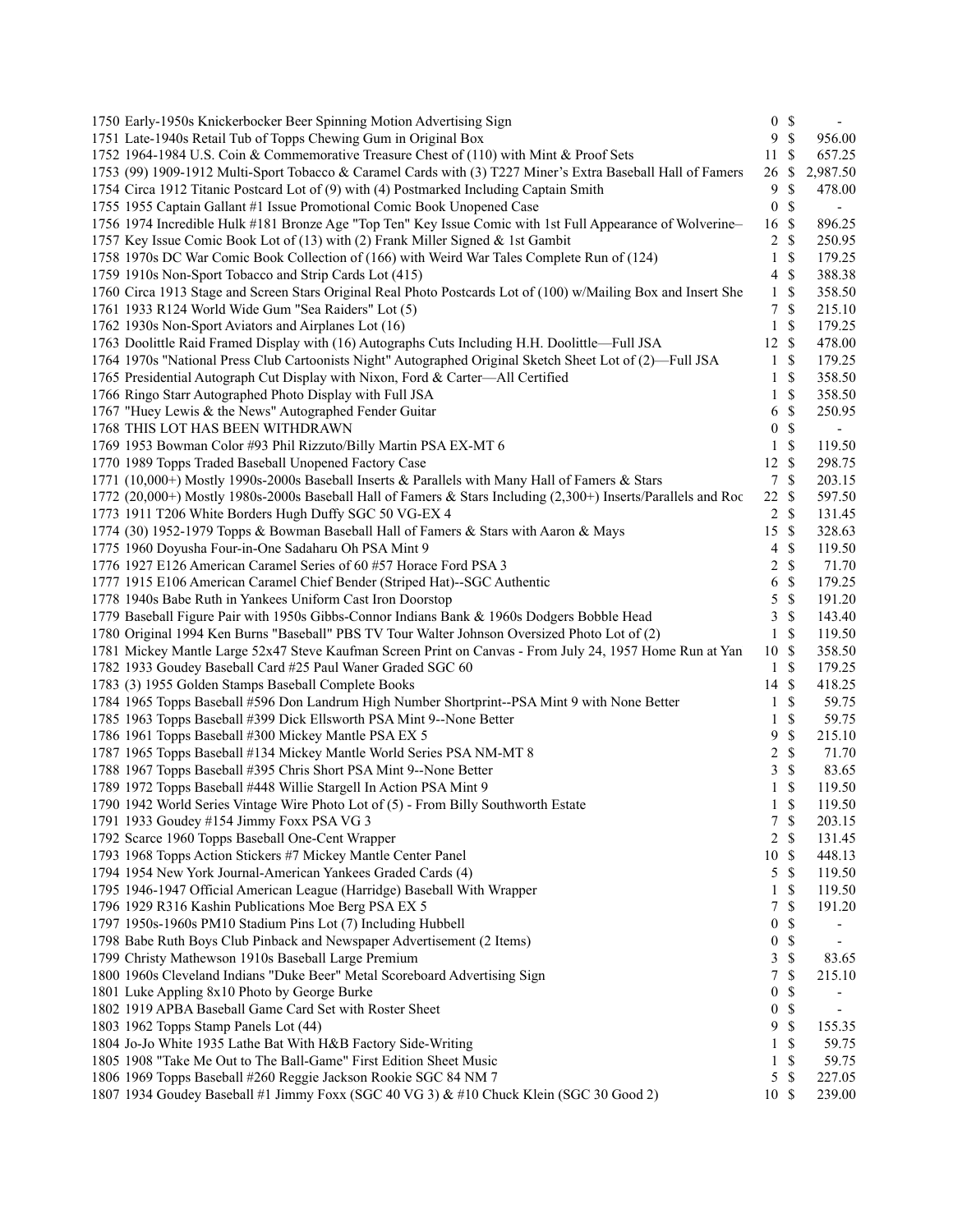| 1750 Early-1950s Knickerbocker Beer Spinning Motion Advertising Sign                                                       |                  | 0 S                |                          |
|----------------------------------------------------------------------------------------------------------------------------|------------------|--------------------|--------------------------|
| 1751 Late-1940s Retail Tub of Topps Chewing Gum in Original Box                                                            | 9                | $\mathbf{\hat{s}}$ | 956.00                   |
| 1752 1964-1984 U.S. Coin & Commemorative Treasure Chest of (110) with Mint & Proof Sets                                    | 11               | -\$                | 657.25                   |
| 1753 (99) 1909-1912 Multi-Sport Tobacco & Caramel Cards with (3) T227 Miner's Extra Baseball Hall of Famers                | 26               | \$                 | 2,987.50                 |
| 1754 Circa 1912 Titanic Postcard Lot of (9) with (4) Postmarked Including Captain Smith                                    | 9                | \$                 | 478.00                   |
| 1755 1955 Captain Gallant #1 Issue Promotional Comic Book Unopened Case                                                    | $\boldsymbol{0}$ | $\mathcal{S}$      | $\overline{\phantom{a}}$ |
| 1756 1974 Incredible Hulk #181 Bronze Age "Top Ten" Key Issue Comic with 1st Full Appearance of Wolverine-                 | 16               | \$                 | 896.25                   |
| 1757 Key Issue Comic Book Lot of (13) with (2) Frank Miller Signed & 1st Gambit                                            | $\overline{c}$   | <sup>\$</sup>      | 250.95                   |
| 1758 1970s DC War Comic Book Collection of (166) with Weird War Tales Complete Run of (124)                                | $\mathbf{1}$     | $\mathcal{S}$      | 179.25                   |
| 1759 1910s Non-Sport Tobacco and Strip Cards Lot (415)                                                                     | 4                | \$                 | 388.38                   |
| 1760 Circa 1913 Stage and Screen Stars Original Real Photo Postcards Lot of (100) w/Mailing Box and Insert She             | $\mathbf{1}$     | $\mathcal{S}$      | 358.50                   |
| 1761 1933 R124 World Wide Gum "Sea Raiders" Lot (5)                                                                        | $\tau$           | -\$                | 215.10                   |
| 1762 1930s Non-Sport Aviators and Airplanes Lot (16)                                                                       | $\mathbf{1}$     | $\mathcal{S}$      | 179.25                   |
| 1763 Doolittle Raid Framed Display with (16) Autographs Cuts Including H.H. Doolittle-Full JSA                             | 12S              |                    | 478.00                   |
| 1764 1970s "National Press Club Cartoonists Night" Autographed Original Sketch Sheet Lot of (2)—Full JSA                   | $\mathbf{1}$     | $\mathbb{S}$       | 179.25                   |
| 1765 Presidential Autograph Cut Display with Nixon, Ford & Carter-All Certified                                            | 1                | <sup>\$</sup>      | 358.50                   |
| 1766 Ringo Starr Autographed Photo Display with Full JSA                                                                   | 1                | $\mathbb{S}$       | 358.50                   |
| 1767 "Huey Lewis & the News" Autographed Fender Guitar                                                                     | 6                | $\mathcal{S}$      | 250.95                   |
| 1768 THIS LOT HAS BEEN WITHDRAWN                                                                                           | 0                | $\mathbb{S}$       | $\overline{\phantom{a}}$ |
| 1769 1953 Bowman Color #93 Phil Rizzuto/Billy Martin PSA EX-MT 6                                                           | $\mathbf{1}$     | $\mathcal{S}$      | 119.50                   |
| 1770 1989 Topps Traded Baseball Unopened Factory Case                                                                      | $12 \text{ }$ \$ |                    | 298.75                   |
| 1771 (10,000+) Mostly 1990s-2000s Baseball Inserts & Parallels with Many Hall of Famers & Stars                            | $\tau$           | $\mathcal{S}$      | 203.15                   |
| 1772 (20,000+) Mostly 1980s-2000s Baseball Hall of Famers & Stars Including (2,300+) Inserts/Parallels and Roc             | 22S              |                    | 597.50                   |
| 1773 1911 T206 White Borders Hugh Duffy SGC 50 VG-EX 4                                                                     | 2                | -\$                | 131.45                   |
|                                                                                                                            | 15               | $\mathcal{S}$      | 328.63                   |
| 1774 (30) 1952-1979 Topps & Bowman Baseball Hall of Famers & Stars with Aaron & Mays                                       |                  | \$                 |                          |
| 1775 1960 Doyusha Four-in-One Sadaharu Oh PSA Mint 9<br>1776 1927 E126 American Caramel Series of 60 #57 Horace Ford PSA 3 | $\overline{4}$   | \$                 | 119.50<br>71.70          |
|                                                                                                                            | 2                | \$                 |                          |
| 1777 1915 E106 American Caramel Chief Bender (Striped Hat)--SGC Authentic                                                  | 6                |                    | 179.25                   |
| 1778 1940s Babe Ruth in Yankees Uniform Cast Iron Doorstop                                                                 | 5                | $\mathbb{S}$       | 191.20                   |
| 1779 Baseball Figure Pair with 1950s Gibbs-Connor Indians Bank & 1960s Dodgers Bobble Head                                 | 3                | $\mathcal{S}$      | 143.40                   |
| 1780 Original 1994 Ken Burns "Baseball" PBS TV Tour Walter Johnson Oversized Photo Lot of (2)                              | $\mathbf{1}$     | -\$                | 119.50                   |
| 1781 Mickey Mantle Large 52x47 Steve Kaufman Screen Print on Canvas - From July 24, 1957 Home Run at Yan                   | 10S              |                    | 358.50                   |
| 1782 1933 Goudey Baseball Card #25 Paul Waner Graded SGC 60                                                                | $\mathbf{1}$     | $\mathcal{S}$      | 179.25                   |
| 1783 (3) 1955 Golden Stamps Baseball Complete Books                                                                        | 14               | $\mathcal{S}$      | 418.25                   |
| 1784 1965 Topps Baseball #596 Don Landrum High Number Shortprint--PSA Mint 9 with None Better                              | $\mathbf{1}$     | $\mathcal{S}$      | 59.75                    |
| 1785 1963 Topps Baseball #399 Dick Ellsworth PSA Mint 9--None Better                                                       | $\mathbf{1}$     | $\mathbb{S}$       | 59.75                    |
| 1786 1961 Topps Baseball #300 Mickey Mantle PSA EX 5                                                                       | 9                | \$                 | 215.10                   |
| 1787 1965 Topps Baseball #134 Mickey Mantle World Series PSA NM-MT 8                                                       | 2                | $\mathbb{S}$       | 71.70                    |
| 1788 1967 Topps Baseball #395 Chris Short PSA Mint 9--None Better                                                          | 3                | $\mathbb{S}$       | 83.65                    |
| 1789 1972 Topps Baseball #448 Willie Stargell In Action PSA Mint 9                                                         | 1                | \$                 | 119.50                   |
| 1790 1942 World Series Vintage Wire Photo Lot of (5) - From Billy Southworth Estate                                        | $\mathbf{1}$     | <sup>\$</sup>      | 119.50                   |
| 1791 1933 Goudey #154 Jimmy Foxx PSA VG 3                                                                                  | 7                | $\mathcal{S}$      | 203.15                   |
| 1792 Scarce 1960 Topps Baseball One-Cent Wrapper                                                                           | 2                | $\mathcal{S}$      | 131.45                   |
| 1793 1968 Topps Action Stickers #7 Mickey Mantle Center Panel                                                              | 10               | -\$                | 448.13                   |
| 1794 1954 New York Journal-American Yankees Graded Cards (4)                                                               | 5                | S                  | 119.50                   |
| 1795 1946-1947 Official American League (Harridge) Baseball With Wrapper                                                   | 1                | \$                 | 119.50                   |
| 1796 1929 R316 Kashin Publications Moe Berg PSA EX 5                                                                       | 7                | \$                 | 191.20                   |
| 1797 1950s-1960s PM10 Stadium Pins Lot (7) Including Hubbell                                                               | $\boldsymbol{0}$ | \$                 |                          |
| 1798 Babe Ruth Boys Club Pinback and Newspaper Advertisement (2 Items)                                                     | $\boldsymbol{0}$ | \$                 | $\overline{\phantom{a}}$ |
| 1799 Christy Mathewson 1910s Baseball Large Premium                                                                        | 3                | \$                 | 83.65                    |
| 1800 1960s Cleveland Indians "Duke Beer" Metal Scoreboard Advertising Sign                                                 | 7                | \$                 | 215.10                   |
| 1801 Luke Appling 8x10 Photo by George Burke                                                                               | $\boldsymbol{0}$ | \$                 |                          |
| 1802 1919 APBA Baseball Game Card Set with Roster Sheet                                                                    | $\boldsymbol{0}$ | \$                 | $\overline{\phantom{a}}$ |
| 1803 1962 Topps Stamp Panels Lot (44)                                                                                      | 9                | $\mathbb{S}$       | 155.35                   |
| 1804 Jo-Jo White 1935 Lathe Bat With H&B Factory Side-Writing                                                              | 1                | \$                 | 59.75                    |
| 1805 1908 "Take Me Out to The Ball-Game" First Edition Sheet Music                                                         | 1                | \$                 | 59.75                    |
| 1806 1969 Topps Baseball #260 Reggie Jackson Rookie SGC 84 NM 7                                                            | 5                | \$                 | 227.05                   |
| 1807 1934 Goudey Baseball #1 Jimmy Foxx (SGC 40 VG 3) & #10 Chuck Klein (SGC 30 Good 2)                                    | 10S              |                    | 239.00                   |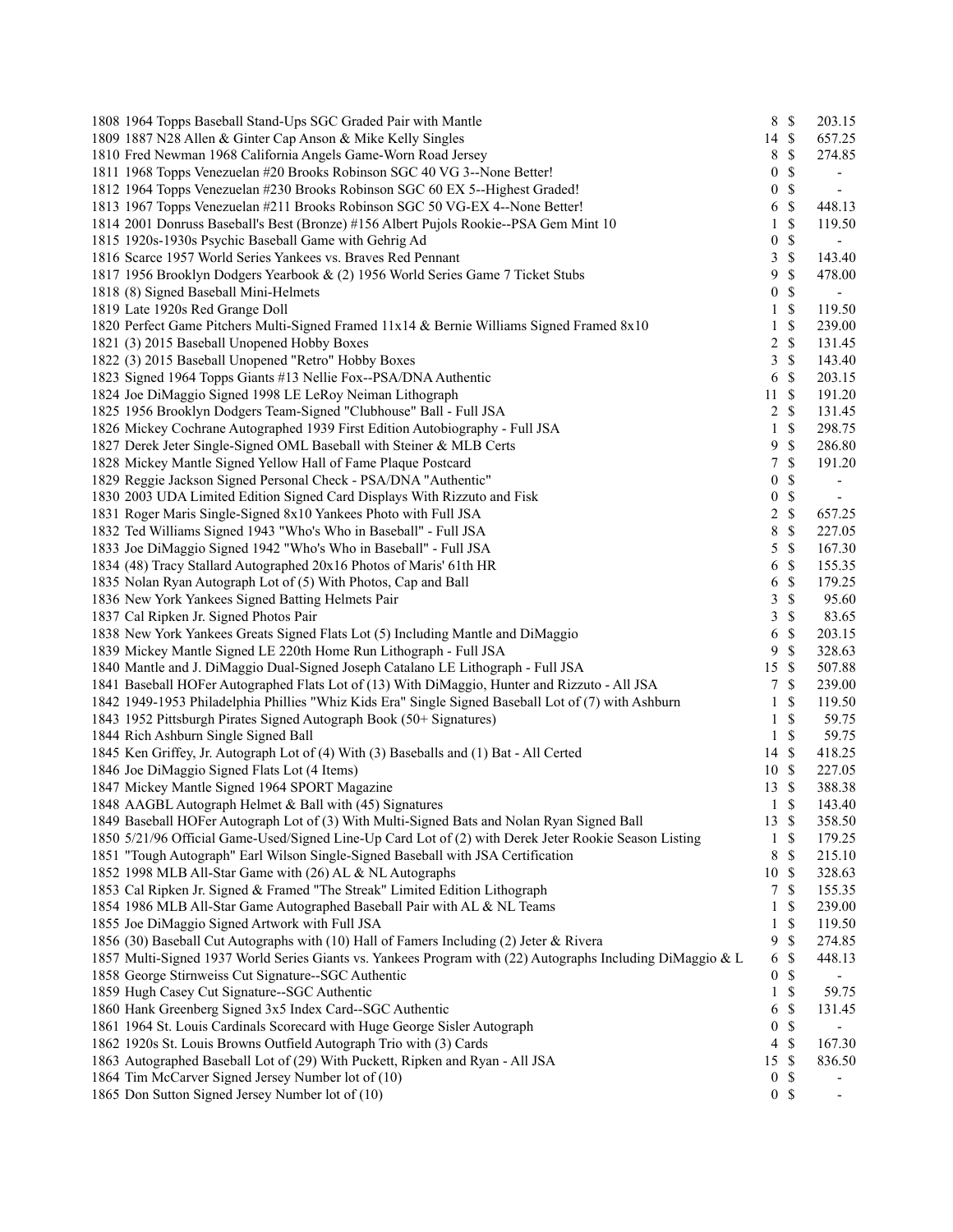| 1808 1964 Topps Baseball Stand-Ups SGC Graded Pair with Mantle                                             |                  | 8 \$          | 203.15                   |
|------------------------------------------------------------------------------------------------------------|------------------|---------------|--------------------------|
| 1809 1887 N28 Allen & Ginter Cap Anson & Mike Kelly Singles                                                | 14 \$            |               | 657.25                   |
| 1810 Fred Newman 1968 California Angels Game-Worn Road Jersey                                              | 8                | $\mathbb{S}$  | 274.85                   |
| 1811 1968 Topps Venezuelan #20 Brooks Robinson SGC 40 VG 3--None Better!                                   | $\boldsymbol{0}$ | $\mathbb{S}$  |                          |
| 1812 1964 Topps Venezuelan #230 Brooks Robinson SGC 60 EX 5--Highest Graded!                               | $\boldsymbol{0}$ | $\mathbb{S}$  | $\overline{\phantom{a}}$ |
| 1813 1967 Topps Venezuelan #211 Brooks Robinson SGC 50 VG-EX 4--None Better!                               | 6                | \$            | 448.13                   |
| 1814 2001 Donruss Baseball's Best (Bronze) #156 Albert Pujols Rookie--PSA Gem Mint 10                      | $\mathbf{1}$     | \$            | 119.50                   |
| 1815 1920s-1930s Psychic Baseball Game with Gehrig Ad                                                      | $\boldsymbol{0}$ | $\mathbb{S}$  | $\sim$                   |
| 1816 Scarce 1957 World Series Yankees vs. Braves Red Pennant                                               | 3                | $\mathbb{S}$  | 143.40                   |
| 1817 1956 Brooklyn Dodgers Yearbook & (2) 1956 World Series Game 7 Ticket Stubs                            | 9                | \$            | 478.00                   |
| 1818 (8) Signed Baseball Mini-Helmets                                                                      | $\boldsymbol{0}$ | \$            | $\blacksquare$           |
| 1819 Late 1920s Red Grange Doll                                                                            | 1                | \$            | 119.50                   |
| 1820 Perfect Game Pitchers Multi-Signed Framed 11x14 & Bernie Williams Signed Framed 8x10                  | $\mathbf{1}$     | \$            | 239.00                   |
| 1821 (3) 2015 Baseball Unopened Hobby Boxes                                                                | $\overline{c}$   | $\mathbb{S}$  | 131.45                   |
| 1822 (3) 2015 Baseball Unopened "Retro" Hobby Boxes                                                        | 3                | $\mathcal{S}$ | 143.40                   |
| 1823 Signed 1964 Topps Giants #13 Nellie Fox--PSA/DNA Authentic                                            | 6                | $\mathbb{S}$  | 203.15                   |
| 1824 Joe DiMaggio Signed 1998 LE LeRoy Neiman Lithograph                                                   | 11               | $\mathbb{S}$  | 191.20                   |
| 1825 1956 Brooklyn Dodgers Team-Signed "Clubhouse" Ball - Full JSA                                         | $\mathbf{2}$     | \$            | 131.45                   |
| 1826 Mickey Cochrane Autographed 1939 First Edition Autobiography - Full JSA                               | $\mathbf{1}$     | $\mathbb S$   | 298.75                   |
| 1827 Derek Jeter Single-Signed OML Baseball with Steiner & MLB Certs                                       | 9                | $\mathbb{S}$  | 286.80                   |
| 1828 Mickey Mantle Signed Yellow Hall of Fame Plaque Postcard                                              | 7                | $\mathcal{S}$ | 191.20                   |
| 1829 Reggie Jackson Signed Personal Check - PSA/DNA "Authentic"                                            | $\boldsymbol{0}$ | \$            | $\overline{\phantom{a}}$ |
| 1830 2003 UDA Limited Edition Signed Card Displays With Rizzuto and Fisk                                   | $\boldsymbol{0}$ | \$            | $\overline{\phantom{a}}$ |
| 1831 Roger Maris Single-Signed 8x10 Yankees Photo with Full JSA                                            | $\overline{c}$   | $\mathbb S$   | 657.25                   |
| 1832 Ted Williams Signed 1943 "Who's Who in Baseball" - Full JSA                                           | 8                | \$            | 227.05                   |
| 1833 Joe DiMaggio Signed 1942 "Who's Who in Baseball" - Full JSA                                           | 5                | $\mathbb{S}$  | 167.30                   |
| 1834 (48) Tracy Stallard Autographed 20x16 Photos of Maris' 61th HR                                        | 6                | $\mathcal{S}$ | 155.35                   |
| 1835 Nolan Ryan Autograph Lot of (5) With Photos, Cap and Ball                                             | 6                | $\mathbb{S}$  | 179.25                   |
| 1836 New York Yankees Signed Batting Helmets Pair                                                          | 3                | $\mathbb{S}$  | 95.60                    |
| 1837 Cal Ripken Jr. Signed Photos Pair                                                                     | 3                | $\mathcal{S}$ | 83.65                    |
| 1838 New York Yankees Greats Signed Flats Lot (5) Including Mantle and DiMaggio                            | 6                | $\mathbb{S}$  | 203.15                   |
| 1839 Mickey Mantle Signed LE 220th Home Run Lithograph - Full JSA                                          | 9                | $\mathbb{S}$  | 328.63                   |
| 1840 Mantle and J. DiMaggio Dual-Signed Joseph Catalano LE Lithograph - Full JSA                           | 15               | $\mathcal{S}$ | 507.88                   |
| 1841 Baseball HOFer Autographed Flats Lot of (13) With DiMaggio, Hunter and Rizzuto - All JSA              | $\tau$           | $\mathcal{S}$ | 239.00                   |
| 1842 1949-1953 Philadelphia Phillies "Whiz Kids Era" Single Signed Baseball Lot of (7) with Ashburn        | 1                | \$            | 119.50                   |
| 1843 1952 Pittsburgh Pirates Signed Autograph Book (50+ Signatures)                                        | $\mathbf{1}$     | $\mathcal{S}$ | 59.75                    |
| 1844 Rich Ashburn Single Signed Ball                                                                       | $\mathbf{1}$     | $\mathbb{S}$  | 59.75                    |
| 1845 Ken Griffey, Jr. Autograph Lot of (4) With (3) Baseballs and (1) Bat - All Certed                     | 14               | $\mathcal{S}$ | 418.25                   |
| 1846 Joe DiMaggio Signed Flats Lot (4 Items)                                                               | 10S              |               | 227.05                   |
| 1847 Mickey Mantle Signed 1964 SPORT Magazine                                                              | 13S              |               | 388.38                   |
| 1848 AAGBL Autograph Helmet & Ball with (45) Signatures                                                    | $\mathbf{1}$     | \$            | 143.40                   |
| 1849 Baseball HOFer Autograph Lot of (3) With Multi-Signed Bats and Nolan Ryan Signed Ball                 | 13 \$            |               | 358.50                   |
| 1850 5/21/96 Official Game-Used/Signed Line-Up Card Lot of (2) with Derek Jeter Rookie Season Listing      | 1                | \$            | 179.25                   |
| 1851 "Tough Autograph" Earl Wilson Single-Signed Baseball with JSA Certification                           | 8                | $\mathbb{S}$  | 215.10                   |
| 1852 1998 MLB All-Star Game with (26) AL & NL Autographs                                                   | 10               | $\mathcal{S}$ | 328.63                   |
| 1853 Cal Ripken Jr. Signed & Framed "The Streak" Limited Edition Lithograph                                | 7                | \$            | 155.35                   |
| 1854 1986 MLB All-Star Game Autographed Baseball Pair with AL & NL Teams                                   | 1                | \$            | 239.00                   |
| 1855 Joe DiMaggio Signed Artwork with Full JSA                                                             | 1                | \$            | 119.50                   |
| 1856 (30) Baseball Cut Autographs with (10) Hall of Famers Including (2) Jeter & Rivera                    | 9                | $\mathbb{S}$  | 274.85                   |
| 1857 Multi-Signed 1937 World Series Giants vs. Yankees Program with (22) Autographs Including DiMaggio & L | 6                | \$            | 448.13                   |
| 1858 George Stirnweiss Cut Signature--SGC Authentic                                                        | $\boldsymbol{0}$ | \$            |                          |
| 1859 Hugh Casey Cut Signature--SGC Authentic                                                               | 1                | \$            | 59.75                    |
| 1860 Hank Greenberg Signed 3x5 Index Card--SGC Authentic                                                   | 6                | \$            | 131.45                   |
| 1861 1964 St. Louis Cardinals Scorecard with Huge George Sisler Autograph                                  | $\boldsymbol{0}$ | \$            |                          |
| 1862 1920s St. Louis Browns Outfield Autograph Trio with (3) Cards                                         | $\overline{4}$   | $\mathcal{S}$ | 167.30                   |
| 1863 Autographed Baseball Lot of (29) With Puckett, Ripken and Ryan - All JSA                              | 15               | $\mathcal{S}$ | 836.50                   |
| 1864 Tim McCarver Signed Jersey Number lot of (10)                                                         | $\boldsymbol{0}$ | $\mathbb{S}$  |                          |
| 1865 Don Sutton Signed Jersey Number lot of (10)                                                           |                  | 0 S           | $\overline{\phantom{a}}$ |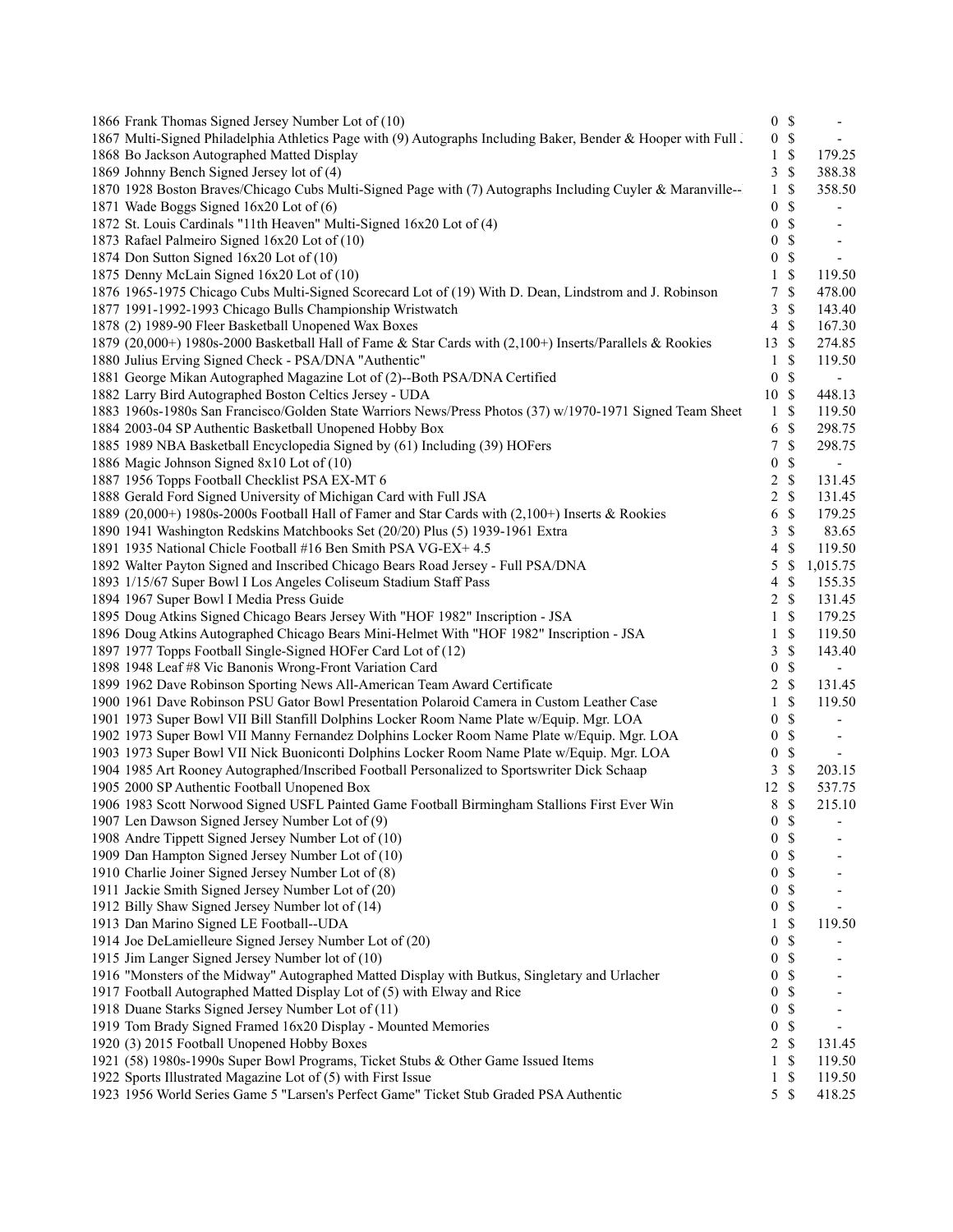| 1866 Frank Thomas Signed Jersey Number Lot of (10)                                                             |                  | 0 S           | $\overline{\phantom{a}}$ |
|----------------------------------------------------------------------------------------------------------------|------------------|---------------|--------------------------|
| 1867 Multi-Signed Philadelphia Athletics Page with (9) Autographs Including Baker, Bender & Hooper with Full l | $\boldsymbol{0}$ | $\mathbb S$   | $\sim$                   |
| 1868 Bo Jackson Autographed Matted Display                                                                     | 1                | \$            | 179.25                   |
| 1869 Johnny Bench Signed Jersey lot of (4)                                                                     | 3                | $\mathcal{S}$ | 388.38                   |
| 1870 1928 Boston Braves/Chicago Cubs Multi-Signed Page with (7) Autographs Including Cuyler & Maranville--     | $\mathbf{1}$     | $\mathbb{S}$  | 358.50                   |
| 1871 Wade Boggs Signed 16x20 Lot of (6)                                                                        | $\boldsymbol{0}$ | \$            |                          |
| 1872 St. Louis Cardinals "11th Heaven" Multi-Signed 16x20 Lot of (4)                                           | $\boldsymbol{0}$ | $\mathcal{S}$ | $\overline{\phantom{a}}$ |
| 1873 Rafael Palmeiro Signed 16x20 Lot of (10)                                                                  | 0                | $\mathbb{S}$  | $\overline{\phantom{a}}$ |
| 1874 Don Sutton Signed 16x20 Lot of (10)                                                                       | $\boldsymbol{0}$ | \$            | $\blacksquare$           |
| 1875 Denny McLain Signed 16x20 Lot of (10)                                                                     | 1                | \$            | 119.50                   |
| 1876 1965-1975 Chicago Cubs Multi-Signed Scorecard Lot of (19) With D. Dean, Lindstrom and J. Robinson         | 7                | \$            | 478.00                   |
| 1877 1991-1992-1993 Chicago Bulls Championship Wristwatch                                                      | 3                | \$            | 143.40                   |
| 1878 (2) 1989-90 Fleer Basketball Unopened Wax Boxes                                                           | 4                | \$            | 167.30                   |
| 1879 (20,000+) 1980s-2000 Basketball Hall of Fame & Star Cards with (2,100+) Inserts/Parallels & Rookies       | 13               | $\mathcal{S}$ | 274.85                   |
| 1880 Julius Erving Signed Check - PSA/DNA "Authentic"                                                          | $\mathbf{1}$     | $\mathbb{S}$  | 119.50                   |
| 1881 George Mikan Autographed Magazine Lot of (2)--Both PSA/DNA Certified                                      | $\boldsymbol{0}$ | $\mathcal{S}$ | $\overline{\phantom{a}}$ |
| 1882 Larry Bird Autographed Boston Celtics Jersey - UDA                                                        | 10S              |               | 448.13                   |
| 1883 1960s-1980s San Francisco/Golden State Warriors News/Press Photos (37) w/1970-1971 Signed Team Sheet      | $\mathbf{1}$     | $\mathcal{S}$ | 119.50                   |
| 1884 2003-04 SP Authentic Basketball Unopened Hobby Box                                                        | 6                | \$            | 298.75                   |
| 1885 1989 NBA Basketball Encyclopedia Signed by (61) Including (39) HOFers                                     | 7                | $\mathbb{S}$  | 298.75                   |
| 1886 Magic Johnson Signed 8x10 Lot of (10)                                                                     | $\boldsymbol{0}$ | \$            |                          |
| 1887 1956 Topps Football Checklist PSA EX-MT 6                                                                 |                  | $\mathbb{S}$  |                          |
| 1888 Gerald Ford Signed University of Michigan Card with Full JSA                                              | 2                | $\mathbb{S}$  | 131.45                   |
|                                                                                                                | 2                |               | 131.45                   |
| 1889 (20,000+) 1980s-2000s Football Hall of Famer and Star Cards with (2,100+) Inserts & Rookies               | 6                | \$            | 179.25                   |
| 1890 1941 Washington Redskins Matchbooks Set (20/20) Plus (5) 1939-1961 Extra                                  | 3                | $\mathbb S$   | 83.65                    |
| 1891 1935 National Chicle Football #16 Ben Smith PSA VG-EX+ 4.5                                                | 4                | \$            | 119.50                   |
| 1892 Walter Payton Signed and Inscribed Chicago Bears Road Jersey - Full PSA/DNA                               | 5                | \$            | 1,015.75                 |
| 1893 1/15/67 Super Bowl I Los Angeles Coliseum Stadium Staff Pass                                              | 4                | \$            | 155.35                   |
| 1894 1967 Super Bowl I Media Press Guide                                                                       | 2                | $\mathcal{S}$ | 131.45                   |
| 1895 Doug Atkins Signed Chicago Bears Jersey With "HOF 1982" Inscription - JSA                                 | $\mathbf{1}$     | $\mathcal{S}$ | 179.25                   |
| 1896 Doug Atkins Autographed Chicago Bears Mini-Helmet With "HOF 1982" Inscription - JSA                       | 1                | \$            | 119.50                   |
| 1897 1977 Topps Football Single-Signed HOFer Card Lot of (12)                                                  | 3                | \$            | 143.40                   |
| 1898 1948 Leaf #8 Vic Banonis Wrong-Front Variation Card                                                       | 0                | \$            |                          |
| 1899 1962 Dave Robinson Sporting News All-American Team Award Certificate                                      | $\overline{2}$   | $\mathbb S$   | 131.45                   |
| 1900 1961 Dave Robinson PSU Gator Bowl Presentation Polaroid Camera in Custom Leather Case                     | 1                | $\mathbb{S}$  | 119.50                   |
| 1901 1973 Super Bowl VII Bill Stanfill Dolphins Locker Room Name Plate w/Equip. Mgr. LOA                       | 0                | $\mathbb S$   |                          |
| 1902 1973 Super Bowl VII Manny Fernandez Dolphins Locker Room Name Plate w/Equip. Mgr. LOA                     | 0                | $\mathbb{S}$  | $\blacksquare$           |
| 1903 1973 Super Bowl VII Nick Buoniconti Dolphins Locker Room Name Plate w/Equip. Mgr. LOA                     | $\boldsymbol{0}$ | \$            | $\sim$                   |
| 1904 1985 Art Rooney Autographed/Inscribed Football Personalized to Sportswriter Dick Schaap                   | 3                | \$            | 203.15                   |
| 1905 2000 SP Authentic Football Unopened Box                                                                   | 12               | $\mathbb{S}$  | 537.75                   |
| 1906 1983 Scott Norwood Signed USFL Painted Game Football Birmingham Stallions First Ever Win                  | 8                | <sup>\$</sup> | 215.10                   |
| 1907 Len Dawson Signed Jersey Number Lot of (9)                                                                | 0                | $\mathbb{S}$  |                          |
| 1908 Andre Tippett Signed Jersey Number Lot of (10)                                                            | 0                | <sup>\$</sup> |                          |
| 1909 Dan Hampton Signed Jersey Number Lot of (10)                                                              | 0                | S             |                          |
| 1910 Charlie Joiner Signed Jersey Number Lot of (8)                                                            | 0                | S             |                          |
| 1911 Jackie Smith Signed Jersey Number Lot of (20)                                                             | 0                | \$            |                          |
| 1912 Billy Shaw Signed Jersey Number lot of (14)                                                               | 0                | \$            |                          |
| 1913 Dan Marino Signed LE Football--UDA                                                                        | 1                | \$            | 119.50                   |
| 1914 Joe DeLamielleure Signed Jersey Number Lot of (20)                                                        | 0                | \$            |                          |
| 1915 Jim Langer Signed Jersey Number lot of (10)                                                               | 0                | S             |                          |
| 1916 "Monsters of the Midway" Autographed Matted Display with Butkus, Singletary and Urlacher                  | 0                | \$            |                          |
| 1917 Football Autographed Matted Display Lot of (5) with Elway and Rice                                        | 0                | \$            |                          |
| 1918 Duane Starks Signed Jersey Number Lot of (11)                                                             | 0                | \$            |                          |
| 1919 Tom Brady Signed Framed 16x20 Display - Mounted Memories                                                  | 0                | \$            | $\overline{\phantom{a}}$ |
| 1920 (3) 2015 Football Unopened Hobby Boxes                                                                    | 2                | \$            | 131.45                   |
| 1921 (58) 1980s-1990s Super Bowl Programs, Ticket Stubs & Other Game Issued Items                              | 1                | \$            | 119.50                   |
| 1922 Sports Illustrated Magazine Lot of (5) with First Issue                                                   | 1                | \$            | 119.50                   |
| 1923 1956 World Series Game 5 "Larsen's Perfect Game" Ticket Stub Graded PSA Authentic                         | 5                |               | 418.25                   |
|                                                                                                                |                  | \$            |                          |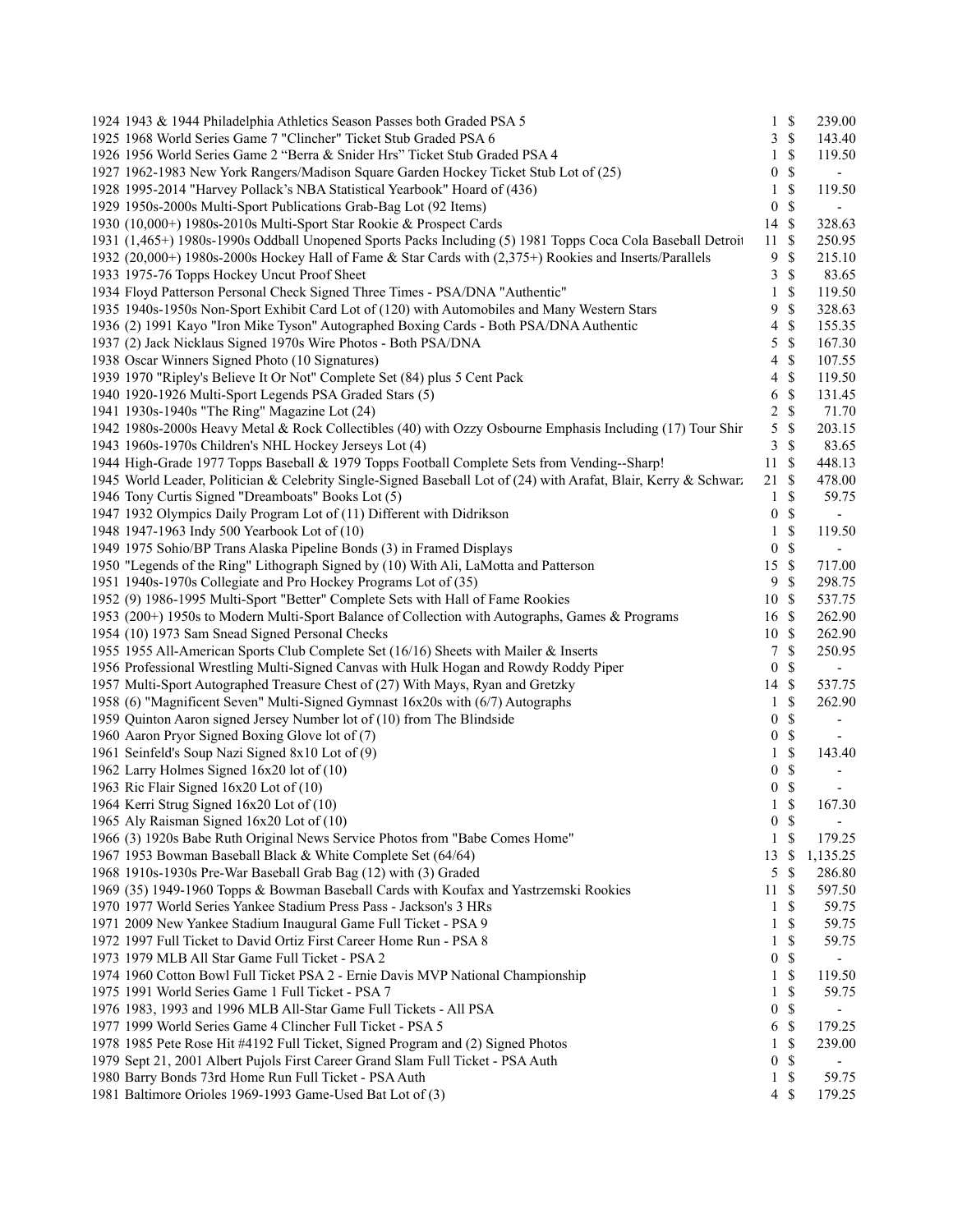| 1924 1943 & 1944 Philadelphia Athletics Season Passes both Graded PSA 5                                          |                  | $1 \text{ }$ \$           | 239.00                   |
|------------------------------------------------------------------------------------------------------------------|------------------|---------------------------|--------------------------|
| 1925 1968 World Series Game 7 "Clincher" Ticket Stub Graded PSA 6                                                |                  | 3S                        | 143.40                   |
| 1926 1956 World Series Game 2 "Berra & Snider Hrs" Ticket Stub Graded PSA 4                                      | 1                | $\mathbb{S}$              | 119.50                   |
| 1927 1962-1983 New York Rangers/Madison Square Garden Hockey Ticket Stub Lot of (25)                             | 0                | \$                        | $\sim$                   |
| 1928 1995-2014 "Harvey Pollack's NBA Statistical Yearbook" Hoard of (436)                                        | 1                | $\mathbb{S}$              | 119.50                   |
| 1929 1950s-2000s Multi-Sport Publications Grab-Bag Lot (92 Items)                                                | $\boldsymbol{0}$ | $\mathbb{S}$              |                          |
| 1930 (10,000+) 1980s-2010s Multi-Sport Star Rookie & Prospect Cards                                              | 14 \$            |                           | 328.63                   |
| 1931 (1,465+) 1980s-1990s Oddball Unopened Sports Packs Including (5) 1981 Topps Coca Cola Baseball Detroit      | 11               | <sup>\$</sup>             | 250.95                   |
| 1932 (20,000+) 1980s-2000s Hockey Hall of Fame & Star Cards with (2,375+) Rookies and Inserts/Parallels          | 9                | \$                        | 215.10                   |
| 1933 1975-76 Topps Hockey Uncut Proof Sheet                                                                      | 3                | \$                        | 83.65                    |
| 1934 Floyd Patterson Personal Check Signed Three Times - PSA/DNA "Authentic"                                     | 1                | \$                        | 119.50                   |
| 1935 1940s-1950s Non-Sport Exhibit Card Lot of (120) with Automobiles and Many Western Stars                     | 9                | $\mathbb{S}$              | 328.63                   |
| 1936 (2) 1991 Kayo "Iron Mike Tyson" Autographed Boxing Cards - Both PSA/DNA Authentic                           | 4                | \$                        | 155.35                   |
| 1937 (2) Jack Nicklaus Signed 1970s Wire Photos - Both PSA/DNA                                                   | 5                | $\mathbb{S}$              | 167.30                   |
| 1938 Oscar Winners Signed Photo (10 Signatures)                                                                  | 4                | \$                        | 107.55                   |
| 1939 1970 "Ripley's Believe It Or Not" Complete Set (84) plus 5 Cent Pack                                        | 4                | \$                        | 119.50                   |
| 1940 1920-1926 Multi-Sport Legends PSA Graded Stars (5)                                                          | 6                | \$                        | 131.45                   |
| 1941 1930s-1940s "The Ring" Magazine Lot (24)                                                                    |                  | $\mathbb{S}$              | 71.70                    |
| 1942 1980s-2000s Heavy Metal & Rock Collectibles (40) with Ozzy Osbourne Emphasis Including (17) Tour Shir       | 2                |                           |                          |
|                                                                                                                  | 5                | \$                        | 203.15                   |
| 1943 1960s-1970s Children's NHL Hockey Jerseys Lot (4)                                                           | 3                | $\mathbb{S}$              | 83.65                    |
| 1944 High-Grade 1977 Topps Baseball & 1979 Topps Football Complete Sets from Vending--Sharp!                     | 11               | \$                        | 448.13                   |
| 1945 World Leader, Politician & Celebrity Single-Signed Baseball Lot of (24) with Arafat, Blair, Kerry & Schwarz | 21               | $\boldsymbol{\mathsf{S}}$ | 478.00                   |
| 1946 Tony Curtis Signed "Dreamboats" Books Lot (5)                                                               | $\mathbf{1}$     | $\mathbb{S}$              | 59.75                    |
| 1947 1932 Olympics Daily Program Lot of (11) Different with Didrikson                                            | $\boldsymbol{0}$ | $\mathbb{S}$              |                          |
| 1948 1947-1963 Indy 500 Yearbook Lot of (10)                                                                     | 1                | $\mathbb{S}$              | 119.50                   |
| 1949 1975 Sohio/BP Trans Alaska Pipeline Bonds (3) in Framed Displays                                            | $\boldsymbol{0}$ | \$                        | $\overline{\phantom{a}}$ |
| 1950 "Legends of the Ring" Lithograph Signed by (10) With Ali, LaMotta and Patterson                             | 15               | $\mathbb{S}$              | 717.00                   |
| 1951 1940s-1970s Collegiate and Pro Hockey Programs Lot of (35)                                                  | 9                | \$                        | 298.75                   |
| 1952 (9) 1986-1995 Multi-Sport "Better" Complete Sets with Hall of Fame Rookies                                  | 10               | <sup>\$</sup>             | 537.75                   |
| 1953 (200+) 1950s to Modern Multi-Sport Balance of Collection with Autographs, Games & Programs                  | 16 \$            |                           | 262.90                   |
| 1954 (10) 1973 Sam Snead Signed Personal Checks                                                                  | 10 \$            |                           | 262.90                   |
| 1955 1955 All-American Sports Club Complete Set (16/16) Sheets with Mailer & Inserts                             | 7                | \$                        | 250.95                   |
| 1956 Professional Wrestling Multi-Signed Canvas with Hulk Hogan and Rowdy Roddy Piper                            | $\boldsymbol{0}$ | \$                        |                          |
| 1957 Multi-Sport Autographed Treasure Chest of (27) With Mays, Ryan and Gretzky                                  | 14               | $\mathbb{S}$              | 537.75                   |
| 1958 (6) "Magnificent Seven" Multi-Signed Gymnast 16x20s with (6/7) Autographs                                   | 1                | $\$$                      | 262.90                   |
| 1959 Quinton Aaron signed Jersey Number lot of (10) from The Blindside                                           | $\boldsymbol{0}$ | $\mathbb S$               |                          |
| 1960 Aaron Pryor Signed Boxing Glove lot of (7)                                                                  | 0                | $\mathcal{S}$             |                          |
| 1961 Seinfeld's Soup Nazi Signed 8x10 Lot of (9)                                                                 | 1                | $\mathbb{S}$              | 143.40                   |
| 1962 Larry Holmes Signed 16x20 lot of (10)                                                                       | 0                | \$                        |                          |
| 1963 Ric Flair Signed 16x20 Lot of (10)                                                                          | $\boldsymbol{0}$ | $\mathbb{S}$              |                          |
| 1964 Kerri Strug Signed 16x20 Lot of (10)                                                                        | 1                | \$                        | 167.30                   |
| 1965 Aly Raisman Signed 16x20 Lot of (10)                                                                        |                  | 0 <sup>5</sup>            |                          |
| 1966 (3) 1920s Babe Ruth Original News Service Photos from "Babe Comes Home"                                     | $\mathbf{1}$     | \$                        | 179.25                   |
| 1967 1953 Bowman Baseball Black & White Complete Set (64/64)                                                     | 13               | \$                        | 1,135.25                 |
| 1968 1910s-1930s Pre-War Baseball Grab Bag (12) with (3) Graded                                                  | 5                | S                         | 286.80                   |
| 1969 (35) 1949-1960 Topps & Bowman Baseball Cards with Koufax and Yastrzemski Rookies                            | 11               | S                         | 597.50                   |
| 1970 1977 World Series Yankee Stadium Press Pass - Jackson's 3 HRs                                               | 1                | \$                        | 59.75                    |
| 1971 2009 New Yankee Stadium Inaugural Game Full Ticket - PSA 9                                                  | 1                | <sup>\$</sup>             | 59.75                    |
| 1972 1997 Full Ticket to David Ortiz First Career Home Run - PSA 8                                               | 1                | \$                        | 59.75                    |
| 1973 1979 MLB All Star Game Full Ticket - PSA 2                                                                  | 0                | \$                        | $\overline{\phantom{a}}$ |
| 1974 1960 Cotton Bowl Full Ticket PSA 2 - Ernie Davis MVP National Championship                                  | 1                | \$                        | 119.50                   |
| 1975 1991 World Series Game 1 Full Ticket - PSA 7                                                                | 1                | \$                        | 59.75                    |
| 1976 1983, 1993 and 1996 MLB All-Star Game Full Tickets - All PSA                                                | 0                | \$                        |                          |
| 1977 1999 World Series Game 4 Clincher Full Ticket - PSA 5                                                       | 6                | $\mathbb{S}$              | 179.25                   |
|                                                                                                                  | 1                | \$                        | 239.00                   |
| 1978 1985 Pete Rose Hit #4192 Full Ticket, Signed Program and (2) Signed Photos                                  | $\boldsymbol{0}$ | \$                        |                          |
| 1979 Sept 21, 2001 Albert Pujols First Career Grand Slam Full Ticket - PSA Auth                                  |                  | $\mathbb{S}$              | $\overline{\phantom{a}}$ |
| 1980 Barry Bonds 73rd Home Run Full Ticket - PSA Auth                                                            | 1                |                           | 59.75                    |
| 1981 Baltimore Orioles 1969-1993 Game-Used Bat Lot of (3)                                                        | $\overline{4}$   | \$                        | 179.25                   |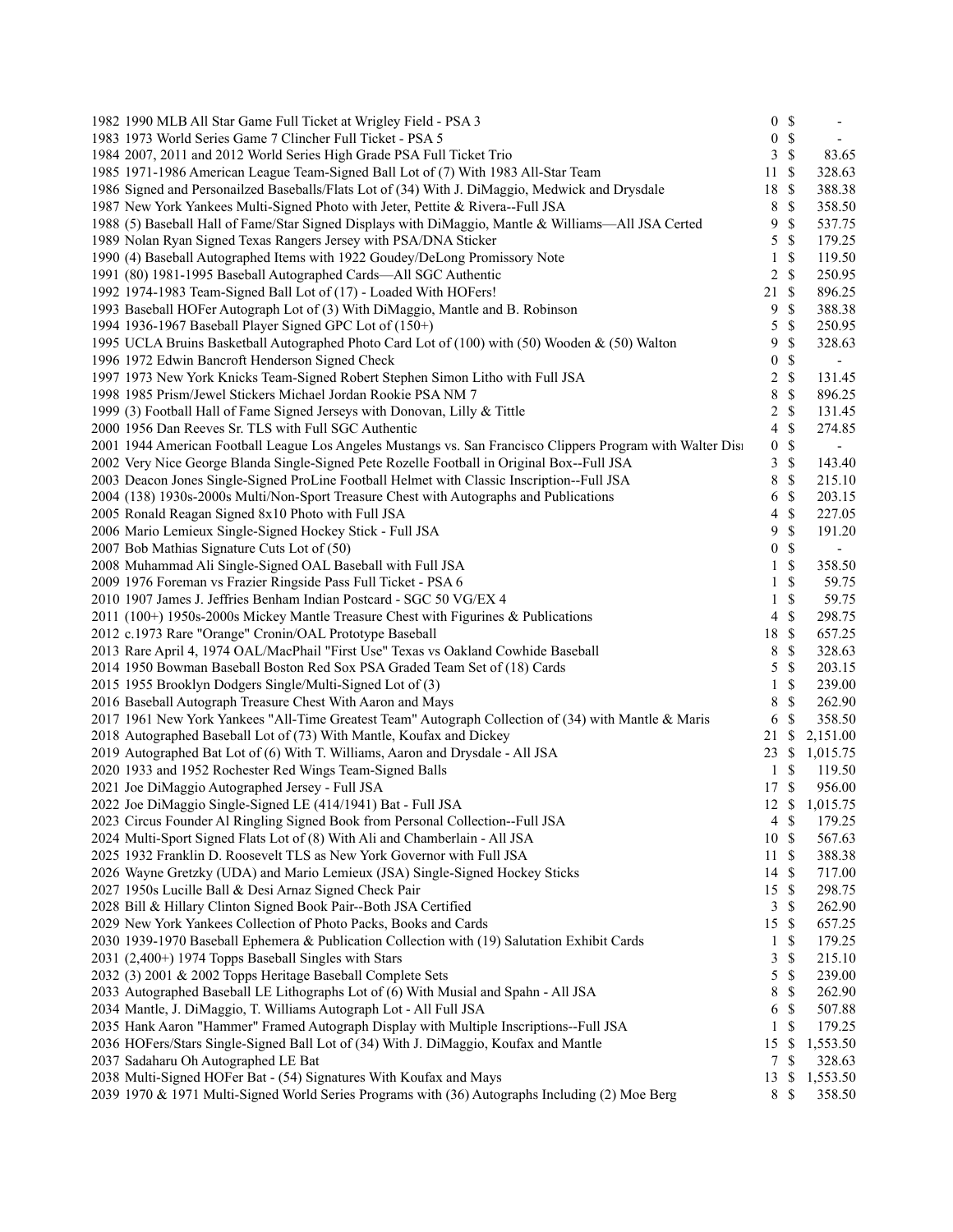| 1982 1990 MLB All Star Game Full Ticket at Wrigley Field - PSA 3                                            |                          | 0 S             | $\overline{\phantom{a}}$ |
|-------------------------------------------------------------------------------------------------------------|--------------------------|-----------------|--------------------------|
| 1983 1973 World Series Game 7 Clincher Full Ticket - PSA 5                                                  |                          | 0 <sup>5</sup>  |                          |
| 1984 2007, 2011 and 2012 World Series High Grade PSA Full Ticket Trio                                       | 3                        | $\mathcal{S}$   | 83.65                    |
| 1985 1971-1986 American League Team-Signed Ball Lot of (7) With 1983 All-Star Team                          | 11                       | \$              | 328.63                   |
| 1986 Signed and Personailzed Baseballs/Flats Lot of (34) With J. DiMaggio, Medwick and Drysdale             | 18                       | $\mathbb{S}$    | 388.38                   |
| 1987 New York Yankees Multi-Signed Photo with Jeter, Pettite & Rivera--Full JSA                             | 8                        | \$              | 358.50                   |
| 1988 (5) Baseball Hall of Fame/Star Signed Displays with DiMaggio, Mantle & Williams—All JSA Certed         | 9                        | $\mathbb{S}$    | 537.75                   |
| 1989 Nolan Ryan Signed Texas Rangers Jersey with PSA/DNA Sticker                                            | 5                        | \$              | 179.25                   |
| 1990 (4) Baseball Autographed Items with 1922 Goudey/DeLong Promissory Note                                 | 1                        | <sup>\$</sup>   | 119.50                   |
| 1991 (80) 1981-1995 Baseball Autographed Cards-All SGC Authentic                                            | 2                        | \$              | 250.95                   |
| 1992 1974-1983 Team-Signed Ball Lot of (17) - Loaded With HOFers!                                           | 21                       | $\mathcal{S}$   | 896.25                   |
| 1993 Baseball HOFer Autograph Lot of (3) With DiMaggio, Mantle and B. Robinson                              | 9                        | $\mathbb{S}$    | 388.38                   |
| 1994 1936-1967 Baseball Player Signed GPC Lot of (150+)                                                     | 5                        | $\mathbb{S}$    | 250.95                   |
| 1995 UCLA Bruins Basketball Autographed Photo Card Lot of (100) with (50) Wooden & (50) Walton              | 9                        | $\mathbb{S}$    | 328.63                   |
| 1996 1972 Edwin Bancroft Henderson Signed Check                                                             | $\boldsymbol{0}$         | $\mathbb{S}$    | $\overline{\phantom{a}}$ |
| 1997 1973 New York Knicks Team-Signed Robert Stephen Simon Litho with Full JSA                              | 2                        | \$              | 131.45                   |
| 1998 1985 Prism/Jewel Stickers Michael Jordan Rookie PSA NM 7                                               | 8                        | $\mathbb{S}$    | 896.25                   |
| 1999 (3) Football Hall of Fame Signed Jerseys with Donovan, Lilly & Tittle                                  | 2                        | $\mathbb{S}$    | 131.45                   |
| 2000 1956 Dan Reeves Sr. TLS with Full SGC Authentic                                                        | $\overline{4}$           | \$              | 274.85                   |
| 2001 1944 American Football League Los Angeles Mustangs vs. San Francisco Clippers Program with Walter Disi | $\boldsymbol{0}$         | \$              | $\blacksquare$           |
| 2002 Very Nice George Blanda Single-Signed Pete Rozelle Football in Original Box--Full JSA                  | 3                        | $\mathbb{S}$    | 143.40                   |
| 2003 Deacon Jones Single-Signed ProLine Football Helmet with Classic Inscription--Full JSA                  | 8                        | \$              | 215.10                   |
| 2004 (138) 1930s-2000s Multi/Non-Sport Treasure Chest with Autographs and Publications                      | 6                        | \$              | 203.15                   |
|                                                                                                             |                          | $\mathbb{S}$    |                          |
| 2005 Ronald Reagan Signed 8x10 Photo with Full JSA                                                          | $\overline{\mathcal{A}}$ | $\mathbb S$     | 227.05                   |
| 2006 Mario Lemieux Single-Signed Hockey Stick - Full JSA                                                    | 9                        |                 | 191.20                   |
| 2007 Bob Mathias Signature Cuts Lot of (50)                                                                 | $\boldsymbol{0}$         | \$              | $\overline{\phantom{a}}$ |
| 2008 Muhammad Ali Single-Signed OAL Baseball with Full JSA                                                  | 1                        | \$              | 358.50                   |
| 2009 1976 Foreman vs Frazier Ringside Pass Full Ticket - PSA 6                                              | 1                        | \$              | 59.75                    |
| 2010 1907 James J. Jeffries Benham Indian Postcard - SGC 50 VG/EX 4                                         | 1                        | \$              | 59.75                    |
| 2011 (100+) 1950s-2000s Mickey Mantle Treasure Chest with Figurines & Publications                          | $\overline{4}$           | $\mathbb{S}$    | 298.75                   |
| 2012 c.1973 Rare "Orange" Cronin/OAL Prototype Baseball                                                     | 18                       | $\mathbb{S}$    | 657.25                   |
| 2013 Rare April 4, 1974 OAL/MacPhail "First Use" Texas vs Oakland Cowhide Baseball                          | 8                        | $\mathcal{S}$   | 328.63                   |
| 2014 1950 Bowman Baseball Boston Red Sox PSA Graded Team Set of (18) Cards                                  | 5                        | $\mathbb{S}$    | 203.15                   |
| 2015 1955 Brooklyn Dodgers Single/Multi-Signed Lot of (3)                                                   | 1                        | \$              | 239.00                   |
| 2016 Baseball Autograph Treasure Chest With Aaron and Mays                                                  | 8                        | \$              | 262.90                   |
| 2017 1961 New York Yankees "All-Time Greatest Team" Autograph Collection of (34) with Mantle & Maris        | 6                        | \$              | 358.50                   |
| 2018 Autographed Baseball Lot of (73) With Mantle, Koufax and Dickey                                        | 21                       | -\$             | 2,151.00                 |
| 2019 Autographed Bat Lot of (6) With T. Williams, Aaron and Drysdale - All JSA                              | 23S                      |                 | 1,015.75                 |
| 2020 1933 and 1952 Rochester Red Wings Team-Signed Balls                                                    | $\mathbf{1}$             | $\mathbb{S}$    | 119.50                   |
| 2021 Joe DiMaggio Autographed Jersey - Full JSA                                                             | 17 \$                    |                 | 956.00                   |
| 2022 Joe DiMaggio Single-Signed LE (414/1941) Bat - Full JSA                                                |                          |                 | 12 \$ 1,015.75           |
| 2023 Circus Founder Al Ringling Signed Book from Personal Collection--Full JSA                              |                          | $4 \text{ }$ \$ | 179.25                   |
| 2024 Multi-Sport Signed Flats Lot of (8) With Ali and Chamberlain - All JSA                                 | 10S                      |                 | 567.63                   |
| 2025 1932 Franklin D. Roosevelt TLS as New York Governor with Full JSA                                      | 11                       | $\mathcal{S}$   | 388.38                   |
| 2026 Wayne Gretzky (UDA) and Mario Lemieux (JSA) Single-Signed Hockey Sticks                                | 14 \$                    |                 | 717.00                   |
| 2027 1950s Lucille Ball & Desi Arnaz Signed Check Pair                                                      | 15                       | $\mathbb{S}$    | 298.75                   |
| 2028 Bill & Hillary Clinton Signed Book Pair--Both JSA Certified                                            | $\mathfrak{Z}$           | <sup>\$</sup>   | 262.90                   |
| 2029 New York Yankees Collection of Photo Packs, Books and Cards                                            | 15                       | -\$             | 657.25                   |
| 2030 1939-1970 Baseball Ephemera & Publication Collection with (19) Salutation Exhibit Cards                | 1                        | <sup>\$</sup>   | 179.25                   |
| 2031 (2,400+) 1974 Topps Baseball Singles with Stars                                                        | 3                        | \$              | 215.10                   |
| 2032 (3) 2001 & 2002 Topps Heritage Baseball Complete Sets                                                  | 5                        | \$              | 239.00                   |
| 2033 Autographed Baseball LE Lithographs Lot of (6) With Musial and Spahn - All JSA                         | 8                        | \$              | 262.90                   |
| 2034 Mantle, J. DiMaggio, T. Williams Autograph Lot - All Full JSA                                          | 6                        | $\mathbb{S}$    | 507.88                   |
| 2035 Hank Aaron "Hammer" Framed Autograph Display with Multiple Inscriptions--Full JSA                      | $\mathbf{1}$             | $\mathbb{S}$    | 179.25                   |
| 2036 HOFers/Stars Single-Signed Ball Lot of (34) With J. DiMaggio, Koufax and Mantle                        | 15                       | \$              | 1,553.50                 |
| 2037 Sadaharu Oh Autographed LE Bat                                                                         |                          | 7S              | 328.63                   |
| 2038 Multi-Signed HOFer Bat - (54) Signatures With Koufax and Mays                                          | 13                       | \$              | 1,553.50                 |
| 2039 1970 & 1971 Multi-Signed World Series Programs with (36) Autographs Including (2) Moe Berg             | 8 \$                     |                 | 358.50                   |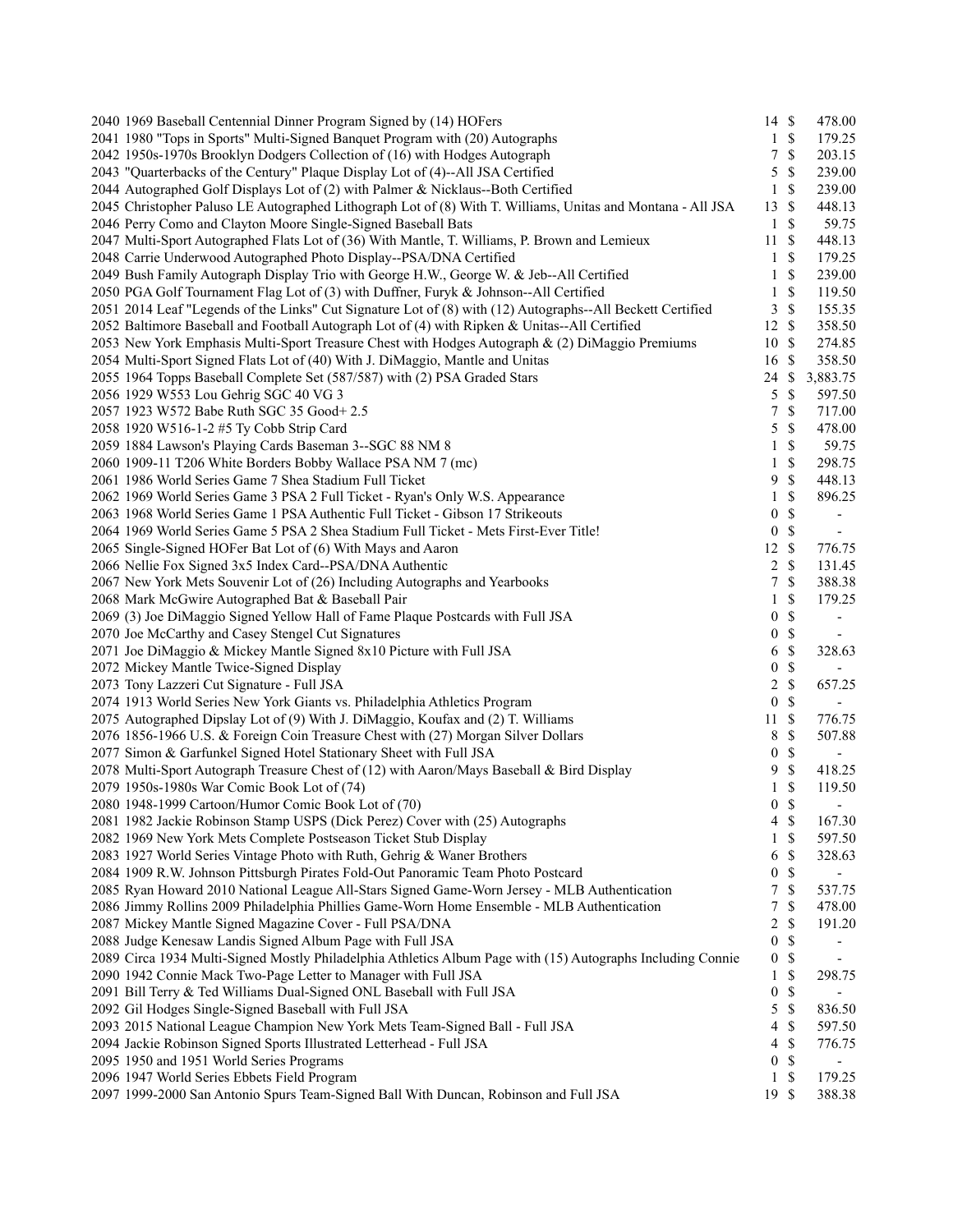| 2040 1969 Baseball Centennial Dinner Program Signed by (14) HOFers                                          | $14 \text{ }$ \$ |              | 478.00                   |
|-------------------------------------------------------------------------------------------------------------|------------------|--------------|--------------------------|
| 2041 1980 "Tops in Sports" Multi-Signed Banquet Program with (20) Autographs                                | $\mathbf{1}$     | $\mathbb{S}$ | 179.25                   |
| 2042 1950s-1970s Brooklyn Dodgers Collection of (16) with Hodges Autograph                                  | 7                | \$           | 203.15                   |
| 2043 "Quarterbacks of the Century" Plaque Display Lot of (4)--All JSA Certified                             | 5                | \$           | 239.00                   |
| 2044 Autographed Golf Displays Lot of (2) with Palmer & Nicklaus--Both Certified                            | $\mathbf{1}$     | \$           | 239.00                   |
| 2045 Christopher Paluso LE Autographed Lithograph Lot of (8) With T. Williams, Unitas and Montana - All JSA | 13               | \$           | 448.13                   |
| 2046 Perry Como and Clayton Moore Single-Signed Baseball Bats                                               | $\mathbf{1}$     | \$           | 59.75                    |
| 2047 Multi-Sport Autographed Flats Lot of (36) With Mantle, T. Williams, P. Brown and Lemieux               | 11               | S            | 448.13                   |
| 2048 Carrie Underwood Autographed Photo Display--PSA/DNA Certified                                          | 1                | \$           | 179.25                   |
| 2049 Bush Family Autograph Display Trio with George H.W., George W. & Jeb--All Certified                    | 1                | \$           | 239.00                   |
| 2050 PGA Golf Tournament Flag Lot of (3) with Duffner, Furyk & Johnson--All Certified                       | $\mathbf{1}$     | $\mathbb{S}$ | 119.50                   |
| 2051 2014 Leaf "Legends of the Links" Cut Signature Lot of (8) with (12) Autographs--All Beckett Certified  | 3                | $\mathbb{S}$ | 155.35                   |
| 2052 Baltimore Baseball and Football Autograph Lot of (4) with Ripken & Unitas--All Certified               | 12               | \$           | 358.50                   |
| 2053 New York Emphasis Multi-Sport Treasure Chest with Hodges Autograph & (2) DiMaggio Premiums             | 10               | \$           | 274.85                   |
| 2054 Multi-Sport Signed Flats Lot of (40) With J. DiMaggio, Mantle and Unitas                               | 16               | \$           | 358.50                   |
|                                                                                                             | 24               | \$           |                          |
| 2055 1964 Topps Baseball Complete Set (587/587) with (2) PSA Graded Stars                                   |                  |              | 3,883.75                 |
| 2056 1929 W553 Lou Gehrig SGC 40 VG 3                                                                       | 5                | \$           | 597.50                   |
| 2057 1923 W572 Babe Ruth SGC 35 Good+ 2.5                                                                   | 7                | \$           | 717.00                   |
| 2058 1920 W516-1-2 #5 Ty Cobb Strip Card                                                                    | 5                | \$           | 478.00                   |
| 2059 1884 Lawson's Playing Cards Baseman 3--SGC 88 NM 8                                                     | 1                | $\mathbb{S}$ | 59.75                    |
| 2060 1909-11 T206 White Borders Bobby Wallace PSA NM 7 (mc)                                                 | 1                | \$           | 298.75                   |
| 2061 1986 World Series Game 7 Shea Stadium Full Ticket                                                      | 9                | \$           | 448.13                   |
| 2062 1969 World Series Game 3 PSA 2 Full Ticket - Ryan's Only W.S. Appearance                               | 1                | \$           | 896.25                   |
| 2063 1968 World Series Game 1 PSA Authentic Full Ticket - Gibson 17 Strikeouts                              | $\boldsymbol{0}$ | $\mathbb{S}$ | $\overline{\phantom{a}}$ |
| 2064 1969 World Series Game 5 PSA 2 Shea Stadium Full Ticket - Mets First-Ever Title!                       | $\boldsymbol{0}$ | \$           | $\overline{\phantom{a}}$ |
| 2065 Single-Signed HOFer Bat Lot of (6) With Mays and Aaron                                                 | 12               | \$           | 776.75                   |
| 2066 Nellie Fox Signed 3x5 Index Card--PSA/DNA Authentic                                                    | 2                | \$           | 131.45                   |
| 2067 New York Mets Souvenir Lot of (26) Including Autographs and Yearbooks                                  | 7                | \$           | 388.38                   |
| 2068 Mark McGwire Autographed Bat & Baseball Pair                                                           | 1                | \$           | 179.25                   |
| 2069 (3) Joe DiMaggio Signed Yellow Hall of Fame Plaque Postcards with Full JSA                             | 0                | \$           | $\overline{\phantom{a}}$ |
| 2070 Joe McCarthy and Casey Stengel Cut Signatures                                                          | 0                | $\mathbb S$  | $\sim$                   |
| 2071 Joe DiMaggio & Mickey Mantle Signed 8x10 Picture with Full JSA                                         | 6                | \$           | 328.63                   |
| 2072 Mickey Mantle Twice-Signed Display                                                                     | $\boldsymbol{0}$ | \$           |                          |
| 2073 Tony Lazzeri Cut Signature - Full JSA                                                                  | $\overline{c}$   | $\mathbb{S}$ | 657.25                   |
| 2074 1913 World Series New York Giants vs. Philadelphia Athletics Program                                   | $\boldsymbol{0}$ | $\mathbb{S}$ |                          |
| 2075 Autographed Dipslay Lot of (9) With J. DiMaggio, Koufax and (2) T. Williams                            | 11               | $\mathbb{S}$ | 776.75                   |
| 2076 1856-1966 U.S. & Foreign Coin Treasure Chest with (27) Morgan Silver Dollars                           | 8                | \$           | 507.88                   |
| 2077 Simon & Garfunkel Signed Hotel Stationary Sheet with Full JSA                                          | $\boldsymbol{0}$ | $\mathbb{S}$ |                          |
| 2078 Multi-Sport Autograph Treasure Chest of (12) with Aaron/Mays Baseball & Bird Display                   | 9                | $\mathbb{S}$ | 418.25                   |
| 2079 1950s-1980s War Comic Book Lot of (74)                                                                 | $\mathbf{1}$     | \$           | 119.50                   |
| 2080 1948-1999 Cartoon/Humor Comic Book Lot of (70)                                                         | $\boldsymbol{0}$ | \$           | $\blacksquare$           |
| 2081 1982 Jackie Robinson Stamp USPS (Dick Perez) Cover with (25) Autographs                                | 4                | $\mathbb{S}$ | 167.30                   |
| 2082 1969 New York Mets Complete Postseason Ticket Stub Display                                             | 1                | \$           | 597.50                   |
| 2083 1927 World Series Vintage Photo with Ruth, Gehrig & Waner Brothers                                     | 6                | \$           | 328.63                   |
|                                                                                                             | 0                | \$           |                          |
| 2084 1909 R.W. Johnson Pittsburgh Pirates Fold-Out Panoramic Team Photo Postcard                            |                  |              |                          |
| 2085 Ryan Howard 2010 National League All-Stars Signed Game-Worn Jersey - MLB Authentication                | 7                | $\mathbb{S}$ | 537.75                   |
| 2086 Jimmy Rollins 2009 Philadelphia Phillies Game-Worn Home Ensemble - MLB Authentication                  | 7                | \$           | 478.00                   |
| 2087 Mickey Mantle Signed Magazine Cover - Full PSA/DNA                                                     | 2                | \$           | 191.20                   |
| 2088 Judge Kenesaw Landis Signed Album Page with Full JSA                                                   | 0                | \$           | -                        |
| 2089 Circa 1934 Multi-Signed Mostly Philadelphia Athletics Album Page with (15) Autographs Including Connie | 0                | \$           | $\overline{\phantom{a}}$ |
| 2090 1942 Connie Mack Two-Page Letter to Manager with Full JSA                                              | 1                | \$           | 298.75                   |
| 2091 Bill Terry & Ted Williams Dual-Signed ONL Baseball with Full JSA                                       | $\boldsymbol{0}$ | \$           |                          |
| 2092 Gil Hodges Single-Signed Baseball with Full JSA                                                        | 5                | \$           | 836.50                   |
| 2093 2015 National League Champion New York Mets Team-Signed Ball - Full JSA                                | 4                | \$           | 597.50                   |
| 2094 Jackie Robinson Signed Sports Illustrated Letterhead - Full JSA                                        | 4                | \$           | 776.75                   |
| 2095 1950 and 1951 World Series Programs                                                                    | $\boldsymbol{0}$ | \$           | $\overline{\phantom{a}}$ |
| 2096 1947 World Series Ebbets Field Program                                                                 | 1                | \$           | 179.25                   |
| 2097 1999-2000 San Antonio Spurs Team-Signed Ball With Duncan, Robinson and Full JSA                        | 19 \$            |              | 388.38                   |